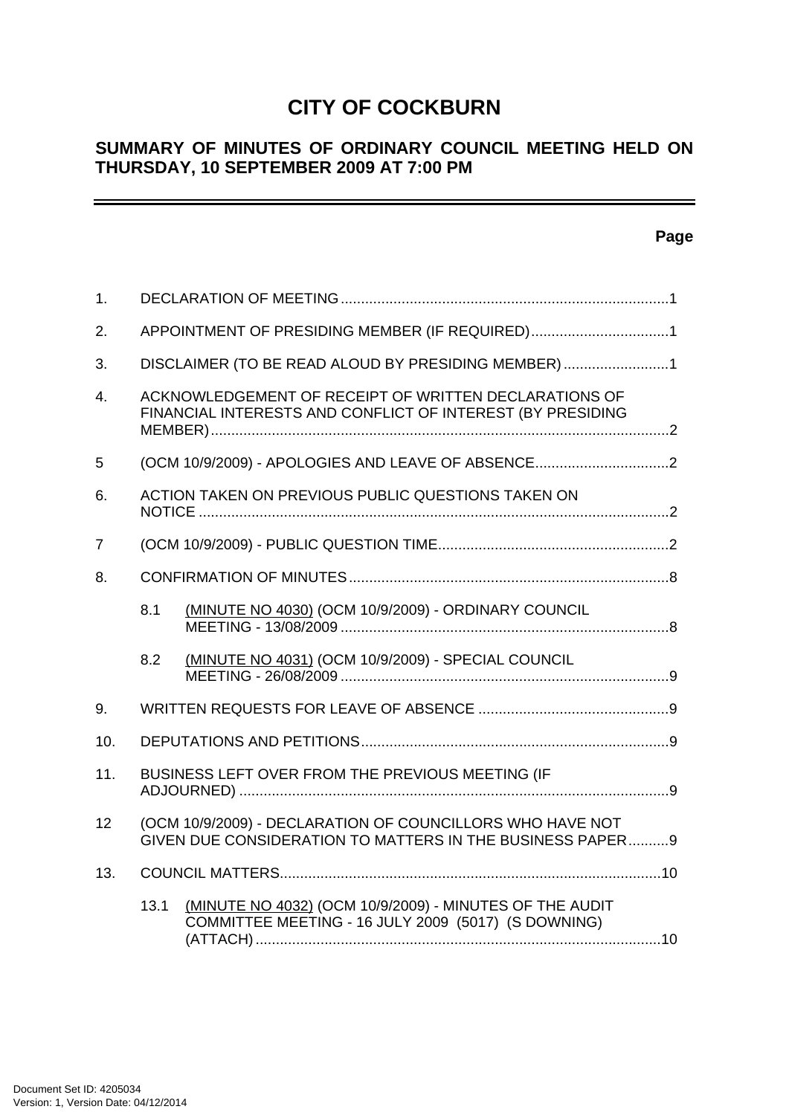# **CITY OF COCKBURN**

## **SUMMARY OF MINUTES OF ORDINARY COUNCIL MEETING HELD ON THURSDAY, 10 SEPTEMBER 2009 AT 7:00 PM**

## **Page**

| 1.               |                                                     |                                                                                                                        |  |  |
|------------------|-----------------------------------------------------|------------------------------------------------------------------------------------------------------------------------|--|--|
| 2.               | APPOINTMENT OF PRESIDING MEMBER (IF REQUIRED)1      |                                                                                                                        |  |  |
| 3.               | DISCLAIMER (TO BE READ ALOUD BY PRESIDING MEMBER) 1 |                                                                                                                        |  |  |
| $\overline{4}$ . |                                                     | ACKNOWLEDGEMENT OF RECEIPT OF WRITTEN DECLARATIONS OF<br>FINANCIAL INTERESTS AND CONFLICT OF INTEREST (BY PRESIDING    |  |  |
| 5                |                                                     | (OCM 10/9/2009) - APOLOGIES AND LEAVE OF ABSENCE2                                                                      |  |  |
| 6.               |                                                     | ACTION TAKEN ON PREVIOUS PUBLIC QUESTIONS TAKEN ON                                                                     |  |  |
| 7                |                                                     |                                                                                                                        |  |  |
| 8.               |                                                     |                                                                                                                        |  |  |
|                  | 8.1                                                 | (MINUTE NO 4030) (OCM 10/9/2009) - ORDINARY COUNCIL                                                                    |  |  |
|                  | 8.2                                                 | (MINUTE NO 4031) (OCM 10/9/2009) - SPECIAL COUNCIL                                                                     |  |  |
| 9.               |                                                     |                                                                                                                        |  |  |
| 10.              |                                                     |                                                                                                                        |  |  |
| 11.              |                                                     | BUSINESS LEFT OVER FROM THE PREVIOUS MEETING (IF                                                                       |  |  |
| 12               |                                                     | (OCM 10/9/2009) - DECLARATION OF COUNCILLORS WHO HAVE NOT<br>GIVEN DUE CONSIDERATION TO MATTERS IN THE BUSINESS PAPER9 |  |  |
| 13.              |                                                     |                                                                                                                        |  |  |
|                  | 13.1                                                | (MINUTE NO 4032) (OCM 10/9/2009) - MINUTES OF THE AUDIT<br>COMMITTEE MEETING - 16 JULY 2009 (5017) (S DOWNING)         |  |  |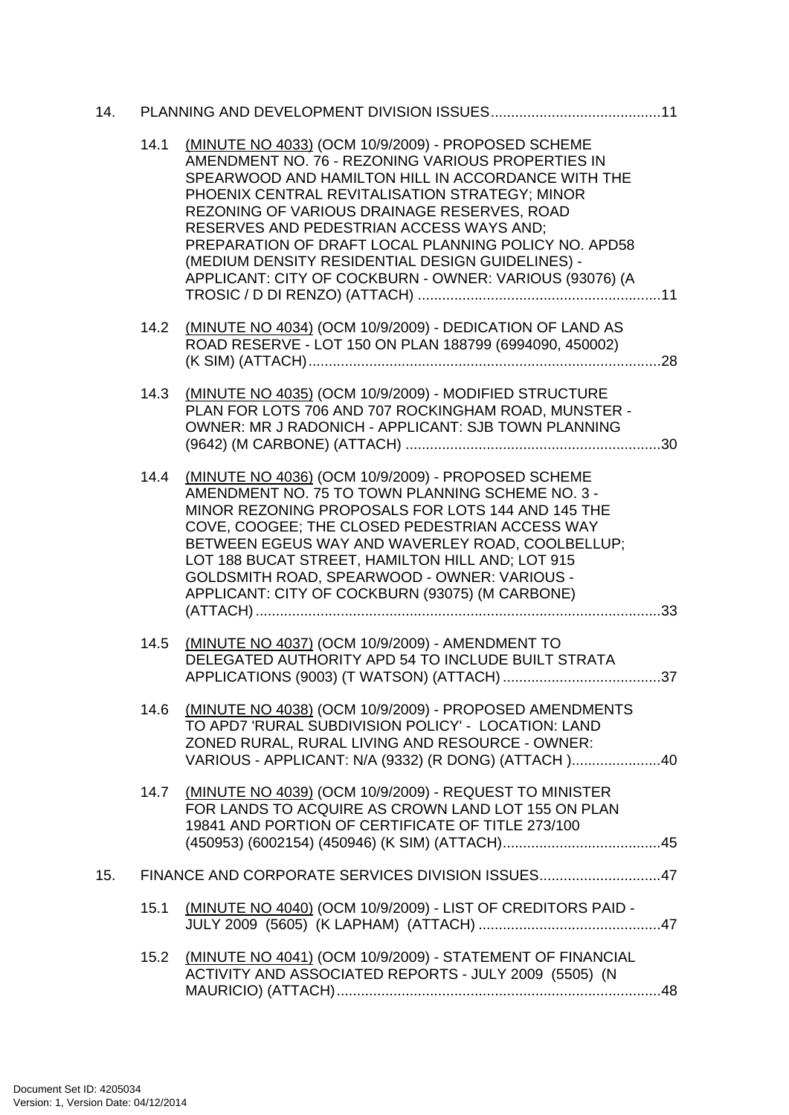| 14. |      |                                                                                                                                                                                                                                                                                                                                                                                                                                                                                   |
|-----|------|-----------------------------------------------------------------------------------------------------------------------------------------------------------------------------------------------------------------------------------------------------------------------------------------------------------------------------------------------------------------------------------------------------------------------------------------------------------------------------------|
|     | 14.1 | (MINUTE NO 4033) (OCM 10/9/2009) - PROPOSED SCHEME<br>AMENDMENT NO. 76 - REZONING VARIOUS PROPERTIES IN<br>SPEARWOOD AND HAMILTON HILL IN ACCORDANCE WITH THE<br>PHOENIX CENTRAL REVITALISATION STRATEGY; MINOR<br>REZONING OF VARIOUS DRAINAGE RESERVES, ROAD<br>RESERVES AND PEDESTRIAN ACCESS WAYS AND;<br>PREPARATION OF DRAFT LOCAL PLANNING POLICY NO. APD58<br>(MEDIUM DENSITY RESIDENTIAL DESIGN GUIDELINES) -<br>APPLICANT: CITY OF COCKBURN - OWNER: VARIOUS (93076) (A |
|     | 14.2 | (MINUTE NO 4034) (OCM 10/9/2009) - DEDICATION OF LAND AS<br>ROAD RESERVE - LOT 150 ON PLAN 188799 (6994090, 450002)                                                                                                                                                                                                                                                                                                                                                               |
|     | 14.3 | (MINUTE NO 4035) (OCM 10/9/2009) - MODIFIED STRUCTURE<br>PLAN FOR LOTS 706 AND 707 ROCKINGHAM ROAD, MUNSTER -<br>OWNER: MR J RADONICH - APPLICANT: SJB TOWN PLANNING                                                                                                                                                                                                                                                                                                              |
|     | 14.4 | (MINUTE NO 4036) (OCM 10/9/2009) - PROPOSED SCHEME<br>AMENDMENT NO. 75 TO TOWN PLANNING SCHEME NO. 3 -<br>MINOR REZONING PROPOSALS FOR LOTS 144 AND 145 THE<br>COVE, COOGEE; THE CLOSED PEDESTRIAN ACCESS WAY<br>BETWEEN EGEUS WAY AND WAVERLEY ROAD, COOLBELLUP;<br>LOT 188 BUCAT STREET, HAMILTON HILL AND; LOT 915<br>GOLDSMITH ROAD, SPEARWOOD - OWNER: VARIOUS -<br>APPLICANT: CITY OF COCKBURN (93075) (M CARBONE)                                                          |
|     | 14.5 | (MINUTE NO 4037) (OCM 10/9/2009) - AMENDMENT TO<br>DELEGATED AUTHORITY APD 54 TO INCLUDE BUILT STRATA                                                                                                                                                                                                                                                                                                                                                                             |
|     | 14.6 | (MINUTE NO 4038) (OCM 10/9/2009) - PROPOSED AMENDMENTS<br>TO APD7 'RURAL SUBDIVISION POLICY' - LOCATION: LAND<br>ZONED RURAL, RURAL LIVING AND RESOURCE - OWNER:<br>VARIOUS - APPLICANT: N/A (9332) (R DONG) (ATTACH)40                                                                                                                                                                                                                                                           |
|     |      | 14.7 (MINUTE NO 4039) (OCM 10/9/2009) - REQUEST TO MINISTER<br>FOR LANDS TO ACQUIRE AS CROWN LAND LOT 155 ON PLAN<br>19841 AND PORTION OF CERTIFICATE OF TITLE 273/100                                                                                                                                                                                                                                                                                                            |
| 15. |      | FINANCE AND CORPORATE SERVICES DIVISION ISSUES47                                                                                                                                                                                                                                                                                                                                                                                                                                  |
|     | 15.1 | (MINUTE NO 4040) (OCM 10/9/2009) - LIST OF CREDITORS PAID -                                                                                                                                                                                                                                                                                                                                                                                                                       |
|     | 15.2 | (MINUTE NO 4041) (OCM 10/9/2009) - STATEMENT OF FINANCIAL<br>ACTIVITY AND ASSOCIATED REPORTS - JULY 2009 (5505) (N                                                                                                                                                                                                                                                                                                                                                                |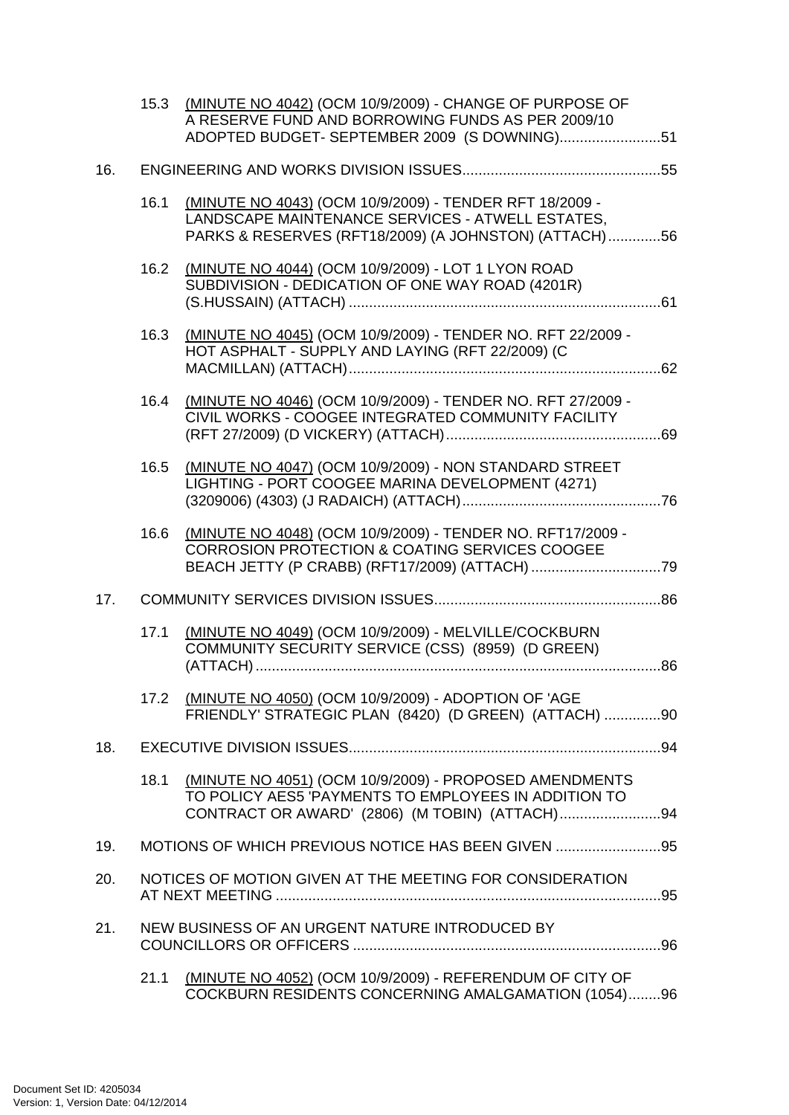|     |      | 15.3 (MINUTE NO 4042) (OCM 10/9/2009) - CHANGE OF PURPOSE OF<br>A RESERVE FUND AND BORROWING FUNDS AS PER 2009/10<br>ADOPTED BUDGET- SEPTEMBER 2009 (S DOWNING)51    |  |
|-----|------|----------------------------------------------------------------------------------------------------------------------------------------------------------------------|--|
| 16. |      |                                                                                                                                                                      |  |
|     | 16.1 | (MINUTE NO 4043) (OCM 10/9/2009) - TENDER RFT 18/2009 -<br>LANDSCAPE MAINTENANCE SERVICES - ATWELL ESTATES,<br>PARKS & RESERVES (RFT18/2009) (A JOHNSTON) (ATTACH)56 |  |
|     | 16.2 | (MINUTE NO 4044) (OCM 10/9/2009) - LOT 1 LYON ROAD<br>SUBDIVISION - DEDICATION OF ONE WAY ROAD (4201R)                                                               |  |
|     | 16.3 | (MINUTE NO 4045) (OCM 10/9/2009) - TENDER NO. RFT 22/2009 -<br>HOT ASPHALT - SUPPLY AND LAYING (RFT 22/2009) (C                                                      |  |
|     | 16.4 | (MINUTE NO 4046) (OCM 10/9/2009) - TENDER NO. RFT 27/2009 -<br>CIVIL WORKS - COOGEE INTEGRATED COMMUNITY FACILITY                                                    |  |
|     | 16.5 | (MINUTE NO 4047) (OCM 10/9/2009) - NON STANDARD STREET<br>LIGHTING - PORT COOGEE MARINA DEVELOPMENT (4271)                                                           |  |
|     | 16.6 | (MINUTE NO 4048) (OCM 10/9/2009) - TENDER NO. RFT17/2009 -<br><b>CORROSION PROTECTION &amp; COATING SERVICES COOGEE</b>                                              |  |
| 17. |      |                                                                                                                                                                      |  |
|     | 17.1 | (MINUTE NO 4049) (OCM 10/9/2009) - MELVILLE/COCKBURN<br>COMMUNITY SECURITY SERVICE (CSS) (8959) (D GREEN)                                                            |  |
|     |      | 17.2 (MINUTE NO 4050) (OCM 10/9/2009) - ADOPTION OF 'AGE<br>FRIENDLY' STRATEGIC PLAN (8420) (D GREEN) (ATTACH) 90                                                    |  |
| 18. |      |                                                                                                                                                                      |  |
|     | 18.1 | (MINUTE NO 4051) (OCM 10/9/2009) - PROPOSED AMENDMENTS<br>TO POLICY AES5 'PAYMENTS TO EMPLOYEES IN ADDITION TO                                                       |  |
| 19. |      | MOTIONS OF WHICH PREVIOUS NOTICE HAS BEEN GIVEN 95                                                                                                                   |  |
| 20. |      | NOTICES OF MOTION GIVEN AT THE MEETING FOR CONSIDERATION                                                                                                             |  |
| 21. |      | NEW BUSINESS OF AN URGENT NATURE INTRODUCED BY                                                                                                                       |  |
|     | 21.1 | (MINUTE NO 4052) (OCM 10/9/2009) - REFERENDUM OF CITY OF<br>COCKBURN RESIDENTS CONCERNING AMALGAMATION (1054)96                                                      |  |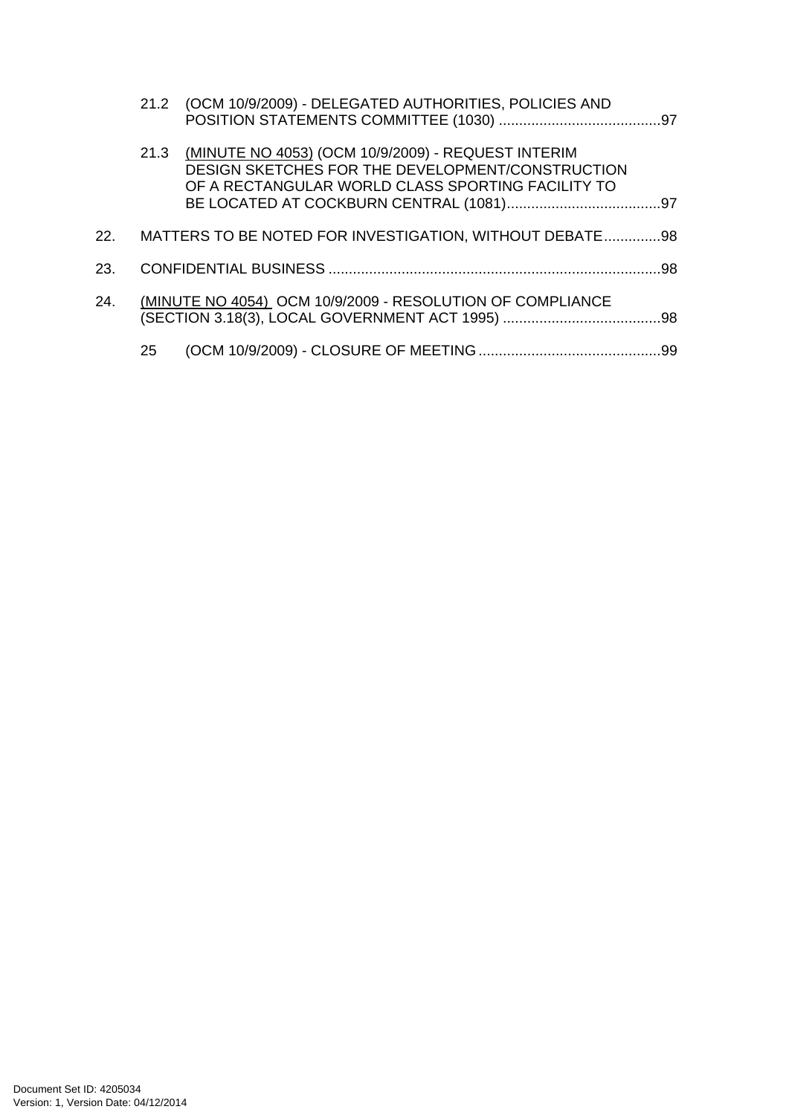|     |    | 21.2 (OCM 10/9/2009) - DELEGATED AUTHORITIES, POLICIES AND                                                                                                       |  |
|-----|----|------------------------------------------------------------------------------------------------------------------------------------------------------------------|--|
|     |    | 21.3 (MINUTE NO 4053) (OCM 10/9/2009) - REQUEST INTERIM<br>DESIGN SKETCHES FOR THE DEVELOPMENT/CONSTRUCTION<br>OF A RECTANGULAR WORLD CLASS SPORTING FACILITY TO |  |
| 22. |    | MATTERS TO BE NOTED FOR INVESTIGATION, WITHOUT DEBATE98                                                                                                          |  |
| 23. |    |                                                                                                                                                                  |  |
| 24. |    | (MINUTE NO 4054) OCM 10/9/2009 - RESOLUTION OF COMPLIANCE                                                                                                        |  |
|     | 25 |                                                                                                                                                                  |  |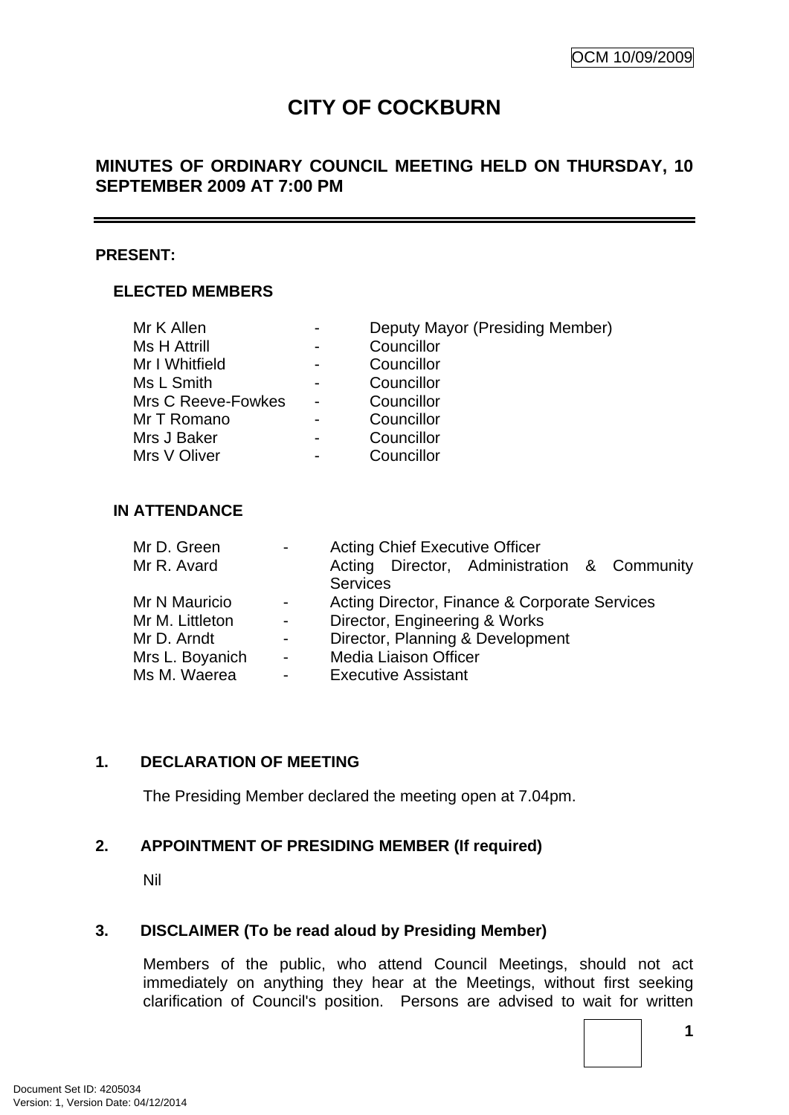# **CITY OF COCKBURN**

## <span id="page-4-0"></span>**MINUTES OF ORDINARY COUNCIL MEETING HELD ON THURSDAY, 10 SEPTEMBER 2009 AT 7:00 PM**

#### **PRESENT:**

## **ELECTED MEMBERS**

| Mr K Allen         | $\blacksquare$ | Deputy Mayor (Presiding Member) |
|--------------------|----------------|---------------------------------|
| Ms H Attrill       |                | Councillor                      |
| Mr I Whitfield     |                | Councillor                      |
| Ms L Smith         |                | Councillor                      |
| Mrs C Reeve-Fowkes |                | Councillor                      |
| Mr T Romano        |                | Councillor                      |
| Mrs J Baker        |                | Councillor                      |
| Mrs V Oliver       |                | Councillor                      |

## **IN ATTENDANCE**

| Mr D. Green     |                | <b>Acting Chief Executive Officer</b>         |  |  |  |
|-----------------|----------------|-----------------------------------------------|--|--|--|
| Mr R. Avard     |                | Acting Director, Administration & Community   |  |  |  |
|                 |                | <b>Services</b>                               |  |  |  |
| Mr N Mauricio   | $\sim$         | Acting Director, Finance & Corporate Services |  |  |  |
| Mr M. Littleton | $\blacksquare$ | Director, Engineering & Works                 |  |  |  |
| Mr D. Arndt     | $\sim$         | Director, Planning & Development              |  |  |  |
| Mrs L. Boyanich | $\sim$         | <b>Media Liaison Officer</b>                  |  |  |  |
| Ms M. Waerea    | $\blacksquare$ | <b>Executive Assistant</b>                    |  |  |  |

## **1. DECLARATION OF MEETING**

The Presiding Member declared the meeting open at 7.04pm.

## **2. APPOINTMENT OF PRESIDING MEMBER (If required)**

Nil

#### **3. DISCLAIMER (To be read aloud by Presiding Member)**

Members of the public, who attend Council Meetings, should not act immediately on anything they hear at the Meetings, without first seeking clarification of Council's position. Persons are advised to wait for written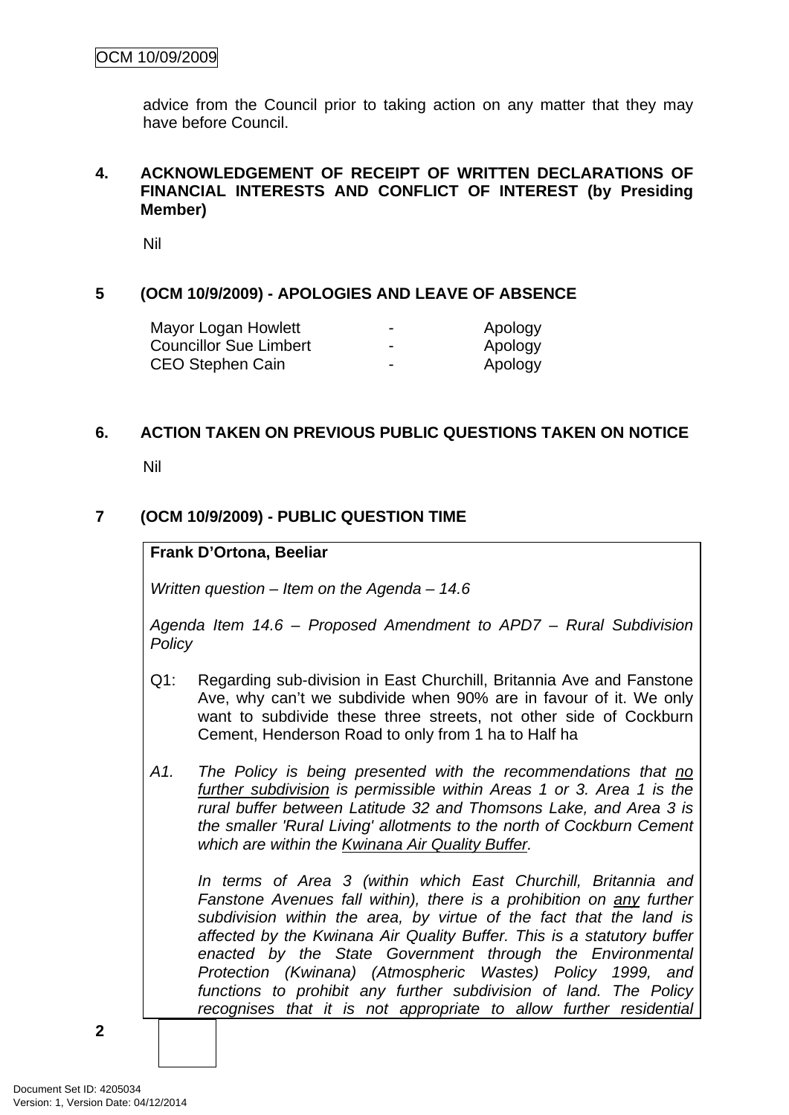<span id="page-5-0"></span>advice from the Council prior to taking action on any matter that they may have before Council.

#### **4. ACKNOWLEDGEMENT OF RECEIPT OF WRITTEN DECLARATIONS OF FINANCIAL INTERESTS AND CONFLICT OF INTEREST (by Presiding Member)**

Nil

## **5 (OCM 10/9/2009) - APOLOGIES AND LEAVE OF ABSENCE**

| Mayor Logan Howlett    | $\overline{\phantom{a}}$ | Apology |
|------------------------|--------------------------|---------|
| Councillor Sue Limbert | $\overline{\phantom{a}}$ | Apology |
| CEO Stephen Cain       | $\overline{\phantom{0}}$ | Apology |

#### **6. ACTION TAKEN ON PREVIOUS PUBLIC QUESTIONS TAKEN ON NOTICE**

Nil

## **7 (OCM 10/9/2009) - PUBLIC QUESTION TIME**

#### **Frank D'Ortona, Beeliar**

*Written question – Item on the Agenda – 14.6* 

*Agenda Item 14.6 – Proposed Amendment to APD7 – Rural Subdivision Policy* 

- Q1: Regarding sub-division in East Churchill, Britannia Ave and Fanstone Ave, why can't we subdivide when 90% are in favour of it. We only want to subdivide these three streets, not other side of Cockburn Cement, Henderson Road to only from 1 ha to Half ha
- *A1. The Policy is being presented with the recommendations that no further subdivision is permissible within Areas 1 or 3. Area 1 is the rural buffer between Latitude 32 and Thomsons Lake, and Area 3 is the smaller 'Rural Living' allotments to the north of Cockburn Cement which are within the Kwinana Air Quality Buffer.*

*In terms of Area 3 (within which East Churchill, Britannia and Fanstone Avenues fall within), there is a prohibition on any further subdivision within the area, by virtue of the fact that the land is affected by the Kwinana Air Quality Buffer. This is a statutory buffer enacted by the State Government through the Environmental Protection (Kwinana) (Atmospheric Wastes) Policy 1999, and functions to prohibit any further subdivision of land. The Policy recognises that it is not appropriate to allow further residential*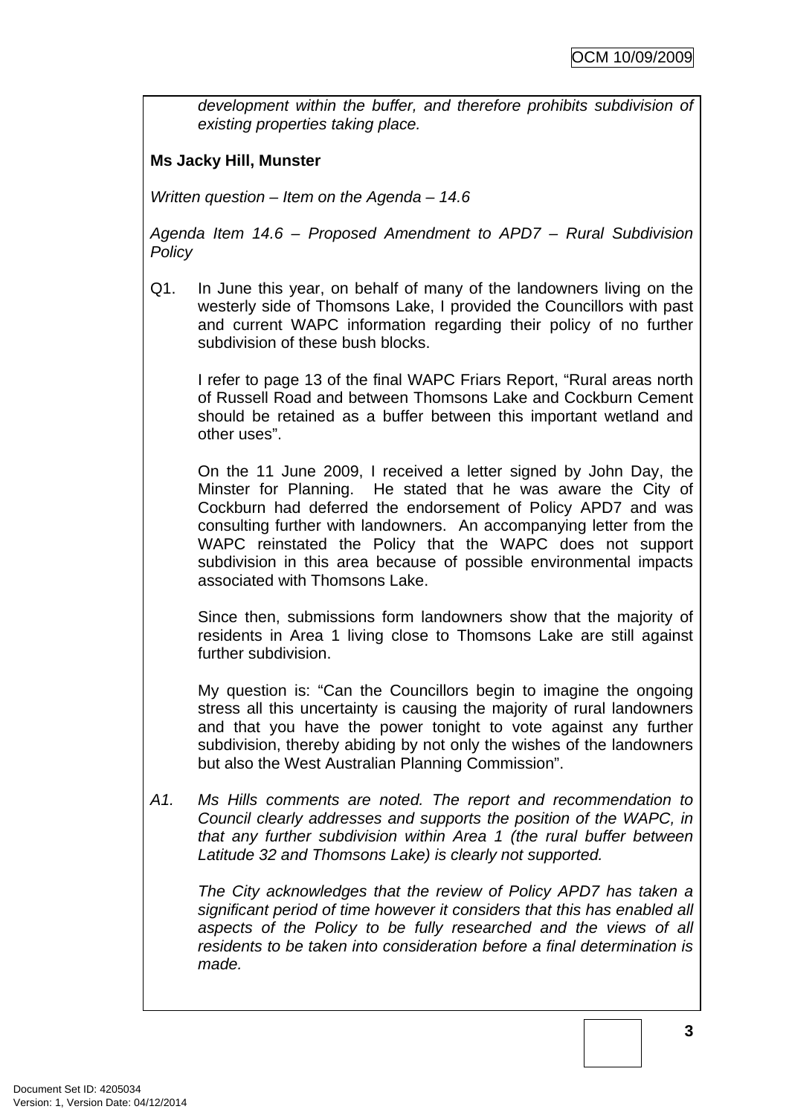*development within the buffer, and therefore prohibits subdivision of existing properties taking place.* 

## **Ms Jacky Hill, Munster**

*Written question – Item on the Agenda – 14.6* 

*Agenda Item 14.6 – Proposed Amendment to APD7 – Rural Subdivision Policy* 

Q1. In June this year, on behalf of many of the landowners living on the westerly side of Thomsons Lake, I provided the Councillors with past and current WAPC information regarding their policy of no further subdivision of these bush blocks.

I refer to page 13 of the final WAPC Friars Report, "Rural areas north of Russell Road and between Thomsons Lake and Cockburn Cement should be retained as a buffer between this important wetland and other uses".

On the 11 June 2009, I received a letter signed by John Day, the Minster for Planning. He stated that he was aware the City of Cockburn had deferred the endorsement of Policy APD7 and was consulting further with landowners. An accompanying letter from the WAPC reinstated the Policy that the WAPC does not support subdivision in this area because of possible environmental impacts associated with Thomsons Lake.

Since then, submissions form landowners show that the majority of residents in Area 1 living close to Thomsons Lake are still against further subdivision.

My question is: "Can the Councillors begin to imagine the ongoing stress all this uncertainty is causing the majority of rural landowners and that you have the power tonight to vote against any further subdivision, thereby abiding by not only the wishes of the landowners but also the West Australian Planning Commission".

*A1. Ms Hills comments are noted. The report and recommendation to Council clearly addresses and supports the position of the WAPC, in that any further subdivision within Area 1 (the rural buffer between Latitude 32 and Thomsons Lake) is clearly not supported.* 

*The City acknowledges that the review of Policy APD7 has taken a significant period of time however it considers that this has enabled all aspects of the Policy to be fully researched and the views of all residents to be taken into consideration before a final determination is made.*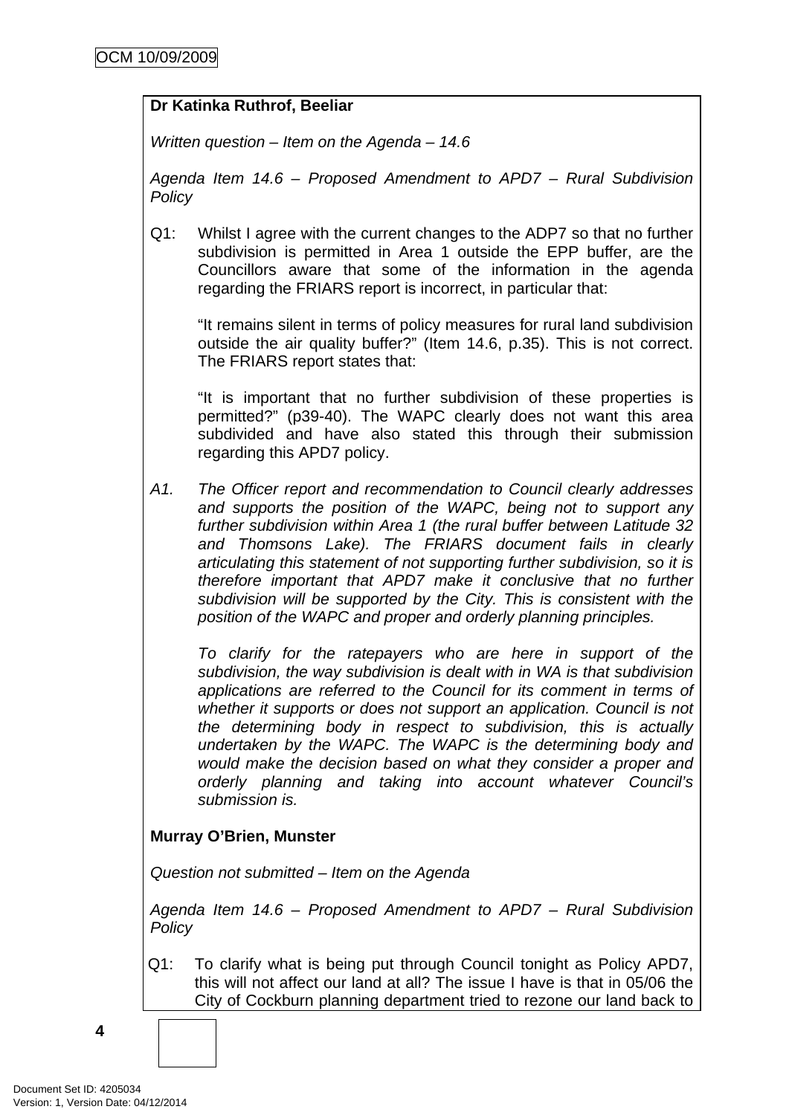## **Dr Katinka Ruthrof, Beeliar**

*Written question – Item on the Agenda – 14.6* 

*Agenda Item 14.6 – Proposed Amendment to APD7 – Rural Subdivision Policy* 

Q1: Whilst I agree with the current changes to the ADP7 so that no further subdivision is permitted in Area 1 outside the EPP buffer, are the Councillors aware that some of the information in the agenda regarding the FRIARS report is incorrect, in particular that:

"It remains silent in terms of policy measures for rural land subdivision outside the air quality buffer?" (Item 14.6, p.35). This is not correct. The FRIARS report states that:

"It is important that no further subdivision of these properties is permitted?" (p39-40). The WAPC clearly does not want this area subdivided and have also stated this through their submission regarding this APD7 policy.

*A1. The Officer report and recommendation to Council clearly addresses and supports the position of the WAPC, being not to support any further subdivision within Area 1 (the rural buffer between Latitude 32 and Thomsons Lake). The FRIARS document fails in clearly articulating this statement of not supporting further subdivision, so it is therefore important that APD7 make it conclusive that no further subdivision will be supported by the City. This is consistent with the position of the WAPC and proper and orderly planning principles.* 

*To clarify for the ratepayers who are here in support of the subdivision, the way subdivision is dealt with in WA is that subdivision applications are referred to the Council for its comment in terms of whether it supports or does not support an application. Council is not the determining body in respect to subdivision, this is actually undertaken by the WAPC. The WAPC is the determining body and would make the decision based on what they consider a proper and orderly planning and taking into account whatever Council's submission is.* 

## **Murray O'Brien, Munster**

*Question not submitted – Item on the Agenda* 

*Agenda Item 14.6 – Proposed Amendment to APD7 – Rural Subdivision Policy* 

Q1: To clarify what is being put through Council tonight as Policy APD7, this will not affect our land at all? The issue I have is that in 05/06 the City of Cockburn planning department tried to rezone our land back to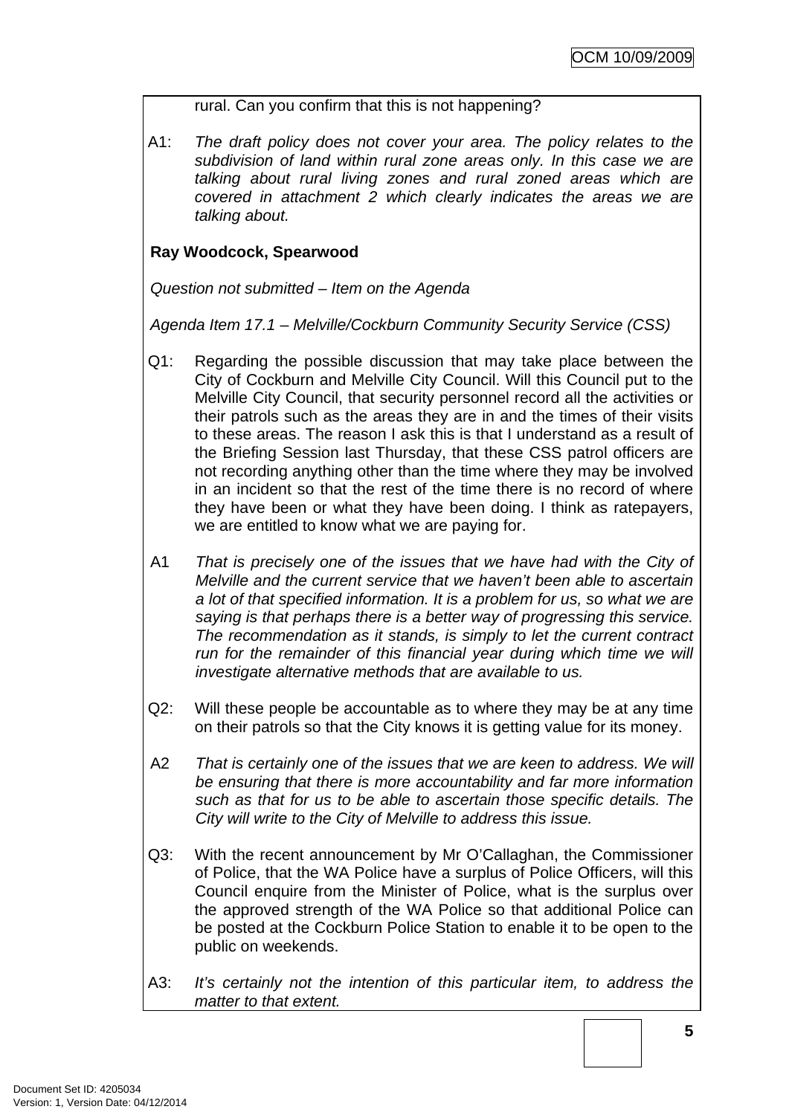## rural. Can you confirm that this is not happening?

A1: *The draft policy does not cover your area. The policy relates to the subdivision of land within rural zone areas only. In this case we are talking about rural living zones and rural zoned areas which are covered in attachment 2 which clearly indicates the areas we are talking about.*

## **Ray Woodcock, Spearwood**

*Question not submitted – Item on the Agenda* 

*Agenda Item 17.1 – Melville/Cockburn Community Security Service (CSS)* 

- Q1: Regarding the possible discussion that may take place between the City of Cockburn and Melville City Council. Will this Council put to the Melville City Council, that security personnel record all the activities or their patrols such as the areas they are in and the times of their visits to these areas. The reason I ask this is that I understand as a result of the Briefing Session last Thursday, that these CSS patrol officers are not recording anything other than the time where they may be involved in an incident so that the rest of the time there is no record of where they have been or what they have been doing. I think as ratepayers, we are entitled to know what we are paying for.
- A1 *That is precisely one of the issues that we have had with the City of Melville and the current service that we haven't been able to ascertain a lot of that specified information. It is a problem for us, so what we are saying is that perhaps there is a better way of progressing this service. The recommendation as it stands, is simply to let the current contract run for the remainder of this financial year during which time we will investigate alternative methods that are available to us.*
- Q2: Will these people be accountable as to where they may be at any time on their patrols so that the City knows it is getting value for its money.
- A2 *That is certainly one of the issues that we are keen to address. We will be ensuring that there is more accountability and far more information such as that for us to be able to ascertain those specific details. The City will write to the City of Melville to address this issue.*
- Q3: With the recent announcement by Mr O'Callaghan, the Commissioner of Police, that the WA Police have a surplus of Police Officers, will this Council enquire from the Minister of Police, what is the surplus over the approved strength of the WA Police so that additional Police can be posted at the Cockburn Police Station to enable it to be open to the public on weekends.
- A3: *It's certainly not the intention of this particular item, to address the matter to that extent.*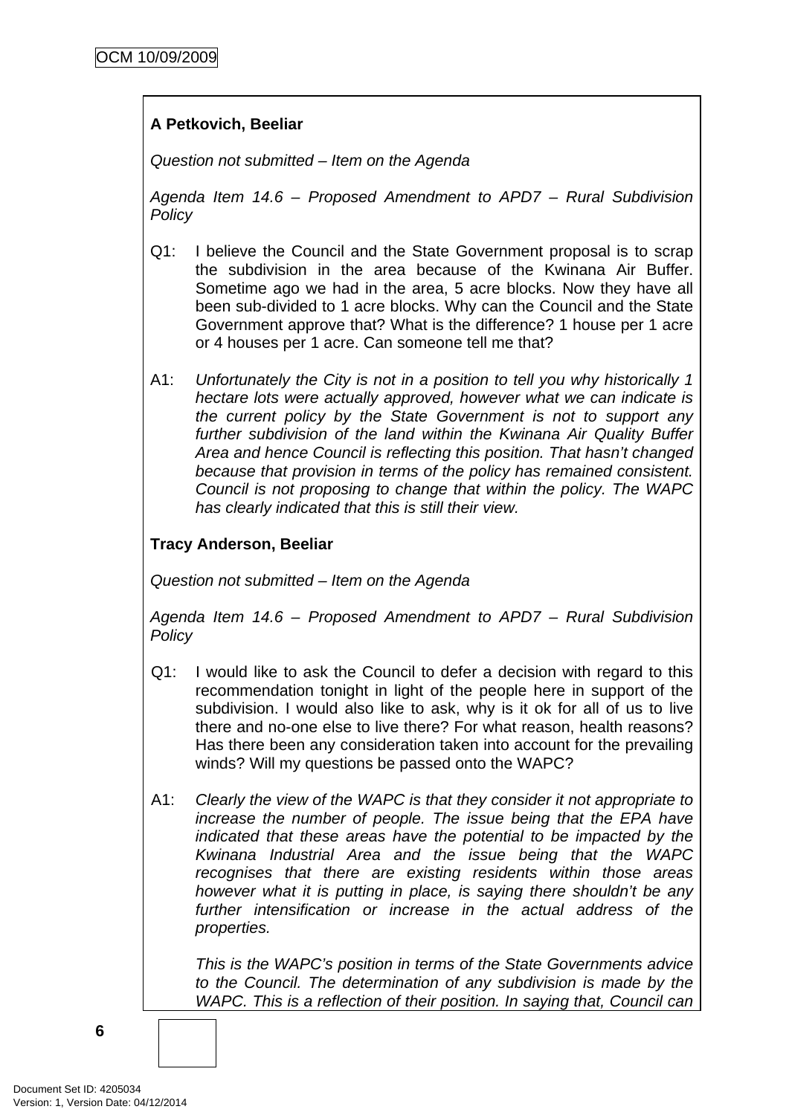## **A Petkovich, Beeliar**

*Question not submitted – Item on the Agenda* 

*Agenda Item 14.6 – Proposed Amendment to APD7 – Rural Subdivision Policy* 

- Q1: I believe the Council and the State Government proposal is to scrap the subdivision in the area because of the Kwinana Air Buffer. Sometime ago we had in the area, 5 acre blocks. Now they have all been sub-divided to 1 acre blocks. Why can the Council and the State Government approve that? What is the difference? 1 house per 1 acre or 4 houses per 1 acre. Can someone tell me that?
- A1: *Unfortunately the City is not in a position to tell you why historically 1 hectare lots were actually approved, however what we can indicate is the current policy by the State Government is not to support any further subdivision of the land within the Kwinana Air Quality Buffer Area and hence Council is reflecting this position. That hasn't changed because that provision in terms of the policy has remained consistent. Council is not proposing to change that within the policy. The WAPC has clearly indicated that this is still their view.*

## **Tracy Anderson, Beeliar**

*Question not submitted – Item on the Agenda* 

*Agenda Item 14.6 – Proposed Amendment to APD7 – Rural Subdivision Policy* 

- Q1: I would like to ask the Council to defer a decision with regard to this recommendation tonight in light of the people here in support of the subdivision. I would also like to ask, why is it ok for all of us to live there and no-one else to live there? For what reason, health reasons? Has there been any consideration taken into account for the prevailing winds? Will my questions be passed onto the WAPC?
- A1: *Clearly the view of the WAPC is that they consider it not appropriate to increase the number of people. The issue being that the EPA have indicated that these areas have the potential to be impacted by the Kwinana Industrial Area and the issue being that the WAPC recognises that there are existing residents within those areas however what it is putting in place, is saying there shouldn't be any further intensification or increase in the actual address of the properties.*

*This is the WAPC's position in terms of the State Governments advice to the Council. The determination of any subdivision is made by the WAPC. This is a reflection of their position. In saying that, Council can*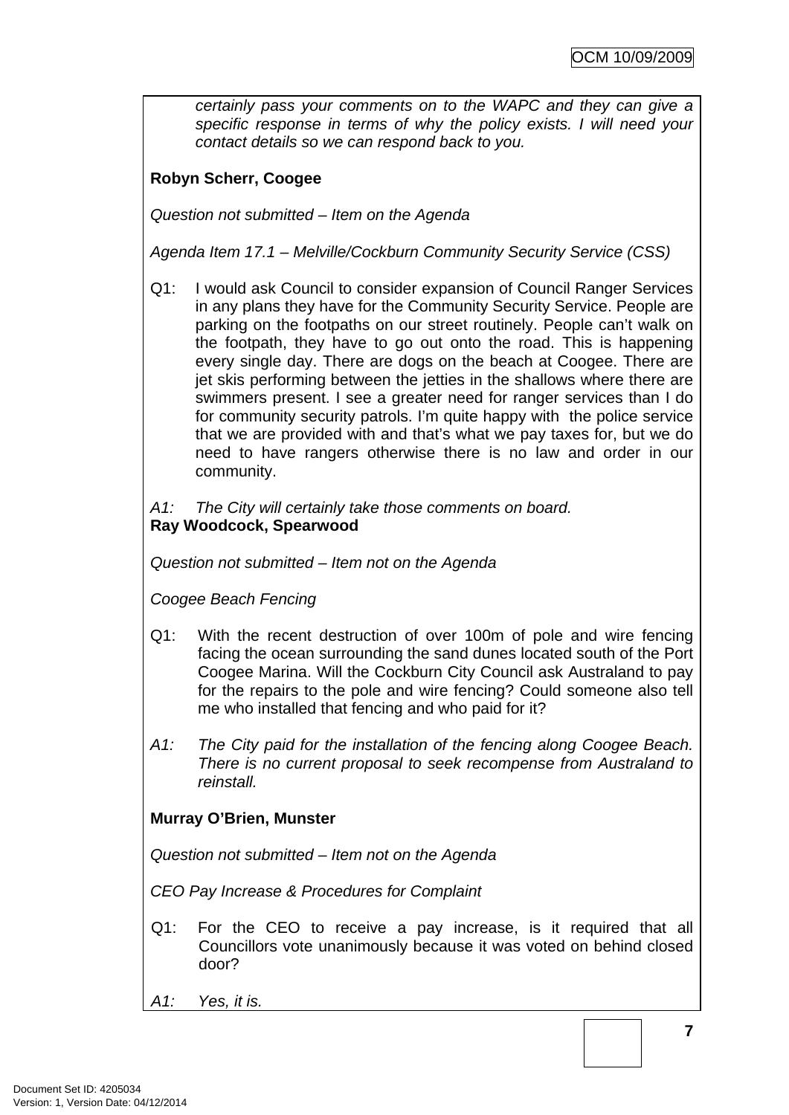<span id="page-10-0"></span>*certainly pass your comments on to the WAPC and they can give a specific response in terms of why the policy exists. I will need your contact details so we can respond back to you.* 

## **Robyn Scherr, Coogee**

*Question not submitted – Item on the Agenda* 

*Agenda Item 17.1 – Melville/Cockburn Community Security Service (CSS)* 

- Q1: I would ask Council to consider expansion of Council Ranger Services in any plans they have for the Community Security Service. People are parking on the footpaths on our street routinely. People can't walk on the footpath, they have to go out onto the road. This is happening every single day. There are dogs on the beach at Coogee. There are jet skis performing between the jetties in the shallows where there are swimmers present. I see a greater need for ranger services than I do for community security patrols. I'm quite happy with the police service that we are provided with and that's what we pay taxes for, but we do need to have rangers otherwise there is no law and order in our community.
- *A1: The City will certainly take those comments on board.*  **Ray Woodcock, Spearwood**

*Question not submitted – Item not on the Agenda* 

*Coogee Beach Fencing* 

- Q1: With the recent destruction of over 100m of pole and wire fencing facing the ocean surrounding the sand dunes located south of the Port Coogee Marina. Will the Cockburn City Council ask Australand to pay for the repairs to the pole and wire fencing? Could someone also tell me who installed that fencing and who paid for it?
- *A1: The City paid for the installation of the fencing along Coogee Beach. There is no current proposal to seek recompense from Australand to reinstall.*

## **Murray O'Brien, Munster**

*Question not submitted – Item not on the Agenda* 

*CEO Pay Increase & Procedures for Complaint* 

- Q1: For the CEO to receive a pay increase, is it required that all Councillors vote unanimously because it was voted on behind closed door?
- *A1: Yes, it is.*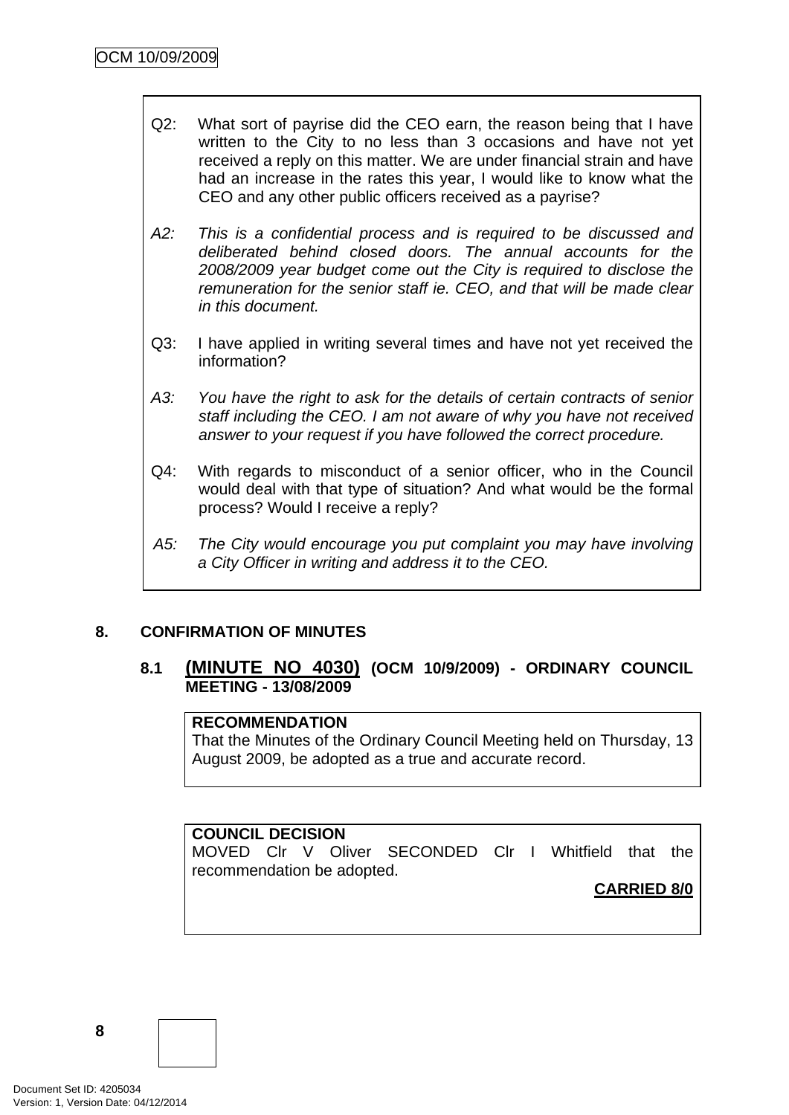- Q2: What sort of payrise did the CEO earn, the reason being that I have written to the City to no less than 3 occasions and have not yet received a reply on this matter. We are under financial strain and have had an increase in the rates this year, I would like to know what the CEO and any other public officers received as a payrise?
- *A2: This is a confidential process and is required to be discussed and deliberated behind closed doors. The annual accounts for the 2008/2009 year budget come out the City is required to disclose the remuneration for the senior staff ie. CEO, and that will be made clear in this document.*
- Q3: I have applied in writing several times and have not yet received the information?
- *A3: You have the right to ask for the details of certain contracts of senior staff including the CEO. I am not aware of why you have not received answer to your request if you have followed the correct procedure.*
- Q4: With regards to misconduct of a senior officer, who in the Council would deal with that type of situation? And what would be the formal process? Would I receive a reply?
- *A5: The City would encourage you put complaint you may have involving a City Officer in writing and address it to the CEO.*

## **8. CONFIRMATION OF MINUTES**

## **8.1 (MINUTE NO 4030) (OCM 10/9/2009) - ORDINARY COUNCIL MEETING - 13/08/2009**

### **RECOMMENDATION**

That the Minutes of the Ordinary Council Meeting held on Thursday, 13 August 2009, be adopted as a true and accurate record.

## **COUNCIL DECISION**

MOVED Clr V Oliver SECONDED Clr I Whitfield that the recommendation be adopted.

#### **CARRIED 8/0**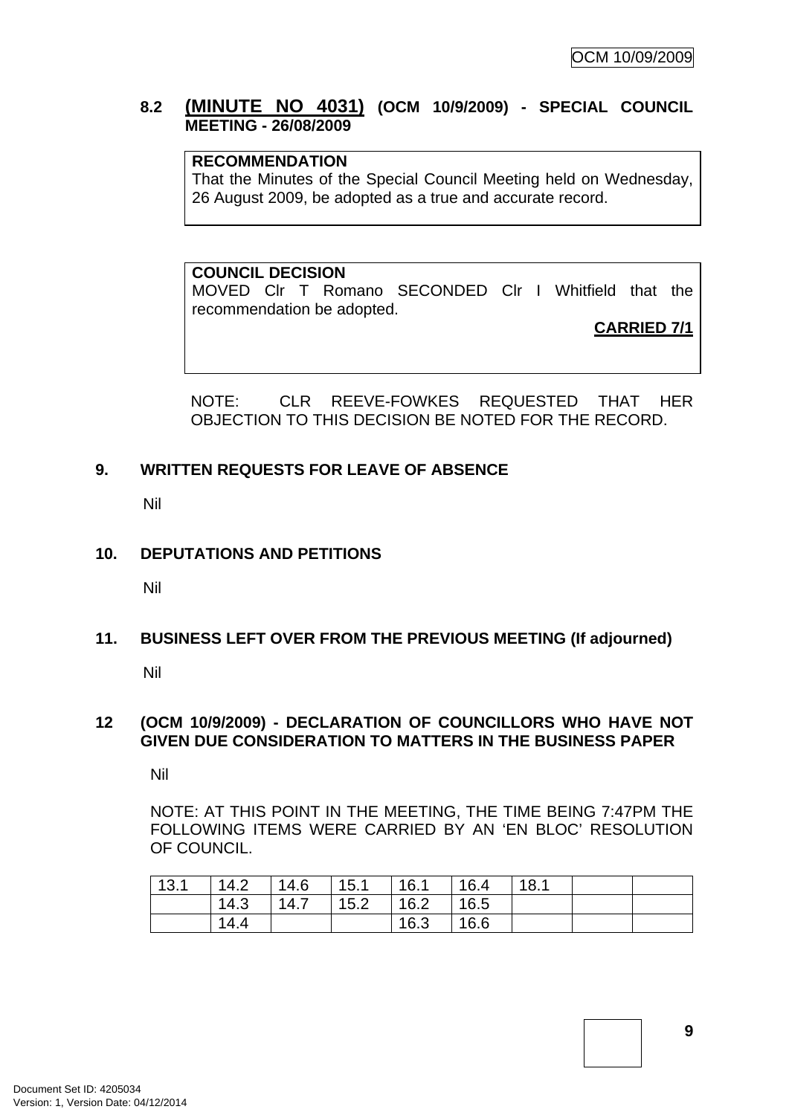## <span id="page-12-0"></span>**8.2 (MINUTE NO 4031) (OCM 10/9/2009) - SPECIAL COUNCIL MEETING - 26/08/2009**

## **RECOMMENDATION**

That the Minutes of the Special Council Meeting held on Wednesday, 26 August 2009, be adopted as a true and accurate record.

#### **COUNCIL DECISION**

MOVED Clr T Romano SECONDED Clr I Whitfield that the recommendation be adopted.

**CARRIED 7/1**

NOTE: CLR REEVE-FOWKES REQUESTED THAT HER OBJECTION TO THIS DECISION BE NOTED FOR THE RECORD.

#### **9. WRITTEN REQUESTS FOR LEAVE OF ABSENCE**

Nil

#### **10. DEPUTATIONS AND PETITIONS**

Nil

#### **11. BUSINESS LEFT OVER FROM THE PREVIOUS MEETING (If adjourned)**

Nil

#### **12 (OCM 10/9/2009) - DECLARATION OF COUNCILLORS WHO HAVE NOT GIVEN DUE CONSIDERATION TO MATTERS IN THE BUSINESS PAPER**

Nil

NOTE: AT THIS POINT IN THE MEETING, THE TIME BEING 7:47PM THE FOLLOWING ITEMS WERE CARRIED BY AN 'EN BLOC' RESOLUTION OF COUNCIL.

| 13.1 | 14.2 | 14.6 | 15.1 | 16.1 | 16.4 | 18.1 |  |
|------|------|------|------|------|------|------|--|
|      | 14.3 | 14.7 | 15.2 | 16.2 | 16.5 |      |  |
|      | 14.4 |      |      | 16.3 | 16.6 |      |  |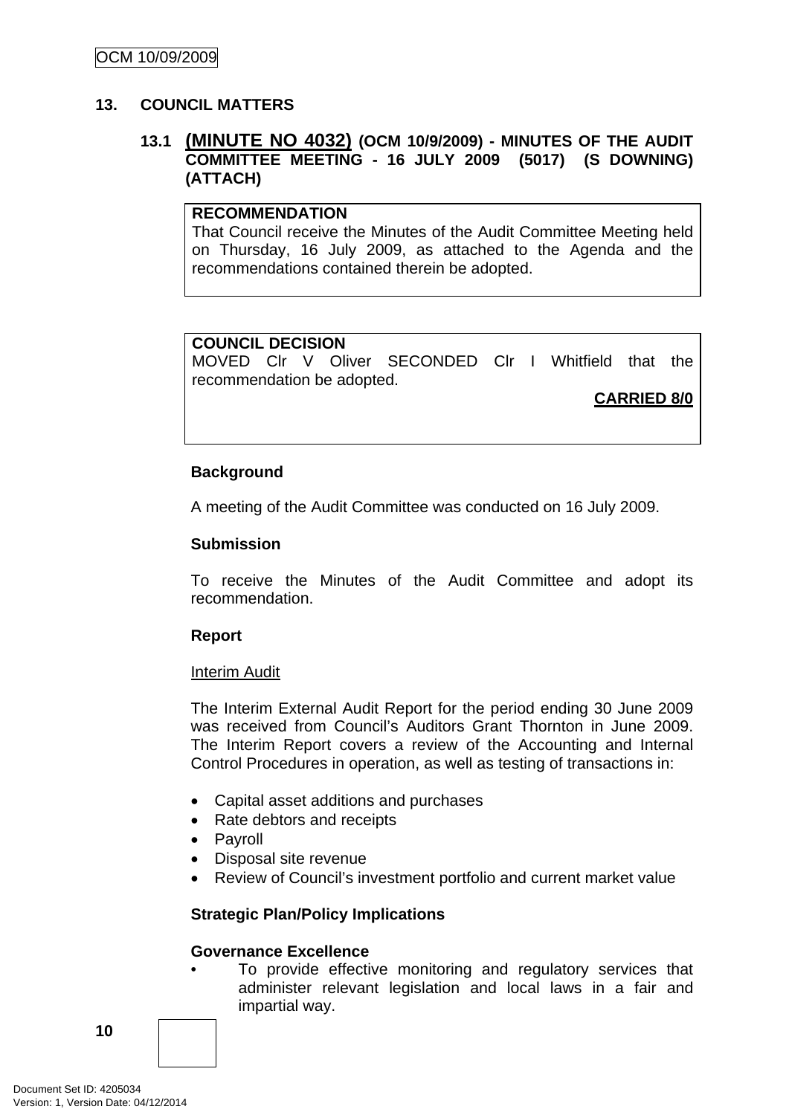#### <span id="page-13-0"></span>**13. COUNCIL MATTERS**

## **13.1 (MINUTE NO 4032) (OCM 10/9/2009) - MINUTES OF THE AUDIT COMMITTEE MEETING - 16 JULY 2009 (5017) (S DOWNING) (ATTACH)**

#### **RECOMMENDATION**

That Council receive the Minutes of the Audit Committee Meeting held on Thursday, 16 July 2009, as attached to the Agenda and the recommendations contained therein be adopted.

#### **COUNCIL DECISION**

MOVED Clr V Oliver SECONDED Clr I Whitfield that the recommendation be adopted.

**CARRIED 8/0**

#### **Background**

A meeting of the Audit Committee was conducted on 16 July 2009.

#### **Submission**

To receive the Minutes of the Audit Committee and adopt its recommendation.

#### **Report**

#### **Interim Audit**

The Interim External Audit Report for the period ending 30 June 2009 was received from Council's Auditors Grant Thornton in June 2009. The Interim Report covers a review of the Accounting and Internal Control Procedures in operation, as well as testing of transactions in:

- Capital asset additions and purchases
- Rate debtors and receipts
- Payroll
- Disposal site revenue
- Review of Council's investment portfolio and current market value

#### **Strategic Plan/Policy Implications**

#### **Governance Excellence**

To provide effective monitoring and regulatory services that administer relevant legislation and local laws in a fair and impartial way.

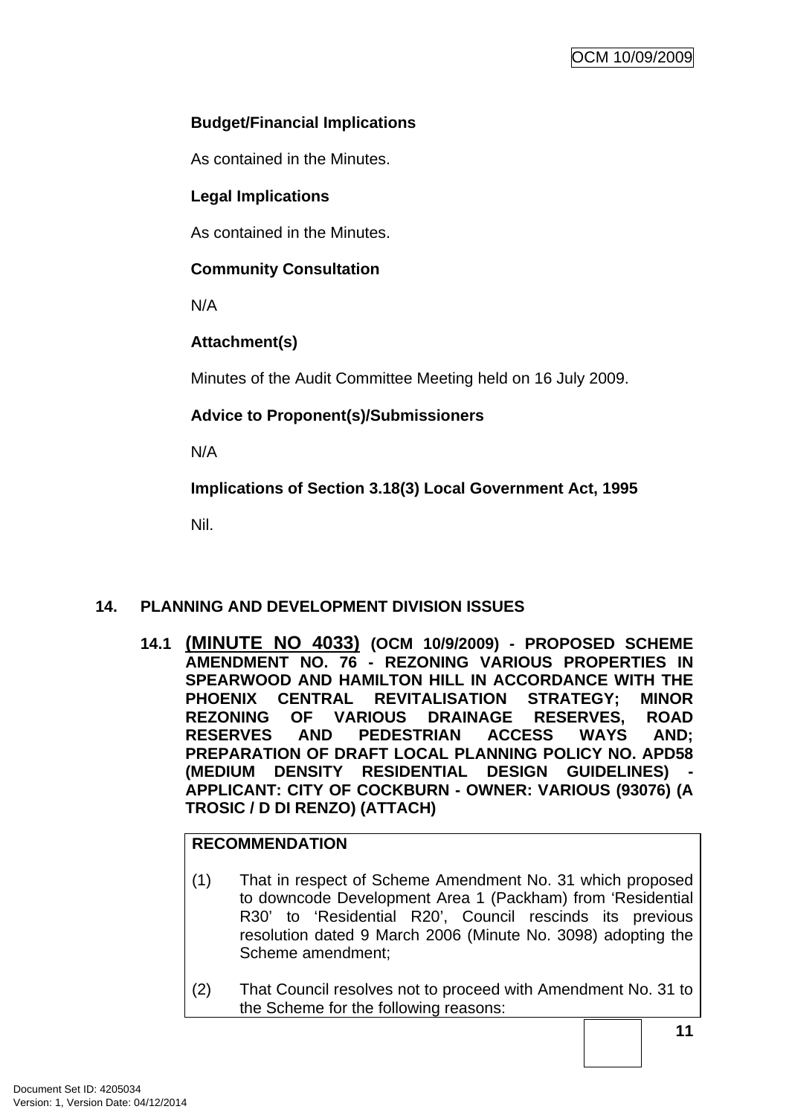## <span id="page-14-0"></span>**Budget/Financial Implications**

As contained in the Minutes.

## **Legal Implications**

As contained in the Minutes.

## **Community Consultation**

N/A

## **Attachment(s)**

Minutes of the Audit Committee Meeting held on 16 July 2009.

## **Advice to Proponent(s)/Submissioners**

N/A

**Implications of Section 3.18(3) Local Government Act, 1995**

Nil.

## **14. PLANNING AND DEVELOPMENT DIVISION ISSUES**

**14.1 (MINUTE NO 4033) (OCM 10/9/2009) - PROPOSED SCHEME AMENDMENT NO. 76 - REZONING VARIOUS PROPERTIES IN SPEARWOOD AND HAMILTON HILL IN ACCORDANCE WITH THE PHOENIX CENTRAL REVITALISATION STRATEGY; MINOR REZONING OF VARIOUS DRAINAGE RESERVES, ROAD RESERVES AND PEDESTRIAN ACCESS WAYS AND; PREPARATION OF DRAFT LOCAL PLANNING POLICY NO. APD58**  (MEDIUM DENSITY RESIDENTIAL DESIGN GUIDELINES) **APPLICANT: CITY OF COCKBURN - OWNER: VARIOUS (93076) (A TROSIC / D DI RENZO) (ATTACH)** 

## **RECOMMENDATION**

- (1) That in respect of Scheme Amendment No. 31 which proposed to downcode Development Area 1 (Packham) from 'Residential R30' to 'Residential R20', Council rescinds its previous resolution dated 9 March 2006 (Minute No. 3098) adopting the Scheme amendment;
- (2) That Council resolves not to proceed with Amendment No. 31 to the Scheme for the following reasons: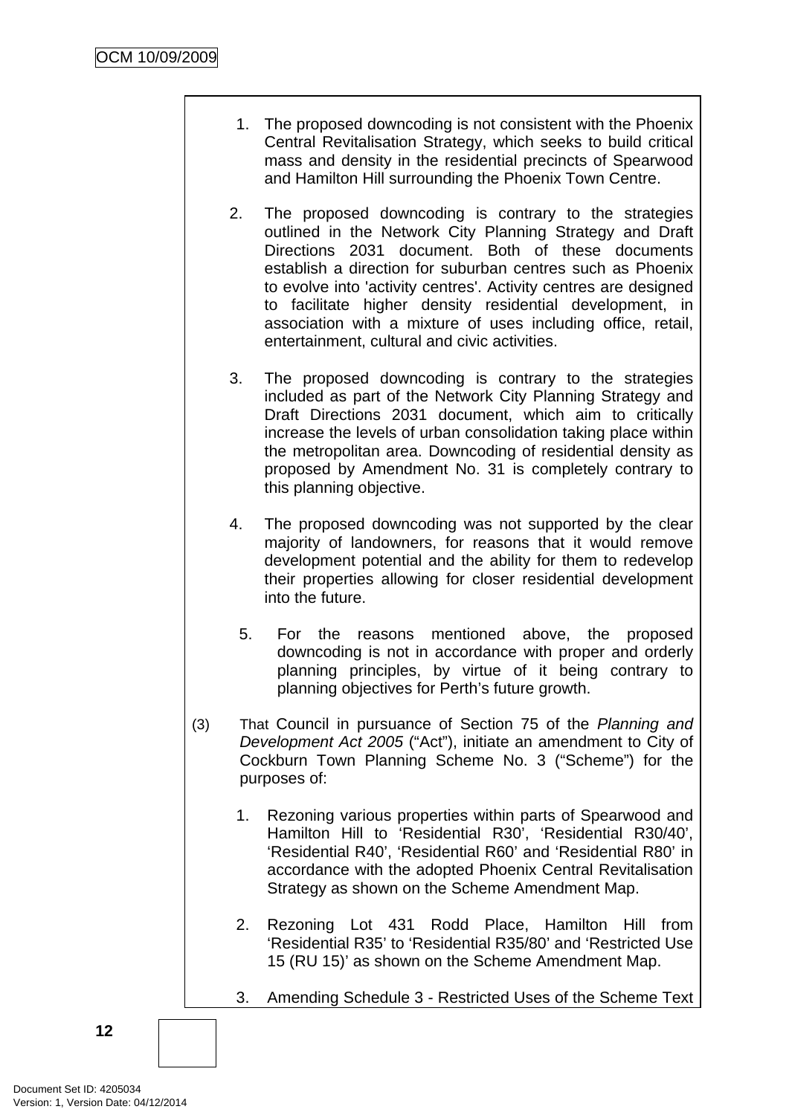- 1. The proposed downcoding is not consistent with the Phoenix Central Revitalisation Strategy, which seeks to build critical mass and density in the residential precincts of Spearwood and Hamilton Hill surrounding the Phoenix Town Centre.
- 2. The proposed downcoding is contrary to the strategies outlined in the Network City Planning Strategy and Draft Directions 2031 document. Both of these documents establish a direction for suburban centres such as Phoenix to evolve into 'activity centres'. Activity centres are designed to facilitate higher density residential development, in association with a mixture of uses including office, retail, entertainment, cultural and civic activities.
- 3. The proposed downcoding is contrary to the strategies included as part of the Network City Planning Strategy and Draft Directions 2031 document, which aim to critically increase the levels of urban consolidation taking place within the metropolitan area. Downcoding of residential density as proposed by Amendment No. 31 is completely contrary to this planning objective.
- 4. The proposed downcoding was not supported by the clear majority of landowners, for reasons that it would remove development potential and the ability for them to redevelop their properties allowing for closer residential development into the future.
	- 5. For the reasons mentioned above, the proposed downcoding is not in accordance with proper and orderly planning principles, by virtue of it being contrary to planning objectives for Perth's future growth.
- (3) That Council in pursuance of Section 75 of the *Planning and Development Act 2005* ("Act"), initiate an amendment to City of Cockburn Town Planning Scheme No. 3 ("Scheme") for the purposes of:
	- 1. Rezoning various properties within parts of Spearwood and Hamilton Hill to 'Residential R30', 'Residential R30/40', 'Residential R40', 'Residential R60' and 'Residential R80' in accordance with the adopted Phoenix Central Revitalisation Strategy as shown on the Scheme Amendment Map.
	- 2. Rezoning Lot 431 Rodd Place, Hamilton Hill from 'Residential R35' to 'Residential R35/80' and 'Restricted Use 15 (RU 15)' as shown on the Scheme Amendment Map.
	- 3. Amending Schedule 3 Restricted Uses of the Scheme Text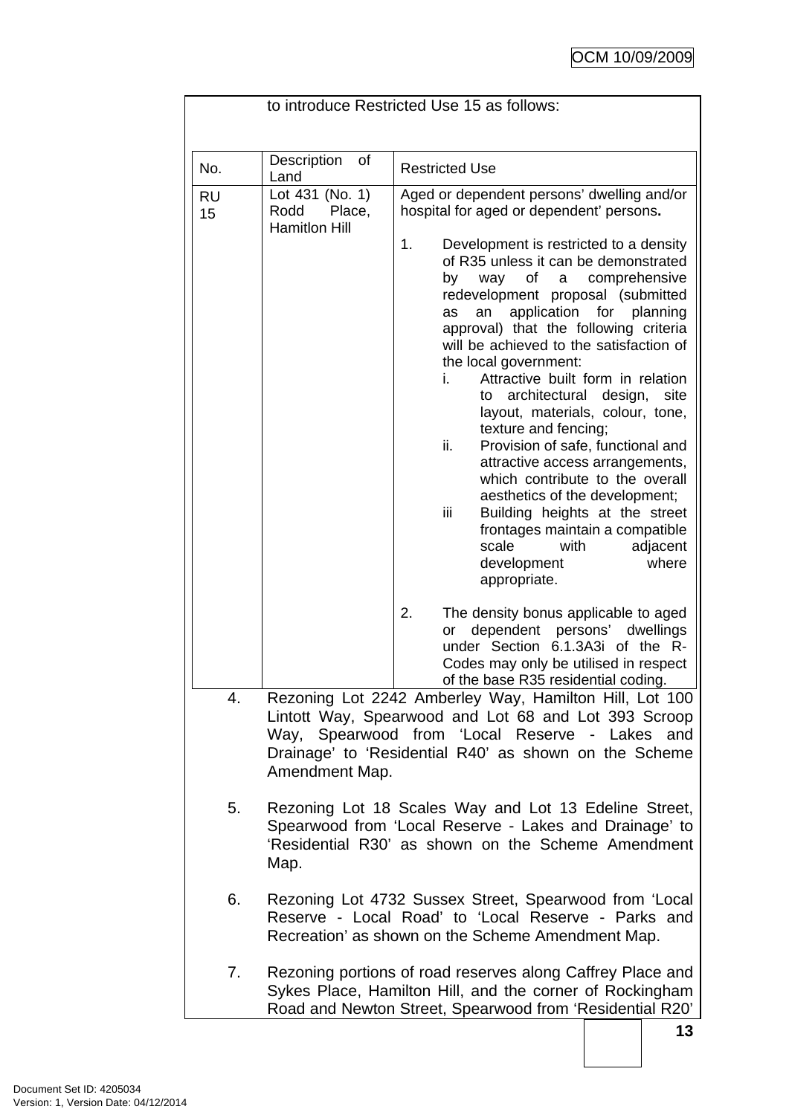|                 |                                                                                                                                                                                                                                                | to introduce Restricted Use 15 as follows:                                                                                                                                                                                                                                                                                                                                                                                                                                                                                                                                                                                                                                                                                                                                                                                                                              |  |  |
|-----------------|------------------------------------------------------------------------------------------------------------------------------------------------------------------------------------------------------------------------------------------------|-------------------------------------------------------------------------------------------------------------------------------------------------------------------------------------------------------------------------------------------------------------------------------------------------------------------------------------------------------------------------------------------------------------------------------------------------------------------------------------------------------------------------------------------------------------------------------------------------------------------------------------------------------------------------------------------------------------------------------------------------------------------------------------------------------------------------------------------------------------------------|--|--|
|                 |                                                                                                                                                                                                                                                |                                                                                                                                                                                                                                                                                                                                                                                                                                                                                                                                                                                                                                                                                                                                                                                                                                                                         |  |  |
| No.             | Description<br>of<br>Land                                                                                                                                                                                                                      | <b>Restricted Use</b>                                                                                                                                                                                                                                                                                                                                                                                                                                                                                                                                                                                                                                                                                                                                                                                                                                                   |  |  |
| <b>RU</b><br>15 | Lot 431 (No. 1)<br>Rodd<br>Place,<br><b>Hamitlon Hill</b>                                                                                                                                                                                      | Aged or dependent persons' dwelling and/or<br>hospital for aged or dependent' persons.<br>1.<br>Development is restricted to a density<br>of R35 unless it can be demonstrated<br>of<br>comprehensive<br>by<br>way<br>a<br>redevelopment proposal (submitted<br>application for planning<br>an<br>as<br>approval) that the following criteria<br>will be achieved to the satisfaction of<br>the local government:<br>Attractive built form in relation<br>i.<br>architectural<br>design,<br>site<br>to<br>layout, materials, colour, tone,<br>texture and fencing;<br>ii.<br>Provision of safe, functional and<br>attractive access arrangements,<br>which contribute to the overall<br>aesthetics of the development;<br>Building heights at the street<br>iii<br>frontages maintain a compatible<br>scale<br>with<br>adjacent<br>where<br>development<br>appropriate. |  |  |
|                 |                                                                                                                                                                                                                                                | 2.<br>The density bonus applicable to aged<br>dependent persons' dwellings<br>or<br>under Section 6.1.3A3i of the R-<br>Codes may only be utilised in respect<br>of the base R35 residential coding.                                                                                                                                                                                                                                                                                                                                                                                                                                                                                                                                                                                                                                                                    |  |  |
| 4.              | Rezoning Lot 2242 Amberley Way, Hamilton Hill, Lot 100<br>Lintott Way, Spearwood and Lot 68 and Lot 393 Scroop<br>Way, Spearwood from 'Local Reserve - Lakes<br>and<br>Drainage' to 'Residential R40' as shown on the Scheme<br>Amendment Map. |                                                                                                                                                                                                                                                                                                                                                                                                                                                                                                                                                                                                                                                                                                                                                                                                                                                                         |  |  |
| 5.              | Rezoning Lot 18 Scales Way and Lot 13 Edeline Street,<br>Spearwood from 'Local Reserve - Lakes and Drainage' to<br>'Residential R30' as shown on the Scheme Amendment<br>Map.                                                                  |                                                                                                                                                                                                                                                                                                                                                                                                                                                                                                                                                                                                                                                                                                                                                                                                                                                                         |  |  |
| 6.              | Rezoning Lot 4732 Sussex Street, Spearwood from 'Local<br>Reserve - Local Road' to 'Local Reserve - Parks and<br>Recreation' as shown on the Scheme Amendment Map.                                                                             |                                                                                                                                                                                                                                                                                                                                                                                                                                                                                                                                                                                                                                                                                                                                                                                                                                                                         |  |  |
| 7.              |                                                                                                                                                                                                                                                | Rezoning portions of road reserves along Caffrey Place and<br>Sykes Place, Hamilton Hill, and the corner of Rockingham<br>Road and Newton Street, Spearwood from 'Residential R20'                                                                                                                                                                                                                                                                                                                                                                                                                                                                                                                                                                                                                                                                                      |  |  |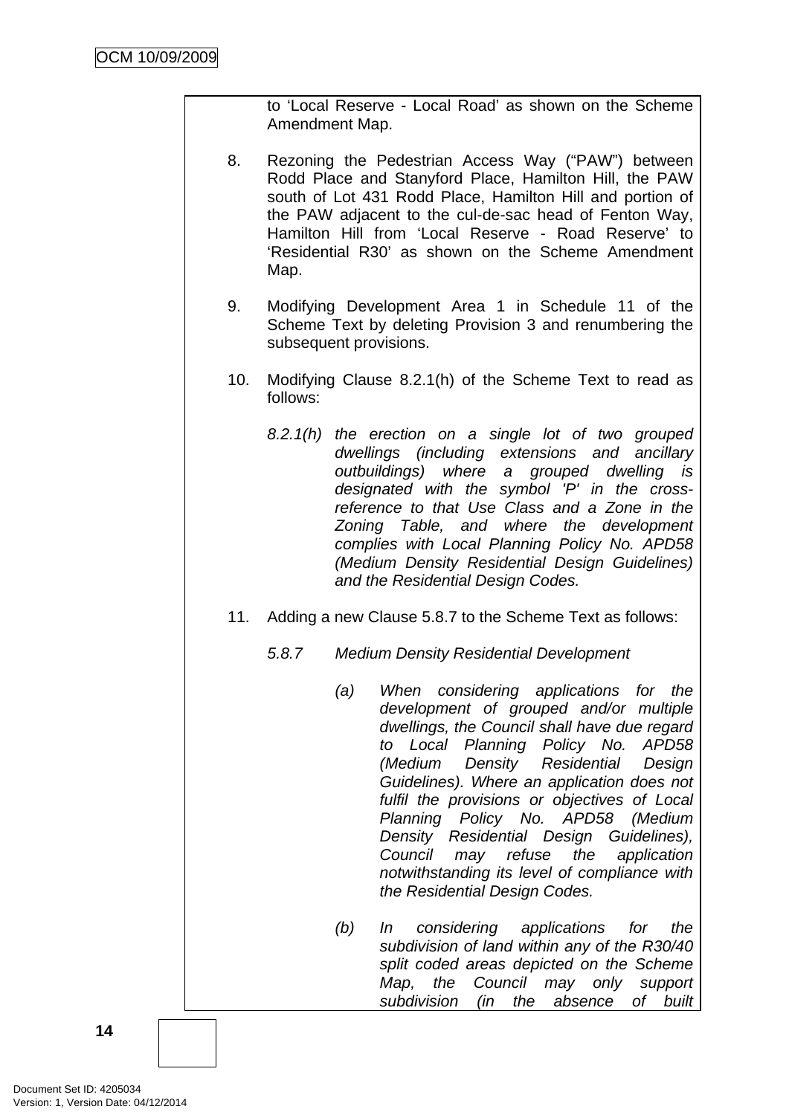to 'Local Reserve - Local Road' as shown on the Scheme Amendment Map.

- 8. Rezoning the Pedestrian Access Way ("PAW") between Rodd Place and Stanyford Place, Hamilton Hill, the PAW south of Lot 431 Rodd Place, Hamilton Hill and portion of the PAW adjacent to the cul-de-sac head of Fenton Way, Hamilton Hill from 'Local Reserve - Road Reserve' to 'Residential R30' as shown on the Scheme Amendment Map.
- 9. Modifying Development Area 1 in Schedule 11 of the Scheme Text by deleting Provision 3 and renumbering the subsequent provisions.
- 10. Modifying Clause 8.2.1(h) of the Scheme Text to read as follows:
	- *8.2.1(h) the erection on a single lot of two grouped dwellings (including extensions and ancillary outbuildings) where a grouped dwelling is designated with the symbol 'P' in the crossreference to that Use Class and a Zone in the Zoning Table, and where the development complies with Local Planning Policy No. APD58 (Medium Density Residential Design Guidelines) and the Residential Design Codes.*
- 11. Adding a new Clause 5.8.7 to the Scheme Text as follows:
	- *5.8.7 Medium Density Residential Development* 
		- *(a) When considering applications for the development of grouped and/or multiple dwellings, the Council shall have due regard to Local Planning Policy No. APD58 (Medium Density Residential Design Guidelines). Where an application does not fulfil the provisions or objectives of Local Planning Policy No. APD58 (Medium Density Residential Design Guidelines), Council may refuse the application notwithstanding its level of compliance with the Residential Design Codes.*
		- *(b) In considering applications for the subdivision of land within any of the R30/40 split coded areas depicted on the Scheme Map, the Council may only support subdivision (in the absence of built*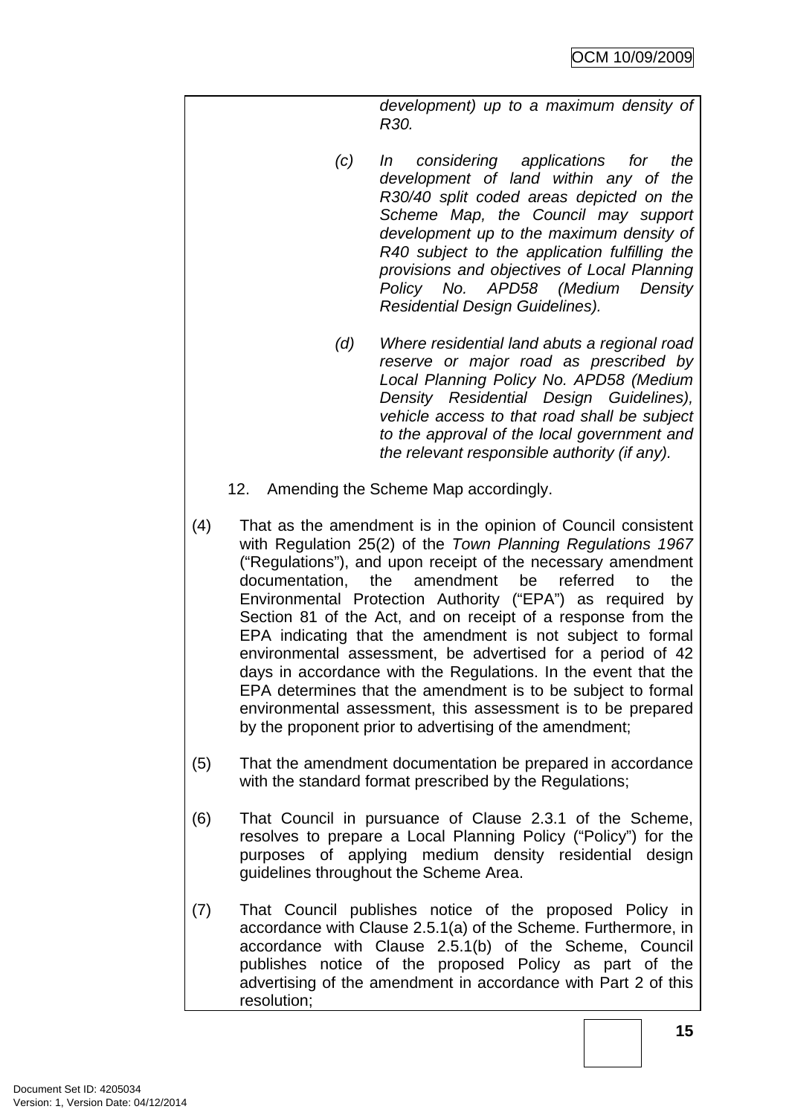*development) up to a maximum density of R30.* 

- *(c) In considering applications for the development of land within any of the R30/40 split coded areas depicted on the Scheme Map, the Council may support development up to the maximum density of R40 subject to the application fulfilling the provisions and objectives of Local Planning Policy No. APD58 (Medium Density Residential Design Guidelines).*
- *(d) Where residential land abuts a regional road reserve or major road as prescribed by Local Planning Policy No. APD58 (Medium Density Residential Design Guidelines), vehicle access to that road shall be subject to the approval of the local government and the relevant responsible authority (if any).*
- 12. Amending the Scheme Map accordingly.
- (4) That as the amendment is in the opinion of Council consistent with Regulation 25(2) of the *Town Planning Regulations 1967* ("Regulations"), and upon receipt of the necessary amendment documentation, the amendment be referred to the Environmental Protection Authority ("EPA") as required by Section 81 of the Act, and on receipt of a response from the EPA indicating that the amendment is not subject to formal environmental assessment, be advertised for a period of 42 days in accordance with the Regulations. In the event that the EPA determines that the amendment is to be subject to formal environmental assessment, this assessment is to be prepared by the proponent prior to advertising of the amendment;
- (5) That the amendment documentation be prepared in accordance with the standard format prescribed by the Regulations;
- (6) That Council in pursuance of Clause 2.3.1 of the Scheme, resolves to prepare a Local Planning Policy ("Policy") for the purposes of applying medium density residential design guidelines throughout the Scheme Area.
- (7) That Council publishes notice of the proposed Policy in accordance with Clause 2.5.1(a) of the Scheme. Furthermore, in accordance with Clause 2.5.1(b) of the Scheme, Council publishes notice of the proposed Policy as part of the advertising of the amendment in accordance with Part 2 of this resolution;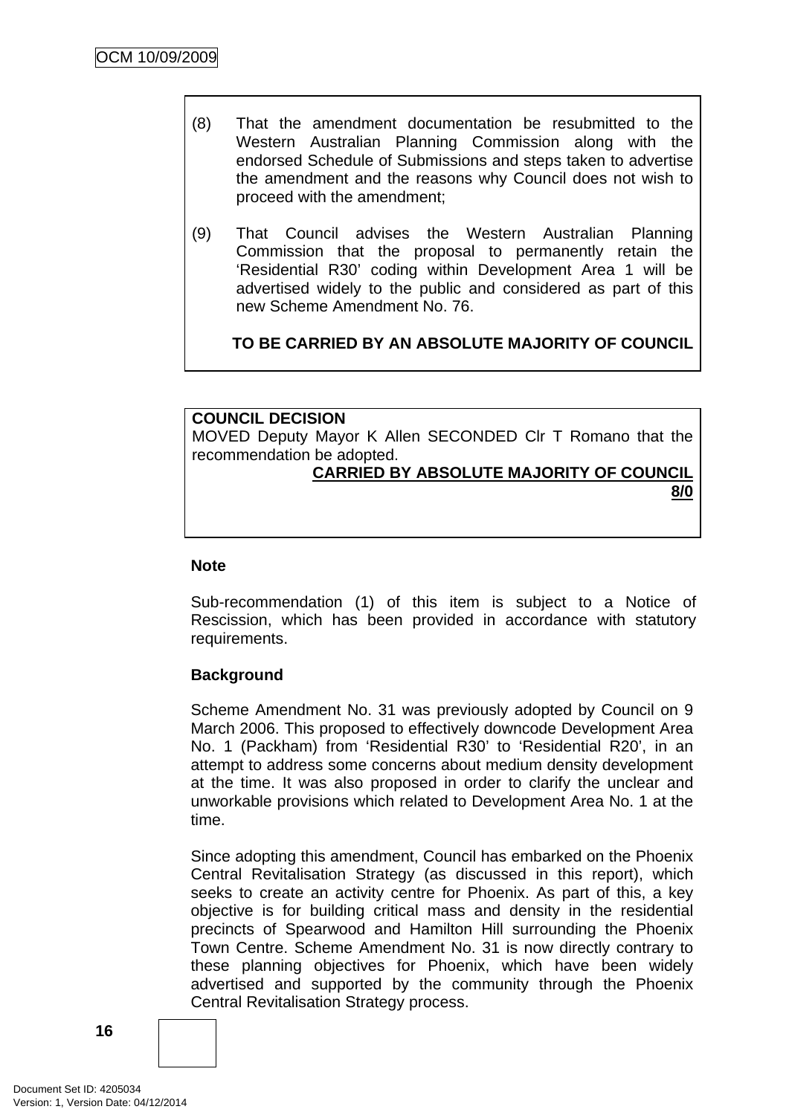- (8) That the amendment documentation be resubmitted to the Western Australian Planning Commission along with the endorsed Schedule of Submissions and steps taken to advertise the amendment and the reasons why Council does not wish to proceed with the amendment;
- (9) That Council advises the Western Australian Planning Commission that the proposal to permanently retain the 'Residential R30' coding within Development Area 1 will be advertised widely to the public and considered as part of this new Scheme Amendment No. 76.

**TO BE CARRIED BY AN ABSOLUTE MAJORITY OF COUNCIL**

## **COUNCIL DECISION**  MOVED Deputy Mayor K Allen SECONDED Clr T Romano that the recommendation be adopted.

#### **CARRIED BY ABSOLUTE MAJORITY OF COUNCIL 8/0**

#### **Note**

Sub-recommendation (1) of this item is subject to a Notice of Rescission, which has been provided in accordance with statutory requirements.

#### **Background**

Scheme Amendment No. 31 was previously adopted by Council on 9 March 2006. This proposed to effectively downcode Development Area No. 1 (Packham) from 'Residential R30' to 'Residential R20', in an attempt to address some concerns about medium density development at the time. It was also proposed in order to clarify the unclear and unworkable provisions which related to Development Area No. 1 at the time.

Since adopting this amendment, Council has embarked on the Phoenix Central Revitalisation Strategy (as discussed in this report), which seeks to create an activity centre for Phoenix. As part of this, a key objective is for building critical mass and density in the residential precincts of Spearwood and Hamilton Hill surrounding the Phoenix Town Centre. Scheme Amendment No. 31 is now directly contrary to these planning objectives for Phoenix, which have been widely advertised and supported by the community through the Phoenix Central Revitalisation Strategy process.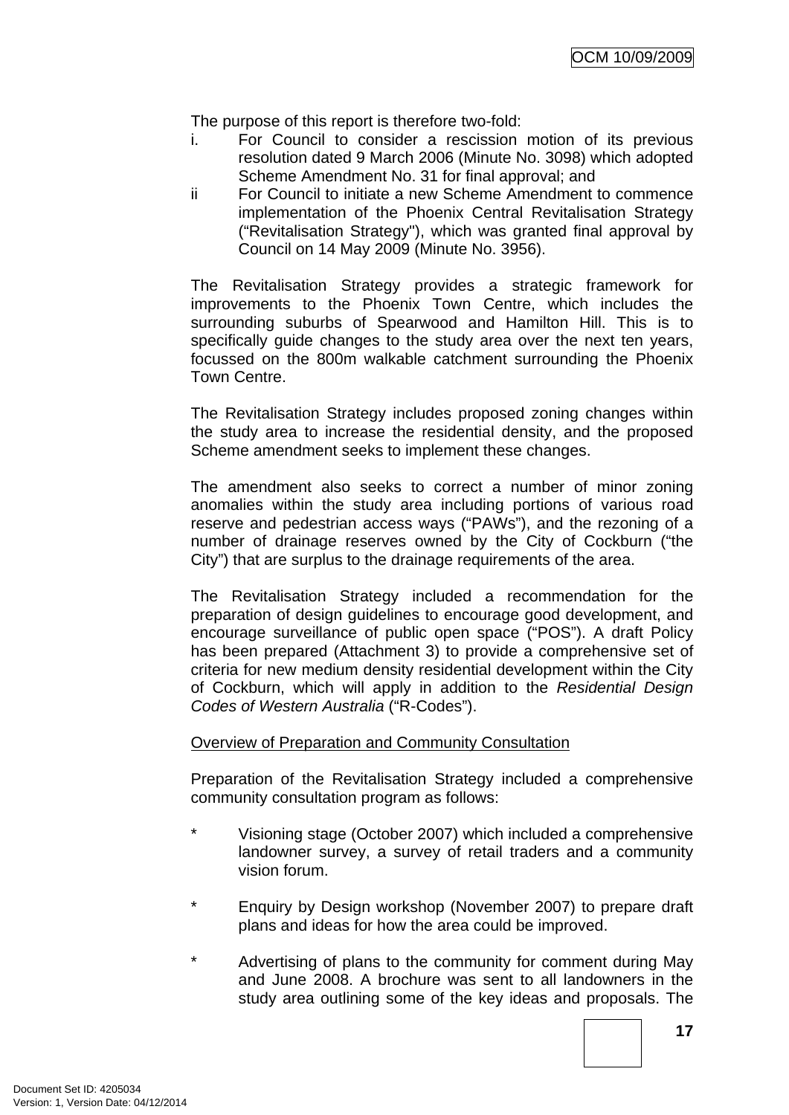The purpose of this report is therefore two-fold:

- i. For Council to consider a rescission motion of its previous resolution dated 9 March 2006 (Minute No. 3098) which adopted Scheme Amendment No. 31 for final approval; and
- ii For Council to initiate a new Scheme Amendment to commence implementation of the Phoenix Central Revitalisation Strategy ("Revitalisation Strategy"), which was granted final approval by Council on 14 May 2009 (Minute No. 3956).

The Revitalisation Strategy provides a strategic framework for improvements to the Phoenix Town Centre, which includes the surrounding suburbs of Spearwood and Hamilton Hill. This is to specifically guide changes to the study area over the next ten years, focussed on the 800m walkable catchment surrounding the Phoenix Town Centre.

The Revitalisation Strategy includes proposed zoning changes within the study area to increase the residential density, and the proposed Scheme amendment seeks to implement these changes.

The amendment also seeks to correct a number of minor zoning anomalies within the study area including portions of various road reserve and pedestrian access ways ("PAWs"), and the rezoning of a number of drainage reserves owned by the City of Cockburn ("the City") that are surplus to the drainage requirements of the area.

The Revitalisation Strategy included a recommendation for the preparation of design guidelines to encourage good development, and encourage surveillance of public open space ("POS"). A draft Policy has been prepared (Attachment 3) to provide a comprehensive set of criteria for new medium density residential development within the City of Cockburn, which will apply in addition to the *Residential Design Codes of Western Australia* ("R-Codes").

#### Overview of Preparation and Community Consultation

Preparation of the Revitalisation Strategy included a comprehensive community consultation program as follows:

- \* Visioning stage (October 2007) which included a comprehensive landowner survey, a survey of retail traders and a community vision forum.
- Enquiry by Design workshop (November 2007) to prepare draft plans and ideas for how the area could be improved.
- \* Advertising of plans to the community for comment during May and June 2008. A brochure was sent to all landowners in the study area outlining some of the key ideas and proposals. The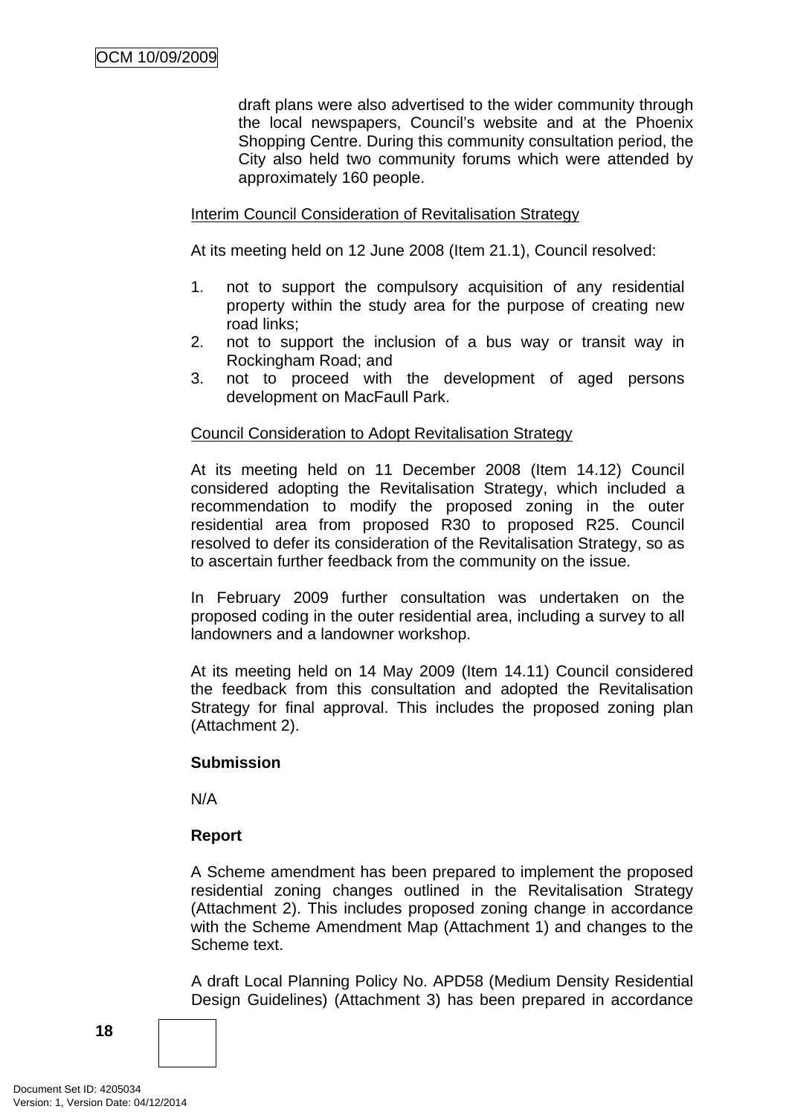draft plans were also advertised to the wider community through the local newspapers, Council's website and at the Phoenix Shopping Centre. During this community consultation period, the City also held two community forums which were attended by approximately 160 people.

#### Interim Council Consideration of Revitalisation Strategy

At its meeting held on 12 June 2008 (Item 21.1), Council resolved:

- 1. not to support the compulsory acquisition of any residential property within the study area for the purpose of creating new road links;
- 2. not to support the inclusion of a bus way or transit way in Rockingham Road; and
- 3. not to proceed with the development of aged persons development on MacFaull Park.

#### Council Consideration to Adopt Revitalisation Strategy

At its meeting held on 11 December 2008 (Item 14.12) Council considered adopting the Revitalisation Strategy, which included a recommendation to modify the proposed zoning in the outer residential area from proposed R30 to proposed R25. Council resolved to defer its consideration of the Revitalisation Strategy, so as to ascertain further feedback from the community on the issue.

In February 2009 further consultation was undertaken on the proposed coding in the outer residential area, including a survey to all landowners and a landowner workshop.

At its meeting held on 14 May 2009 (Item 14.11) Council considered the feedback from this consultation and adopted the Revitalisation Strategy for final approval. This includes the proposed zoning plan (Attachment 2).

#### **Submission**

N/A

#### **Report**

A Scheme amendment has been prepared to implement the proposed residential zoning changes outlined in the Revitalisation Strategy (Attachment 2). This includes proposed zoning change in accordance with the Scheme Amendment Map (Attachment 1) and changes to the Scheme text.

A draft Local Planning Policy No. APD58 (Medium Density Residential Design Guidelines) (Attachment 3) has been prepared in accordance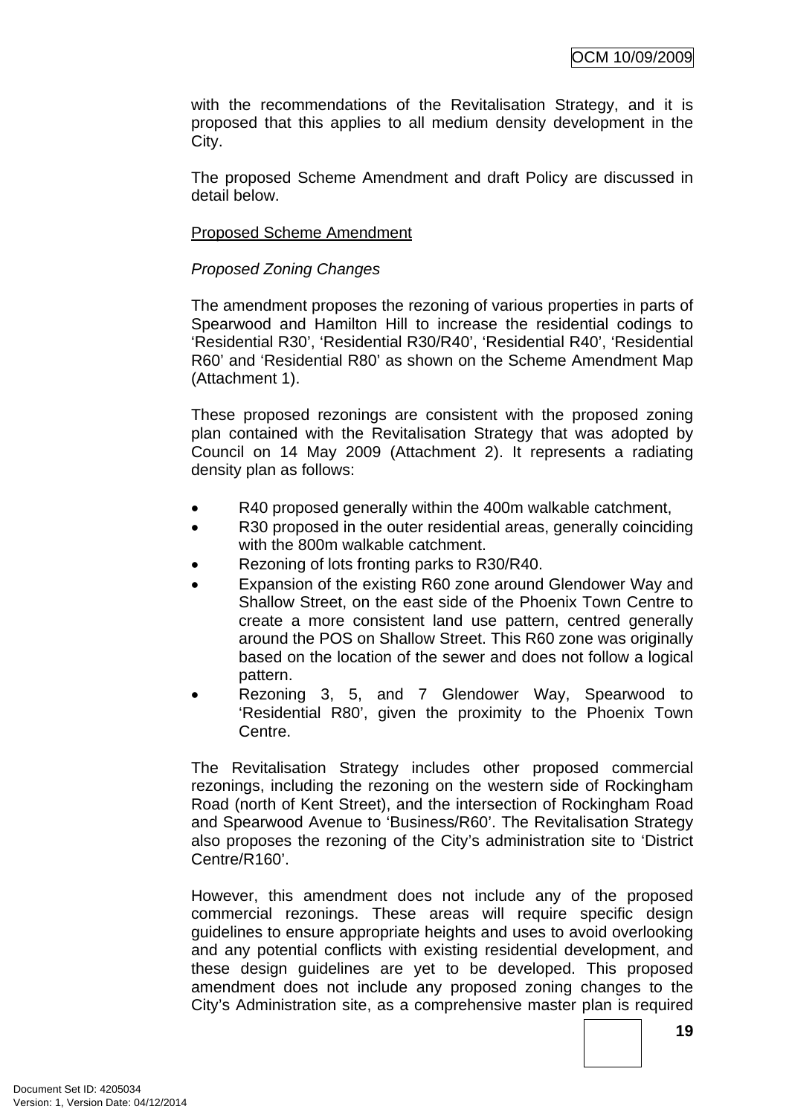with the recommendations of the Revitalisation Strategy, and it is proposed that this applies to all medium density development in the City.

The proposed Scheme Amendment and draft Policy are discussed in detail below.

#### Proposed Scheme Amendment

#### *Proposed Zoning Changes*

The amendment proposes the rezoning of various properties in parts of Spearwood and Hamilton Hill to increase the residential codings to 'Residential R30', 'Residential R30/R40', 'Residential R40', 'Residential R60' and 'Residential R80' as shown on the Scheme Amendment Map (Attachment 1).

These proposed rezonings are consistent with the proposed zoning plan contained with the Revitalisation Strategy that was adopted by Council on 14 May 2009 (Attachment 2). It represents a radiating density plan as follows:

- R40 proposed generally within the 400m walkable catchment,
- R30 proposed in the outer residential areas, generally coinciding with the 800m walkable catchment.
- Rezoning of lots fronting parks to R30/R40.
- Expansion of the existing R60 zone around Glendower Way and Shallow Street, on the east side of the Phoenix Town Centre to create a more consistent land use pattern, centred generally around the POS on Shallow Street. This R60 zone was originally based on the location of the sewer and does not follow a logical pattern.
- Rezoning 3, 5, and 7 Glendower Way, Spearwood to 'Residential R80', given the proximity to the Phoenix Town Centre.

The Revitalisation Strategy includes other proposed commercial rezonings, including the rezoning on the western side of Rockingham Road (north of Kent Street), and the intersection of Rockingham Road and Spearwood Avenue to 'Business/R60'. The Revitalisation Strategy also proposes the rezoning of the City's administration site to 'District Centre/R160'.

However, this amendment does not include any of the proposed commercial rezonings. These areas will require specific design guidelines to ensure appropriate heights and uses to avoid overlooking and any potential conflicts with existing residential development, and these design guidelines are yet to be developed. This proposed amendment does not include any proposed zoning changes to the City's Administration site, as a comprehensive master plan is required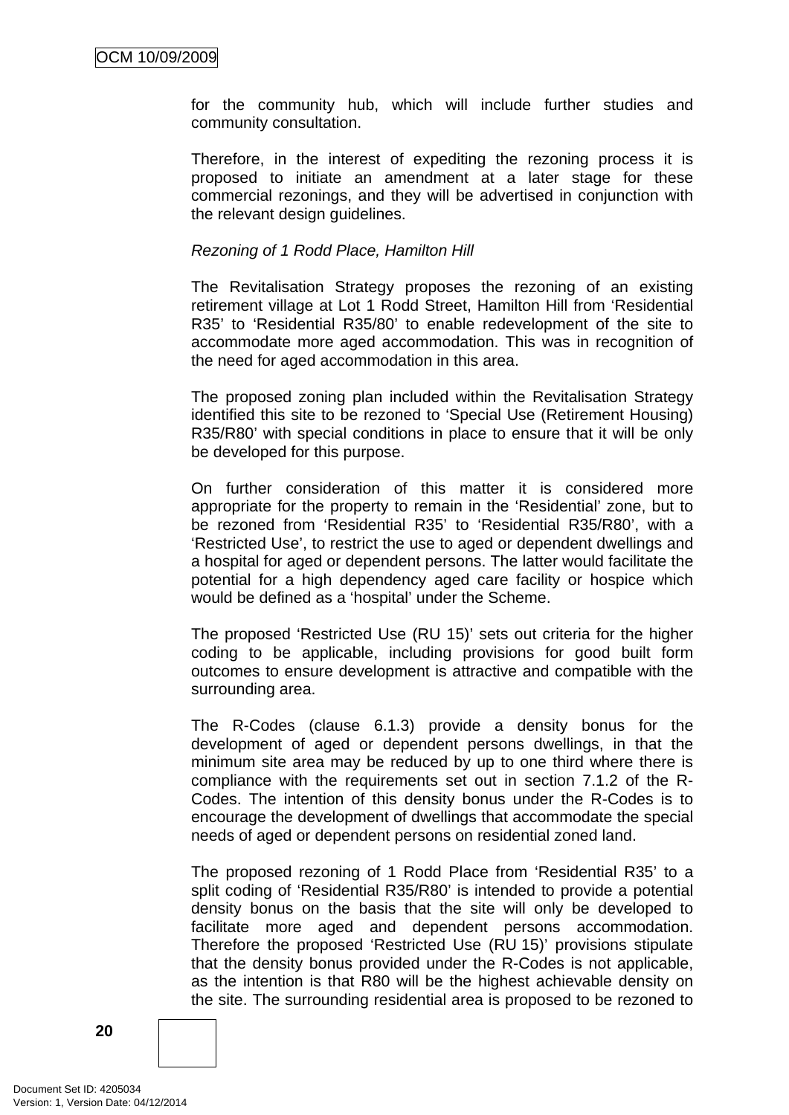for the community hub, which will include further studies and community consultation.

Therefore, in the interest of expediting the rezoning process it is proposed to initiate an amendment at a later stage for these commercial rezonings, and they will be advertised in conjunction with the relevant design guidelines.

#### *Rezoning of 1 Rodd Place, Hamilton Hill*

The Revitalisation Strategy proposes the rezoning of an existing retirement village at Lot 1 Rodd Street, Hamilton Hill from 'Residential R35' to 'Residential R35/80' to enable redevelopment of the site to accommodate more aged accommodation. This was in recognition of the need for aged accommodation in this area.

The proposed zoning plan included within the Revitalisation Strategy identified this site to be rezoned to 'Special Use (Retirement Housing) R35/R80' with special conditions in place to ensure that it will be only be developed for this purpose.

On further consideration of this matter it is considered more appropriate for the property to remain in the 'Residential' zone, but to be rezoned from 'Residential R35' to 'Residential R35/R80', with a 'Restricted Use', to restrict the use to aged or dependent dwellings and a hospital for aged or dependent persons. The latter would facilitate the potential for a high dependency aged care facility or hospice which would be defined as a 'hospital' under the Scheme.

The proposed 'Restricted Use (RU 15)' sets out criteria for the higher coding to be applicable, including provisions for good built form outcomes to ensure development is attractive and compatible with the surrounding area.

The R-Codes (clause 6.1.3) provide a density bonus for the development of aged or dependent persons dwellings, in that the minimum site area may be reduced by up to one third where there is compliance with the requirements set out in section 7.1.2 of the R-Codes. The intention of this density bonus under the R-Codes is to encourage the development of dwellings that accommodate the special needs of aged or dependent persons on residential zoned land.

The proposed rezoning of 1 Rodd Place from 'Residential R35' to a split coding of 'Residential R35/R80' is intended to provide a potential density bonus on the basis that the site will only be developed to facilitate more aged and dependent persons accommodation. Therefore the proposed 'Restricted Use (RU 15)' provisions stipulate that the density bonus provided under the R-Codes is not applicable, as the intention is that R80 will be the highest achievable density on the site. The surrounding residential area is proposed to be rezoned to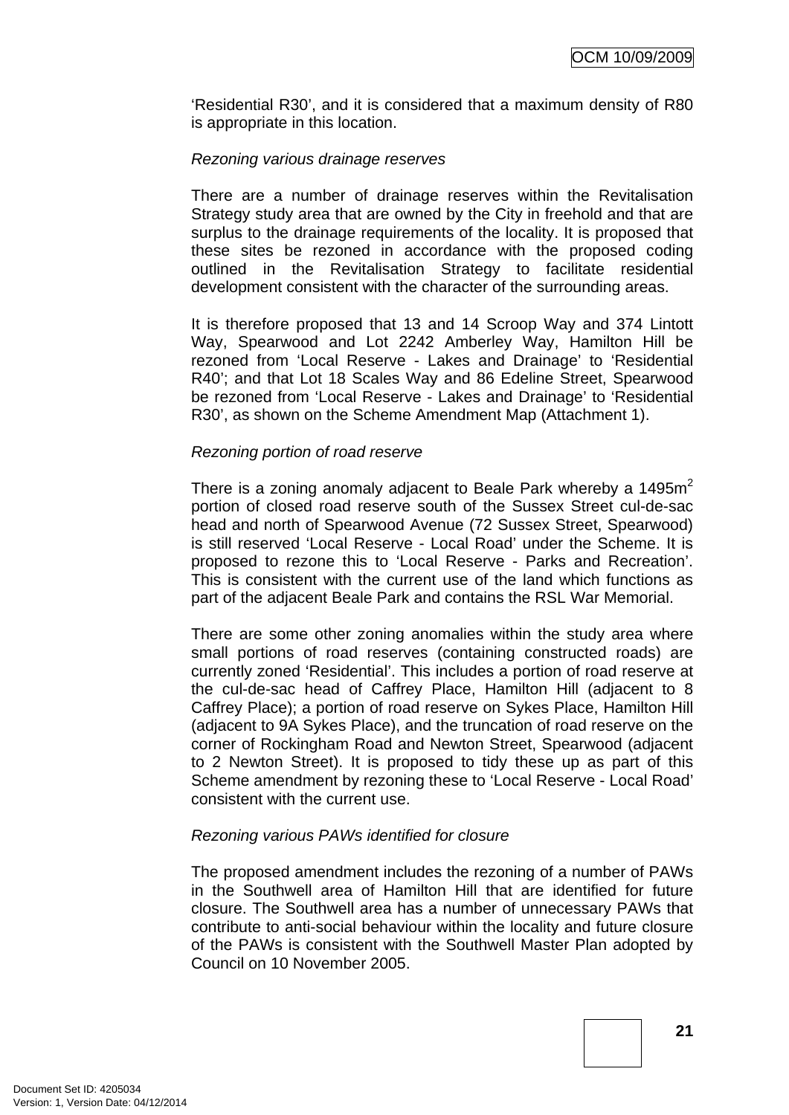'Residential R30', and it is considered that a maximum density of R80 is appropriate in this location.

#### *Rezoning various drainage reserves*

There are a number of drainage reserves within the Revitalisation Strategy study area that are owned by the City in freehold and that are surplus to the drainage requirements of the locality. It is proposed that these sites be rezoned in accordance with the proposed coding outlined in the Revitalisation Strategy to facilitate residential development consistent with the character of the surrounding areas.

It is therefore proposed that 13 and 14 Scroop Way and 374 Lintott Way, Spearwood and Lot 2242 Amberley Way, Hamilton Hill be rezoned from 'Local Reserve - Lakes and Drainage' to 'Residential R40'; and that Lot 18 Scales Way and 86 Edeline Street, Spearwood be rezoned from 'Local Reserve - Lakes and Drainage' to 'Residential R30', as shown on the Scheme Amendment Map (Attachment 1).

#### *Rezoning portion of road reserve*

There is a zoning anomaly adjacent to Beale Park whereby a 1495 $m<sup>2</sup>$ portion of closed road reserve south of the Sussex Street cul-de-sac head and north of Spearwood Avenue (72 Sussex Street, Spearwood) is still reserved 'Local Reserve - Local Road' under the Scheme. It is proposed to rezone this to 'Local Reserve - Parks and Recreation'. This is consistent with the current use of the land which functions as part of the adjacent Beale Park and contains the RSL War Memorial.

There are some other zoning anomalies within the study area where small portions of road reserves (containing constructed roads) are currently zoned 'Residential'. This includes a portion of road reserve at the cul-de-sac head of Caffrey Place, Hamilton Hill (adjacent to 8 Caffrey Place); a portion of road reserve on Sykes Place, Hamilton Hill (adjacent to 9A Sykes Place), and the truncation of road reserve on the corner of Rockingham Road and Newton Street, Spearwood (adjacent to 2 Newton Street). It is proposed to tidy these up as part of this Scheme amendment by rezoning these to 'Local Reserve - Local Road' consistent with the current use.

#### *Rezoning various PAWs identified for closure*

The proposed amendment includes the rezoning of a number of PAWs in the Southwell area of Hamilton Hill that are identified for future closure. The Southwell area has a number of unnecessary PAWs that contribute to anti-social behaviour within the locality and future closure of the PAWs is consistent with the Southwell Master Plan adopted by Council on 10 November 2005.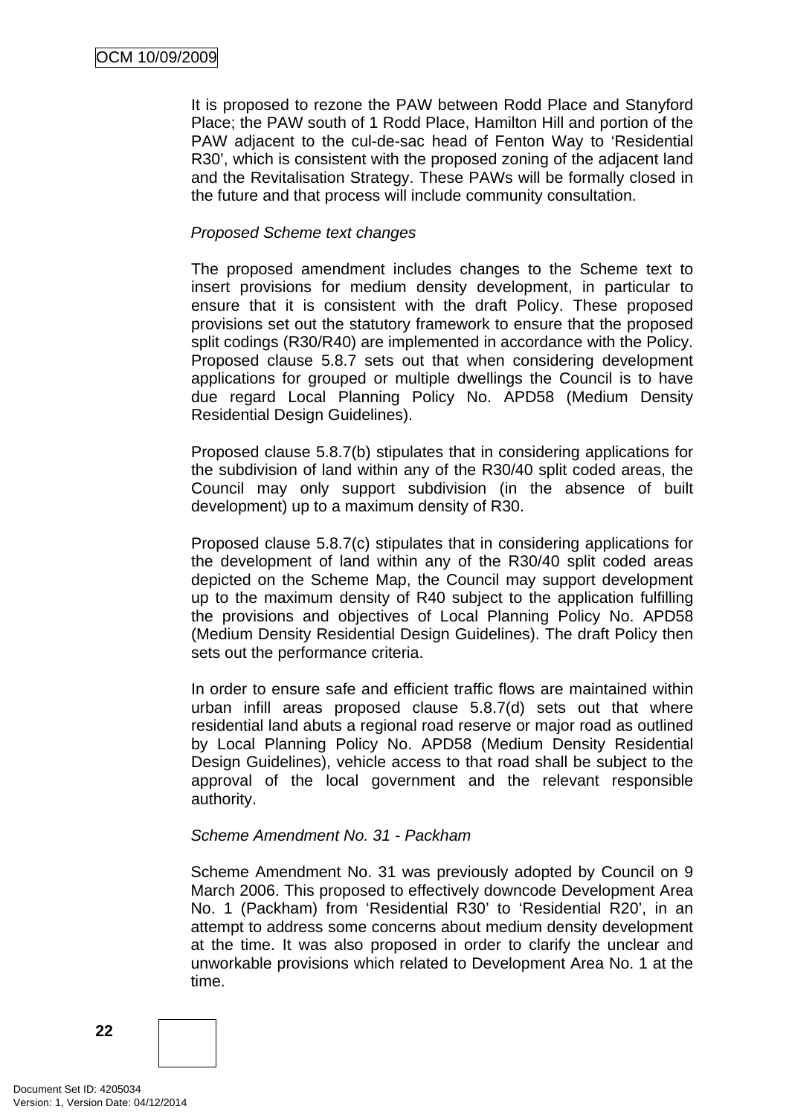It is proposed to rezone the PAW between Rodd Place and Stanyford Place; the PAW south of 1 Rodd Place, Hamilton Hill and portion of the PAW adjacent to the cul-de-sac head of Fenton Way to 'Residential R30', which is consistent with the proposed zoning of the adjacent land and the Revitalisation Strategy. These PAWs will be formally closed in the future and that process will include community consultation.

#### *Proposed Scheme text changes*

The proposed amendment includes changes to the Scheme text to insert provisions for medium density development, in particular to ensure that it is consistent with the draft Policy. These proposed provisions set out the statutory framework to ensure that the proposed split codings (R30/R40) are implemented in accordance with the Policy. Proposed clause 5.8.7 sets out that when considering development applications for grouped or multiple dwellings the Council is to have due regard Local Planning Policy No. APD58 (Medium Density Residential Design Guidelines).

Proposed clause 5.8.7(b) stipulates that in considering applications for the subdivision of land within any of the R30/40 split coded areas, the Council may only support subdivision (in the absence of built development) up to a maximum density of R30.

Proposed clause 5.8.7(c) stipulates that in considering applications for the development of land within any of the R30/40 split coded areas depicted on the Scheme Map, the Council may support development up to the maximum density of R40 subject to the application fulfilling the provisions and objectives of Local Planning Policy No. APD58 (Medium Density Residential Design Guidelines). The draft Policy then sets out the performance criteria.

In order to ensure safe and efficient traffic flows are maintained within urban infill areas proposed clause 5.8.7(d) sets out that where residential land abuts a regional road reserve or major road as outlined by Local Planning Policy No. APD58 (Medium Density Residential Design Guidelines), vehicle access to that road shall be subject to the approval of the local government and the relevant responsible authority.

#### *Scheme Amendment No. 31 - Packham*

Scheme Amendment No. 31 was previously adopted by Council on 9 March 2006. This proposed to effectively downcode Development Area No. 1 (Packham) from 'Residential R30' to 'Residential R20', in an attempt to address some concerns about medium density development at the time. It was also proposed in order to clarify the unclear and unworkable provisions which related to Development Area No. 1 at the time.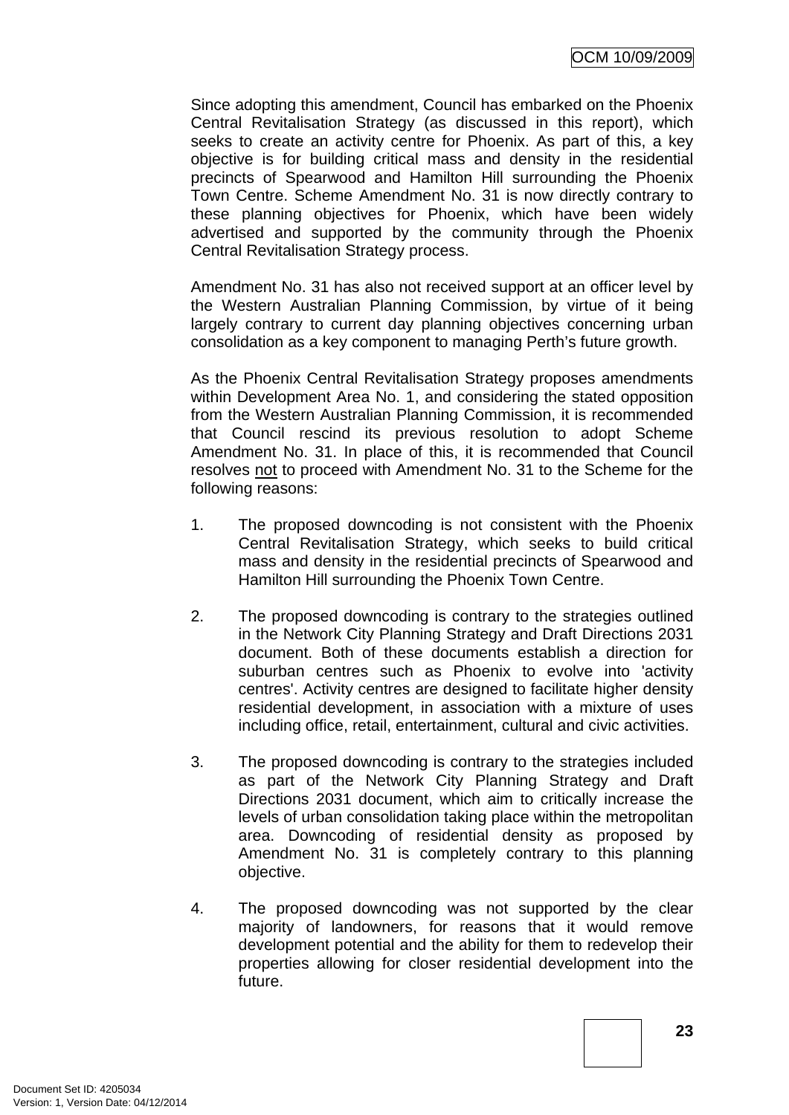Since adopting this amendment, Council has embarked on the Phoenix Central Revitalisation Strategy (as discussed in this report), which seeks to create an activity centre for Phoenix. As part of this, a key objective is for building critical mass and density in the residential precincts of Spearwood and Hamilton Hill surrounding the Phoenix Town Centre. Scheme Amendment No. 31 is now directly contrary to these planning objectives for Phoenix, which have been widely advertised and supported by the community through the Phoenix Central Revitalisation Strategy process.

Amendment No. 31 has also not received support at an officer level by the Western Australian Planning Commission, by virtue of it being largely contrary to current day planning objectives concerning urban consolidation as a key component to managing Perth's future growth.

As the Phoenix Central Revitalisation Strategy proposes amendments within Development Area No. 1, and considering the stated opposition from the Western Australian Planning Commission, it is recommended that Council rescind its previous resolution to adopt Scheme Amendment No. 31. In place of this, it is recommended that Council resolves not to proceed with Amendment No. 31 to the Scheme for the following reasons:

- 1. The proposed downcoding is not consistent with the Phoenix Central Revitalisation Strategy, which seeks to build critical mass and density in the residential precincts of Spearwood and Hamilton Hill surrounding the Phoenix Town Centre.
- 2. The proposed downcoding is contrary to the strategies outlined in the Network City Planning Strategy and Draft Directions 2031 document. Both of these documents establish a direction for suburban centres such as Phoenix to evolve into 'activity centres'. Activity centres are designed to facilitate higher density residential development, in association with a mixture of uses including office, retail, entertainment, cultural and civic activities.
- 3. The proposed downcoding is contrary to the strategies included as part of the Network City Planning Strategy and Draft Directions 2031 document, which aim to critically increase the levels of urban consolidation taking place within the metropolitan area. Downcoding of residential density as proposed by Amendment No. 31 is completely contrary to this planning objective.
- 4. The proposed downcoding was not supported by the clear majority of landowners, for reasons that it would remove development potential and the ability for them to redevelop their properties allowing for closer residential development into the future.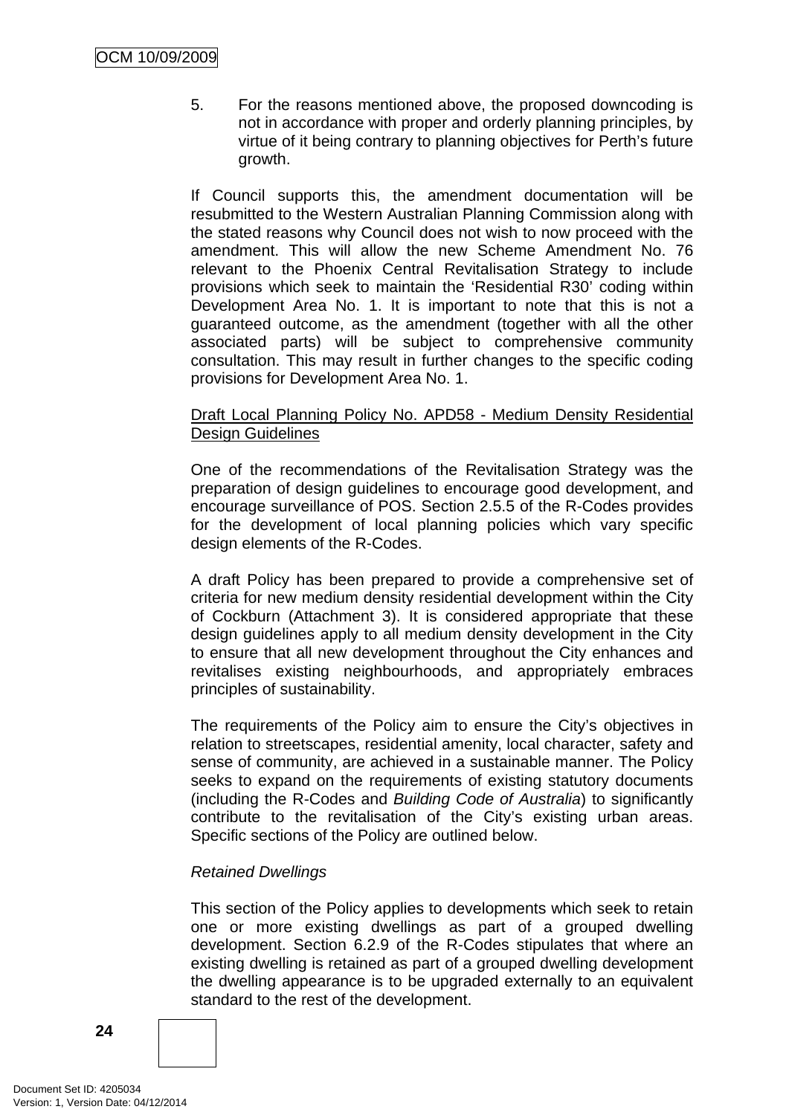5. For the reasons mentioned above, the proposed downcoding is not in accordance with proper and orderly planning principles, by virtue of it being contrary to planning objectives for Perth's future growth.

If Council supports this, the amendment documentation will be resubmitted to the Western Australian Planning Commission along with the stated reasons why Council does not wish to now proceed with the amendment. This will allow the new Scheme Amendment No. 76 relevant to the Phoenix Central Revitalisation Strategy to include provisions which seek to maintain the 'Residential R30' coding within Development Area No. 1. It is important to note that this is not a guaranteed outcome, as the amendment (together with all the other associated parts) will be subject to comprehensive community consultation. This may result in further changes to the specific coding provisions for Development Area No. 1.

#### Draft Local Planning Policy No. APD58 - Medium Density Residential Design Guidelines

One of the recommendations of the Revitalisation Strategy was the preparation of design guidelines to encourage good development, and encourage surveillance of POS. Section 2.5.5 of the R-Codes provides for the development of local planning policies which vary specific design elements of the R-Codes.

A draft Policy has been prepared to provide a comprehensive set of criteria for new medium density residential development within the City of Cockburn (Attachment 3). It is considered appropriate that these design guidelines apply to all medium density development in the City to ensure that all new development throughout the City enhances and revitalises existing neighbourhoods, and appropriately embraces principles of sustainability.

The requirements of the Policy aim to ensure the City's objectives in relation to streetscapes, residential amenity, local character, safety and sense of community, are achieved in a sustainable manner. The Policy seeks to expand on the requirements of existing statutory documents (including the R-Codes and *Building Code of Australia*) to significantly contribute to the revitalisation of the City's existing urban areas. Specific sections of the Policy are outlined below.

## *Retained Dwellings*

This section of the Policy applies to developments which seek to retain one or more existing dwellings as part of a grouped dwelling development. Section 6.2.9 of the R-Codes stipulates that where an existing dwelling is retained as part of a grouped dwelling development the dwelling appearance is to be upgraded externally to an equivalent standard to the rest of the development.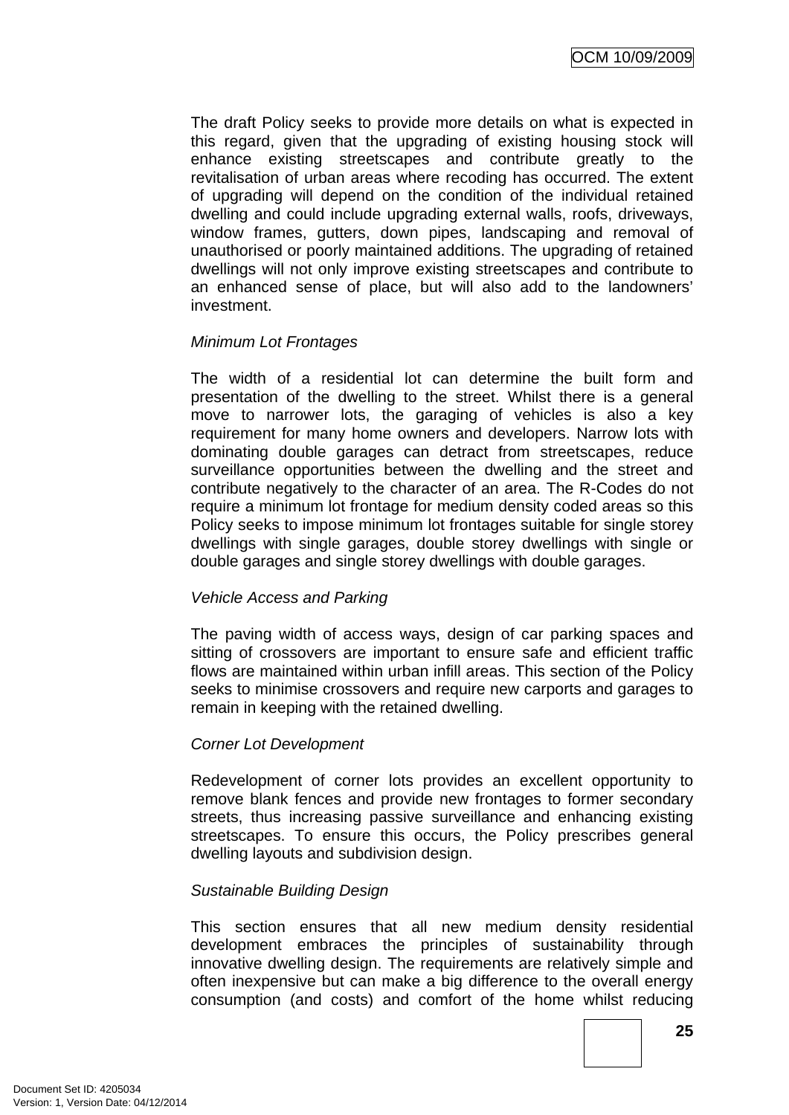The draft Policy seeks to provide more details on what is expected in this regard, given that the upgrading of existing housing stock will enhance existing streetscapes and contribute greatly to the revitalisation of urban areas where recoding has occurred. The extent of upgrading will depend on the condition of the individual retained dwelling and could include upgrading external walls, roofs, driveways, window frames, gutters, down pipes, landscaping and removal of unauthorised or poorly maintained additions. The upgrading of retained dwellings will not only improve existing streetscapes and contribute to an enhanced sense of place, but will also add to the landowners' investment.

#### *Minimum Lot Frontages*

The width of a residential lot can determine the built form and presentation of the dwelling to the street. Whilst there is a general move to narrower lots, the garaging of vehicles is also a key requirement for many home owners and developers. Narrow lots with dominating double garages can detract from streetscapes, reduce surveillance opportunities between the dwelling and the street and contribute negatively to the character of an area. The R-Codes do not require a minimum lot frontage for medium density coded areas so this Policy seeks to impose minimum lot frontages suitable for single storey dwellings with single garages, double storey dwellings with single or double garages and single storey dwellings with double garages.

#### *Vehicle Access and Parking*

The paving width of access ways, design of car parking spaces and sitting of crossovers are important to ensure safe and efficient traffic flows are maintained within urban infill areas. This section of the Policy seeks to minimise crossovers and require new carports and garages to remain in keeping with the retained dwelling.

#### *Corner Lot Development*

Redevelopment of corner lots provides an excellent opportunity to remove blank fences and provide new frontages to former secondary streets, thus increasing passive surveillance and enhancing existing streetscapes. To ensure this occurs, the Policy prescribes general dwelling layouts and subdivision design.

#### *Sustainable Building Design*

This section ensures that all new medium density residential development embraces the principles of sustainability through innovative dwelling design. The requirements are relatively simple and often inexpensive but can make a big difference to the overall energy consumption (and costs) and comfort of the home whilst reducing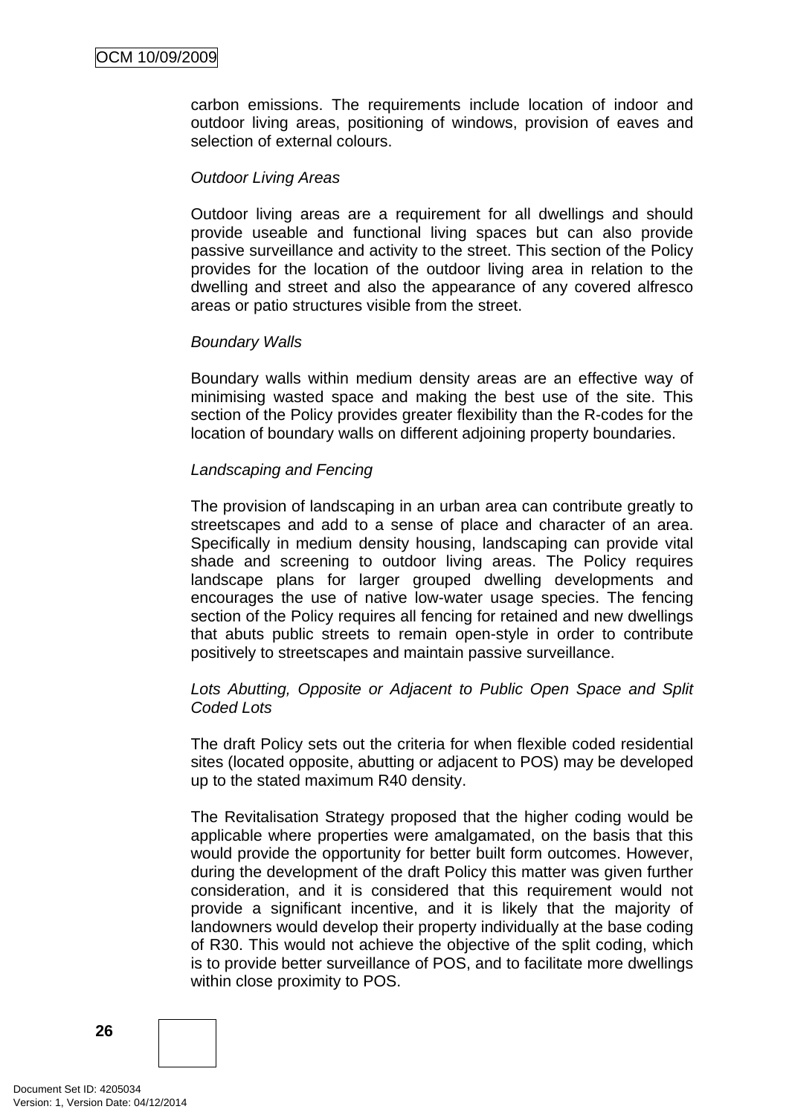carbon emissions. The requirements include location of indoor and outdoor living areas, positioning of windows, provision of eaves and selection of external colours.

#### *Outdoor Living Areas*

Outdoor living areas are a requirement for all dwellings and should provide useable and functional living spaces but can also provide passive surveillance and activity to the street. This section of the Policy provides for the location of the outdoor living area in relation to the dwelling and street and also the appearance of any covered alfresco areas or patio structures visible from the street.

#### *Boundary Walls*

Boundary walls within medium density areas are an effective way of minimising wasted space and making the best use of the site. This section of the Policy provides greater flexibility than the R-codes for the location of boundary walls on different adjoining property boundaries.

#### *Landscaping and Fencing*

The provision of landscaping in an urban area can contribute greatly to streetscapes and add to a sense of place and character of an area. Specifically in medium density housing, landscaping can provide vital shade and screening to outdoor living areas. The Policy requires landscape plans for larger grouped dwelling developments and encourages the use of native low-water usage species. The fencing section of the Policy requires all fencing for retained and new dwellings that abuts public streets to remain open-style in order to contribute positively to streetscapes and maintain passive surveillance.

#### *Lots Abutting, Opposite or Adjacent to Public Open Space and Split Coded Lots*

The draft Policy sets out the criteria for when flexible coded residential sites (located opposite, abutting or adjacent to POS) may be developed up to the stated maximum R40 density.

The Revitalisation Strategy proposed that the higher coding would be applicable where properties were amalgamated, on the basis that this would provide the opportunity for better built form outcomes. However, during the development of the draft Policy this matter was given further consideration, and it is considered that this requirement would not provide a significant incentive, and it is likely that the majority of landowners would develop their property individually at the base coding of R30. This would not achieve the objective of the split coding, which is to provide better surveillance of POS, and to facilitate more dwellings within close proximity to POS.

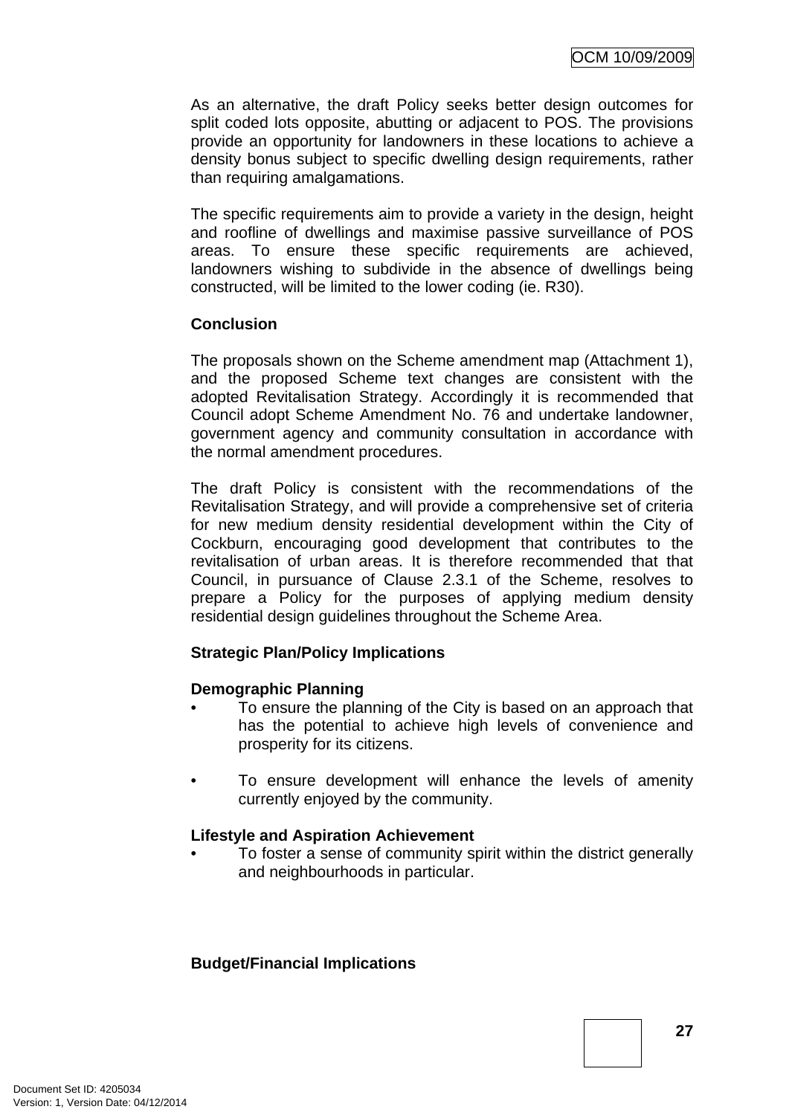As an alternative, the draft Policy seeks better design outcomes for split coded lots opposite, abutting or adjacent to POS. The provisions provide an opportunity for landowners in these locations to achieve a density bonus subject to specific dwelling design requirements, rather than requiring amalgamations.

The specific requirements aim to provide a variety in the design, height and roofline of dwellings and maximise passive surveillance of POS areas. To ensure these specific requirements are achieved, landowners wishing to subdivide in the absence of dwellings being constructed, will be limited to the lower coding (ie. R30).

## **Conclusion**

The proposals shown on the Scheme amendment map (Attachment 1), and the proposed Scheme text changes are consistent with the adopted Revitalisation Strategy. Accordingly it is recommended that Council adopt Scheme Amendment No. 76 and undertake landowner, government agency and community consultation in accordance with the normal amendment procedures.

The draft Policy is consistent with the recommendations of the Revitalisation Strategy, and will provide a comprehensive set of criteria for new medium density residential development within the City of Cockburn, encouraging good development that contributes to the revitalisation of urban areas. It is therefore recommended that that Council, in pursuance of Clause 2.3.1 of the Scheme, resolves to prepare a Policy for the purposes of applying medium density residential design guidelines throughout the Scheme Area.

## **Strategic Plan/Policy Implications**

## **Demographic Planning**

- To ensure the planning of the City is based on an approach that has the potential to achieve high levels of convenience and prosperity for its citizens.
- To ensure development will enhance the levels of amenity currently enjoyed by the community.

#### **Lifestyle and Aspiration Achievement**

To foster a sense of community spirit within the district generally and neighbourhoods in particular.

#### **Budget/Financial Implications**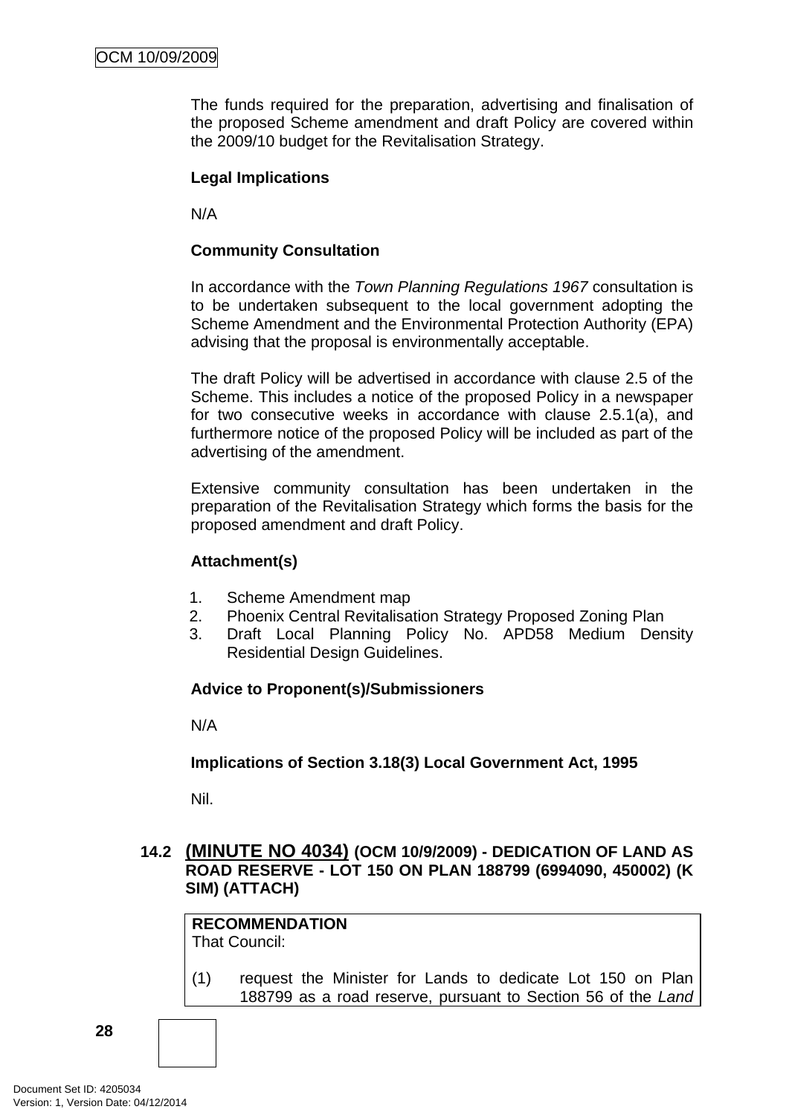<span id="page-31-0"></span>The funds required for the preparation, advertising and finalisation of the proposed Scheme amendment and draft Policy are covered within the 2009/10 budget for the Revitalisation Strategy.

#### **Legal Implications**

N/A

#### **Community Consultation**

In accordance with the *Town Planning Regulations 1967* consultation is to be undertaken subsequent to the local government adopting the Scheme Amendment and the Environmental Protection Authority (EPA) advising that the proposal is environmentally acceptable.

The draft Policy will be advertised in accordance with clause 2.5 of the Scheme. This includes a notice of the proposed Policy in a newspaper for two consecutive weeks in accordance with clause 2.5.1(a), and furthermore notice of the proposed Policy will be included as part of the advertising of the amendment.

Extensive community consultation has been undertaken in the preparation of the Revitalisation Strategy which forms the basis for the proposed amendment and draft Policy.

#### **Attachment(s)**

- 1. Scheme Amendment map
- 2. Phoenix Central Revitalisation Strategy Proposed Zoning Plan
- 3. Draft Local Planning Policy No. APD58 Medium Density Residential Design Guidelines.

## **Advice to Proponent(s)/Submissioners**

N/A

#### **Implications of Section 3.18(3) Local Government Act, 1995**

Nil.

## **14.2 (MINUTE NO 4034) (OCM 10/9/2009) - DEDICATION OF LAND AS ROAD RESERVE - LOT 150 ON PLAN 188799 (6994090, 450002) (K SIM) (ATTACH)**

**RECOMMENDATION** That Council:

(1) request the Minister for Lands to dedicate Lot 150 on Plan 188799 as a road reserve, pursuant to Section 56 of the *Land*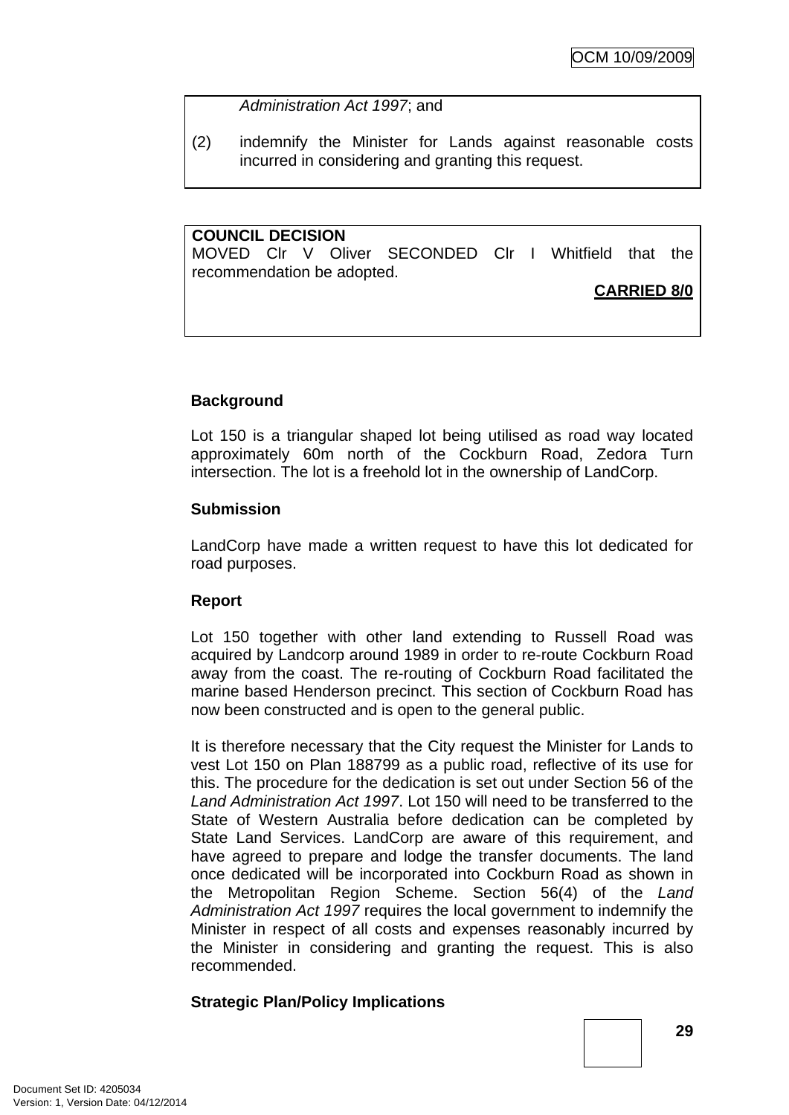#### *Administration Act 1997*; and

(2) indemnify the Minister for Lands against reasonable costs incurred in considering and granting this request.

**COUNCIL DECISION**  MOVED Clr V Oliver SECONDED Clr I Whitfield that the recommendation be adopted.

## **CARRIED 8/0**

## **Background**

Lot 150 is a triangular shaped lot being utilised as road way located approximately 60m north of the Cockburn Road, Zedora Turn intersection. The lot is a freehold lot in the ownership of LandCorp.

#### **Submission**

LandCorp have made a written request to have this lot dedicated for road purposes.

#### **Report**

Lot 150 together with other land extending to Russell Road was acquired by Landcorp around 1989 in order to re-route Cockburn Road away from the coast. The re-routing of Cockburn Road facilitated the marine based Henderson precinct. This section of Cockburn Road has now been constructed and is open to the general public.

It is therefore necessary that the City request the Minister for Lands to vest Lot 150 on Plan 188799 as a public road, reflective of its use for this. The procedure for the dedication is set out under Section 56 of the *Land Administration Act 1997*. Lot 150 will need to be transferred to the State of Western Australia before dedication can be completed by State Land Services. LandCorp are aware of this requirement, and have agreed to prepare and lodge the transfer documents. The land once dedicated will be incorporated into Cockburn Road as shown in the Metropolitan Region Scheme. Section 56(4) of the *Land Administration Act 1997* requires the local government to indemnify the Minister in respect of all costs and expenses reasonably incurred by the Minister in considering and granting the request. This is also recommended.

#### **Strategic Plan/Policy Implications**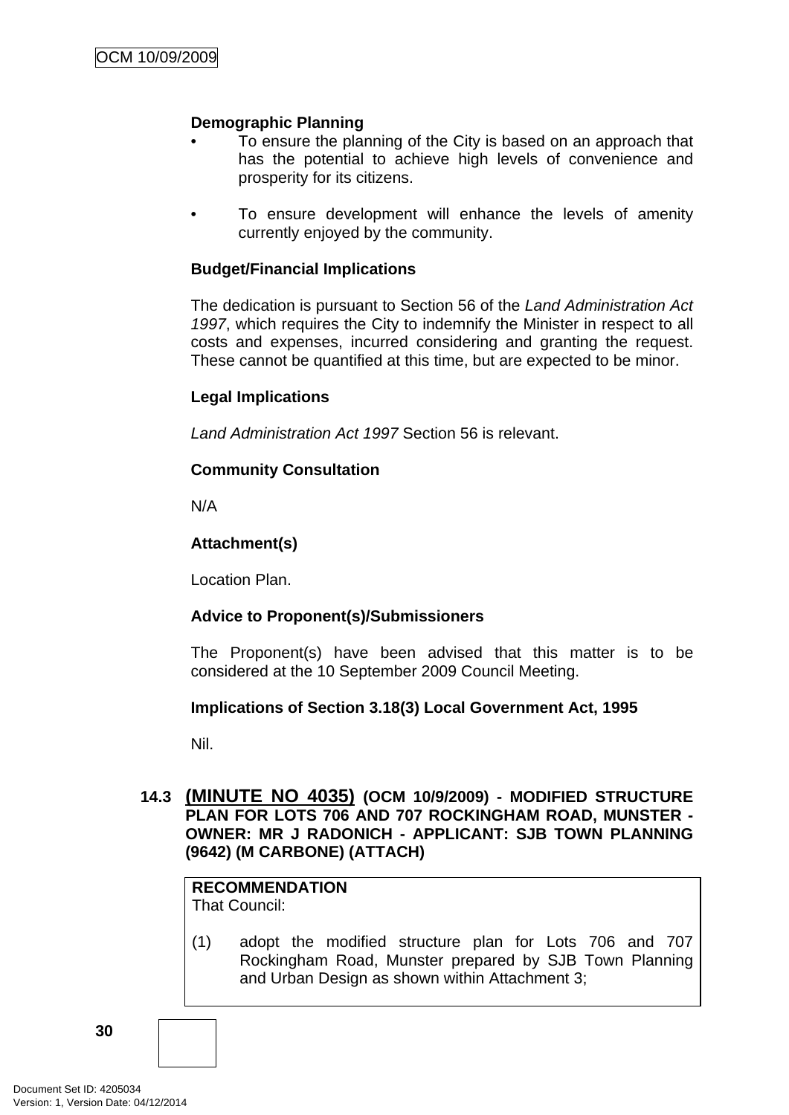#### <span id="page-33-0"></span>**Demographic Planning**

- To ensure the planning of the City is based on an approach that has the potential to achieve high levels of convenience and prosperity for its citizens.
- To ensure development will enhance the levels of amenity currently enjoyed by the community.

#### **Budget/Financial Implications**

The dedication is pursuant to Section 56 of the *Land Administration Act 1997*, which requires the City to indemnify the Minister in respect to all costs and expenses, incurred considering and granting the request. These cannot be quantified at this time, but are expected to be minor.

#### **Legal Implications**

*Land Administration Act 1997* Section 56 is relevant.

#### **Community Consultation**

N/A

#### **Attachment(s)**

Location Plan.

#### **Advice to Proponent(s)/Submissioners**

The Proponent(s) have been advised that this matter is to be considered at the 10 September 2009 Council Meeting.

#### **Implications of Section 3.18(3) Local Government Act, 1995**

Nil.

## **14.3 (MINUTE NO 4035) (OCM 10/9/2009) - MODIFIED STRUCTURE PLAN FOR LOTS 706 AND 707 ROCKINGHAM ROAD, MUNSTER - OWNER: MR J RADONICH - APPLICANT: SJB TOWN PLANNING (9642) (M CARBONE) (ATTACH)**

**RECOMMENDATION** That Council:

(1) adopt the modified structure plan for Lots 706 and 707 Rockingham Road, Munster prepared by SJB Town Planning and Urban Design as shown within Attachment 3;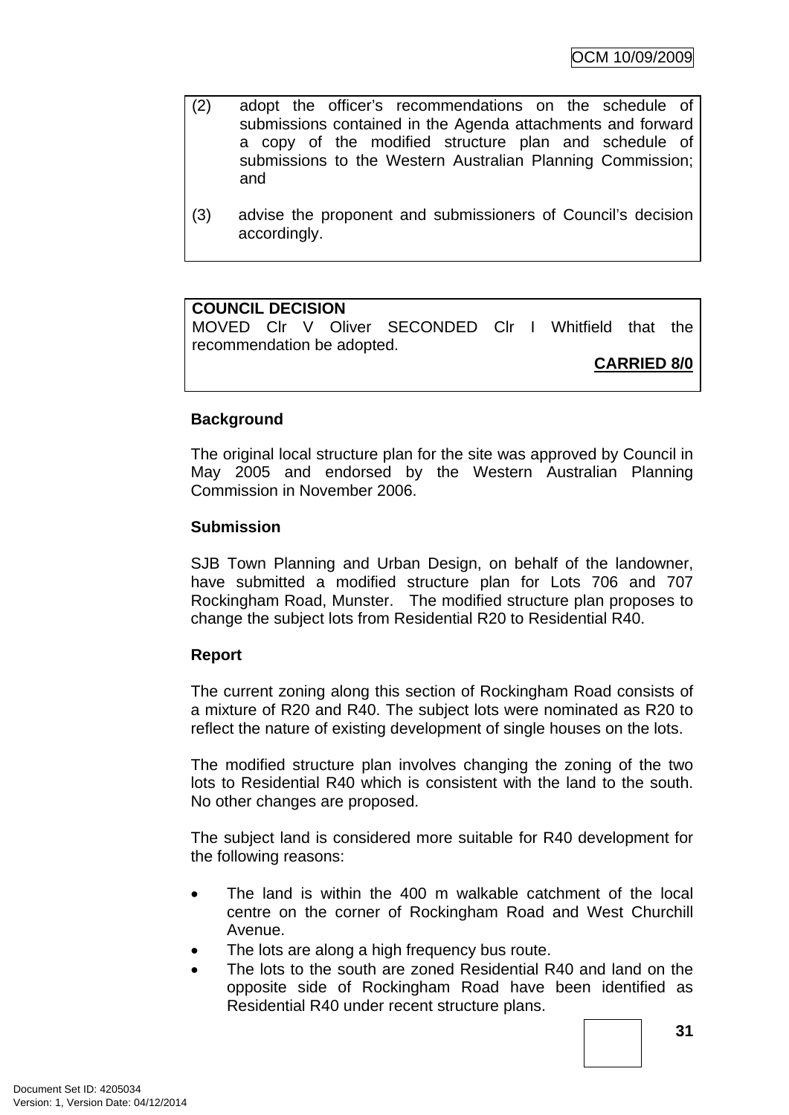- (2) adopt the officer's recommendations on the schedule of submissions contained in the Agenda attachments and forward a copy of the modified structure plan and schedule of submissions to the Western Australian Planning Commission; and
- (3) advise the proponent and submissioners of Council's decision accordingly.

#### **COUNCIL DECISION**

MOVED Clr V Oliver SECONDED Clr I Whitfield that the recommendation be adopted.

**CARRIED 8/0**

#### **Background**

The original local structure plan for the site was approved by Council in May 2005 and endorsed by the Western Australian Planning Commission in November 2006.

#### **Submission**

SJB Town Planning and Urban Design, on behalf of the landowner, have submitted a modified structure plan for Lots 706 and 707 Rockingham Road, Munster. The modified structure plan proposes to change the subject lots from Residential R20 to Residential R40.

#### **Report**

The current zoning along this section of Rockingham Road consists of a mixture of R20 and R40. The subject lots were nominated as R20 to reflect the nature of existing development of single houses on the lots.

The modified structure plan involves changing the zoning of the two lots to Residential R40 which is consistent with the land to the south. No other changes are proposed.

The subject land is considered more suitable for R40 development for the following reasons:

- The land is within the 400 m walkable catchment of the local centre on the corner of Rockingham Road and West Churchill Avenue.
- The lots are along a high frequency bus route.
- The lots to the south are zoned Residential R40 and land on the opposite side of Rockingham Road have been identified as Residential R40 under recent structure plans.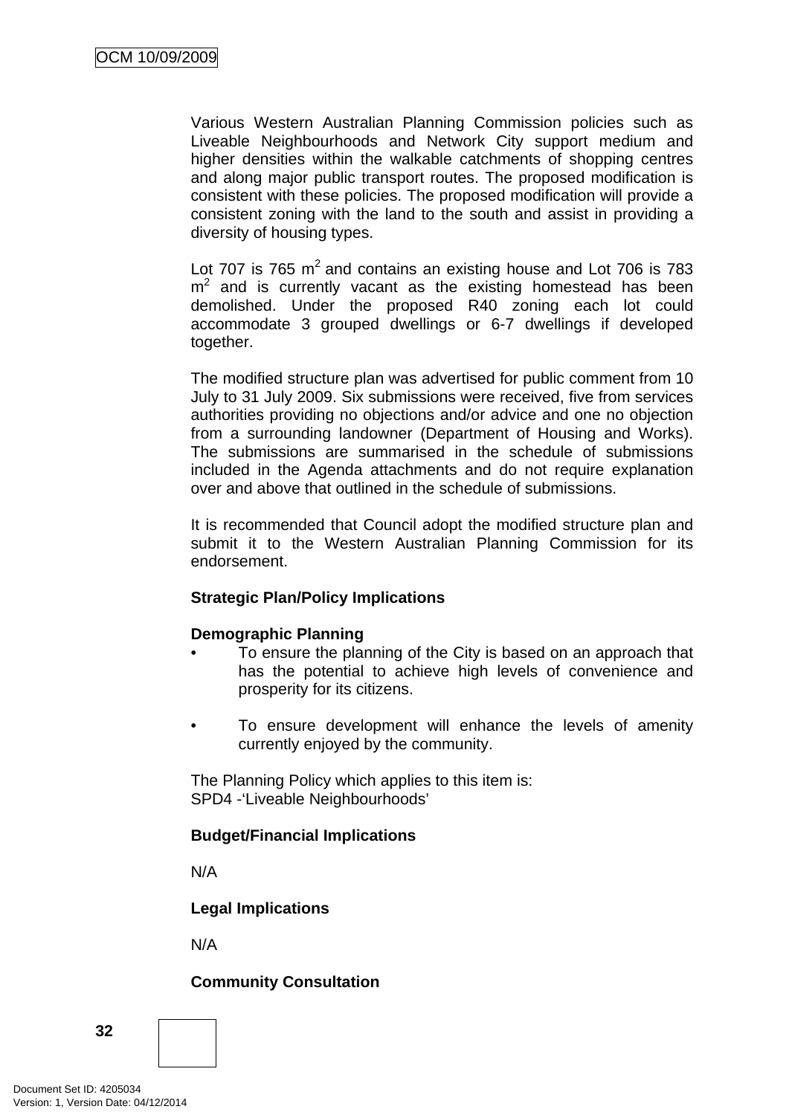Various Western Australian Planning Commission policies such as Liveable Neighbourhoods and Network City support medium and higher densities within the walkable catchments of shopping centres and along major public transport routes. The proposed modification is consistent with these policies. The proposed modification will provide a consistent zoning with the land to the south and assist in providing a diversity of housing types.

Lot 707 is 765  $m^2$  and contains an existing house and Lot 706 is 783  $m<sup>2</sup>$  and is currently vacant as the existing homestead has been demolished. Under the proposed R40 zoning each lot could accommodate 3 grouped dwellings or 6-7 dwellings if developed together.

The modified structure plan was advertised for public comment from 10 July to 31 July 2009. Six submissions were received, five from services authorities providing no objections and/or advice and one no objection from a surrounding landowner (Department of Housing and Works). The submissions are summarised in the schedule of submissions included in the Agenda attachments and do not require explanation over and above that outlined in the schedule of submissions.

It is recommended that Council adopt the modified structure plan and submit it to the Western Australian Planning Commission for its endorsement.

## **Strategic Plan/Policy Implications**

#### **Demographic Planning**

- To ensure the planning of the City is based on an approach that has the potential to achieve high levels of convenience and prosperity for its citizens.
- To ensure development will enhance the levels of amenity currently enjoyed by the community.

The Planning Policy which applies to this item is: SPD4 -'Liveable Neighbourhoods'

#### **Budget/Financial Implications**

N/A

**Legal Implications** 

N/A

## **Community Consultation**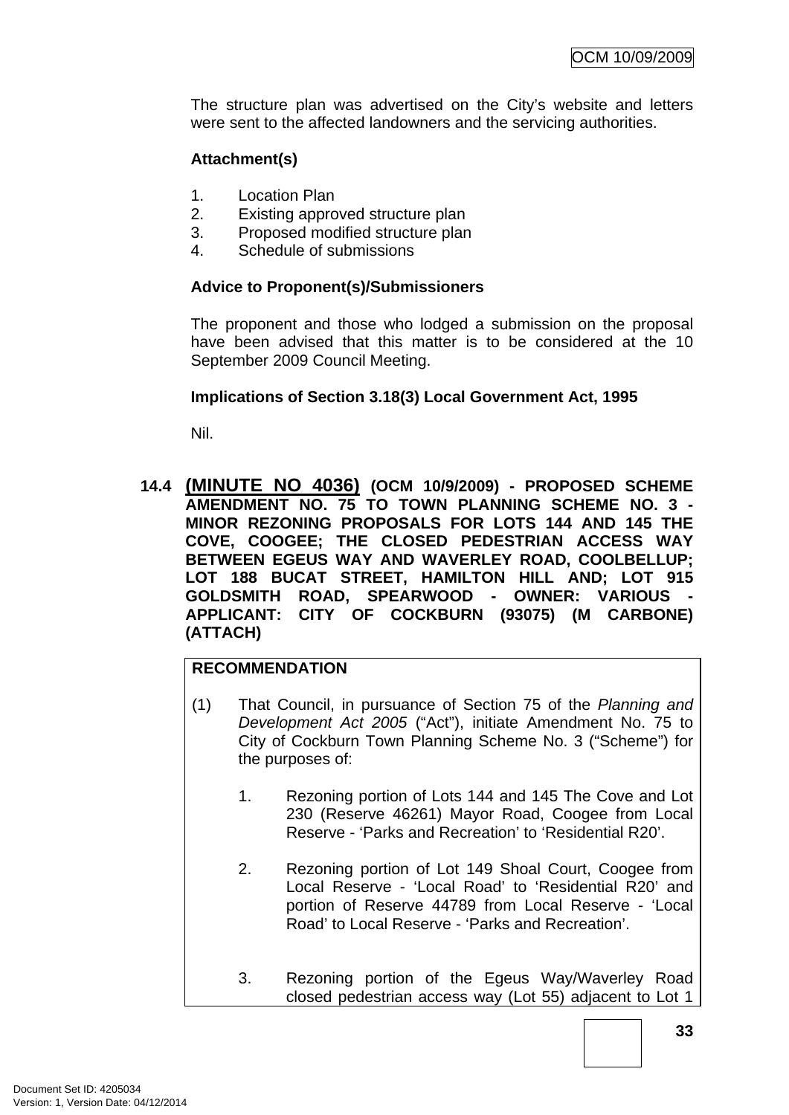The structure plan was advertised on the City's website and letters were sent to the affected landowners and the servicing authorities.

# **Attachment(s)**

- 1. Location Plan
- 2. Existing approved structure plan
- 3. Proposed modified structure plan
- 4. Schedule of submissions

#### **Advice to Proponent(s)/Submissioners**

The proponent and those who lodged a submission on the proposal have been advised that this matter is to be considered at the 10 September 2009 Council Meeting.

#### **Implications of Section 3.18(3) Local Government Act, 1995**

Nil.

**14.4 (MINUTE NO 4036) (OCM 10/9/2009) - PROPOSED SCHEME AMENDMENT NO. 75 TO TOWN PLANNING SCHEME NO. 3 - MINOR REZONING PROPOSALS FOR LOTS 144 AND 145 THE COVE, COOGEE; THE CLOSED PEDESTRIAN ACCESS WAY BETWEEN EGEUS WAY AND WAVERLEY ROAD, COOLBELLUP; LOT 188 BUCAT STREET, HAMILTON HILL AND; LOT 915 GOLDSMITH ROAD, SPEARWOOD - OWNER: VARIOUS - APPLICANT: CITY OF COCKBURN (93075) (M CARBONE) (ATTACH)** 

# **RECOMMENDATION**

- (1) That Council, in pursuance of Section 75 of the *Planning and Development Act 2005* ("Act"), initiate Amendment No. 75 to City of Cockburn Town Planning Scheme No. 3 ("Scheme") for the purposes of:
	- 1. Rezoning portion of Lots 144 and 145 The Cove and Lot 230 (Reserve 46261) Mayor Road, Coogee from Local Reserve - 'Parks and Recreation' to 'Residential R20'.
	- 2. Rezoning portion of Lot 149 Shoal Court, Coogee from Local Reserve - 'Local Road' to 'Residential R20' and portion of Reserve 44789 from Local Reserve - 'Local Road' to Local Reserve - 'Parks and Recreation'.
	- 3. Rezoning portion of the Egeus Way/Waverley Road closed pedestrian access way (Lot 55) adjacent to Lot 1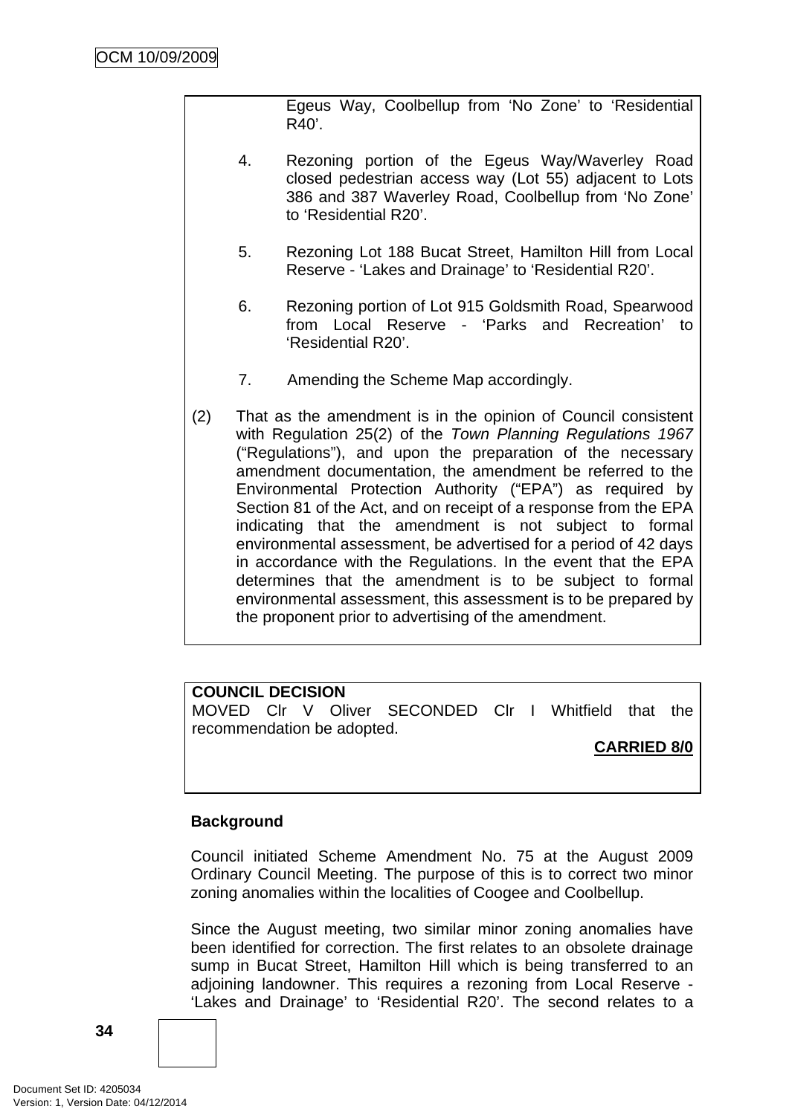Egeus Way, Coolbellup from 'No Zone' to 'Residential R40'.

- 4. Rezoning portion of the Egeus Way/Waverley Road closed pedestrian access way (Lot 55) adjacent to Lots 386 and 387 Waverley Road, Coolbellup from 'No Zone' to 'Residential R20'.
- 5. Rezoning Lot 188 Bucat Street, Hamilton Hill from Local Reserve - 'Lakes and Drainage' to 'Residential R20'.
- 6. Rezoning portion of Lot 915 Goldsmith Road, Spearwood from Local Reserve - 'Parks and Recreation' to 'Residential R20'.
- 7. Amending the Scheme Map accordingly.
- (2) That as the amendment is in the opinion of Council consistent with Regulation 25(2) of the *Town Planning Regulations 1967* ("Regulations"), and upon the preparation of the necessary amendment documentation, the amendment be referred to the Environmental Protection Authority ("EPA") as required by Section 81 of the Act, and on receipt of a response from the EPA indicating that the amendment is not subject to formal environmental assessment, be advertised for a period of 42 days in accordance with the Regulations. In the event that the EPA determines that the amendment is to be subject to formal environmental assessment, this assessment is to be prepared by the proponent prior to advertising of the amendment.

# **COUNCIL DECISION**

MOVED Clr V Oliver SECONDED Clr I Whitfield that the recommendation be adopted.

# **CARRIED 8/0**

# **Background**

Council initiated Scheme Amendment No. 75 at the August 2009 Ordinary Council Meeting. The purpose of this is to correct two minor zoning anomalies within the localities of Coogee and Coolbellup.

Since the August meeting, two similar minor zoning anomalies have been identified for correction. The first relates to an obsolete drainage sump in Bucat Street, Hamilton Hill which is being transferred to an adjoining landowner. This requires a rezoning from Local Reserve - 'Lakes and Drainage' to 'Residential R20'. The second relates to a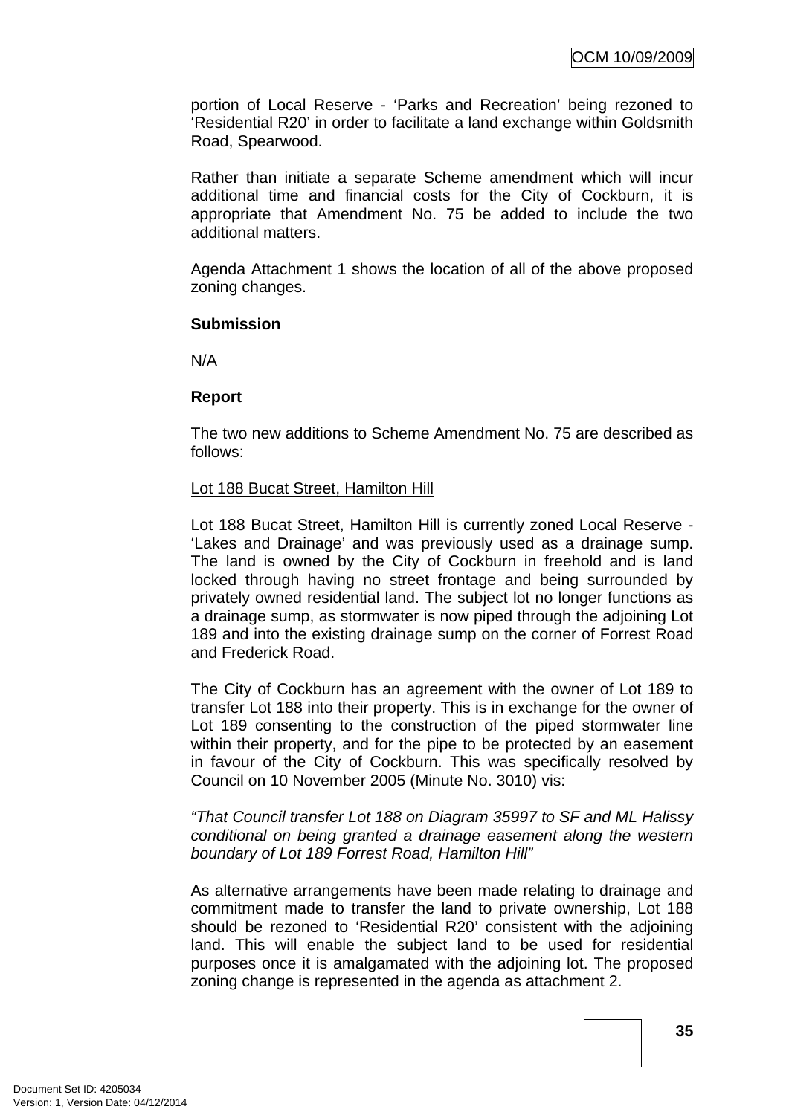portion of Local Reserve - 'Parks and Recreation' being rezoned to 'Residential R20' in order to facilitate a land exchange within Goldsmith Road, Spearwood.

Rather than initiate a separate Scheme amendment which will incur additional time and financial costs for the City of Cockburn, it is appropriate that Amendment No. 75 be added to include the two additional matters.

Agenda Attachment 1 shows the location of all of the above proposed zoning changes.

#### **Submission**

N/A

#### **Report**

The two new additions to Scheme Amendment No. 75 are described as follows:

#### Lot 188 Bucat Street, Hamilton Hill

Lot 188 Bucat Street, Hamilton Hill is currently zoned Local Reserve - 'Lakes and Drainage' and was previously used as a drainage sump. The land is owned by the City of Cockburn in freehold and is land locked through having no street frontage and being surrounded by privately owned residential land. The subject lot no longer functions as a drainage sump, as stormwater is now piped through the adjoining Lot 189 and into the existing drainage sump on the corner of Forrest Road and Frederick Road.

The City of Cockburn has an agreement with the owner of Lot 189 to transfer Lot 188 into their property. This is in exchange for the owner of Lot 189 consenting to the construction of the piped stormwater line within their property, and for the pipe to be protected by an easement in favour of the City of Cockburn. This was specifically resolved by Council on 10 November 2005 (Minute No. 3010) vis:

*"That Council transfer Lot 188 on Diagram 35997 to SF and ML Halissy conditional on being granted a drainage easement along the western boundary of Lot 189 Forrest Road, Hamilton Hill"* 

As alternative arrangements have been made relating to drainage and commitment made to transfer the land to private ownership, Lot 188 should be rezoned to 'Residential R20' consistent with the adjoining land. This will enable the subject land to be used for residential purposes once it is amalgamated with the adjoining lot. The proposed zoning change is represented in the agenda as attachment 2.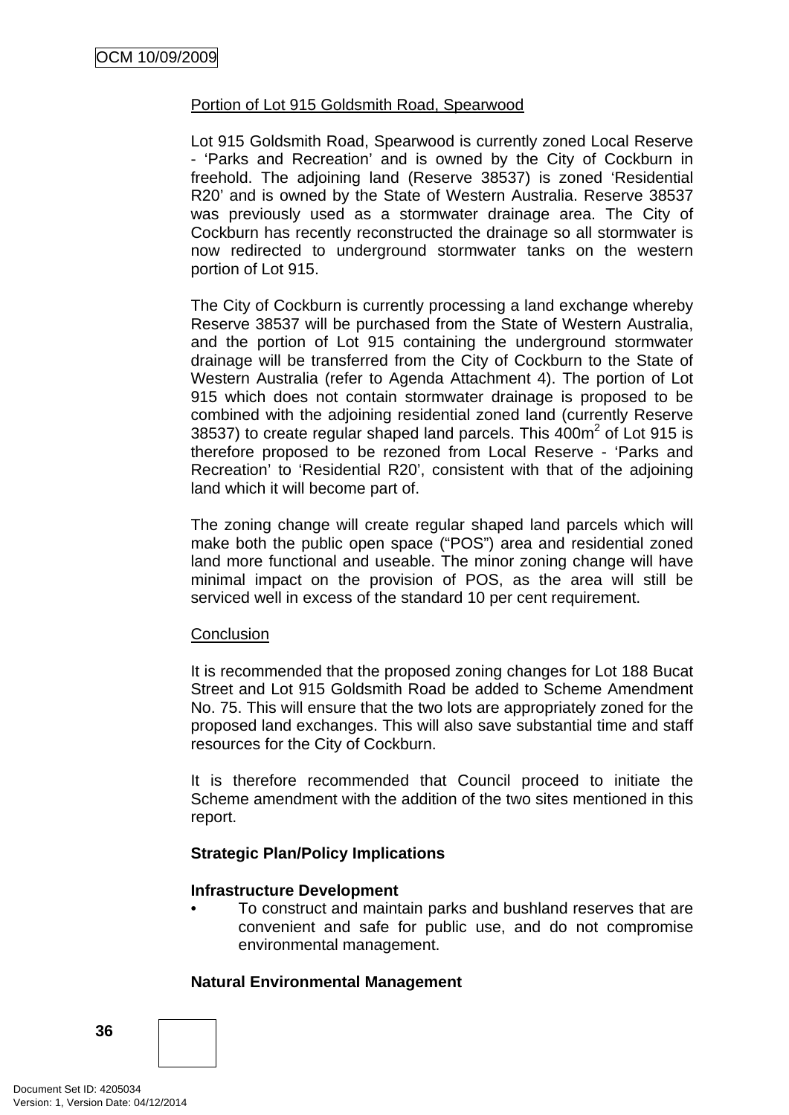# Portion of Lot 915 Goldsmith Road, Spearwood

Lot 915 Goldsmith Road, Spearwood is currently zoned Local Reserve - 'Parks and Recreation' and is owned by the City of Cockburn in freehold. The adjoining land (Reserve 38537) is zoned 'Residential R20' and is owned by the State of Western Australia. Reserve 38537 was previously used as a stormwater drainage area. The City of Cockburn has recently reconstructed the drainage so all stormwater is now redirected to underground stormwater tanks on the western portion of Lot 915.

The City of Cockburn is currently processing a land exchange whereby Reserve 38537 will be purchased from the State of Western Australia, and the portion of Lot 915 containing the underground stormwater drainage will be transferred from the City of Cockburn to the State of Western Australia (refer to Agenda Attachment 4). The portion of Lot 915 which does not contain stormwater drainage is proposed to be combined with the adjoining residential zoned land (currently Reserve 38537) to create regular shaped land parcels. This  $400m^2$  of Lot 915 is therefore proposed to be rezoned from Local Reserve - 'Parks and Recreation' to 'Residential R20', consistent with that of the adjoining land which it will become part of.

The zoning change will create regular shaped land parcels which will make both the public open space ("POS") area and residential zoned land more functional and useable. The minor zoning change will have minimal impact on the provision of POS, as the area will still be serviced well in excess of the standard 10 per cent requirement.

# **Conclusion**

It is recommended that the proposed zoning changes for Lot 188 Bucat Street and Lot 915 Goldsmith Road be added to Scheme Amendment No. 75. This will ensure that the two lots are appropriately zoned for the proposed land exchanges. This will also save substantial time and staff resources for the City of Cockburn.

It is therefore recommended that Council proceed to initiate the Scheme amendment with the addition of the two sites mentioned in this report.

# **Strategic Plan/Policy Implications**

# **Infrastructure Development**

• To construct and maintain parks and bushland reserves that are convenient and safe for public use, and do not compromise environmental management.

# **Natural Environmental Management**

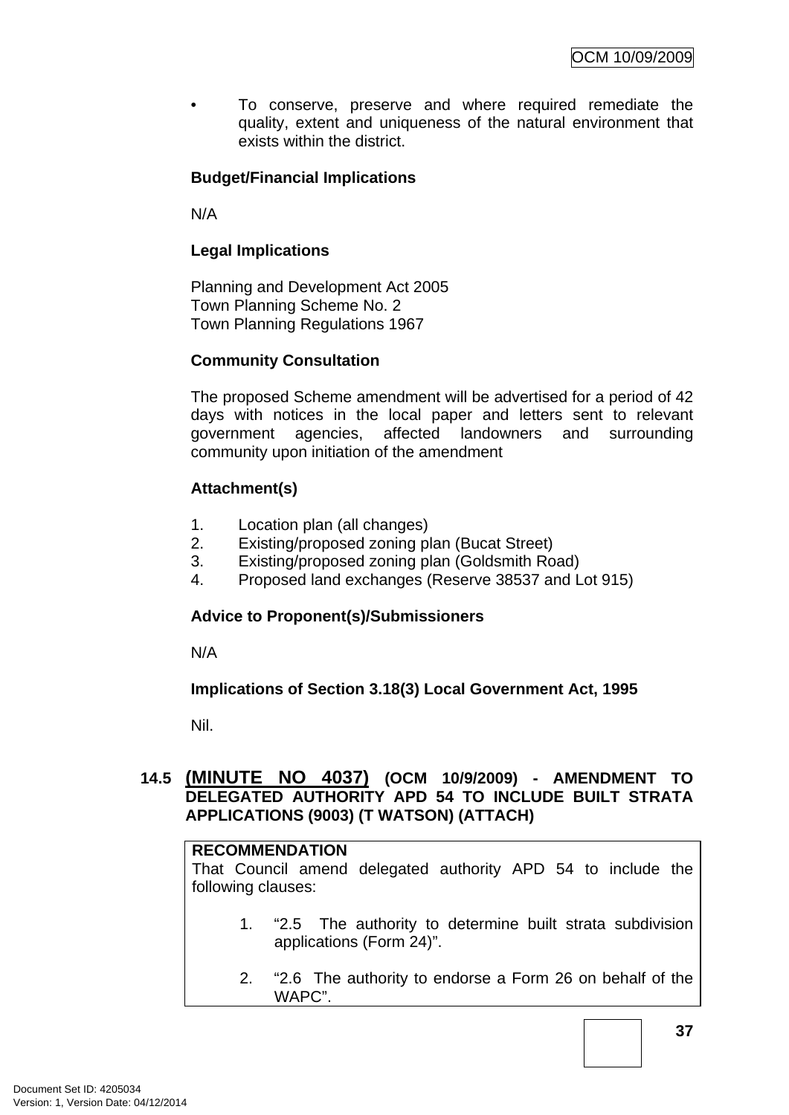• To conserve, preserve and where required remediate the quality, extent and uniqueness of the natural environment that exists within the district.

# **Budget/Financial Implications**

N/A

# **Legal Implications**

Planning and Development Act 2005 Town Planning Scheme No. 2 Town Planning Regulations 1967

# **Community Consultation**

The proposed Scheme amendment will be advertised for a period of 42 days with notices in the local paper and letters sent to relevant government agencies, affected landowners and surrounding community upon initiation of the amendment

# **Attachment(s)**

- 1. Location plan (all changes)
- 2. Existing/proposed zoning plan (Bucat Street)
- 3. Existing/proposed zoning plan (Goldsmith Road)
- 4. Proposed land exchanges (Reserve 38537 and Lot 915)

# **Advice to Proponent(s)/Submissioners**

N/A

# **Implications of Section 3.18(3) Local Government Act, 1995**

Nil.

# **14.5 (MINUTE NO 4037) (OCM 10/9/2009) - AMENDMENT TO DELEGATED AUTHORITY APD 54 TO INCLUDE BUILT STRATA APPLICATIONS (9003) (T WATSON) (ATTACH)**

#### **RECOMMENDATION**

That Council amend delegated authority APD 54 to include the following clauses:

- 1. "2.5 The authority to determine built strata subdivision applications (Form 24)".
- 2. "2.6 The authority to endorse a Form 26 on behalf of the WAPC".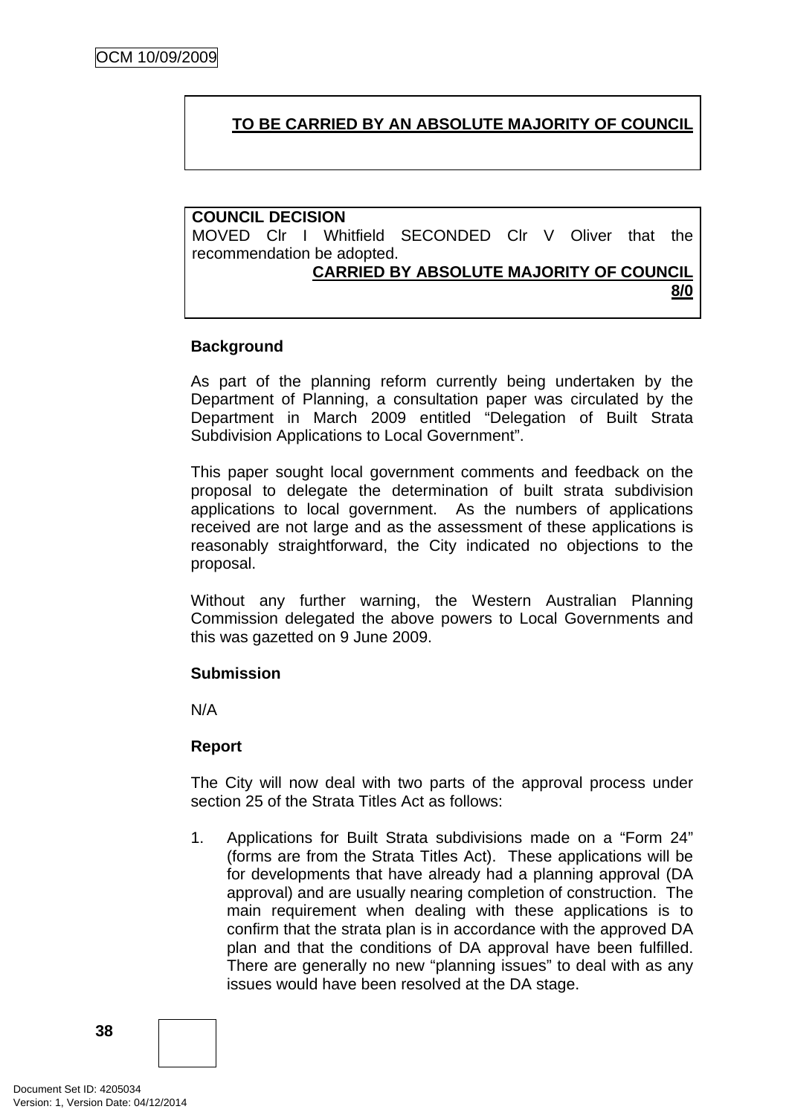# **TO BE CARRIED BY AN ABSOLUTE MAJORITY OF COUNCIL**

# **COUNCIL DECISION**

MOVED Clr I Whitfield SECONDED Clr V Oliver that the recommendation be adopted.

# **CARRIED BY ABSOLUTE MAJORITY OF COUNCIL**

**8/0**

# **Background**

As part of the planning reform currently being undertaken by the Department of Planning, a consultation paper was circulated by the Department in March 2009 entitled "Delegation of Built Strata Subdivision Applications to Local Government".

This paper sought local government comments and feedback on the proposal to delegate the determination of built strata subdivision applications to local government. As the numbers of applications received are not large and as the assessment of these applications is reasonably straightforward, the City indicated no objections to the proposal.

Without any further warning, the Western Australian Planning Commission delegated the above powers to Local Governments and this was gazetted on 9 June 2009.

# **Submission**

N/A

# **Report**

The City will now deal with two parts of the approval process under section 25 of the Strata Titles Act as follows:

1. Applications for Built Strata subdivisions made on a "Form 24" (forms are from the Strata Titles Act). These applications will be for developments that have already had a planning approval (DA approval) and are usually nearing completion of construction. The main requirement when dealing with these applications is to confirm that the strata plan is in accordance with the approved DA plan and that the conditions of DA approval have been fulfilled. There are generally no new "planning issues" to deal with as any issues would have been resolved at the DA stage.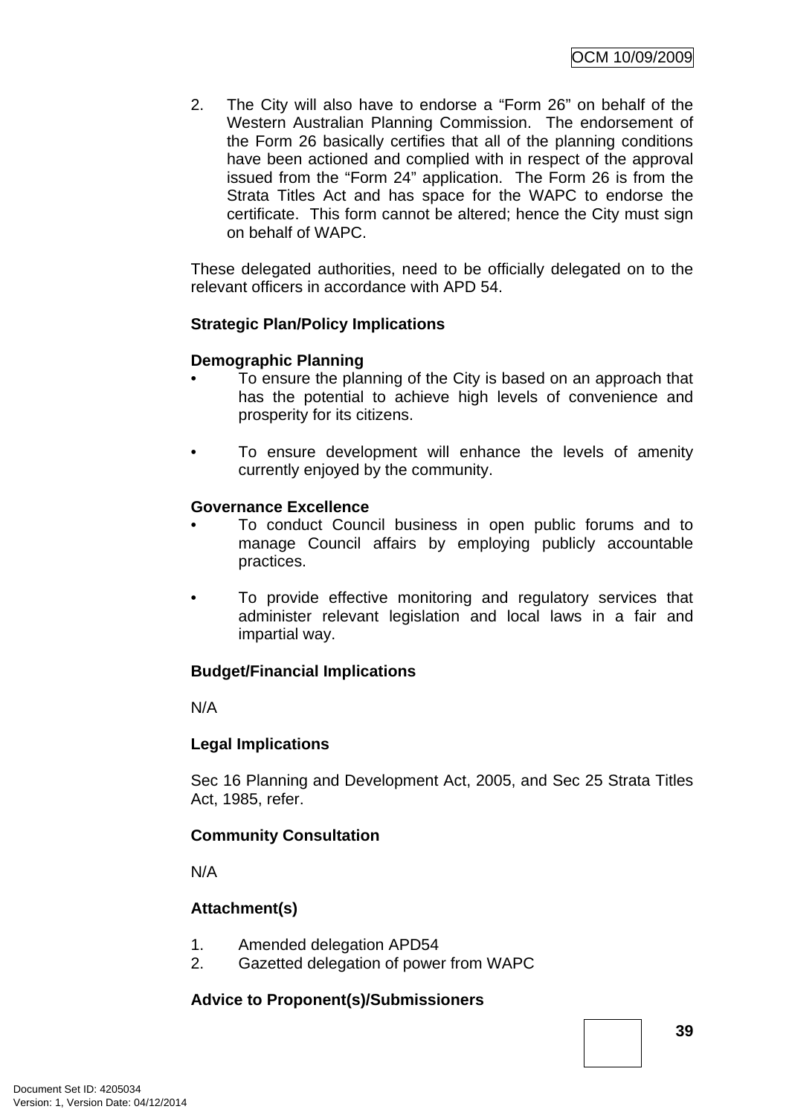2. The City will also have to endorse a "Form 26" on behalf of the Western Australian Planning Commission. The endorsement of the Form 26 basically certifies that all of the planning conditions have been actioned and complied with in respect of the approval issued from the "Form 24" application. The Form 26 is from the Strata Titles Act and has space for the WAPC to endorse the certificate. This form cannot be altered; hence the City must sign on behalf of WAPC.

These delegated authorities, need to be officially delegated on to the relevant officers in accordance with APD 54.

# **Strategic Plan/Policy Implications**

#### **Demographic Planning**

- To ensure the planning of the City is based on an approach that has the potential to achieve high levels of convenience and prosperity for its citizens.
- To ensure development will enhance the levels of amenity currently enjoyed by the community.

#### **Governance Excellence**

- To conduct Council business in open public forums and to manage Council affairs by employing publicly accountable practices.
- To provide effective monitoring and regulatory services that administer relevant legislation and local laws in a fair and impartial way.

# **Budget/Financial Implications**

N/A

# **Legal Implications**

Sec 16 Planning and Development Act, 2005, and Sec 25 Strata Titles Act, 1985, refer.

# **Community Consultation**

N/A

# **Attachment(s)**

- 1. Amended delegation APD54
- 2. Gazetted delegation of power from WAPC

# **Advice to Proponent(s)/Submissioners**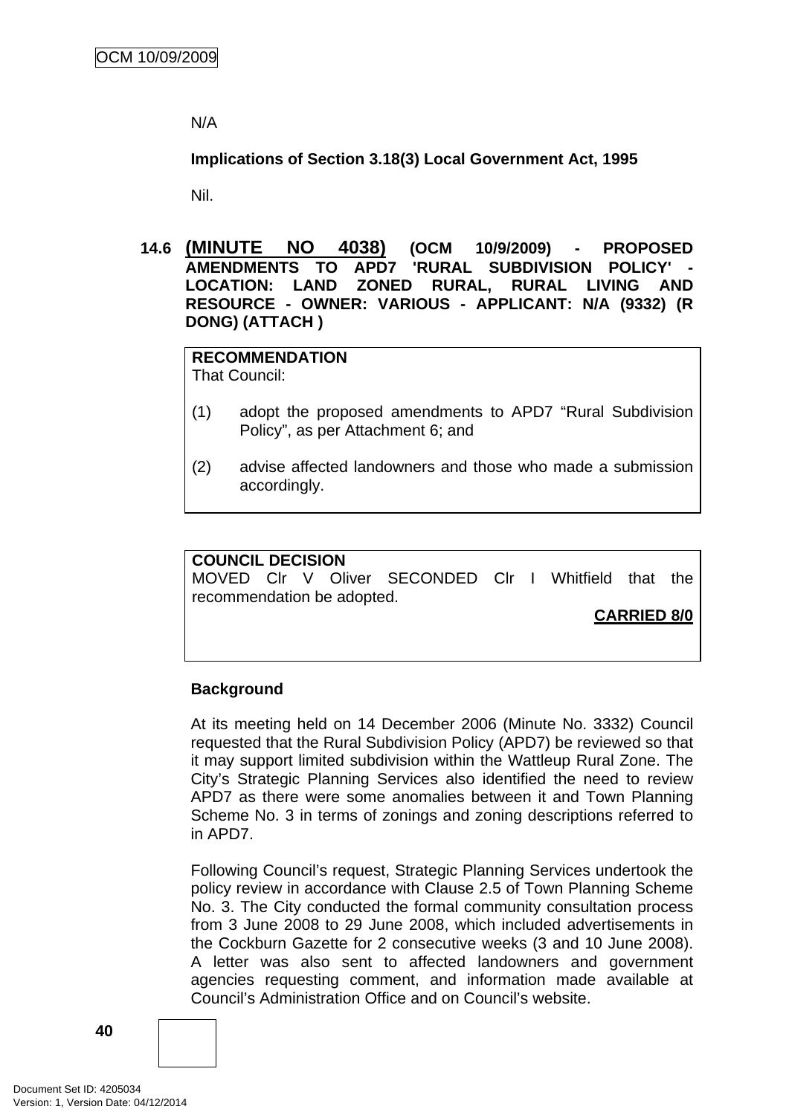N/A

**Implications of Section 3.18(3) Local Government Act, 1995**

Nil.

**14.6 (MINUTE NO 4038) (OCM 10/9/2009) - PROPOSED AMENDMENTS TO APD7 'RURAL SUBDIVISION POLICY' - LOCATION: LAND ZONED RURAL, RURAL LIVING AND RESOURCE - OWNER: VARIOUS - APPLICANT: N/A (9332) (R DONG) (ATTACH )** 

**RECOMMENDATION** That Council:

- (1) adopt the proposed amendments to APD7 "Rural Subdivision Policy", as per Attachment 6; and
- (2) advise affected landowners and those who made a submission accordingly.

**COUNCIL DECISION**  MOVED Clr V Oliver SECONDED Clr I Whitfield that the recommendation be adopted.

**CARRIED 8/0**

# **Background**

At its meeting held on 14 December 2006 (Minute No. 3332) Council requested that the Rural Subdivision Policy (APD7) be reviewed so that it may support limited subdivision within the Wattleup Rural Zone. The City's Strategic Planning Services also identified the need to review APD7 as there were some anomalies between it and Town Planning Scheme No. 3 in terms of zonings and zoning descriptions referred to in APD7.

Following Council's request, Strategic Planning Services undertook the policy review in accordance with Clause 2.5 of Town Planning Scheme No. 3. The City conducted the formal community consultation process from 3 June 2008 to 29 June 2008, which included advertisements in the Cockburn Gazette for 2 consecutive weeks (3 and 10 June 2008). A letter was also sent to affected landowners and government agencies requesting comment, and information made available at Council's Administration Office and on Council's website.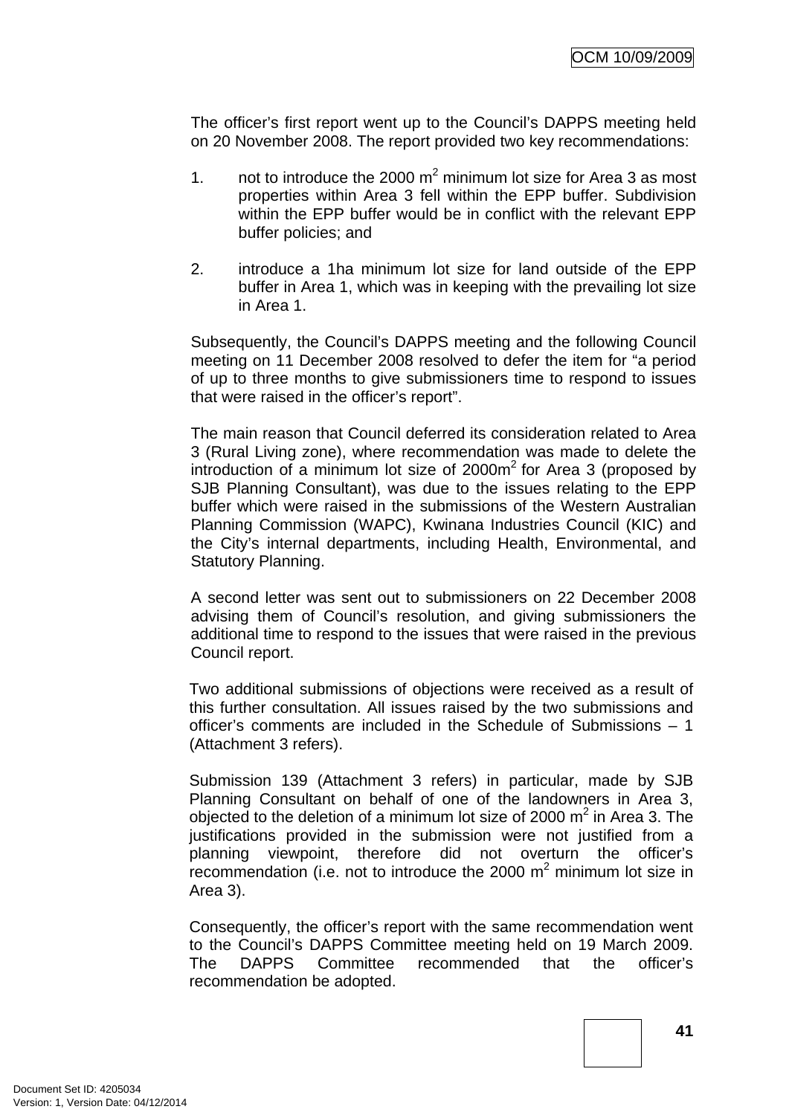The officer's first report went up to the Council's DAPPS meeting held on 20 November 2008. The report provided two key recommendations:

- 1. not to introduce the 2000  $m^2$  minimum lot size for Area 3 as most properties within Area 3 fell within the EPP buffer. Subdivision within the EPP buffer would be in conflict with the relevant EPP buffer policies; and
- 2. introduce a 1ha minimum lot size for land outside of the EPP buffer in Area 1, which was in keeping with the prevailing lot size in Area 1.

Subsequently, the Council's DAPPS meeting and the following Council meeting on 11 December 2008 resolved to defer the item for "a period of up to three months to give submissioners time to respond to issues that were raised in the officer's report".

The main reason that Council deferred its consideration related to Area 3 (Rural Living zone), where recommendation was made to delete the introduction of a minimum lot size of  $2000m^2$  for Area 3 (proposed by SJB Planning Consultant), was due to the issues relating to the EPP buffer which were raised in the submissions of the Western Australian Planning Commission (WAPC), Kwinana Industries Council (KIC) and the City's internal departments, including Health, Environmental, and Statutory Planning.

A second letter was sent out to submissioners on 22 December 2008 advising them of Council's resolution, and giving submissioners the additional time to respond to the issues that were raised in the previous Council report.

Two additional submissions of objections were received as a result of this further consultation. All issues raised by the two submissions and officer's comments are included in the Schedule of Submissions – 1 (Attachment 3 refers).

Submission 139 (Attachment 3 refers) in particular, made by SJB Planning Consultant on behalf of one of the landowners in Area 3, objected to the deletion of a minimum lot size of 2000  $m^2$  in Area 3. The justifications provided in the submission were not justified from a planning viewpoint, therefore did not overturn the officer's recommendation (i.e. not to introduce the 2000  $m^2$  minimum lot size in Area 3).

Consequently, the officer's report with the same recommendation went to the Council's DAPPS Committee meeting held on 19 March 2009. The DAPPS Committee recommended that the officer's recommendation be adopted.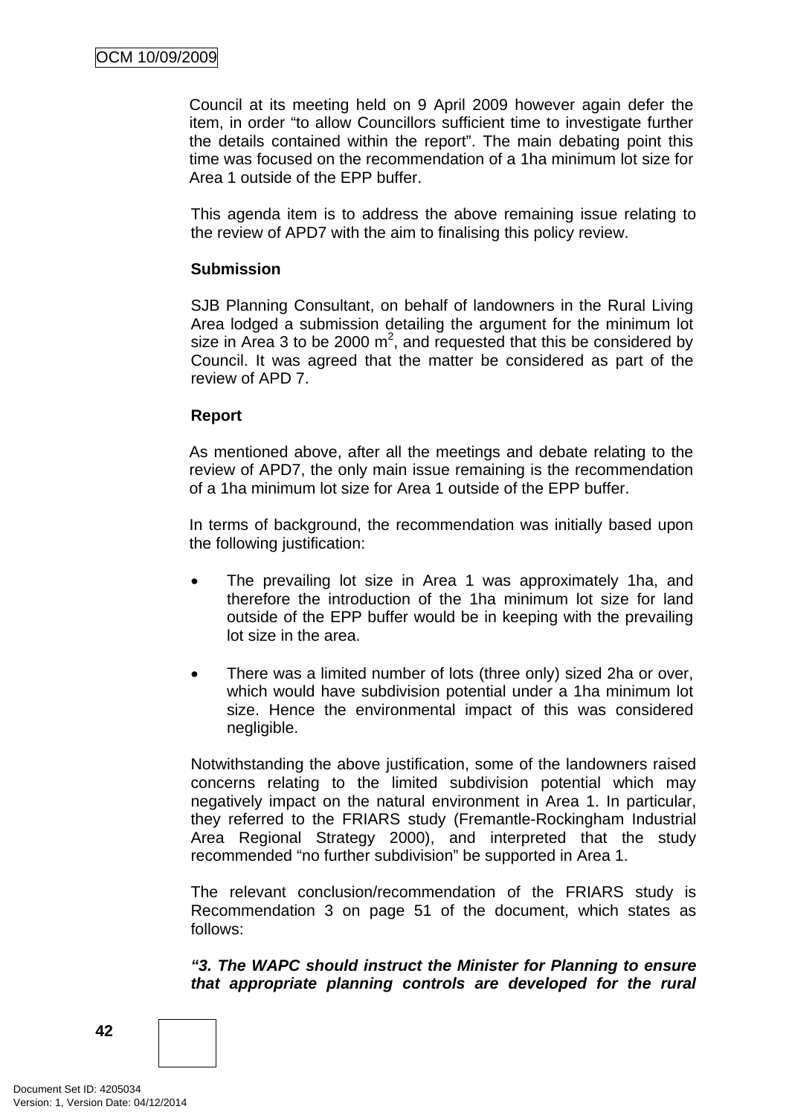Council at its meeting held on 9 April 2009 however again defer the item, in order "to allow Councillors sufficient time to investigate further the details contained within the report". The main debating point this time was focused on the recommendation of a 1ha minimum lot size for Area 1 outside of the EPP buffer.

This agenda item is to address the above remaining issue relating to the review of APD7 with the aim to finalising this policy review.

# **Submission**

SJB Planning Consultant, on behalf of landowners in the Rural Living Area lodged a submission detailing the argument for the minimum lot size in Area 3 to be 2000  $m^2$ , and requested that this be considered by Council. It was agreed that the matter be considered as part of the review of APD 7.

# **Report**

As mentioned above, after all the meetings and debate relating to the review of APD7, the only main issue remaining is the recommendation of a 1ha minimum lot size for Area 1 outside of the EPP buffer.

In terms of background, the recommendation was initially based upon the following justification:

- The prevailing lot size in Area 1 was approximately 1ha, and therefore the introduction of the 1ha minimum lot size for land outside of the EPP buffer would be in keeping with the prevailing lot size in the area.
- There was a limited number of lots (three only) sized 2ha or over, which would have subdivision potential under a 1ha minimum lot size. Hence the environmental impact of this was considered negligible.

Notwithstanding the above justification, some of the landowners raised concerns relating to the limited subdivision potential which may negatively impact on the natural environment in Area 1. In particular, they referred to the FRIARS study (Fremantle-Rockingham Industrial Area Regional Strategy 2000), and interpreted that the study recommended "no further subdivision" be supported in Area 1.

The relevant conclusion/recommendation of the FRIARS study is Recommendation 3 on page 51 of the document, which states as follows:

*"3. The WAPC should instruct the Minister for Planning to ensure that appropriate planning controls are developed for the rural* 

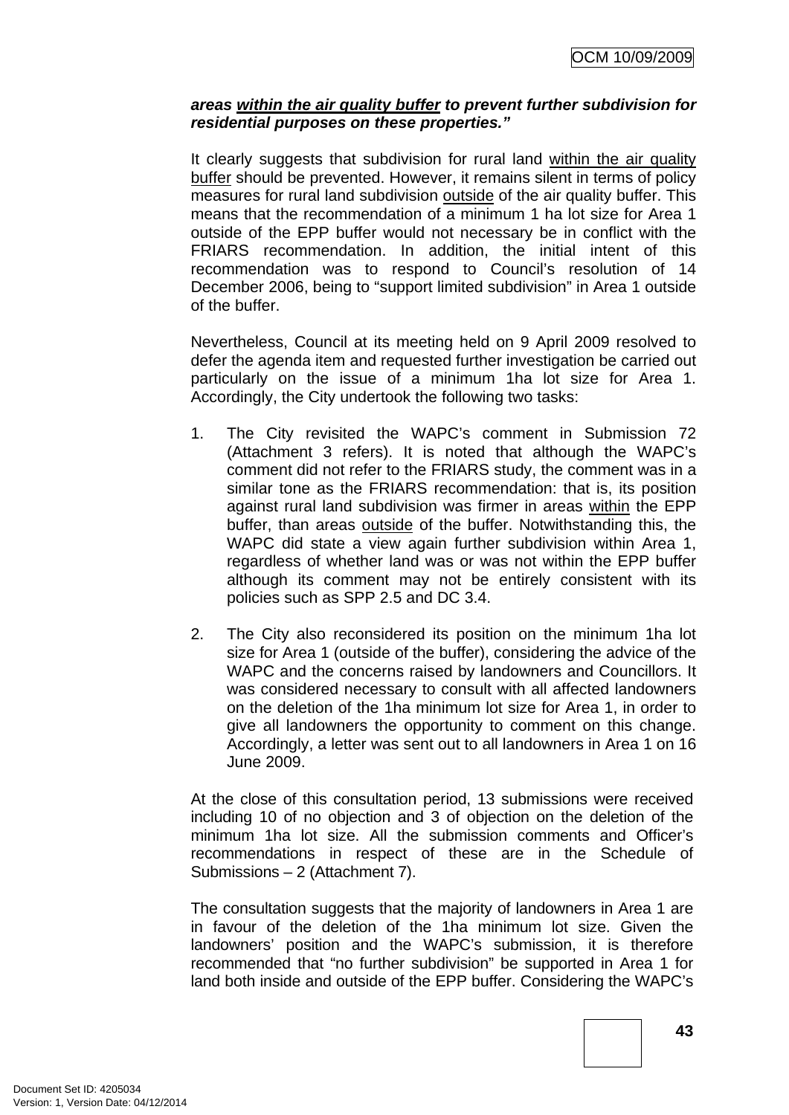# *areas within the air quality buffer to prevent further subdivision for residential purposes on these properties."*

It clearly suggests that subdivision for rural land within the air quality buffer should be prevented. However, it remains silent in terms of policy measures for rural land subdivision outside of the air quality buffer. This means that the recommendation of a minimum 1 ha lot size for Area 1 outside of the EPP buffer would not necessary be in conflict with the FRIARS recommendation. In addition, the initial intent of this recommendation was to respond to Council's resolution of 14 December 2006, being to "support limited subdivision" in Area 1 outside of the buffer.

Nevertheless, Council at its meeting held on 9 April 2009 resolved to defer the agenda item and requested further investigation be carried out particularly on the issue of a minimum 1ha lot size for Area 1. Accordingly, the City undertook the following two tasks:

- 1. The City revisited the WAPC's comment in Submission 72 (Attachment 3 refers). It is noted that although the WAPC's comment did not refer to the FRIARS study, the comment was in a similar tone as the FRIARS recommendation: that is, its position against rural land subdivision was firmer in areas within the EPP buffer, than areas outside of the buffer. Notwithstanding this, the WAPC did state a view again further subdivision within Area 1, regardless of whether land was or was not within the EPP buffer although its comment may not be entirely consistent with its policies such as SPP 2.5 and DC 3.4.
- 2. The City also reconsidered its position on the minimum 1ha lot size for Area 1 (outside of the buffer), considering the advice of the WAPC and the concerns raised by landowners and Councillors. It was considered necessary to consult with all affected landowners on the deletion of the 1ha minimum lot size for Area 1, in order to give all landowners the opportunity to comment on this change. Accordingly, a letter was sent out to all landowners in Area 1 on 16 June 2009.

At the close of this consultation period, 13 submissions were received including 10 of no objection and 3 of objection on the deletion of the minimum 1ha lot size. All the submission comments and Officer's recommendations in respect of these are in the Schedule of Submissions – 2 (Attachment 7).

The consultation suggests that the majority of landowners in Area 1 are in favour of the deletion of the 1ha minimum lot size. Given the landowners' position and the WAPC's submission, it is therefore recommended that "no further subdivision" be supported in Area 1 for land both inside and outside of the EPP buffer. Considering the WAPC's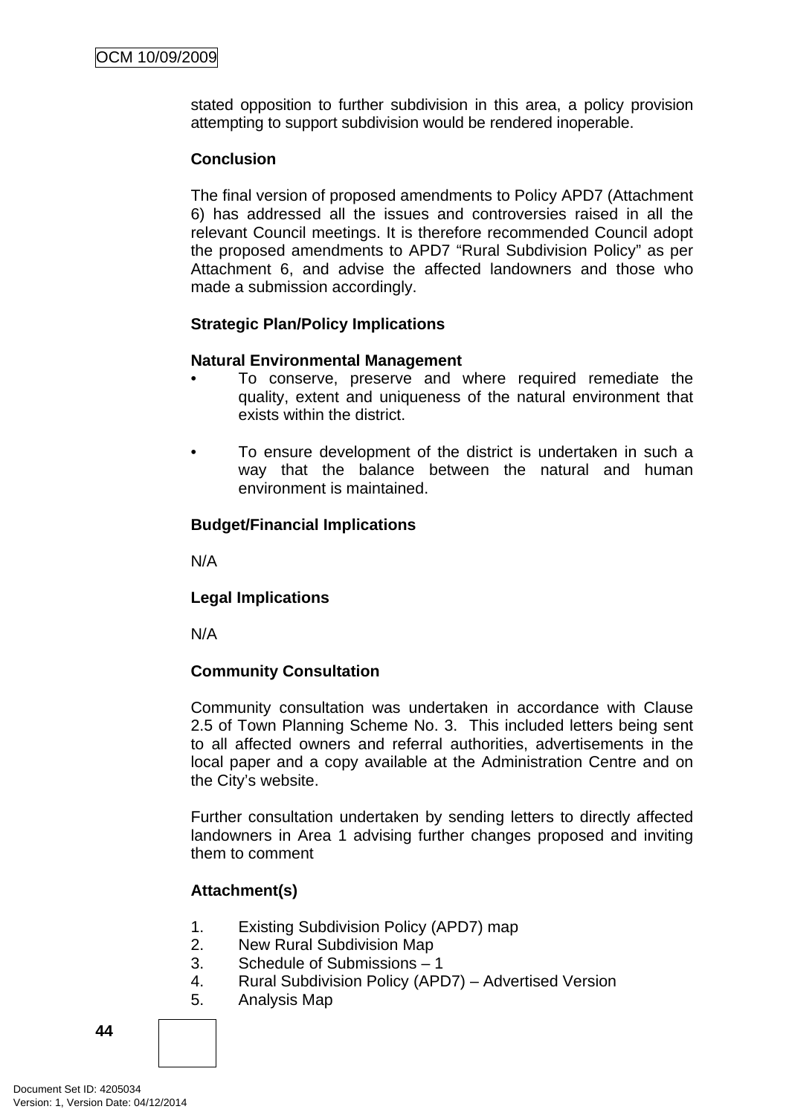stated opposition to further subdivision in this area, a policy provision attempting to support subdivision would be rendered inoperable.

# **Conclusion**

The final version of proposed amendments to Policy APD7 (Attachment 6) has addressed all the issues and controversies raised in all the relevant Council meetings. It is therefore recommended Council adopt the proposed amendments to APD7 "Rural Subdivision Policy" as per Attachment 6, and advise the affected landowners and those who made a submission accordingly.

# **Strategic Plan/Policy Implications**

# **Natural Environmental Management**

- To conserve, preserve and where required remediate the quality, extent and uniqueness of the natural environment that exists within the district.
- To ensure development of the district is undertaken in such a way that the balance between the natural and human environment is maintained.

# **Budget/Financial Implications**

N/A

# **Legal Implications**

N/A

# **Community Consultation**

Community consultation was undertaken in accordance with Clause 2.5 of Town Planning Scheme No. 3. This included letters being sent to all affected owners and referral authorities, advertisements in the local paper and a copy available at the Administration Centre and on the City's website.

Further consultation undertaken by sending letters to directly affected landowners in Area 1 advising further changes proposed and inviting them to comment

# **Attachment(s)**

- 1. Existing Subdivision Policy (APD7) map
- 2. New Rural Subdivision Map
- 3. Schedule of Submissions 1
- 4. Rural Subdivision Policy (APD7) Advertised Version
- 5. Analysis Map

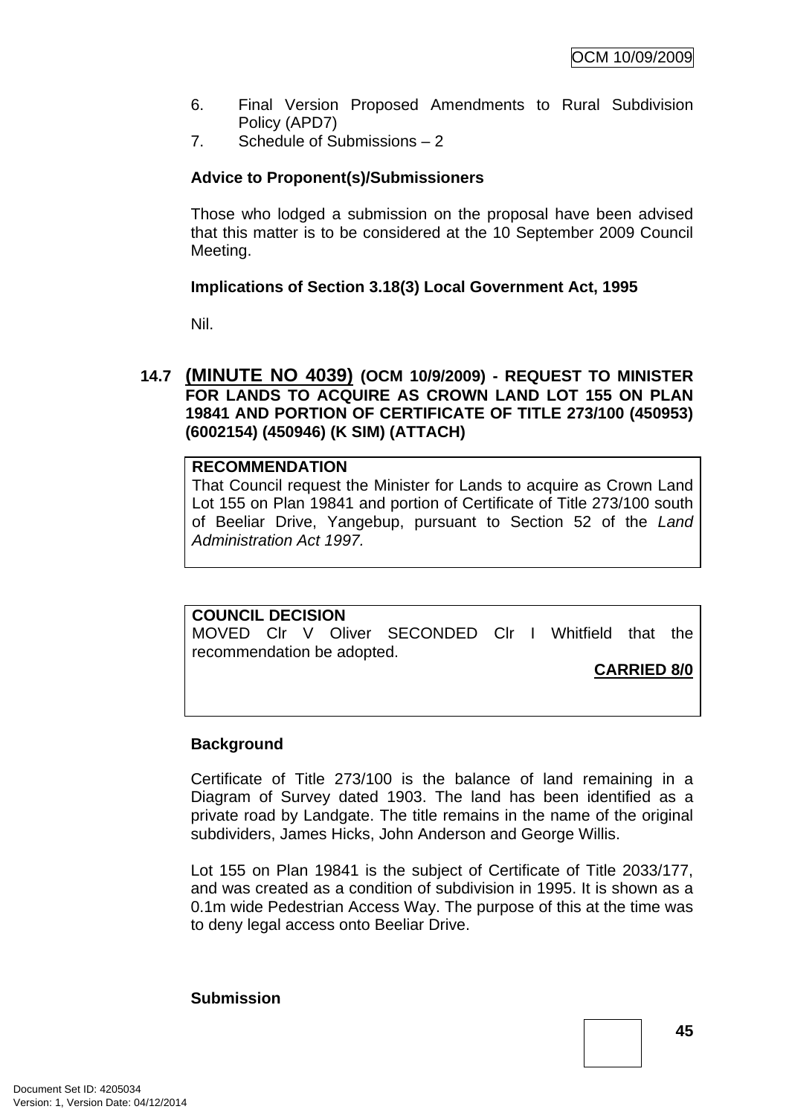- 6. Final Version Proposed Amendments to Rural Subdivision Policy (APD7)
- 7. Schedule of Submissions 2

# **Advice to Proponent(s)/Submissioners**

Those who lodged a submission on the proposal have been advised that this matter is to be considered at the 10 September 2009 Council Meeting.

# **Implications of Section 3.18(3) Local Government Act, 1995**

Nil.

# **14.7 (MINUTE NO 4039) (OCM 10/9/2009) - REQUEST TO MINISTER FOR LANDS TO ACQUIRE AS CROWN LAND LOT 155 ON PLAN 19841 AND PORTION OF CERTIFICATE OF TITLE 273/100 (450953) (6002154) (450946) (K SIM) (ATTACH)**

# **RECOMMENDATION**

That Council request the Minister for Lands to acquire as Crown Land Lot 155 on Plan 19841 and portion of Certificate of Title 273/100 south of Beeliar Drive, Yangebup, pursuant to Section 52 of the *Land Administration Act 1997.*

#### **COUNCIL DECISION**

MOVED Clr V Oliver SECONDED Clr I Whitfield that the recommendation be adopted.

**CARRIED 8/0**

# **Background**

Certificate of Title 273/100 is the balance of land remaining in a Diagram of Survey dated 1903. The land has been identified as a private road by Landgate. The title remains in the name of the original subdividers, James Hicks, John Anderson and George Willis.

Lot 155 on Plan 19841 is the subject of Certificate of Title 2033/177, and was created as a condition of subdivision in 1995. It is shown as a 0.1m wide Pedestrian Access Way. The purpose of this at the time was to deny legal access onto Beeliar Drive.

#### **Submission**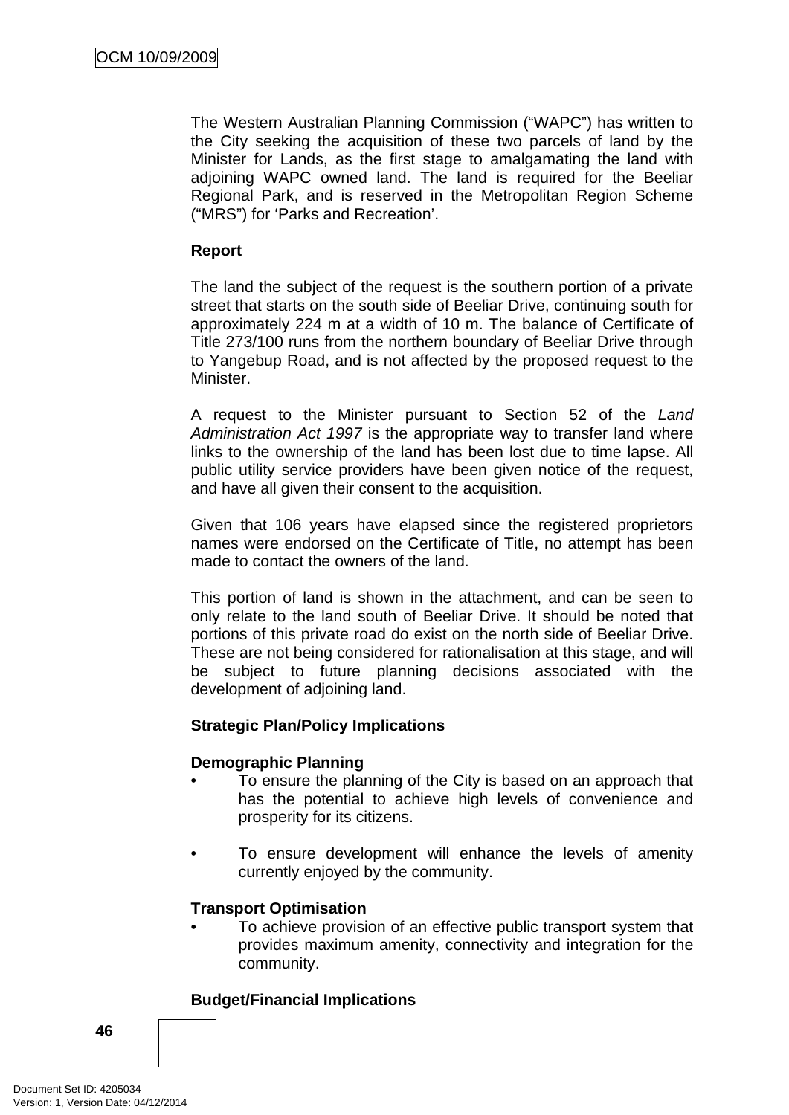The Western Australian Planning Commission ("WAPC") has written to the City seeking the acquisition of these two parcels of land by the Minister for Lands, as the first stage to amalgamating the land with adjoining WAPC owned land. The land is required for the Beeliar Regional Park, and is reserved in the Metropolitan Region Scheme ("MRS") for 'Parks and Recreation'.

# **Report**

The land the subject of the request is the southern portion of a private street that starts on the south side of Beeliar Drive, continuing south for approximately 224 m at a width of 10 m. The balance of Certificate of Title 273/100 runs from the northern boundary of Beeliar Drive through to Yangebup Road, and is not affected by the proposed request to the Minister.

A request to the Minister pursuant to Section 52 of the *Land Administration Act 1997* is the appropriate way to transfer land where links to the ownership of the land has been lost due to time lapse. All public utility service providers have been given notice of the request, and have all given their consent to the acquisition.

Given that 106 years have elapsed since the registered proprietors names were endorsed on the Certificate of Title, no attempt has been made to contact the owners of the land.

This portion of land is shown in the attachment, and can be seen to only relate to the land south of Beeliar Drive. It should be noted that portions of this private road do exist on the north side of Beeliar Drive. These are not being considered for rationalisation at this stage, and will be subject to future planning decisions associated with the development of adjoining land.

# **Strategic Plan/Policy Implications**

# **Demographic Planning**

- To ensure the planning of the City is based on an approach that has the potential to achieve high levels of convenience and prosperity for its citizens.
- To ensure development will enhance the levels of amenity currently enjoyed by the community.

# **Transport Optimisation**

• To achieve provision of an effective public transport system that provides maximum amenity, connectivity and integration for the community.

# **Budget/Financial Implications**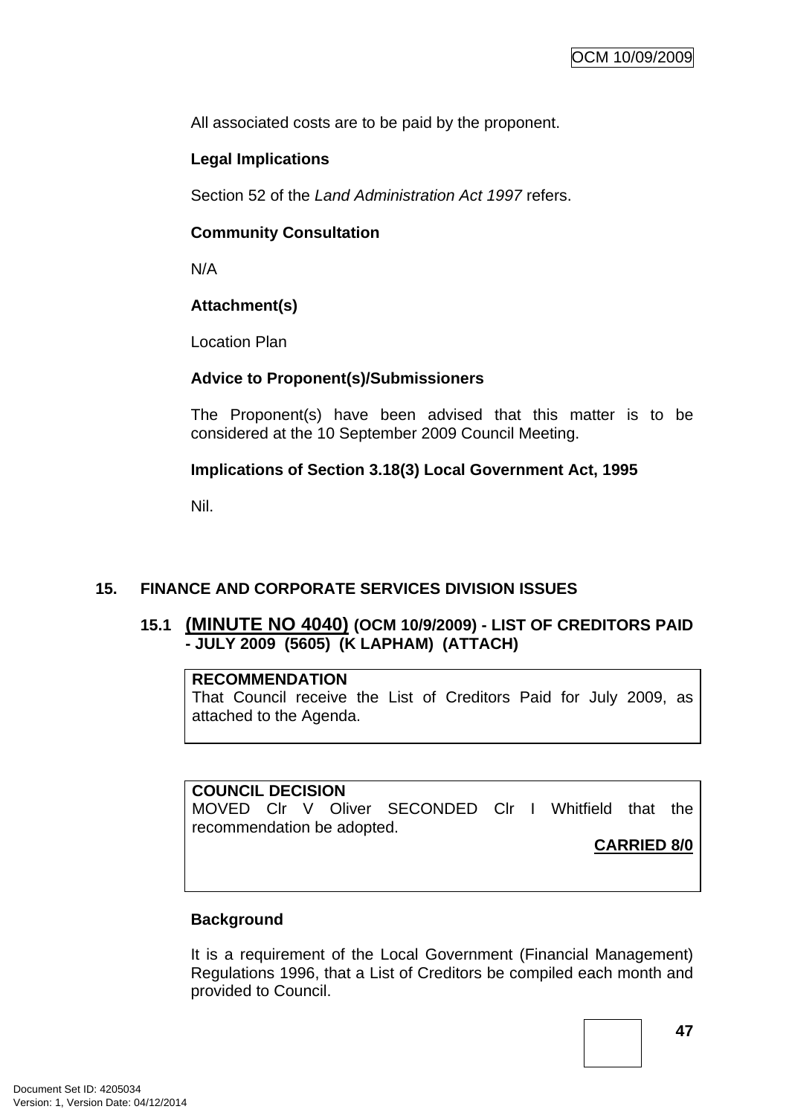All associated costs are to be paid by the proponent.

# **Legal Implications**

Section 52 of the *Land Administration Act 1997* refers.

# **Community Consultation**

N/A

# **Attachment(s)**

Location Plan

# **Advice to Proponent(s)/Submissioners**

The Proponent(s) have been advised that this matter is to be considered at the 10 September 2009 Council Meeting.

# **Implications of Section 3.18(3) Local Government Act, 1995**

Nil.

# **15. FINANCE AND CORPORATE SERVICES DIVISION ISSUES**

# **15.1 (MINUTE NO 4040) (OCM 10/9/2009) - LIST OF CREDITORS PAID - JULY 2009 (5605) (K LAPHAM) (ATTACH)**

#### **RECOMMENDATION**

That Council receive the List of Creditors Paid for July 2009, as attached to the Agenda.

**COUNCIL DECISION**  MOVED Clr V Oliver SECONDED Clr I Whitfield that the recommendation be adopted.

**CARRIED 8/0**

# **Background**

It is a requirement of the Local Government (Financial Management) Regulations 1996, that a List of Creditors be compiled each month and provided to Council.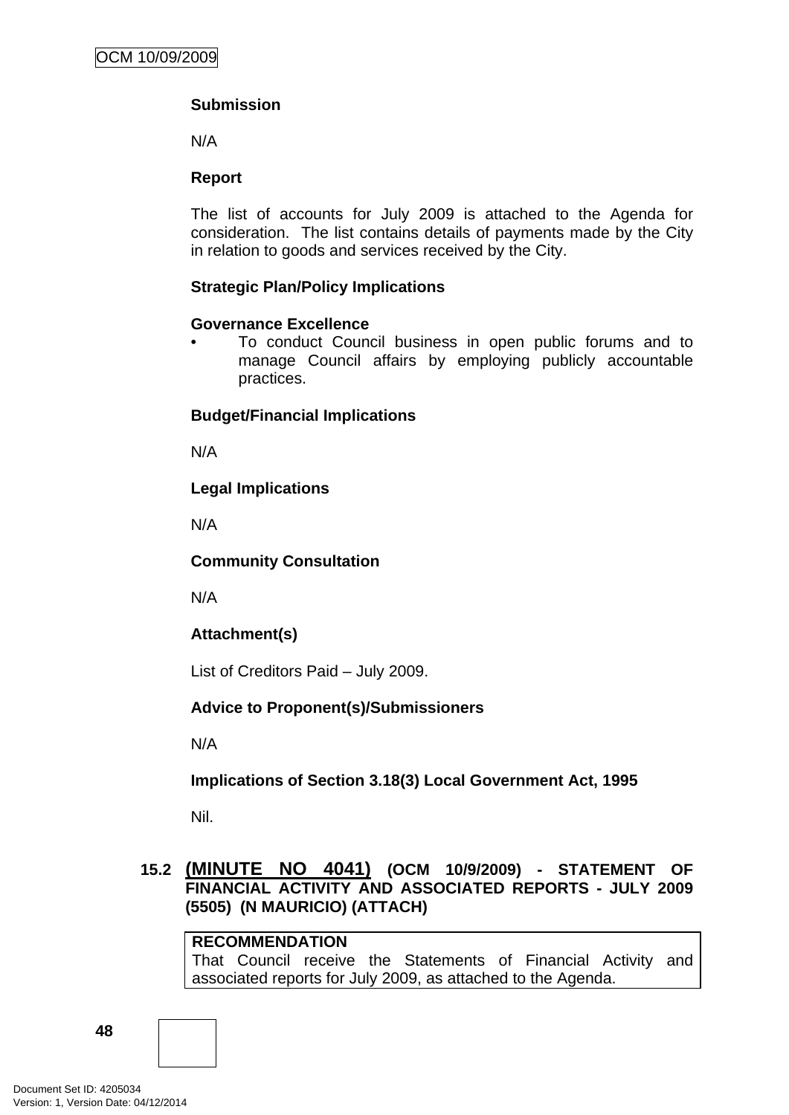# **Submission**

N/A

# **Report**

The list of accounts for July 2009 is attached to the Agenda for consideration. The list contains details of payments made by the City in relation to goods and services received by the City.

# **Strategic Plan/Policy Implications**

# **Governance Excellence**

• To conduct Council business in open public forums and to manage Council affairs by employing publicly accountable practices.

# **Budget/Financial Implications**

N/A

# **Legal Implications**

N/A

# **Community Consultation**

N/A

# **Attachment(s)**

List of Creditors Paid – July 2009.

# **Advice to Proponent(s)/Submissioners**

N/A

# **Implications of Section 3.18(3) Local Government Act, 1995**

Nil.

# **15.2 (MINUTE NO 4041) (OCM 10/9/2009) - STATEMENT OF FINANCIAL ACTIVITY AND ASSOCIATED REPORTS - JULY 2009 (5505) (N MAURICIO) (ATTACH)**

# **RECOMMENDATION**

That Council receive the Statements of Financial Activity and associated reports for July 2009, as attached to the Agenda.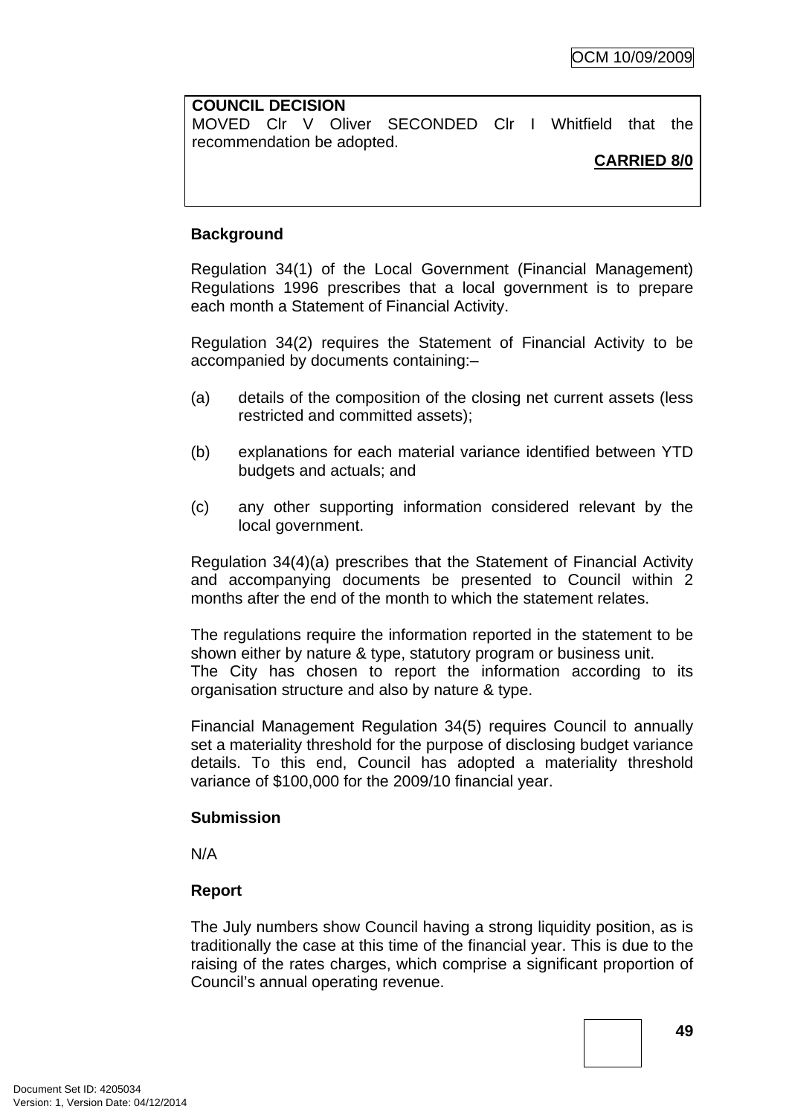# **COUNCIL DECISION**  MOVED Clr V Oliver SECONDED Clr I Whitfield that the recommendation be adopted.

#### **CARRIED 8/0**

# **Background**

Regulation 34(1) of the Local Government (Financial Management) Regulations 1996 prescribes that a local government is to prepare each month a Statement of Financial Activity.

Regulation 34(2) requires the Statement of Financial Activity to be accompanied by documents containing:–

- (a) details of the composition of the closing net current assets (less restricted and committed assets);
- (b) explanations for each material variance identified between YTD budgets and actuals; and
- (c) any other supporting information considered relevant by the local government.

Regulation 34(4)(a) prescribes that the Statement of Financial Activity and accompanying documents be presented to Council within 2 months after the end of the month to which the statement relates.

The regulations require the information reported in the statement to be shown either by nature & type, statutory program or business unit. The City has chosen to report the information according to its organisation structure and also by nature & type.

Financial Management Regulation 34(5) requires Council to annually set a materiality threshold for the purpose of disclosing budget variance details. To this end, Council has adopted a materiality threshold variance of \$100,000 for the 2009/10 financial year.

# **Submission**

N/A

# **Report**

The July numbers show Council having a strong liquidity position, as is traditionally the case at this time of the financial year. This is due to the raising of the rates charges, which comprise a significant proportion of Council's annual operating revenue.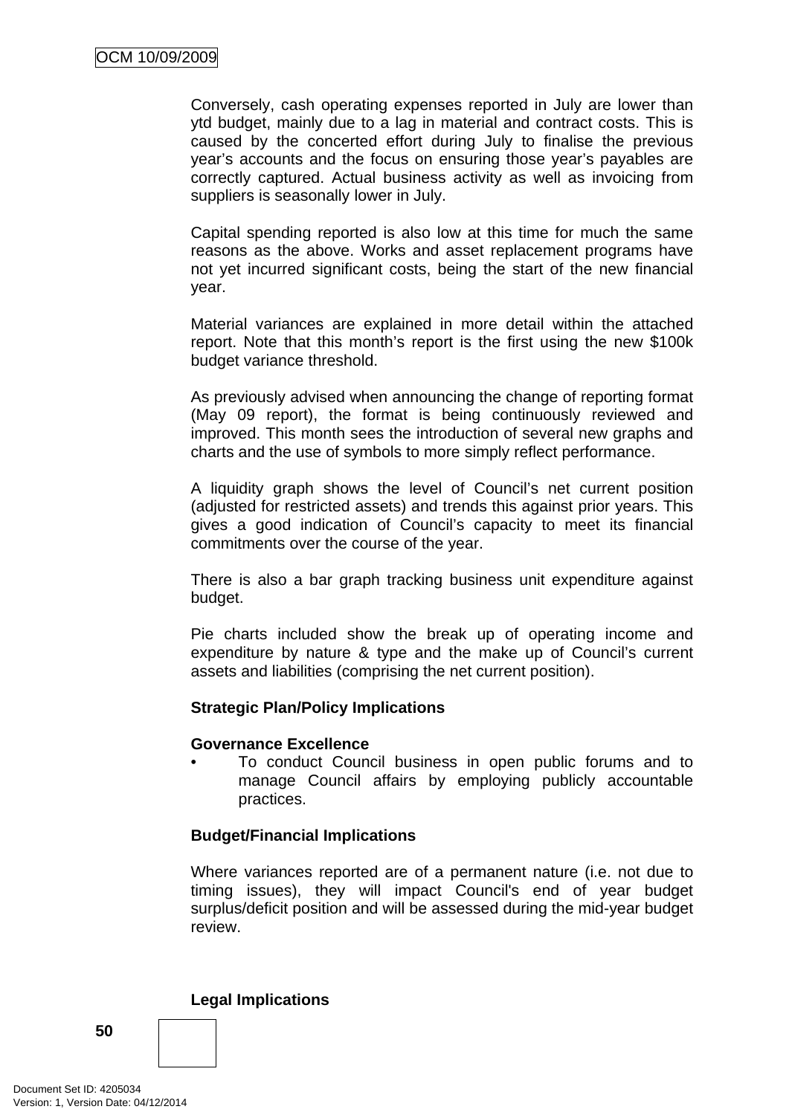Conversely, cash operating expenses reported in July are lower than ytd budget, mainly due to a lag in material and contract costs. This is caused by the concerted effort during July to finalise the previous year's accounts and the focus on ensuring those year's payables are correctly captured. Actual business activity as well as invoicing from suppliers is seasonally lower in July.

Capital spending reported is also low at this time for much the same reasons as the above. Works and asset replacement programs have not yet incurred significant costs, being the start of the new financial year.

Material variances are explained in more detail within the attached report. Note that this month's report is the first using the new \$100k budget variance threshold.

As previously advised when announcing the change of reporting format (May 09 report), the format is being continuously reviewed and improved. This month sees the introduction of several new graphs and charts and the use of symbols to more simply reflect performance.

A liquidity graph shows the level of Council's net current position (adjusted for restricted assets) and trends this against prior years. This gives a good indication of Council's capacity to meet its financial commitments over the course of the year.

There is also a bar graph tracking business unit expenditure against budget.

Pie charts included show the break up of operating income and expenditure by nature & type and the make up of Council's current assets and liabilities (comprising the net current position).

# **Strategic Plan/Policy Implications**

#### **Governance Excellence**

• To conduct Council business in open public forums and to manage Council affairs by employing publicly accountable practices.

# **Budget/Financial Implications**

Where variances reported are of a permanent nature (i.e. not due to timing issues), they will impact Council's end of year budget surplus/deficit position and will be assessed during the mid-year budget review.

#### **Legal Implications**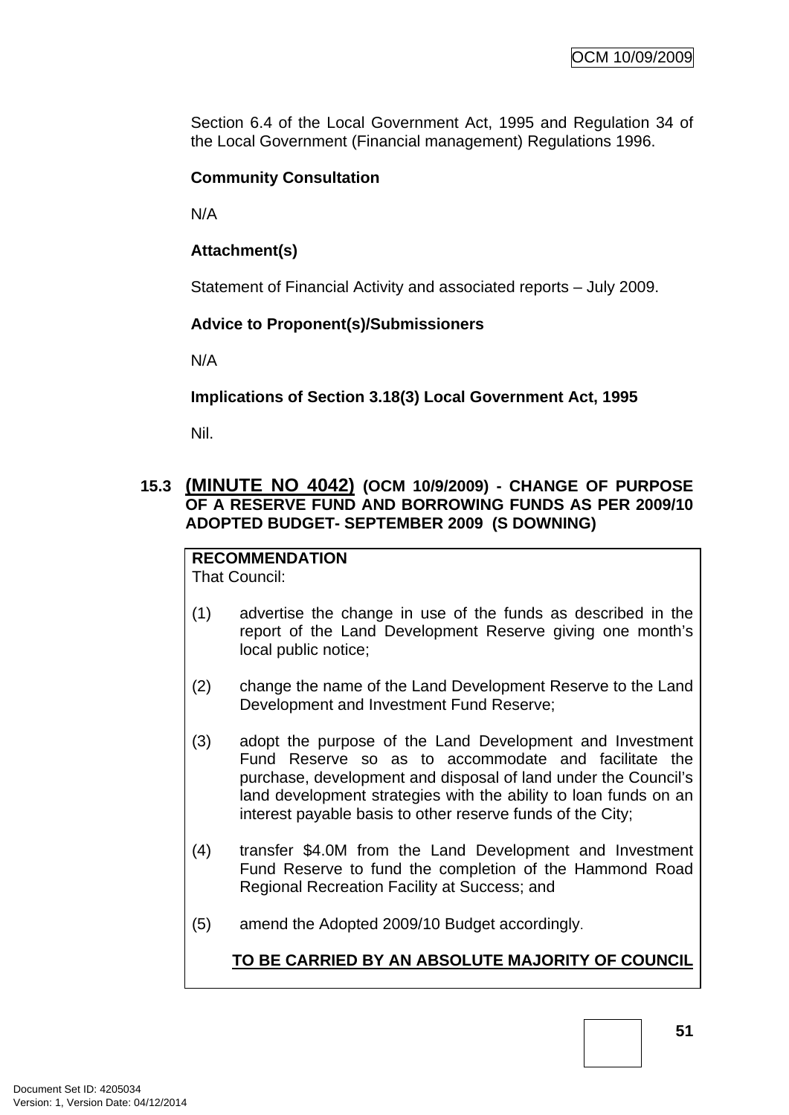Section 6.4 of the Local Government Act, 1995 and Regulation 34 of the Local Government (Financial management) Regulations 1996.

# **Community Consultation**

N/A

# **Attachment(s)**

Statement of Financial Activity and associated reports – July 2009.

# **Advice to Proponent(s)/Submissioners**

N/A

# **Implications of Section 3.18(3) Local Government Act, 1995**

Nil.

# **15.3 (MINUTE NO 4042) (OCM 10/9/2009) - CHANGE OF PURPOSE OF A RESERVE FUND AND BORROWING FUNDS AS PER 2009/10 ADOPTED BUDGET- SEPTEMBER 2009 (S DOWNING)**

**RECOMMENDATION** That Council:

- (1) advertise the change in use of the funds as described in the report of the Land Development Reserve giving one month's local public notice;
- (2) change the name of the Land Development Reserve to the Land Development and Investment Fund Reserve;
- (3) adopt the purpose of the Land Development and Investment Fund Reserve so as to accommodate and facilitate the purchase, development and disposal of land under the Council's land development strategies with the ability to loan funds on an interest payable basis to other reserve funds of the City;
- (4) transfer \$4.0M from the Land Development and Investment Fund Reserve to fund the completion of the Hammond Road Regional Recreation Facility at Success; and
- (5) amend the Adopted 2009/10 Budget accordingly.

# **TO BE CARRIED BY AN ABSOLUTE MAJORITY OF COUNCIL**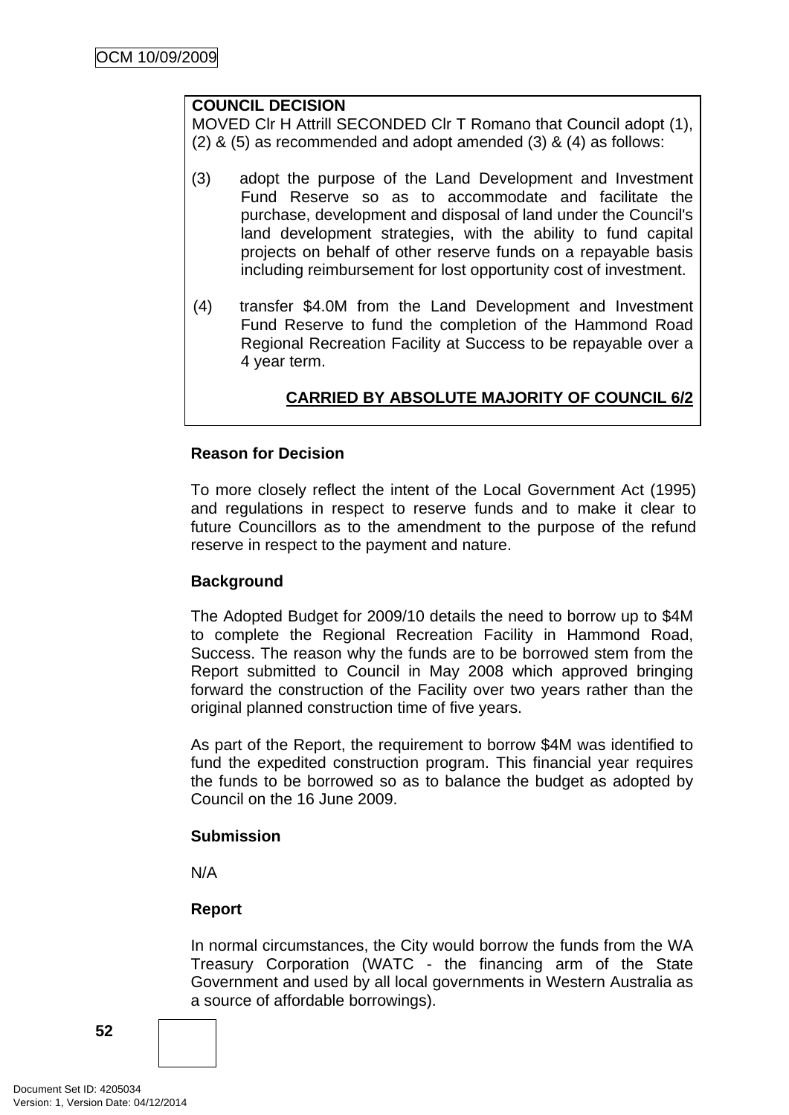#### **COUNCIL DECISION**

MOVED Clr H Attrill SECONDED Clr T Romano that Council adopt (1), (2) & (5) as recommended and adopt amended (3) & (4) as follows:

- (3) adopt the purpose of the Land Development and Investment Fund Reserve so as to accommodate and facilitate the purchase, development and disposal of land under the Council's land development strategies, with the ability to fund capital projects on behalf of other reserve funds on a repayable basis including reimbursement for lost opportunity cost of investment.
- (4) transfer \$4.0M from the Land Development and Investment Fund Reserve to fund the completion of the Hammond Road Regional Recreation Facility at Success to be repayable over a 4 year term.

# **CARRIED BY ABSOLUTE MAJORITY OF COUNCIL 6/2**

#### **Reason for Decision**

To more closely reflect the intent of the Local Government Act (1995) and regulations in respect to reserve funds and to make it clear to future Councillors as to the amendment to the purpose of the refund reserve in respect to the payment and nature.

# **Background**

The Adopted Budget for 2009/10 details the need to borrow up to \$4M to complete the Regional Recreation Facility in Hammond Road, Success. The reason why the funds are to be borrowed stem from the Report submitted to Council in May 2008 which approved bringing forward the construction of the Facility over two years rather than the original planned construction time of five years.

As part of the Report, the requirement to borrow \$4M was identified to fund the expedited construction program. This financial year requires the funds to be borrowed so as to balance the budget as adopted by Council on the 16 June 2009.

#### **Submission**

N/A

# **Report**

In normal circumstances, the City would borrow the funds from the WA Treasury Corporation (WATC - the financing arm of the State Government and used by all local governments in Western Australia as a source of affordable borrowings).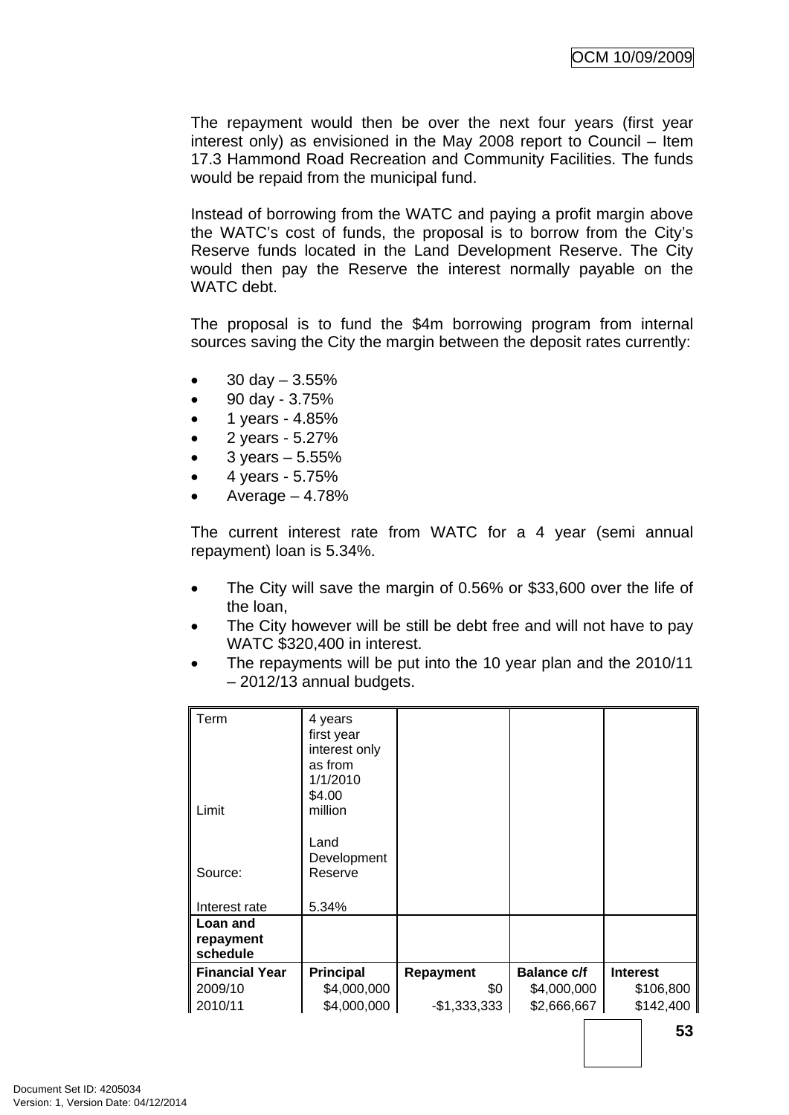The repayment would then be over the next four years (first year interest only) as envisioned in the May 2008 report to Council – Item 17.3 Hammond Road Recreation and Community Facilities. The funds would be repaid from the municipal fund.

Instead of borrowing from the WATC and paying a profit margin above the WATC's cost of funds, the proposal is to borrow from the City's Reserve funds located in the Land Development Reserve. The City would then pay the Reserve the interest normally payable on the WATC debt.

The proposal is to fund the \$4m borrowing program from internal sources saving the City the margin between the deposit rates currently:

- 30 day  $3.55\%$
- 90 day 3.75%
- 1 years 4.85%
- 2 years 5.27%
- $3 \text{ years} 5.55\%$
- 4 years 5.75%
- Average  $-4.78%$

The current interest rate from WATC for a 4 year (semi annual repayment) loan is 5.34%.

- The City will save the margin of 0.56% or \$33,600 over the life of the loan,
- The City however will be still be debt free and will not have to pay WATC \$320,400 in interest.
- The repayments will be put into the 10 year plan and the 2010/11 – 2012/13 annual budgets.

| Term<br>Limit                     | 4 years<br>first year<br>interest only<br>as from<br>1/1/2010<br>\$4.00<br>million<br>Land<br>Development |                  |                    |                 |
|-----------------------------------|-----------------------------------------------------------------------------------------------------------|------------------|--------------------|-----------------|
| Source:                           | Reserve                                                                                                   |                  |                    |                 |
| Interest rate                     | 5.34%                                                                                                     |                  |                    |                 |
| Loan and<br>repayment<br>schedule |                                                                                                           |                  |                    |                 |
| <b>Financial Year</b>             | <b>Principal</b>                                                                                          | <b>Repayment</b> | <b>Balance c/f</b> | <b>Interest</b> |
| 2009/10                           | \$4,000,000                                                                                               | \$0              | \$4,000,000        | \$106,800       |
| 2010/11                           | \$4,000,000                                                                                               | $-$1,333,333$    | \$2,666,667        | \$142,400       |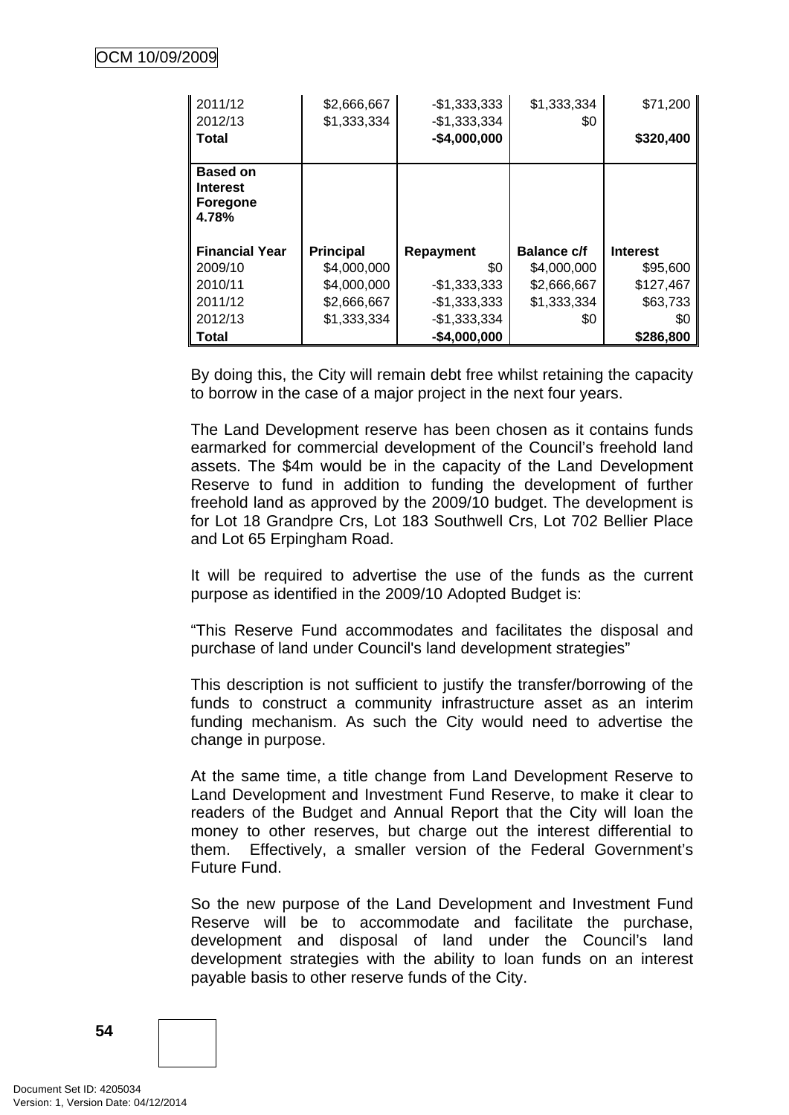| 2011/12                                                 | \$2,666,667      | $-$1,333,333$                  | \$1,333,334        | \$71,200        |
|---------------------------------------------------------|------------------|--------------------------------|--------------------|-----------------|
| 2012/13<br>Total                                        | \$1,333,334      | $-$1,333,334$<br>$-$4,000,000$ | \$0                | \$320,400       |
|                                                         |                  |                                |                    |                 |
| <b>Based on</b><br><b>Interest</b><br>Foregone<br>4.78% |                  |                                |                    |                 |
| <b>Financial Year</b>                                   | <b>Principal</b> | Repayment                      | <b>Balance c/f</b> | <b>Interest</b> |
| 2009/10                                                 | \$4,000,000      | \$0                            | \$4,000,000        | \$95,600        |
| 2010/11                                                 | \$4,000,000      | $-$1,333,333$                  | \$2,666,667        | \$127,467       |
| 2011/12                                                 | \$2,666,667      | $-$1,333,333$                  | \$1,333,334        | \$63,733        |
| 2012/13                                                 | \$1,333,334      | $-$1,333,334$                  | \$0                | \$0             |
| Total                                                   |                  | $-$4,000,000$                  |                    | \$286,800       |

By doing this, the City will remain debt free whilst retaining the capacity to borrow in the case of a major project in the next four years.

The Land Development reserve has been chosen as it contains funds earmarked for commercial development of the Council's freehold land assets. The \$4m would be in the capacity of the Land Development Reserve to fund in addition to funding the development of further freehold land as approved by the 2009/10 budget. The development is for Lot 18 Grandpre Crs, Lot 183 Southwell Crs, Lot 702 Bellier Place and Lot 65 Erpingham Road.

It will be required to advertise the use of the funds as the current purpose as identified in the 2009/10 Adopted Budget is:

"This Reserve Fund accommodates and facilitates the disposal and purchase of land under Council's land development strategies"

This description is not sufficient to justify the transfer/borrowing of the funds to construct a community infrastructure asset as an interim funding mechanism. As such the City would need to advertise the change in purpose.

At the same time, a title change from Land Development Reserve to Land Development and Investment Fund Reserve, to make it clear to readers of the Budget and Annual Report that the City will loan the money to other reserves, but charge out the interest differential to them. Effectively, a smaller version of the Federal Government's Future Fund.

So the new purpose of the Land Development and Investment Fund Reserve will be to accommodate and facilitate the purchase, development and disposal of land under the Council's land development strategies with the ability to loan funds on an interest payable basis to other reserve funds of the City.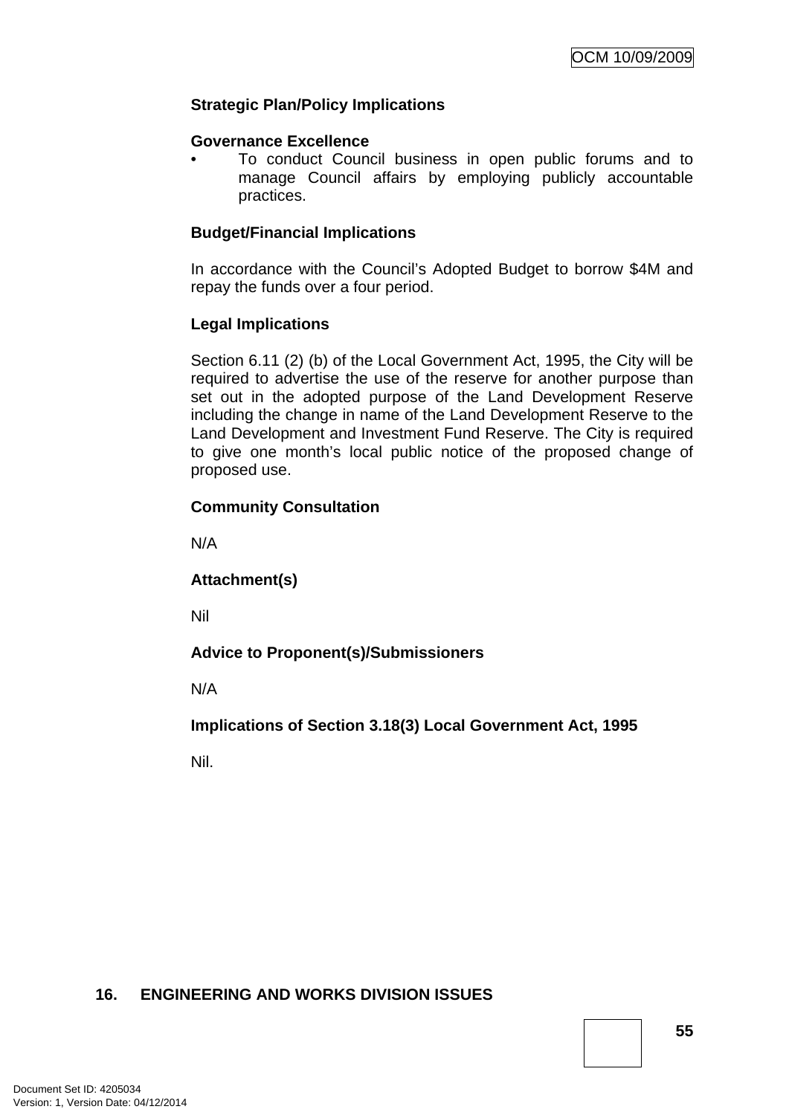# **Strategic Plan/Policy Implications**

#### **Governance Excellence**

• To conduct Council business in open public forums and to manage Council affairs by employing publicly accountable practices.

# **Budget/Financial Implications**

In accordance with the Council's Adopted Budget to borrow \$4M and repay the funds over a four period.

# **Legal Implications**

Section 6.11 (2) (b) of the Local Government Act, 1995, the City will be required to advertise the use of the reserve for another purpose than set out in the adopted purpose of the Land Development Reserve including the change in name of the Land Development Reserve to the Land Development and Investment Fund Reserve. The City is required to give one month's local public notice of the proposed change of proposed use.

# **Community Consultation**

N/A

**Attachment(s)**

Nil

# **Advice to Proponent(s)/Submissioners**

N/A

**Implications of Section 3.18(3) Local Government Act, 1995**

Nil.

# **16. ENGINEERING AND WORKS DIVISION ISSUES**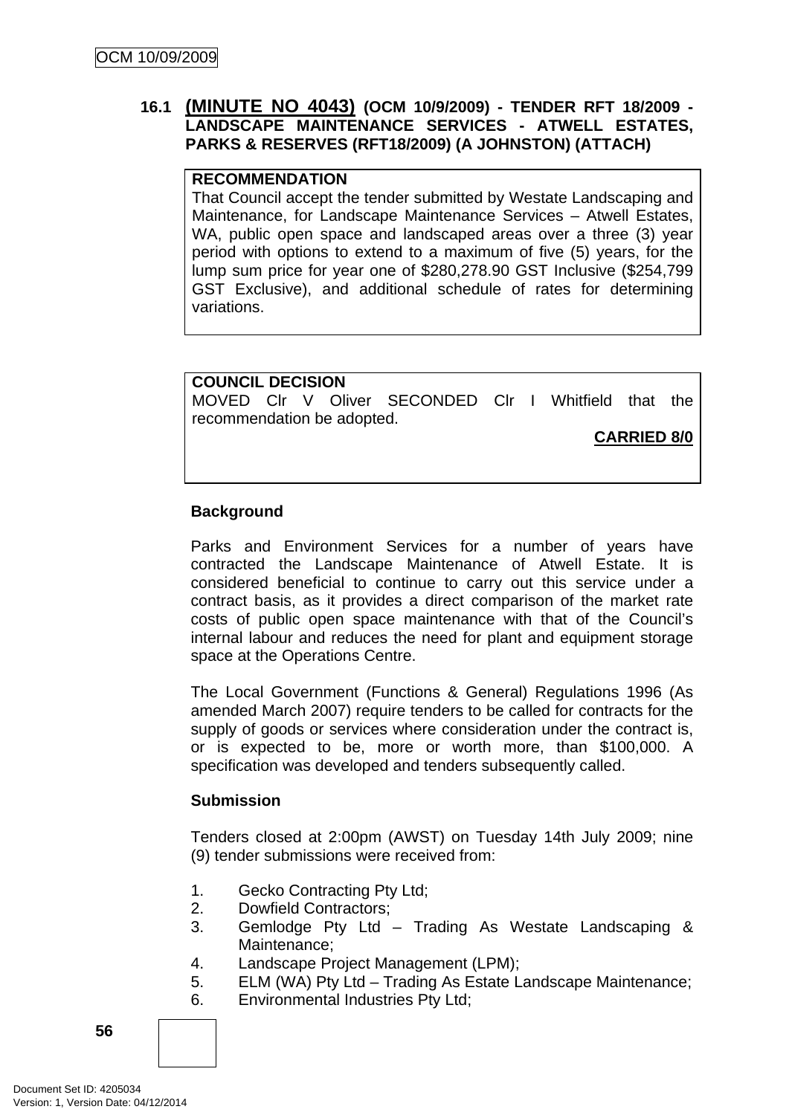# **16.1 (MINUTE NO 4043) (OCM 10/9/2009) - TENDER RFT 18/2009 - LANDSCAPE MAINTENANCE SERVICES - ATWELL ESTATES, PARKS & RESERVES (RFT18/2009) (A JOHNSTON) (ATTACH)**

# **RECOMMENDATION**

That Council accept the tender submitted by Westate Landscaping and Maintenance, for Landscape Maintenance Services – Atwell Estates, WA, public open space and landscaped areas over a three (3) year period with options to extend to a maximum of five (5) years, for the lump sum price for year one of \$280,278.90 GST Inclusive (\$254,799 GST Exclusive), and additional schedule of rates for determining variations.

# **COUNCIL DECISION**

MOVED Clr V Oliver SECONDED Clr I Whitfield that the recommendation be adopted.

**CARRIED 8/0**

# **Background**

Parks and Environment Services for a number of years have contracted the Landscape Maintenance of Atwell Estate. It is considered beneficial to continue to carry out this service under a contract basis, as it provides a direct comparison of the market rate costs of public open space maintenance with that of the Council's internal labour and reduces the need for plant and equipment storage space at the Operations Centre.

The Local Government (Functions & General) Regulations 1996 (As amended March 2007) require tenders to be called for contracts for the supply of goods or services where consideration under the contract is, or is expected to be, more or worth more, than \$100,000. A specification was developed and tenders subsequently called.

# **Submission**

Tenders closed at 2:00pm (AWST) on Tuesday 14th July 2009; nine (9) tender submissions were received from:

- 1. Gecko Contracting Pty Ltd;
- 2. Dowfield Contractors;
- 3. Gemlodge Pty Ltd Trading As Westate Landscaping & Maintenance;
- 4. Landscape Project Management (LPM);
- 5. ELM (WA) Pty Ltd Trading As Estate Landscape Maintenance;
- 6. Environmental Industries Pty Ltd;

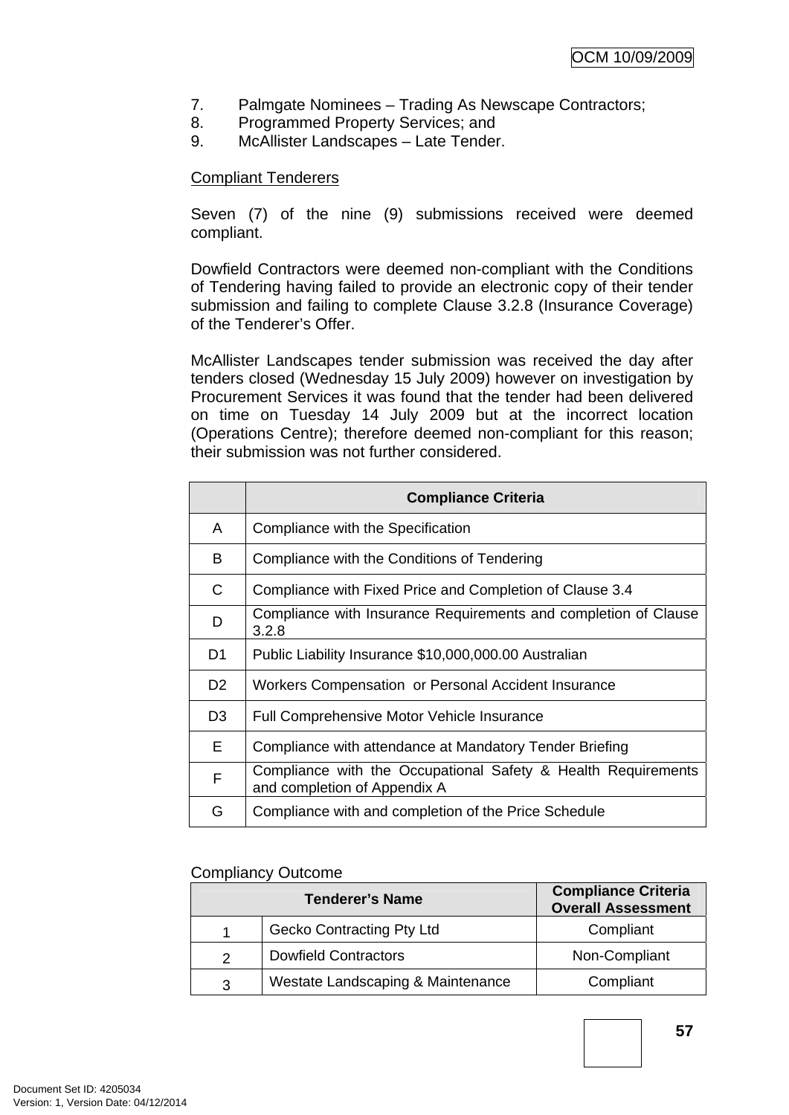- 7. Palmgate Nominees Trading As Newscape Contractors;
- 8. Programmed Property Services; and
- 9. McAllister Landscapes Late Tender.

# Compliant Tenderers

Seven (7) of the nine (9) submissions received were deemed compliant.

Dowfield Contractors were deemed non-compliant with the Conditions of Tendering having failed to provide an electronic copy of their tender submission and failing to complete Clause 3.2.8 (Insurance Coverage) of the Tenderer's Offer.

McAllister Landscapes tender submission was received the day after tenders closed (Wednesday 15 July 2009) however on investigation by Procurement Services it was found that the tender had been delivered on time on Tuesday 14 July 2009 but at the incorrect location (Operations Centre); therefore deemed non-compliant for this reason; their submission was not further considered.

|                | <b>Compliance Criteria</b>                                                                    |
|----------------|-----------------------------------------------------------------------------------------------|
| A              | Compliance with the Specification                                                             |
| B              | Compliance with the Conditions of Tendering                                                   |
| C              | Compliance with Fixed Price and Completion of Clause 3.4                                      |
| D              | Compliance with Insurance Requirements and completion of Clause<br>3.2.8                      |
| D1             | Public Liability Insurance \$10,000,000.00 Australian                                         |
| D <sub>2</sub> | Workers Compensation or Personal Accident Insurance                                           |
| D <sub>3</sub> | <b>Full Comprehensive Motor Vehicle Insurance</b>                                             |
| E              | Compliance with attendance at Mandatory Tender Briefing                                       |
| F              | Compliance with the Occupational Safety & Health Requirements<br>and completion of Appendix A |
| G              | Compliance with and completion of the Price Schedule                                          |

#### Compliancy Outcome

| <b>Tenderer's Name</b> |                                   | <b>Compliance Criteria</b><br><b>Overall Assessment</b> |
|------------------------|-----------------------------------|---------------------------------------------------------|
|                        | <b>Gecko Contracting Pty Ltd</b>  | Compliant                                               |
|                        | <b>Dowfield Contractors</b>       | Non-Compliant                                           |
| 3                      | Westate Landscaping & Maintenance | Compliant                                               |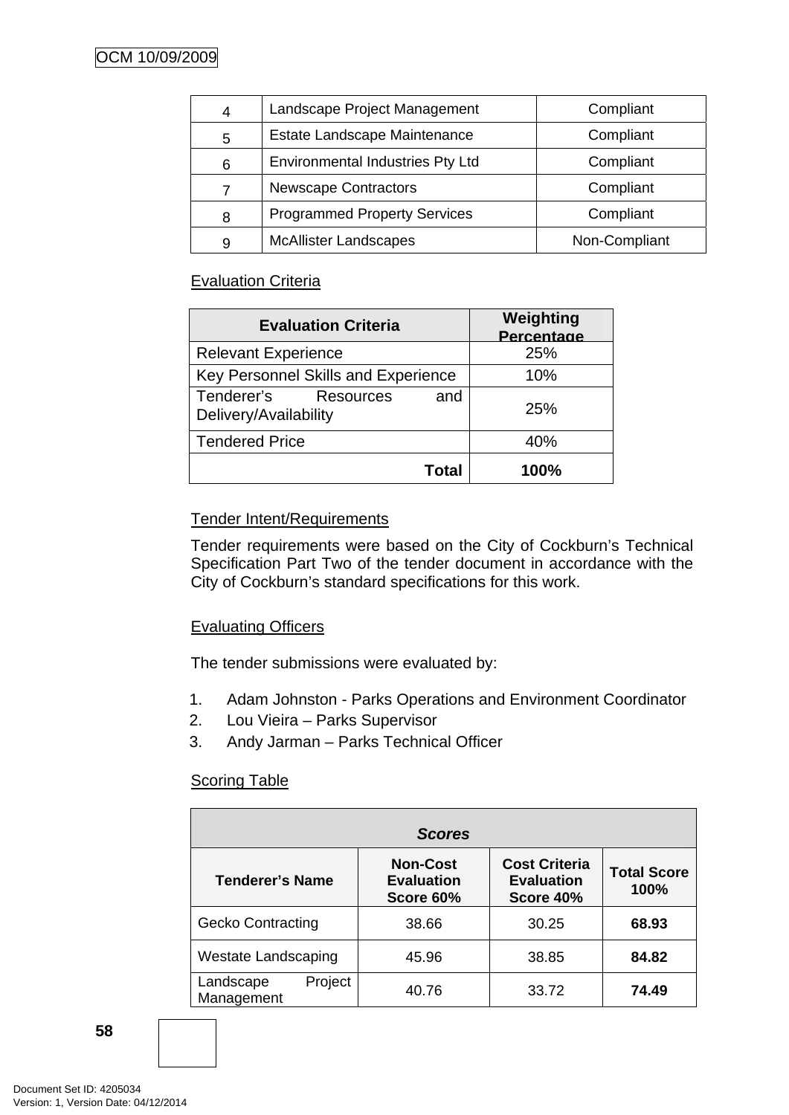| 4 | Landscape Project Management            | Compliant     |
|---|-----------------------------------------|---------------|
| 5 | Estate Landscape Maintenance            | Compliant     |
| 6 | <b>Environmental Industries Pty Ltd</b> | Compliant     |
|   | <b>Newscape Contractors</b>             | Compliant     |
| 8 | <b>Programmed Property Services</b>     | Compliant     |
| 9 | <b>McAllister Landscapes</b>            | Non-Compliant |

# Evaluation Criteria

| <b>Evaluation Criteria</b>                           | Weighting<br>Percentage |
|------------------------------------------------------|-------------------------|
| <b>Relevant Experience</b>                           | 25%                     |
| Key Personnel Skills and Experience                  | 10%                     |
| Tenderer's Resources<br>and<br>Delivery/Availability | <b>25%</b>              |
| <b>Tendered Price</b>                                | 40%                     |
| Total                                                | 100%                    |

# Tender Intent/Requirements

Tender requirements were based on the City of Cockburn's Technical Specification Part Two of the tender document in accordance with the City of Cockburn's standard specifications for this work.

# Evaluating Officers

The tender submissions were evaluated by:

- 1. Adam Johnston Parks Operations and Environment Coordinator
- 2. Lou Vieira Parks Supervisor
- 3. Andy Jarman Parks Technical Officer

# Scoring Table

| <b>Scores</b>                      |                                                   |                                                        |                            |  |
|------------------------------------|---------------------------------------------------|--------------------------------------------------------|----------------------------|--|
| <b>Tenderer's Name</b>             | <b>Non-Cost</b><br><b>Evaluation</b><br>Score 60% | <b>Cost Criteria</b><br><b>Evaluation</b><br>Score 40% | <b>Total Score</b><br>100% |  |
| <b>Gecko Contracting</b>           | 38.66                                             | 30.25                                                  | 68.93                      |  |
| <b>Westate Landscaping</b>         | 45.96                                             | 38.85                                                  | 84.82                      |  |
| Project<br>Landscape<br>Management | 40.76                                             | 33.72                                                  | 74.49                      |  |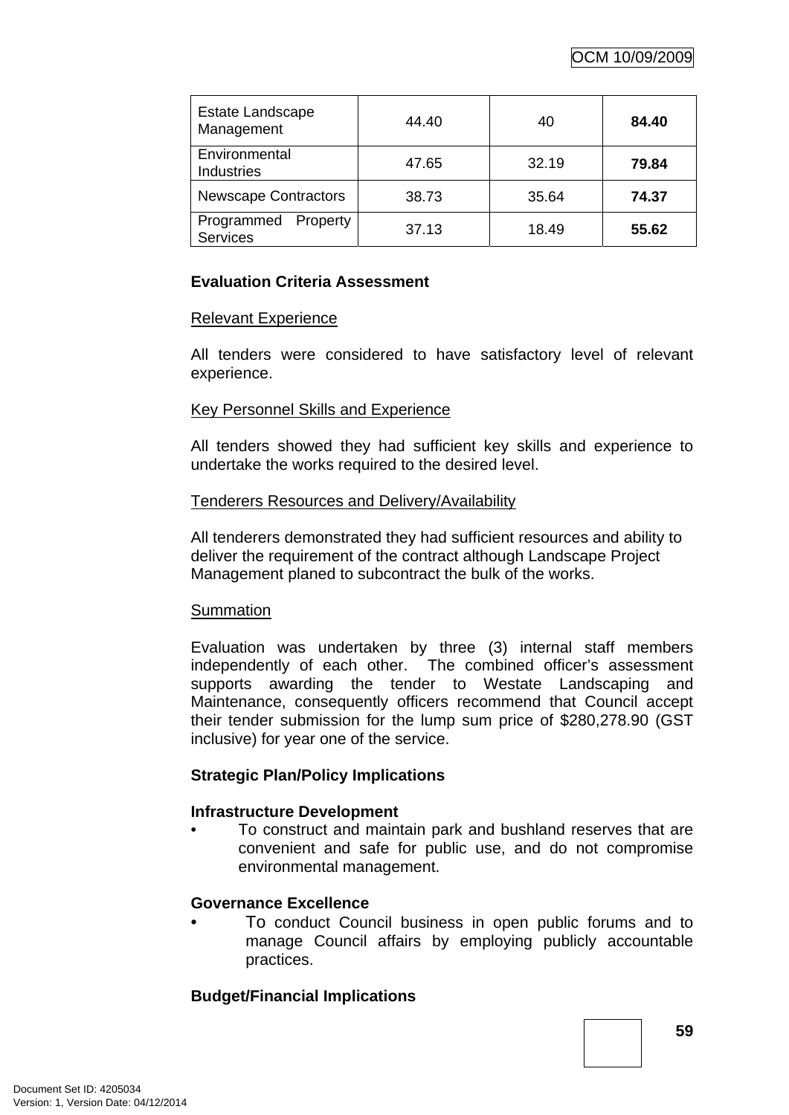| Estate Landscape<br>Management            | 44.40 | 40    | 84.40 |
|-------------------------------------------|-------|-------|-------|
| Environmental<br>Industries               | 47.65 | 32.19 | 79.84 |
| <b>Newscape Contractors</b>               | 38.73 | 35.64 | 74.37 |
| Programmed<br>Property<br><b>Services</b> | 37.13 | 18.49 | 55.62 |

# **Evaluation Criteria Assessment**

# Relevant Experience

All tenders were considered to have satisfactory level of relevant experience.

# Key Personnel Skills and Experience

All tenders showed they had sufficient key skills and experience to undertake the works required to the desired level.

#### Tenderers Resources and Delivery/Availability

All tenderers demonstrated they had sufficient resources and ability to deliver the requirement of the contract although Landscape Project Management planed to subcontract the bulk of the works.

#### **Summation**

Evaluation was undertaken by three (3) internal staff members independently of each other. The combined officer's assessment supports awarding the tender to Westate Landscaping and Maintenance, consequently officers recommend that Council accept their tender submission for the lump sum price of \$280,278.90 (GST inclusive) for year one of the service.

# **Strategic Plan/Policy Implications**

# **Infrastructure Development**

• To construct and maintain park and bushland reserves that are convenient and safe for public use, and do not compromise environmental management.

# **Governance Excellence**

• To conduct Council business in open public forums and to manage Council affairs by employing publicly accountable practices.

# **Budget/Financial Implications**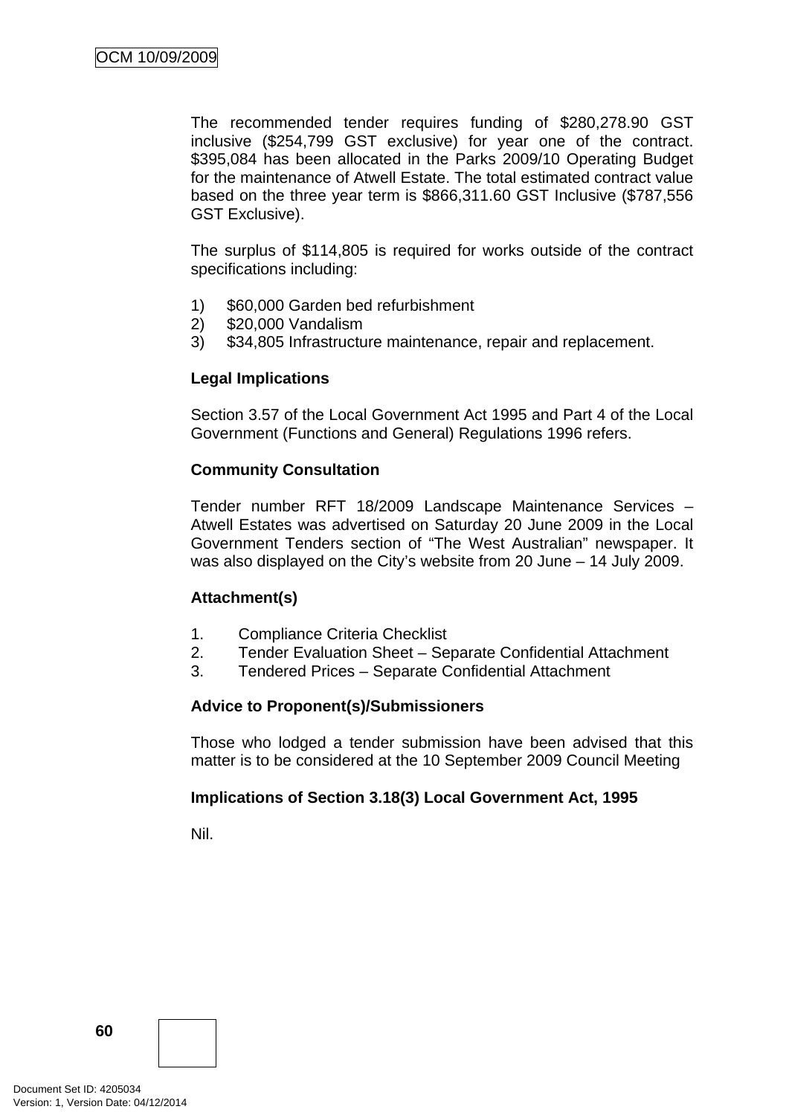The recommended tender requires funding of \$280,278.90 GST inclusive (\$254,799 GST exclusive) for year one of the contract. \$395,084 has been allocated in the Parks 2009/10 Operating Budget for the maintenance of Atwell Estate. The total estimated contract value based on the three year term is \$866,311.60 GST Inclusive (\$787,556 GST Exclusive).

The surplus of \$114,805 is required for works outside of the contract specifications including:

- 1) \$60,000 Garden bed refurbishment
- 2) \$20,000 Vandalism
- 3) \$34,805 Infrastructure maintenance, repair and replacement.

# **Legal Implications**

Section 3.57 of the Local Government Act 1995 and Part 4 of the Local Government (Functions and General) Regulations 1996 refers.

# **Community Consultation**

Tender number RFT 18/2009 Landscape Maintenance Services – Atwell Estates was advertised on Saturday 20 June 2009 in the Local Government Tenders section of "The West Australian" newspaper. It was also displayed on the City's website from 20 June – 14 July 2009.

# **Attachment(s)**

- 1. Compliance Criteria Checklist
- 2. Tender Evaluation Sheet Separate Confidential Attachment
- 3. Tendered Prices Separate Confidential Attachment

# **Advice to Proponent(s)/Submissioners**

Those who lodged a tender submission have been advised that this matter is to be considered at the 10 September 2009 Council Meeting

# **Implications of Section 3.18(3) Local Government Act, 1995**

Nil.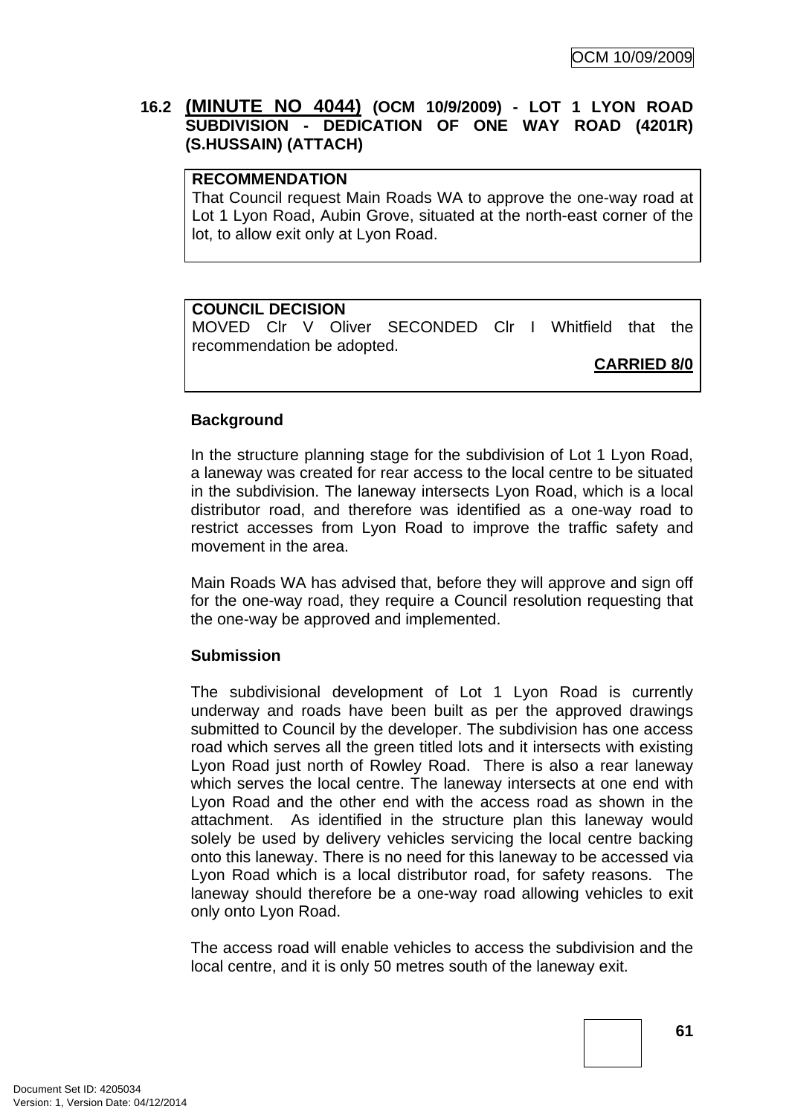# **16.2 (MINUTE NO 4044) (OCM 10/9/2009) - LOT 1 LYON ROAD SUBDIVISION - DEDICATION OF ONE WAY ROAD (4201R) (S.HUSSAIN) (ATTACH)**

# **RECOMMENDATION**

That Council request Main Roads WA to approve the one-way road at Lot 1 Lyon Road, Aubin Grove, situated at the north-east corner of the lot, to allow exit only at Lyon Road.

# **COUNCIL DECISION**

MOVED Clr V Oliver SECONDED Clr I Whitfield that the recommendation be adopted.

**CARRIED 8/0**

# **Background**

In the structure planning stage for the subdivision of Lot 1 Lyon Road, a laneway was created for rear access to the local centre to be situated in the subdivision. The laneway intersects Lyon Road, which is a local distributor road, and therefore was identified as a one-way road to restrict accesses from Lyon Road to improve the traffic safety and movement in the area.

Main Roads WA has advised that, before they will approve and sign off for the one-way road, they require a Council resolution requesting that the one-way be approved and implemented.

# **Submission**

The subdivisional development of Lot 1 Lyon Road is currently underway and roads have been built as per the approved drawings submitted to Council by the developer. The subdivision has one access road which serves all the green titled lots and it intersects with existing Lyon Road just north of Rowley Road. There is also a rear laneway which serves the local centre. The laneway intersects at one end with Lyon Road and the other end with the access road as shown in the attachment. As identified in the structure plan this laneway would solely be used by delivery vehicles servicing the local centre backing onto this laneway. There is no need for this laneway to be accessed via Lyon Road which is a local distributor road, for safety reasons. The laneway should therefore be a one-way road allowing vehicles to exit only onto Lyon Road.

The access road will enable vehicles to access the subdivision and the local centre, and it is only 50 metres south of the laneway exit.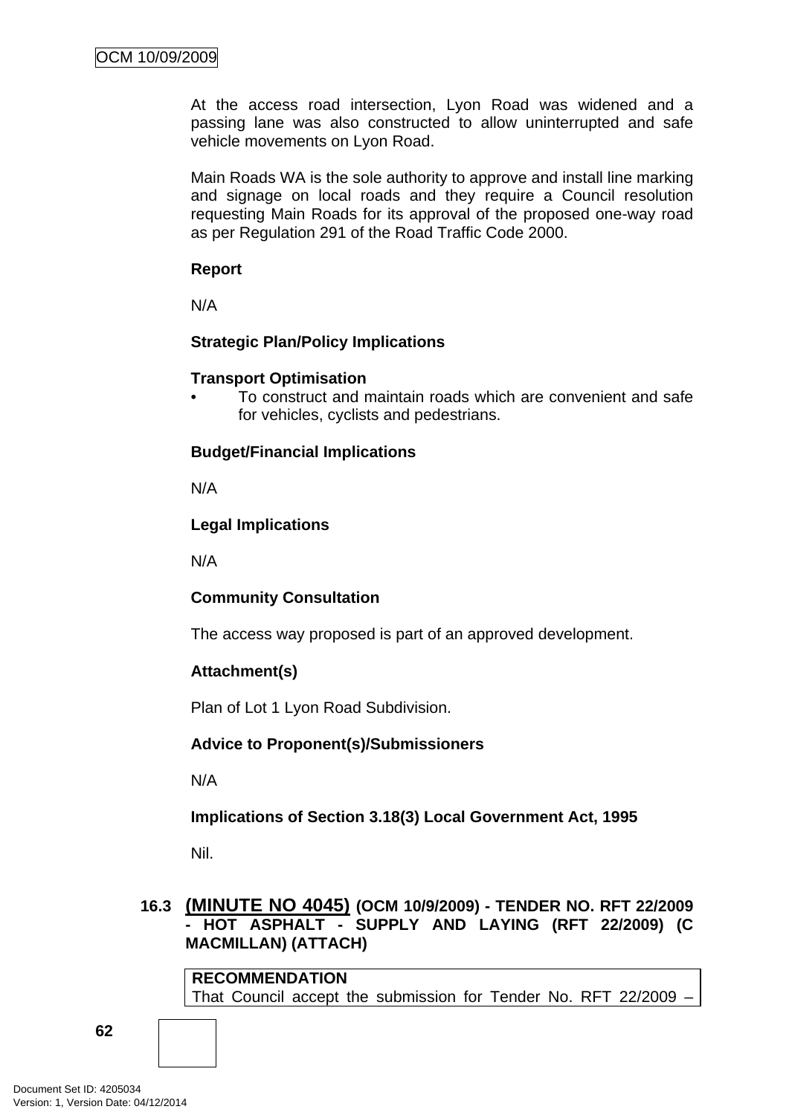At the access road intersection, Lyon Road was widened and a passing lane was also constructed to allow uninterrupted and safe vehicle movements on Lyon Road.

Main Roads WA is the sole authority to approve and install line marking and signage on local roads and they require a Council resolution requesting Main Roads for its approval of the proposed one-way road as per Regulation 291 of the Road Traffic Code 2000.

#### **Report**

N/A

# **Strategic Plan/Policy Implications**

# **Transport Optimisation**

• To construct and maintain roads which are convenient and safe for vehicles, cyclists and pedestrians.

# **Budget/Financial Implications**

N/A

# **Legal Implications**

N/A

# **Community Consultation**

The access way proposed is part of an approved development.

# **Attachment(s)**

Plan of Lot 1 Lyon Road Subdivision.

# **Advice to Proponent(s)/Submissioners**

N/A

**Implications of Section 3.18(3) Local Government Act, 1995**

Nil.

# **16.3 (MINUTE NO 4045) (OCM 10/9/2009) - TENDER NO. RFT 22/2009 - HOT ASPHALT - SUPPLY AND LAYING (RFT 22/2009) (C MACMILLAN) (ATTACH)**

**RECOMMENDATION** That Council accept the submission for Tender No. RFT 22/2009 –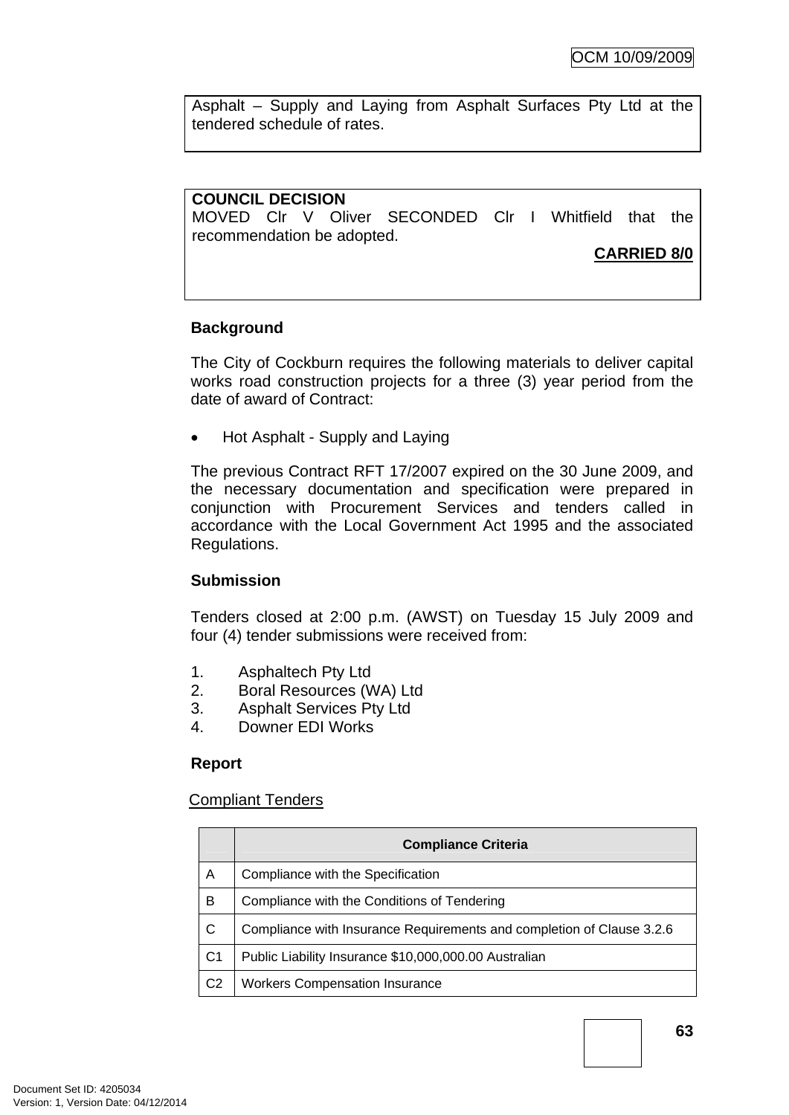Asphalt – Supply and Laying from Asphalt Surfaces Pty Ltd at the tendered schedule of rates.

# **COUNCIL DECISION**

MOVED Clr V Oliver SECONDED Clr I Whitfield that the recommendation be adopted.

# **CARRIED 8/0**

# **Background**

The City of Cockburn requires the following materials to deliver capital works road construction projects for a three (3) year period from the date of award of Contract:

• Hot Asphalt - Supply and Laying

The previous Contract RFT 17/2007 expired on the 30 June 2009, and the necessary documentation and specification were prepared in conjunction with Procurement Services and tenders called in accordance with the Local Government Act 1995 and the associated Regulations.

# **Submission**

Tenders closed at 2:00 p.m. (AWST) on Tuesday 15 July 2009 and four (4) tender submissions were received from:

- 1. Asphaltech Pty Ltd
- 2. Boral Resources (WA) Ltd
- 3. Asphalt Services Pty Ltd
- 4. Downer EDI Works

# **Report**

# Compliant Tenders

|                | <b>Compliance Criteria</b>                                            |
|----------------|-----------------------------------------------------------------------|
| A              | Compliance with the Specification                                     |
| B              | Compliance with the Conditions of Tendering                           |
| C              | Compliance with Insurance Requirements and completion of Clause 3.2.6 |
| C <sub>1</sub> | Public Liability Insurance \$10,000,000.00 Australian                 |
| C <sub>2</sub> | <b>Workers Compensation Insurance</b>                                 |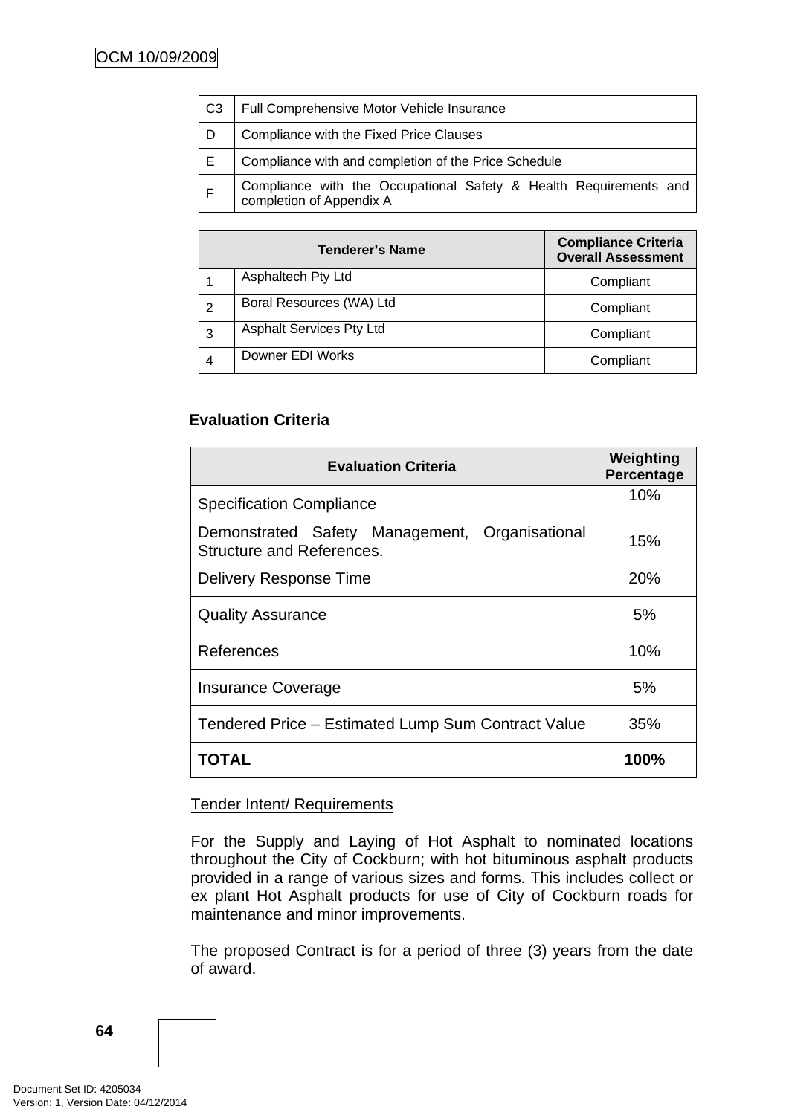| C <sub>3</sub> | Full Comprehensive Motor Vehicle Insurance                                                    |
|----------------|-----------------------------------------------------------------------------------------------|
| D              | Compliance with the Fixed Price Clauses                                                       |
| E.             | Compliance with and completion of the Price Schedule                                          |
| E              | Compliance with the Occupational Safety & Health Requirements and<br>completion of Appendix A |

|   | <b>Tenderer's Name</b>          | <b>Compliance Criteria</b><br><b>Overall Assessment</b> |
|---|---------------------------------|---------------------------------------------------------|
|   | Asphaltech Pty Ltd              | Compliant                                               |
| 2 | Boral Resources (WA) Ltd        | Compliant                                               |
| 3 | <b>Asphalt Services Pty Ltd</b> | Compliant                                               |
| 4 | Downer EDI Works                | Compliant                                               |

# **Evaluation Criteria**

| <b>Evaluation Criteria</b>                                                         | Weighting<br>Percentage |
|------------------------------------------------------------------------------------|-------------------------|
| <b>Specification Compliance</b>                                                    | 10%                     |
| Demonstrated Safety Management, Organisational<br><b>Structure and References.</b> | 15%                     |
| <b>Delivery Response Time</b>                                                      | 20%                     |
| <b>Quality Assurance</b>                                                           | 5%                      |
| References                                                                         | 10%                     |
| <b>Insurance Coverage</b>                                                          | 5%                      |
| Tendered Price – Estimated Lump Sum Contract Value                                 | 35%                     |
| TOTAL                                                                              | 100%                    |

# Tender Intent/ Requirements

For the Supply and Laying of Hot Asphalt to nominated locations throughout the City of Cockburn; with hot bituminous asphalt products provided in a range of various sizes and forms. This includes collect or ex plant Hot Asphalt products for use of City of Cockburn roads for maintenance and minor improvements.

The proposed Contract is for a period of three (3) years from the date of award.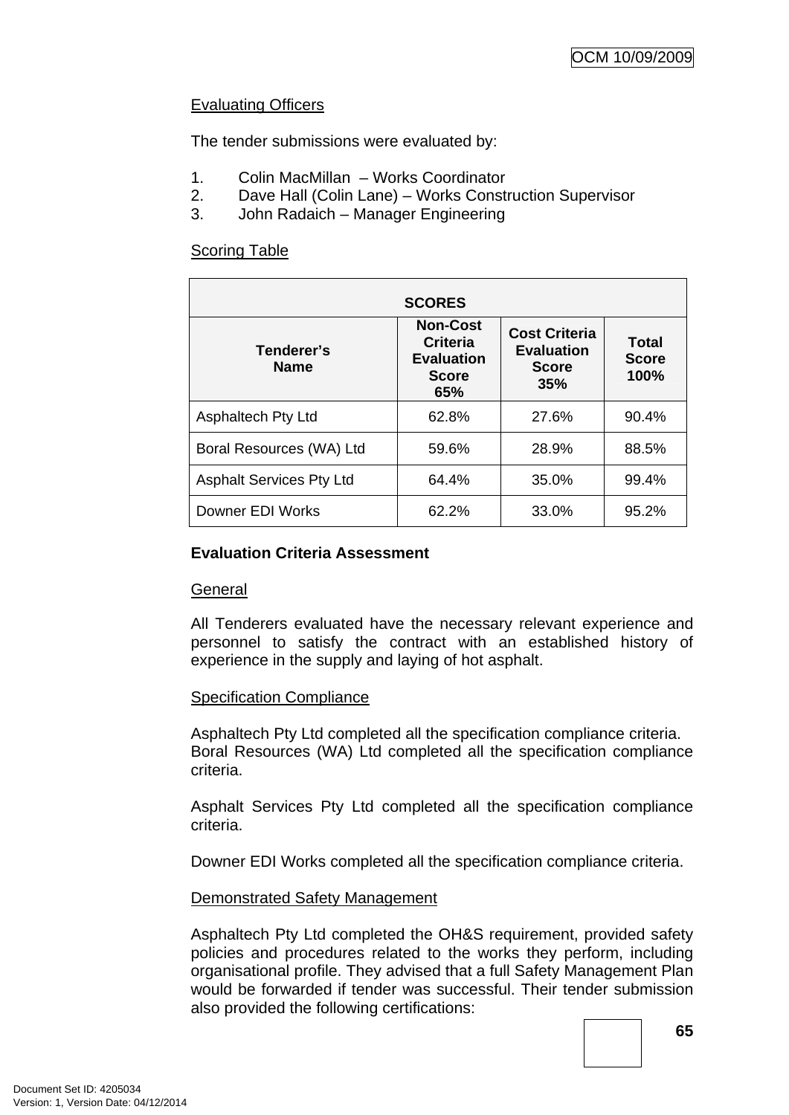# Evaluating Officers

The tender submissions were evaluated by:

- 1. Colin MacMillan Works Coordinator
- 2. Dave Hall (Colin Lane) Works Construction Supervisor
- 3. John Radaich Manager Engineering

# Scoring Table

| <b>SCORES</b>                   |                                                                                |                                                                  |                               |
|---------------------------------|--------------------------------------------------------------------------------|------------------------------------------------------------------|-------------------------------|
| Tenderer's<br><b>Name</b>       | <b>Non-Cost</b><br><b>Criteria</b><br><b>Evaluation</b><br><b>Score</b><br>65% | <b>Cost Criteria</b><br><b>Evaluation</b><br><b>Score</b><br>35% | Total<br><b>Score</b><br>100% |
| <b>Asphaltech Pty Ltd</b>       | 62.8%                                                                          | 27.6%                                                            | 90.4%                         |
| Boral Resources (WA) Ltd        | 59.6%                                                                          | 28.9%                                                            | 88.5%                         |
| <b>Asphalt Services Pty Ltd</b> | 64.4%                                                                          | 35.0%                                                            | 99.4%                         |
| Downer EDI Works                | 62.2%                                                                          | 33.0%                                                            | 95.2%                         |

# **Evaluation Criteria Assessment**

# **General**

All Tenderers evaluated have the necessary relevant experience and personnel to satisfy the contract with an established history of experience in the supply and laying of hot asphalt.

# Specification Compliance

Asphaltech Pty Ltd completed all the specification compliance criteria. Boral Resources (WA) Ltd completed all the specification compliance criteria.

Asphalt Services Pty Ltd completed all the specification compliance criteria.

Downer EDI Works completed all the specification compliance criteria.

# Demonstrated Safety Management

Asphaltech Pty Ltd completed the OH&S requirement, provided safety policies and procedures related to the works they perform, including organisational profile. They advised that a full Safety Management Plan would be forwarded if tender was successful. Their tender submission also provided the following certifications:

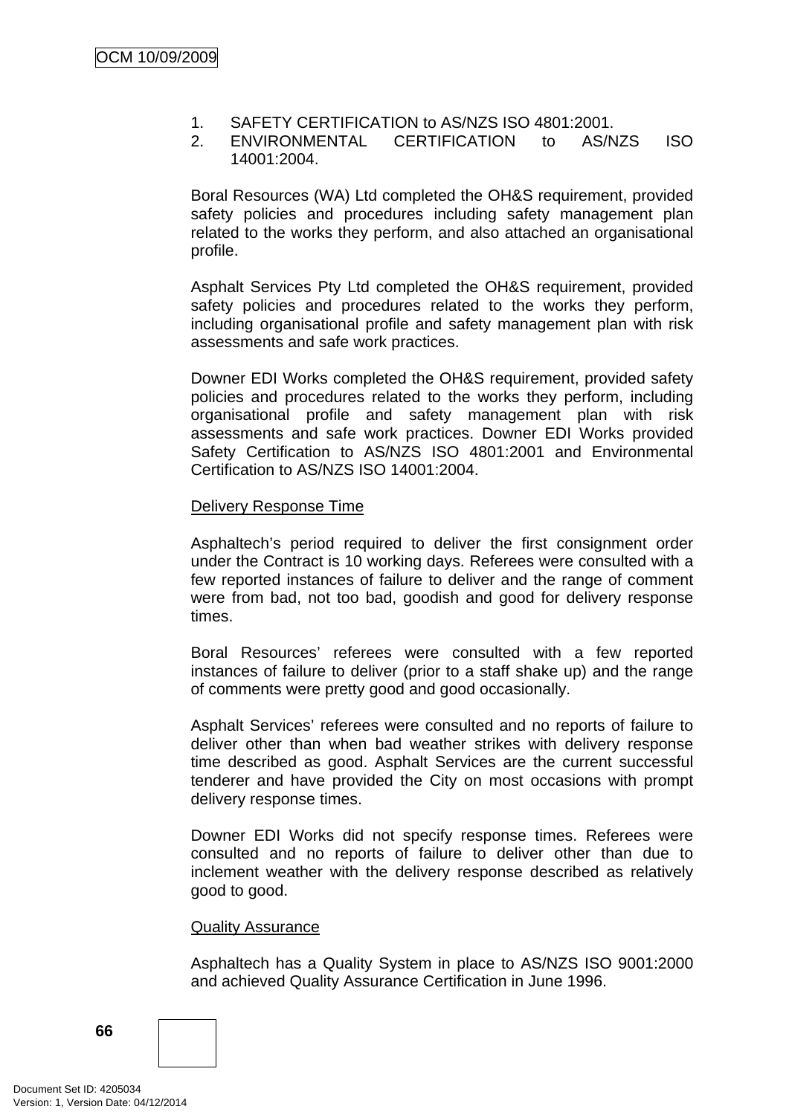- 1. SAFETY CERTIFICATION to AS/NZS ISO 4801:2001.
- 2. ENVIRONMENTAL CERTIFICATION to AS/NZS ISO 14001:2004.

Boral Resources (WA) Ltd completed the OH&S requirement, provided safety policies and procedures including safety management plan related to the works they perform, and also attached an organisational profile.

Asphalt Services Pty Ltd completed the OH&S requirement, provided safety policies and procedures related to the works they perform, including organisational profile and safety management plan with risk assessments and safe work practices.

Downer EDI Works completed the OH&S requirement, provided safety policies and procedures related to the works they perform, including organisational profile and safety management plan with risk assessments and safe work practices. Downer EDI Works provided Safety Certification to AS/NZS ISO 4801:2001 and Environmental Certification to AS/NZS ISO 14001:2004.

#### Delivery Response Time

Asphaltech's period required to deliver the first consignment order under the Contract is 10 working days. Referees were consulted with a few reported instances of failure to deliver and the range of comment were from bad, not too bad, goodish and good for delivery response times.

Boral Resources' referees were consulted with a few reported instances of failure to deliver (prior to a staff shake up) and the range of comments were pretty good and good occasionally.

Asphalt Services' referees were consulted and no reports of failure to deliver other than when bad weather strikes with delivery response time described as good. Asphalt Services are the current successful tenderer and have provided the City on most occasions with prompt delivery response times.

Downer EDI Works did not specify response times. Referees were consulted and no reports of failure to deliver other than due to inclement weather with the delivery response described as relatively good to good.

#### Quality Assurance

Asphaltech has a Quality System in place to AS/NZS ISO 9001:2000 and achieved Quality Assurance Certification in June 1996.

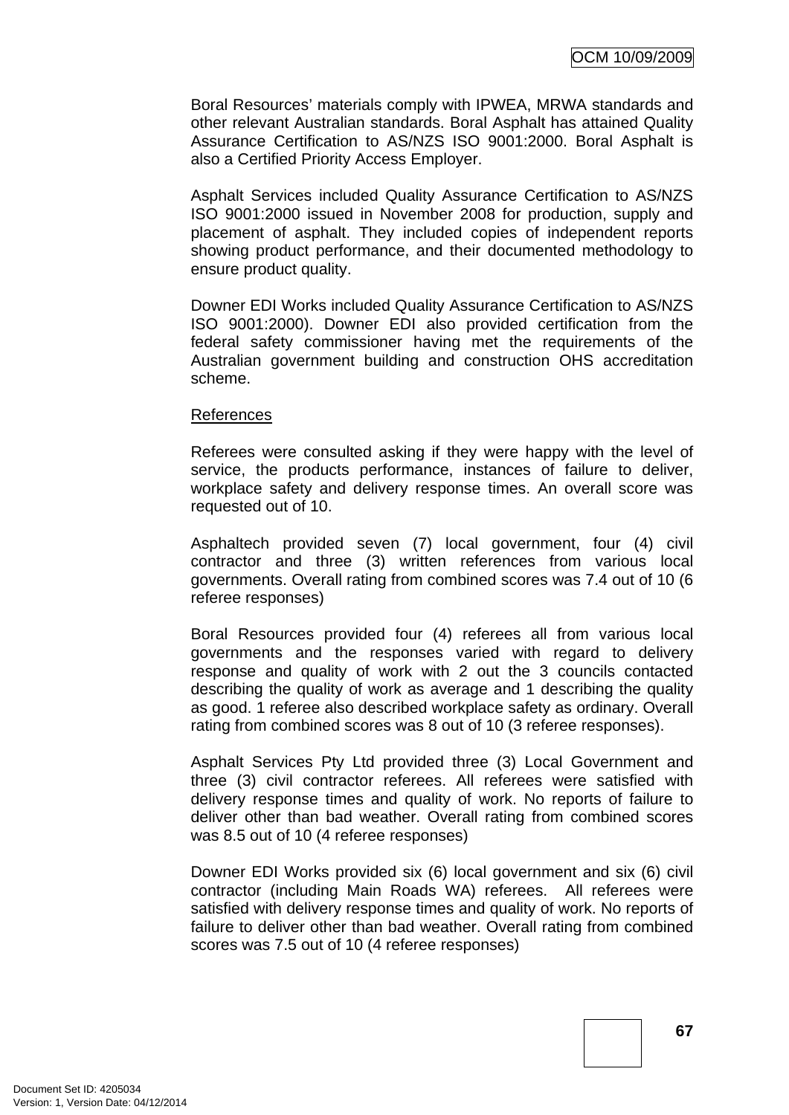Boral Resources' materials comply with IPWEA, MRWA standards and other relevant Australian standards. Boral Asphalt has attained Quality Assurance Certification to AS/NZS ISO 9001:2000. Boral Asphalt is also a Certified Priority Access Employer.

Asphalt Services included Quality Assurance Certification to AS/NZS ISO 9001:2000 issued in November 2008 for production, supply and placement of asphalt. They included copies of independent reports showing product performance, and their documented methodology to ensure product quality.

Downer EDI Works included Quality Assurance Certification to AS/NZS ISO 9001:2000). Downer EDI also provided certification from the federal safety commissioner having met the requirements of the Australian government building and construction OHS accreditation scheme.

#### References

Referees were consulted asking if they were happy with the level of service, the products performance, instances of failure to deliver, workplace safety and delivery response times. An overall score was requested out of 10.

Asphaltech provided seven (7) local government, four (4) civil contractor and three (3) written references from various local governments. Overall rating from combined scores was 7.4 out of 10 (6 referee responses)

Boral Resources provided four (4) referees all from various local governments and the responses varied with regard to delivery response and quality of work with 2 out the 3 councils contacted describing the quality of work as average and 1 describing the quality as good. 1 referee also described workplace safety as ordinary. Overall rating from combined scores was 8 out of 10 (3 referee responses).

Asphalt Services Pty Ltd provided three (3) Local Government and three (3) civil contractor referees. All referees were satisfied with delivery response times and quality of work. No reports of failure to deliver other than bad weather. Overall rating from combined scores was 8.5 out of 10 (4 referee responses)

Downer EDI Works provided six (6) local government and six (6) civil contractor (including Main Roads WA) referees. All referees were satisfied with delivery response times and quality of work. No reports of failure to deliver other than bad weather. Overall rating from combined scores was 7.5 out of 10 (4 referee responses)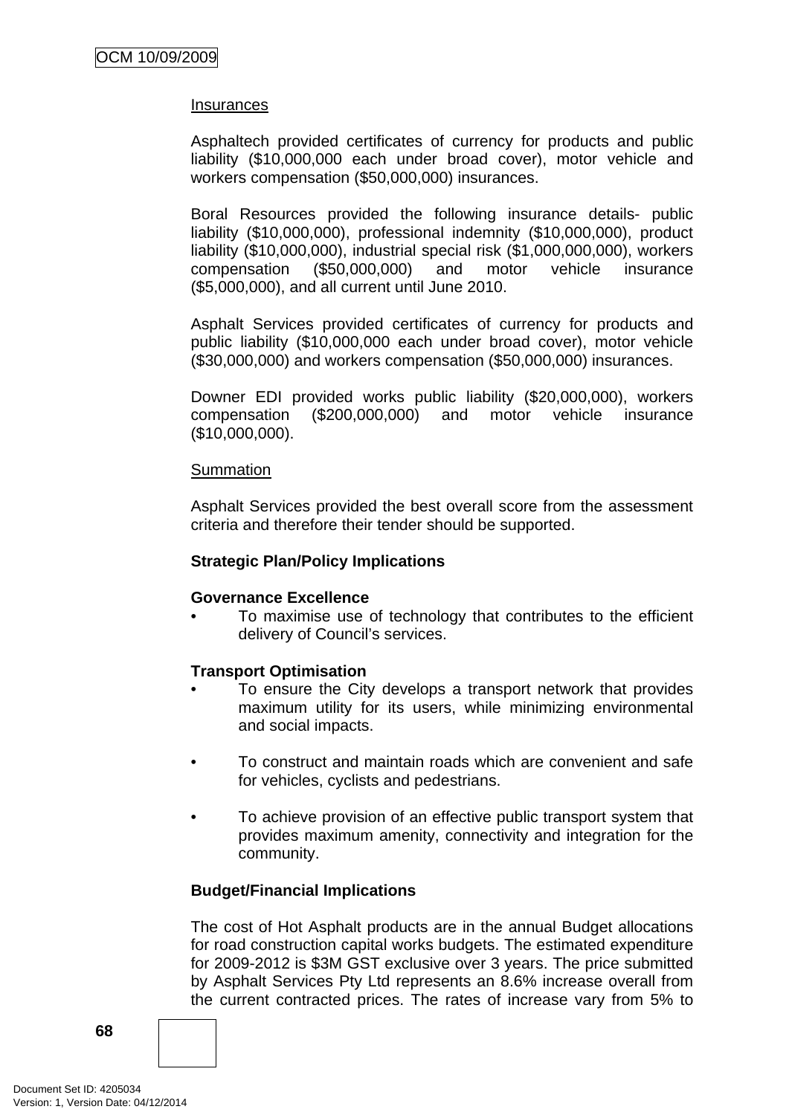#### **Insurances**

Asphaltech provided certificates of currency for products and public liability (\$10,000,000 each under broad cover), motor vehicle and workers compensation (\$50,000,000) insurances.

Boral Resources provided the following insurance details- public liability (\$10,000,000), professional indemnity (\$10,000,000), product liability (\$10,000,000), industrial special risk (\$1,000,000,000), workers compensation (\$50,000,000) and motor vehicle insurance (\$5,000,000), and all current until June 2010.

Asphalt Services provided certificates of currency for products and public liability (\$10,000,000 each under broad cover), motor vehicle (\$30,000,000) and workers compensation (\$50,000,000) insurances.

Downer EDI provided works public liability (\$20,000,000), workers compensation (\$200,000,000) and motor vehicle insurance (\$10,000,000).

#### **Summation**

Asphalt Services provided the best overall score from the assessment criteria and therefore their tender should be supported.

#### **Strategic Plan/Policy Implications**

#### **Governance Excellence**

• To maximise use of technology that contributes to the efficient delivery of Council's services.

# **Transport Optimisation**

- To ensure the City develops a transport network that provides maximum utility for its users, while minimizing environmental and social impacts.
- To construct and maintain roads which are convenient and safe for vehicles, cyclists and pedestrians.
- To achieve provision of an effective public transport system that provides maximum amenity, connectivity and integration for the community.

#### **Budget/Financial Implications**

The cost of Hot Asphalt products are in the annual Budget allocations for road construction capital works budgets. The estimated expenditure for 2009-2012 is \$3M GST exclusive over 3 years. The price submitted by Asphalt Services Pty Ltd represents an 8.6% increase overall from the current contracted prices. The rates of increase vary from 5% to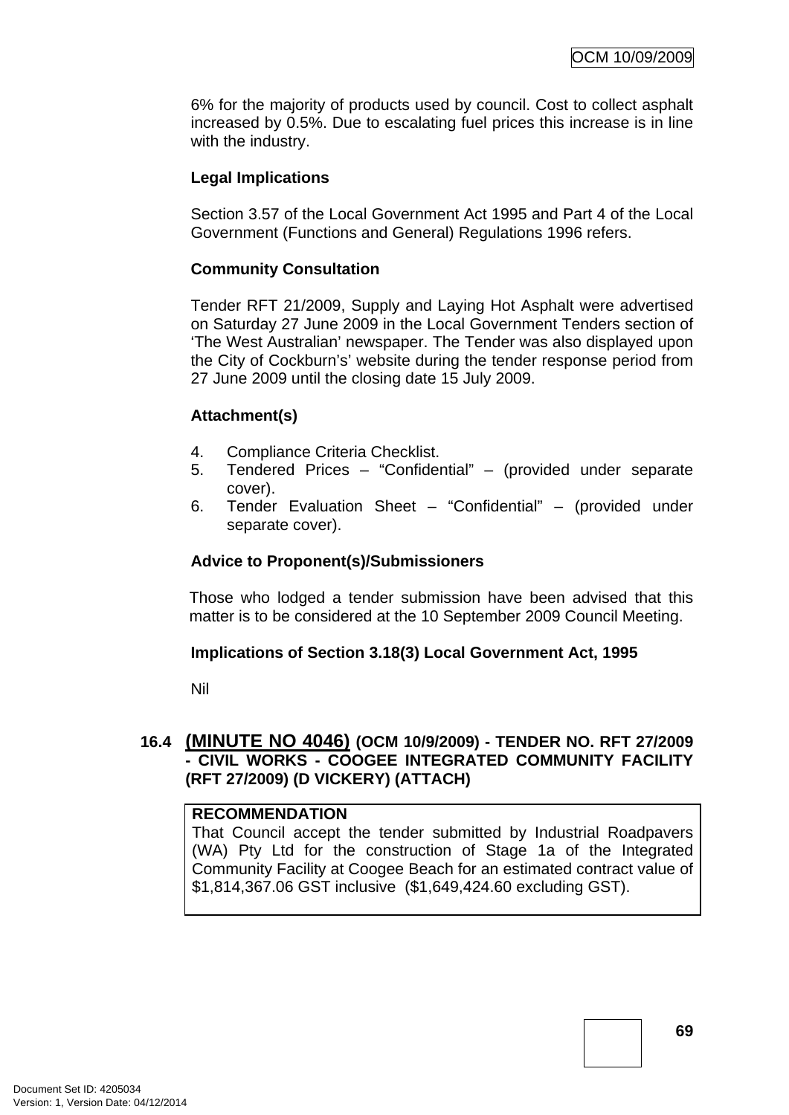6% for the majority of products used by council. Cost to collect asphalt increased by 0.5%. Due to escalating fuel prices this increase is in line with the industry.

# **Legal Implications**

Section 3.57 of the Local Government Act 1995 and Part 4 of the Local Government (Functions and General) Regulations 1996 refers.

## **Community Consultation**

Tender RFT 21/2009, Supply and Laying Hot Asphalt were advertised on Saturday 27 June 2009 in the Local Government Tenders section of 'The West Australian' newspaper. The Tender was also displayed upon the City of Cockburn's' website during the tender response period from 27 June 2009 until the closing date 15 July 2009.

# **Attachment(s)**

- 4. Compliance Criteria Checklist.
- 5. Tendered Prices "Confidential" (provided under separate cover).
- 6. Tender Evaluation Sheet "Confidential" (provided under separate cover).

# **Advice to Proponent(s)/Submissioners**

Those who lodged a tender submission have been advised that this matter is to be considered at the 10 September 2009 Council Meeting.

## **Implications of Section 3.18(3) Local Government Act, 1995**

Nil

# **16.4 (MINUTE NO 4046) (OCM 10/9/2009) - TENDER NO. RFT 27/2009 - CIVIL WORKS - COOGEE INTEGRATED COMMUNITY FACILITY (RFT 27/2009) (D VICKERY) (ATTACH)**

## **RECOMMENDATION**

That Council accept the tender submitted by Industrial Roadpavers (WA) Pty Ltd for the construction of Stage 1a of the Integrated Community Facility at Coogee Beach for an estimated contract value of \$1,814,367.06 GST inclusive (\$1,649,424.60 excluding GST).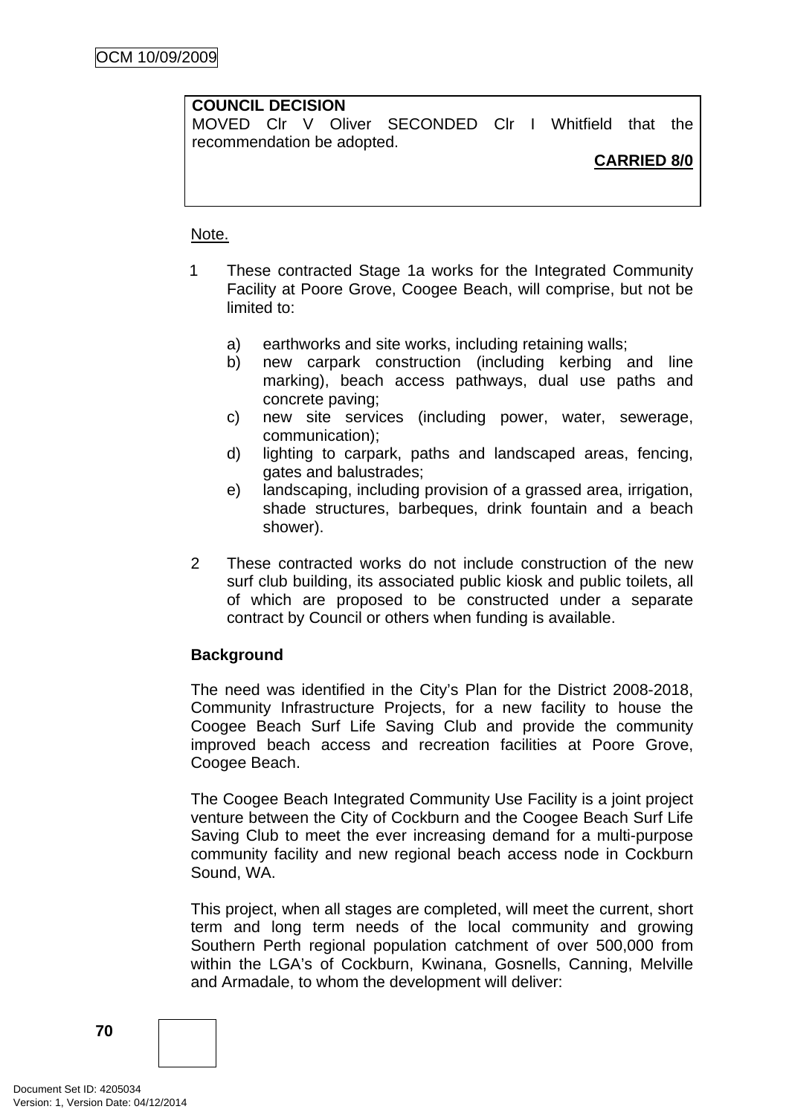## **COUNCIL DECISION**

MOVED Clr V Oliver SECONDED Clr I Whitfield that the recommendation be adopted.

# **CARRIED 8/0**

### Note.

- 1 These contracted Stage 1a works for the Integrated Community Facility at Poore Grove, Coogee Beach, will comprise, but not be limited to:
	- a) earthworks and site works, including retaining walls;
	- b) new carpark construction (including kerbing and line marking), beach access pathways, dual use paths and concrete paving;
	- c) new site services (including power, water, sewerage, communication);
	- d) lighting to carpark, paths and landscaped areas, fencing, gates and balustrades;
	- e) landscaping, including provision of a grassed area, irrigation, shade structures, barbeques, drink fountain and a beach shower).
- 2 These contracted works do not include construction of the new surf club building, its associated public kiosk and public toilets, all of which are proposed to be constructed under a separate contract by Council or others when funding is available.

# **Background**

The need was identified in the City's Plan for the District 2008-2018, Community Infrastructure Projects, for a new facility to house the Coogee Beach Surf Life Saving Club and provide the community improved beach access and recreation facilities at Poore Grove, Coogee Beach.

The Coogee Beach Integrated Community Use Facility is a joint project venture between the City of Cockburn and the Coogee Beach Surf Life Saving Club to meet the ever increasing demand for a multi-purpose community facility and new regional beach access node in Cockburn Sound, WA.

This project, when all stages are completed, will meet the current, short term and long term needs of the local community and growing Southern Perth regional population catchment of over 500,000 from within the LGA's of Cockburn, Kwinana, Gosnells, Canning, Melville and Armadale, to whom the development will deliver: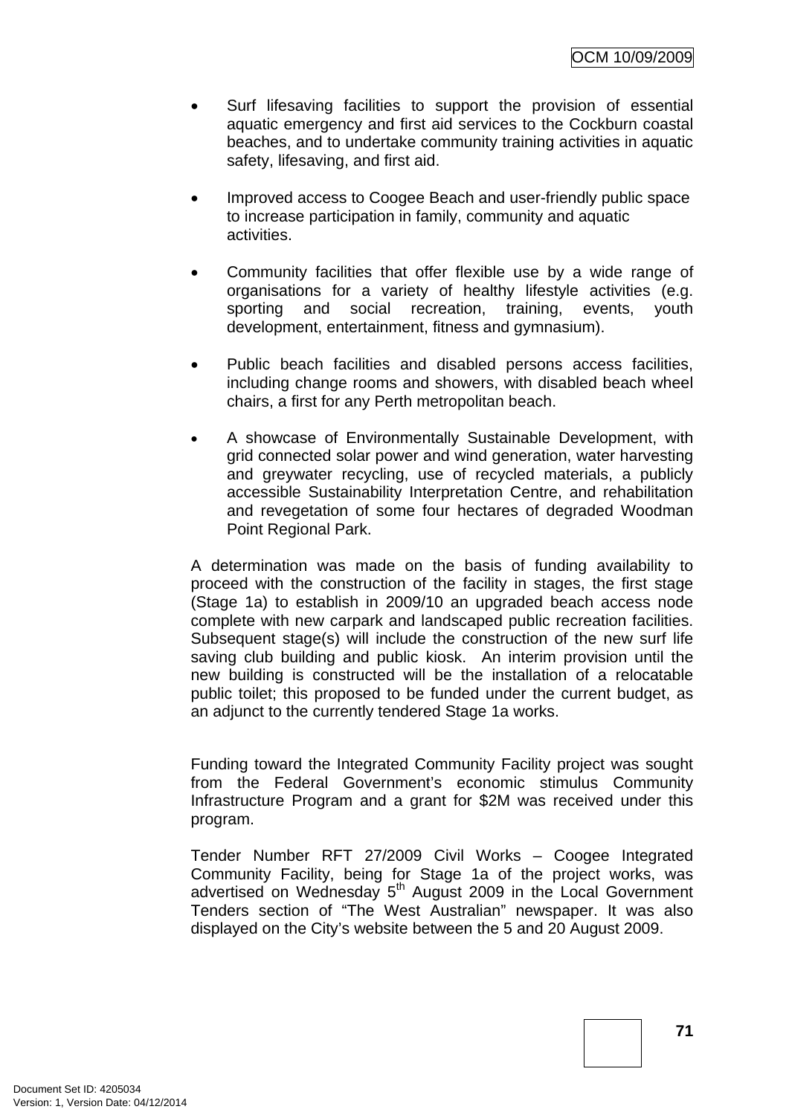- Surf lifesaving facilities to support the provision of essential aquatic emergency and first aid services to the Cockburn coastal beaches, and to undertake community training activities in aquatic safety, lifesaving, and first aid.
- Improved access to Coogee Beach and user-friendly public space to increase participation in family, community and aquatic activities.
- Community facilities that offer flexible use by a wide range of organisations for a variety of healthy lifestyle activities (e.g. sporting and social recreation, training, events, youth development, entertainment, fitness and gymnasium).
- Public beach facilities and disabled persons access facilities, including change rooms and showers, with disabled beach wheel chairs, a first for any Perth metropolitan beach.
- A showcase of Environmentally Sustainable Development, with grid connected solar power and wind generation, water harvesting and greywater recycling, use of recycled materials, a publicly accessible Sustainability Interpretation Centre, and rehabilitation and revegetation of some four hectares of degraded Woodman Point Regional Park.

A determination was made on the basis of funding availability to proceed with the construction of the facility in stages, the first stage (Stage 1a) to establish in 2009/10 an upgraded beach access node complete with new carpark and landscaped public recreation facilities. Subsequent stage(s) will include the construction of the new surf life saving club building and public kiosk. An interim provision until the new building is constructed will be the installation of a relocatable public toilet; this proposed to be funded under the current budget, as an adjunct to the currently tendered Stage 1a works.

Funding toward the Integrated Community Facility project was sought from the Federal Government's economic stimulus Community Infrastructure Program and a grant for \$2M was received under this program.

Tender Number RFT 27/2009 Civil Works – Coogee Integrated Community Facility, being for Stage 1a of the project works, was advertised on Wednesday 5<sup>th</sup> August 2009 in the Local Government Tenders section of "The West Australian" newspaper. It was also displayed on the City's website between the 5 and 20 August 2009.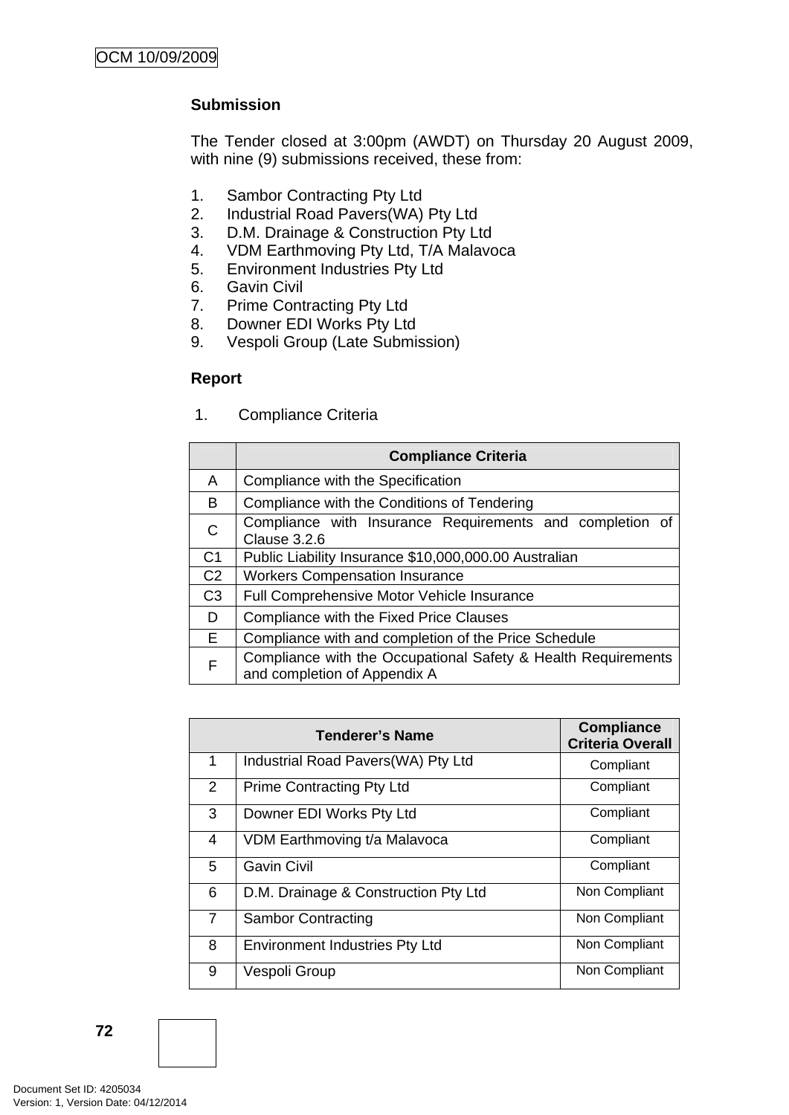# **Submission**

The Tender closed at 3:00pm (AWDT) on Thursday 20 August 2009, with nine (9) submissions received, these from:

- 1. Sambor Contracting Pty Ltd
- 2. Industrial Road Pavers(WA) Pty Ltd
- 3. D.M. Drainage & Construction Pty Ltd
- 4. VDM Earthmoving Pty Ltd, T/A Malavoca
- 5. Environment Industries Pty Ltd
- 6. Gavin Civil
- 7. Prime Contracting Pty Ltd
- 8. Downer EDI Works Pty Ltd
- 9. Vespoli Group (Late Submission)

## **Report**

1. Compliance Criteria

|                | <b>Compliance Criteria</b>                                                                    |  |
|----------------|-----------------------------------------------------------------------------------------------|--|
| A              | Compliance with the Specification                                                             |  |
| B              | Compliance with the Conditions of Tendering                                                   |  |
| $\mathsf{C}$   | Compliance with Insurance Requirements and completion of<br>Clause 3.2.6                      |  |
| C <sub>1</sub> | Public Liability Insurance \$10,000,000.00 Australian                                         |  |
| C <sub>2</sub> | <b>Workers Compensation Insurance</b>                                                         |  |
| C <sub>3</sub> | Full Comprehensive Motor Vehicle Insurance                                                    |  |
| D              | Compliance with the Fixed Price Clauses                                                       |  |
| E.             | Compliance with and completion of the Price Schedule                                          |  |
| F              | Compliance with the Occupational Safety & Health Requirements<br>and completion of Appendix A |  |

| <b>Tenderer's Name</b> |                                       | <b>Compliance</b><br><b>Criteria Overall</b> |
|------------------------|---------------------------------------|----------------------------------------------|
| 1                      | Industrial Road Pavers (WA) Pty Ltd   | Compliant                                    |
| $\overline{2}$         | <b>Prime Contracting Pty Ltd</b>      | Compliant                                    |
| 3                      | Downer EDI Works Pty Ltd              | Compliant                                    |
| 4                      | VDM Earthmoving t/a Malavoca          | Compliant                                    |
| 5                      | <b>Gavin Civil</b>                    | Compliant                                    |
| 6                      | D.M. Drainage & Construction Pty Ltd  | Non Compliant                                |
| $\overline{7}$         | <b>Sambor Contracting</b>             | Non Compliant                                |
| 8                      | <b>Environment Industries Pty Ltd</b> | Non Compliant                                |
| 9                      | Vespoli Group                         | Non Compliant                                |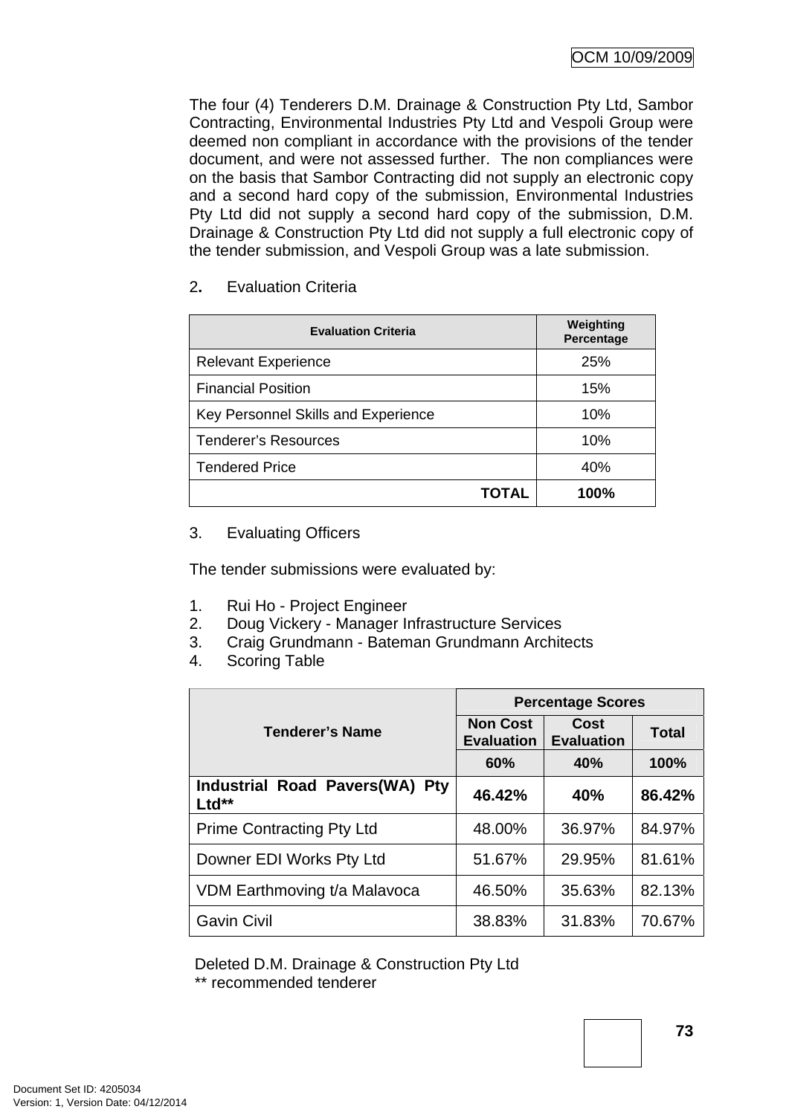The four (4) Tenderers D.M. Drainage & Construction Pty Ltd, Sambor Contracting, Environmental Industries Pty Ltd and Vespoli Group were deemed non compliant in accordance with the provisions of the tender document, and were not assessed further. The non compliances were on the basis that Sambor Contracting did not supply an electronic copy and a second hard copy of the submission, Environmental Industries Pty Ltd did not supply a second hard copy of the submission, D.M. Drainage & Construction Pty Ltd did not supply a full electronic copy of the tender submission, and Vespoli Group was a late submission.

# 2**.** Evaluation Criteria

| <b>Evaluation Criteria</b>          | Weighting<br>Percentage |
|-------------------------------------|-------------------------|
| <b>Relevant Experience</b>          | 25%                     |
| <b>Financial Position</b>           | 15%                     |
| Key Personnel Skills and Experience | 10%                     |
| <b>Tenderer's Resources</b>         | 10%                     |
| <b>Tendered Price</b>               | 40%                     |
| TOTAL                               | 100%                    |

# 3. Evaluating Officers

The tender submissions were evaluated by:

- 1. Rui Ho Project Engineer
- 2. Doug Vickery Manager Infrastructure Services
- 3. Craig Grundmann Bateman Grundmann Architects
- 4. Scoring Table

|                                         | <b>Percentage Scores</b>             |                                  |        |
|-----------------------------------------|--------------------------------------|----------------------------------|--------|
| <b>Tenderer's Name</b>                  | <b>Non Cost</b><br><b>Evaluation</b> | <b>Cost</b><br><b>Evaluation</b> | Total  |
|                                         | 60%                                  | 40%                              | 100%   |
| Industrial Road Pavers(WA) Pty<br>Ltd** | 46.42%                               | 40%                              | 86.42% |
| <b>Prime Contracting Pty Ltd</b>        | 48.00%                               | 36.97%                           | 84.97% |
| Downer EDI Works Pty Ltd                | 51.67%                               | 29.95%                           | 81.61% |
| VDM Earthmoving t/a Malavoca            | 46.50%                               | 35.63%                           | 82.13% |
| <b>Gavin Civil</b>                      | 38.83%                               | 31.83%                           | 70.67% |

Deleted D.M. Drainage & Construction Pty Ltd

\*\* recommended tenderer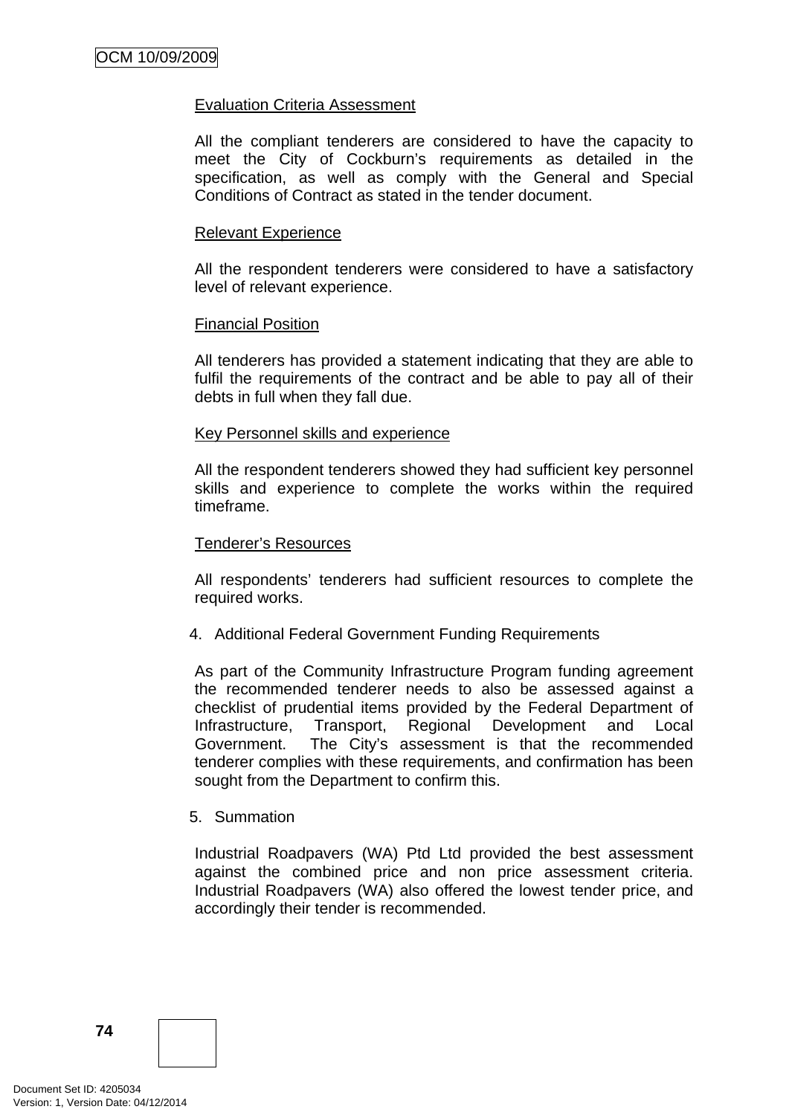### Evaluation Criteria Assessment

All the compliant tenderers are considered to have the capacity to meet the City of Cockburn's requirements as detailed in the specification, as well as comply with the General and Special Conditions of Contract as stated in the tender document.

### Relevant Experience

All the respondent tenderers were considered to have a satisfactory level of relevant experience.

### Financial Position

All tenderers has provided a statement indicating that they are able to fulfil the requirements of the contract and be able to pay all of their debts in full when they fall due.

### Key Personnel skills and experience

All the respondent tenderers showed they had sufficient key personnel skills and experience to complete the works within the required timeframe.

### Tenderer's Resources

All respondents' tenderers had sufficient resources to complete the required works.

4. Additional Federal Government Funding Requirements

As part of the Community Infrastructure Program funding agreement the recommended tenderer needs to also be assessed against a checklist of prudential items provided by the Federal Department of Infrastructure, Transport, Regional Development and Local Government. The City's assessment is that the recommended tenderer complies with these requirements, and confirmation has been sought from the Department to confirm this.

### 5. Summation

Industrial Roadpavers (WA) Ptd Ltd provided the best assessment against the combined price and non price assessment criteria. Industrial Roadpavers (WA) also offered the lowest tender price, and accordingly their tender is recommended.

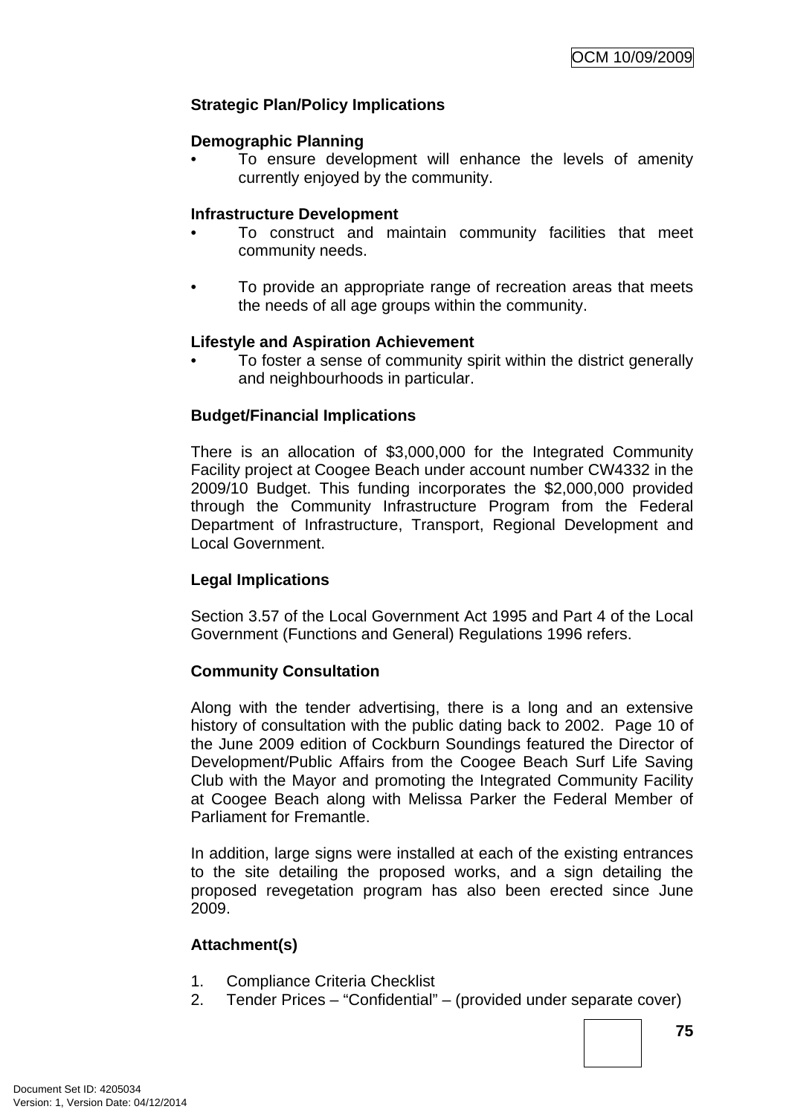# **Strategic Plan/Policy Implications**

### **Demographic Planning**

• To ensure development will enhance the levels of amenity currently enjoyed by the community.

### **Infrastructure Development**

- To construct and maintain community facilities that meet community needs.
- To provide an appropriate range of recreation areas that meets the needs of all age groups within the community.

## **Lifestyle and Aspiration Achievement**

• To foster a sense of community spirit within the district generally and neighbourhoods in particular.

## **Budget/Financial Implications**

There is an allocation of \$3,000,000 for the Integrated Community Facility project at Coogee Beach under account number CW4332 in the 2009/10 Budget. This funding incorporates the \$2,000,000 provided through the Community Infrastructure Program from the Federal Department of Infrastructure, Transport, Regional Development and Local Government.

## **Legal Implications**

Section 3.57 of the Local Government Act 1995 and Part 4 of the Local Government (Functions and General) Regulations 1996 refers.

## **Community Consultation**

Along with the tender advertising, there is a long and an extensive history of consultation with the public dating back to 2002. Page 10 of the June 2009 edition of Cockburn Soundings featured the Director of Development/Public Affairs from the Coogee Beach Surf Life Saving Club with the Mayor and promoting the Integrated Community Facility at Coogee Beach along with Melissa Parker the Federal Member of Parliament for Fremantle.

In addition, large signs were installed at each of the existing entrances to the site detailing the proposed works, and a sign detailing the proposed revegetation program has also been erected since June 2009.

## **Attachment(s)**

- 1. Compliance Criteria Checklist
- 2. Tender Prices "Confidential" (provided under separate cover)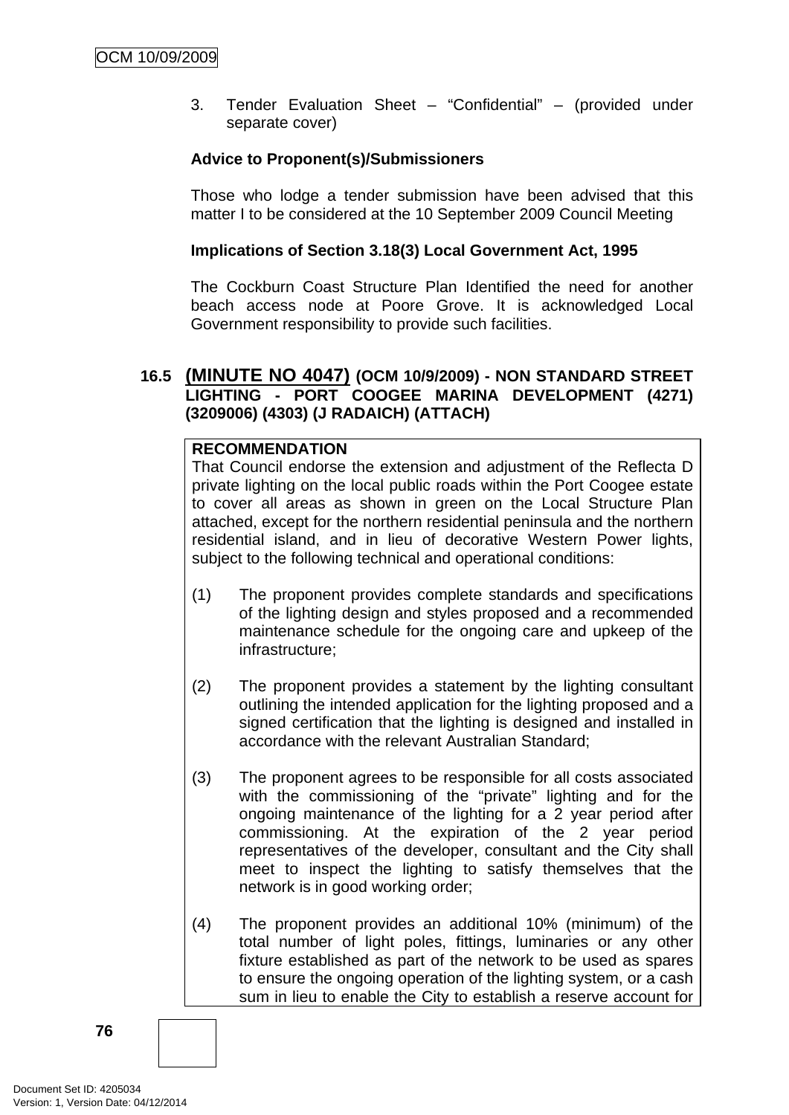3. Tender Evaluation Sheet – "Confidential" – (provided under separate cover)

# **Advice to Proponent(s)/Submissioners**

Those who lodge a tender submission have been advised that this matter I to be considered at the 10 September 2009 Council Meeting

# **Implications of Section 3.18(3) Local Government Act, 1995**

The Cockburn Coast Structure Plan Identified the need for another beach access node at Poore Grove. It is acknowledged Local Government responsibility to provide such facilities.

# **16.5 (MINUTE NO 4047) (OCM 10/9/2009) - NON STANDARD STREET LIGHTING - PORT COOGEE MARINA DEVELOPMENT (4271) (3209006) (4303) (J RADAICH) (ATTACH)**

## **RECOMMENDATION**

That Council endorse the extension and adjustment of the Reflecta D private lighting on the local public roads within the Port Coogee estate to cover all areas as shown in green on the Local Structure Plan attached, except for the northern residential peninsula and the northern residential island, and in lieu of decorative Western Power lights, subject to the following technical and operational conditions:

- (1) The proponent provides complete standards and specifications of the lighting design and styles proposed and a recommended maintenance schedule for the ongoing care and upkeep of the infrastructure;
- (2) The proponent provides a statement by the lighting consultant outlining the intended application for the lighting proposed and a signed certification that the lighting is designed and installed in accordance with the relevant Australian Standard;
- (3) The proponent agrees to be responsible for all costs associated with the commissioning of the "private" lighting and for the ongoing maintenance of the lighting for a 2 year period after commissioning. At the expiration of the 2 year period representatives of the developer, consultant and the City shall meet to inspect the lighting to satisfy themselves that the network is in good working order;
- (4) The proponent provides an additional 10% (minimum) of the total number of light poles, fittings, luminaries or any other fixture established as part of the network to be used as spares to ensure the ongoing operation of the lighting system, or a cash sum in lieu to enable the City to establish a reserve account for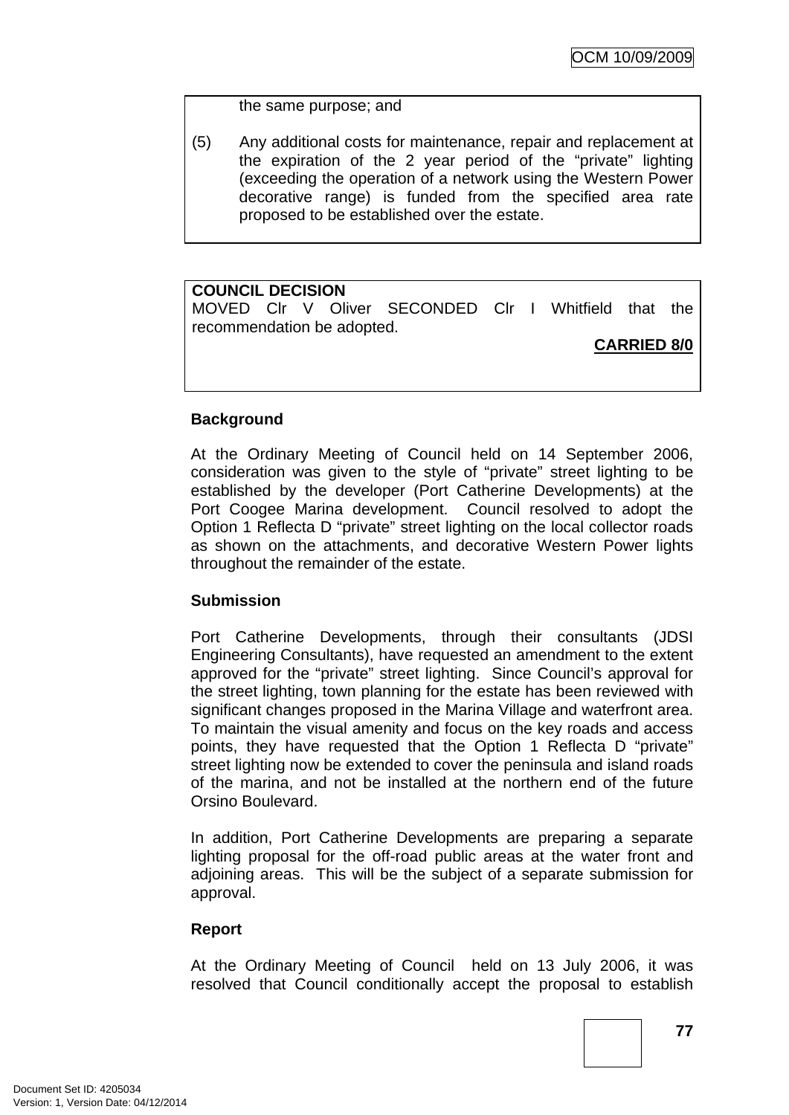the same purpose; and

(5) Any additional costs for maintenance, repair and replacement at the expiration of the 2 year period of the "private" lighting (exceeding the operation of a network using the Western Power decorative range) is funded from the specified area rate proposed to be established over the estate.

## **COUNCIL DECISION**

MOVED Clr V Oliver SECONDED Clr I Whitfield that the recommendation be adopted.

**CARRIED 8/0**

# **Background**

At the Ordinary Meeting of Council held on 14 September 2006, consideration was given to the style of "private" street lighting to be established by the developer (Port Catherine Developments) at the Port Coogee Marina development. Council resolved to adopt the Option 1 Reflecta D "private" street lighting on the local collector roads as shown on the attachments, and decorative Western Power lights throughout the remainder of the estate.

## **Submission**

Port Catherine Developments, through their consultants (JDSI Engineering Consultants), have requested an amendment to the extent approved for the "private" street lighting. Since Council's approval for the street lighting, town planning for the estate has been reviewed with significant changes proposed in the Marina Village and waterfront area. To maintain the visual amenity and focus on the key roads and access points, they have requested that the Option 1 Reflecta D "private" street lighting now be extended to cover the peninsula and island roads of the marina, and not be installed at the northern end of the future Orsino Boulevard.

In addition, Port Catherine Developments are preparing a separate lighting proposal for the off-road public areas at the water front and adjoining areas. This will be the subject of a separate submission for approval.

## **Report**

At the Ordinary Meeting of Council held on 13 July 2006, it was resolved that Council conditionally accept the proposal to establish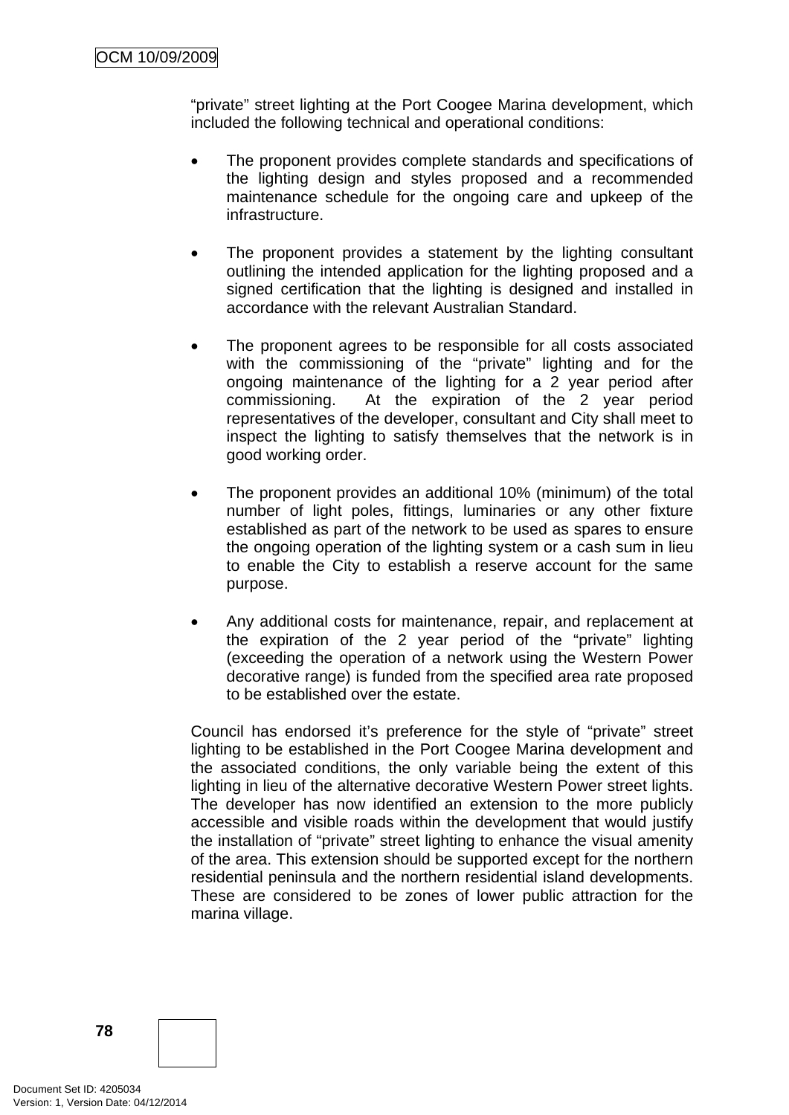"private" street lighting at the Port Coogee Marina development, which included the following technical and operational conditions:

- The proponent provides complete standards and specifications of the lighting design and styles proposed and a recommended maintenance schedule for the ongoing care and upkeep of the infrastructure.
- The proponent provides a statement by the lighting consultant outlining the intended application for the lighting proposed and a signed certification that the lighting is designed and installed in accordance with the relevant Australian Standard.
- The proponent agrees to be responsible for all costs associated with the commissioning of the "private" lighting and for the ongoing maintenance of the lighting for a 2 year period after commissioning. At the expiration of the 2 year period representatives of the developer, consultant and City shall meet to inspect the lighting to satisfy themselves that the network is in good working order.
- The proponent provides an additional 10% (minimum) of the total number of light poles, fittings, luminaries or any other fixture established as part of the network to be used as spares to ensure the ongoing operation of the lighting system or a cash sum in lieu to enable the City to establish a reserve account for the same purpose.
- Any additional costs for maintenance, repair, and replacement at the expiration of the 2 year period of the "private" lighting (exceeding the operation of a network using the Western Power decorative range) is funded from the specified area rate proposed to be established over the estate.

Council has endorsed it's preference for the style of "private" street lighting to be established in the Port Coogee Marina development and the associated conditions, the only variable being the extent of this lighting in lieu of the alternative decorative Western Power street lights. The developer has now identified an extension to the more publicly accessible and visible roads within the development that would justify the installation of "private" street lighting to enhance the visual amenity of the area. This extension should be supported except for the northern residential peninsula and the northern residential island developments. These are considered to be zones of lower public attraction for the marina village.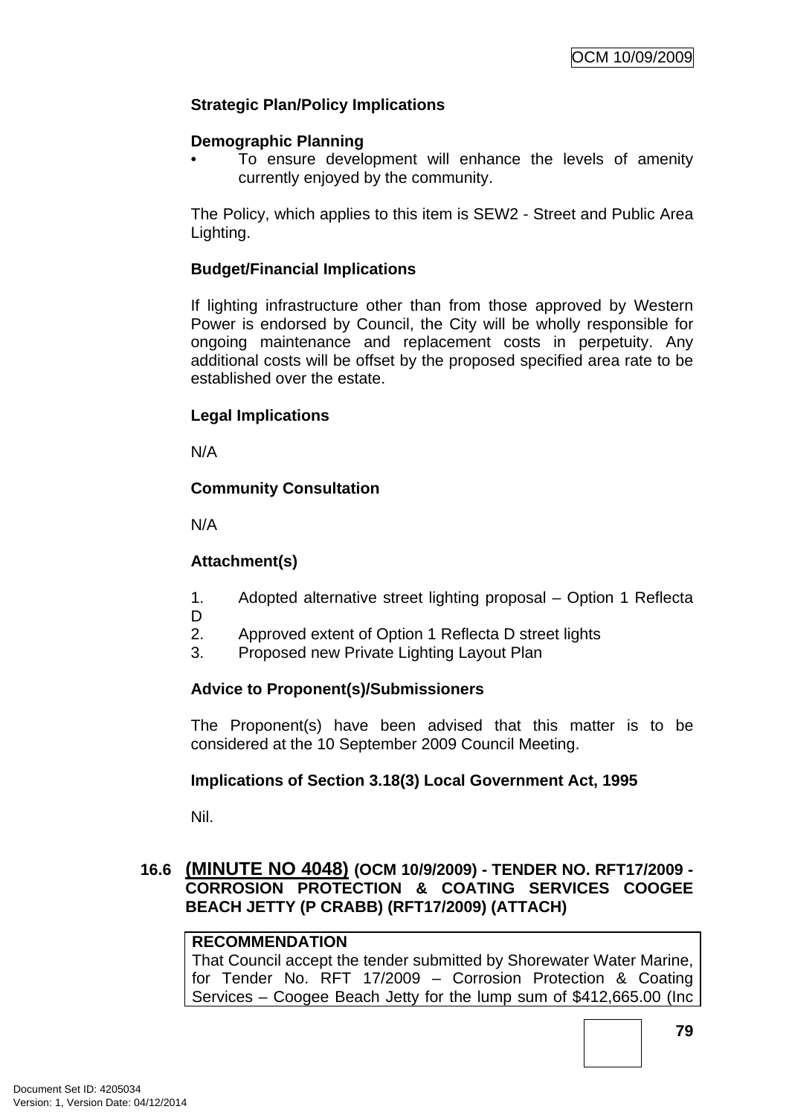# **Strategic Plan/Policy Implications**

### **Demographic Planning**

• To ensure development will enhance the levels of amenity currently enjoyed by the community.

The Policy, which applies to this item is SEW2 - Street and Public Area Lighting.

### **Budget/Financial Implications**

If lighting infrastructure other than from those approved by Western Power is endorsed by Council, the City will be wholly responsible for ongoing maintenance and replacement costs in perpetuity. Any additional costs will be offset by the proposed specified area rate to be established over the estate.

### **Legal Implications**

N/A

## **Community Consultation**

N/A

## **Attachment(s)**

- 1. Adopted alternative street lighting proposal Option 1 Reflecta
- D
- 2. Approved extent of Option 1 Reflecta D street lights
	- 3. Proposed new Private Lighting Layout Plan

# **Advice to Proponent(s)/Submissioners**

The Proponent(s) have been advised that this matter is to be considered at the 10 September 2009 Council Meeting.

## **Implications of Section 3.18(3) Local Government Act, 1995**

Nil.

# **16.6 (MINUTE NO 4048) (OCM 10/9/2009) - TENDER NO. RFT17/2009 - CORROSION PROTECTION & COATING SERVICES COOGEE BEACH JETTY (P CRABB) (RFT17/2009) (ATTACH)**

## **RECOMMENDATION**

That Council accept the tender submitted by Shorewater Water Marine, for Tender No. RFT 17/2009 – Corrosion Protection & Coating Services – Coogee Beach Jetty for the lump sum of \$412,665.00 (Inc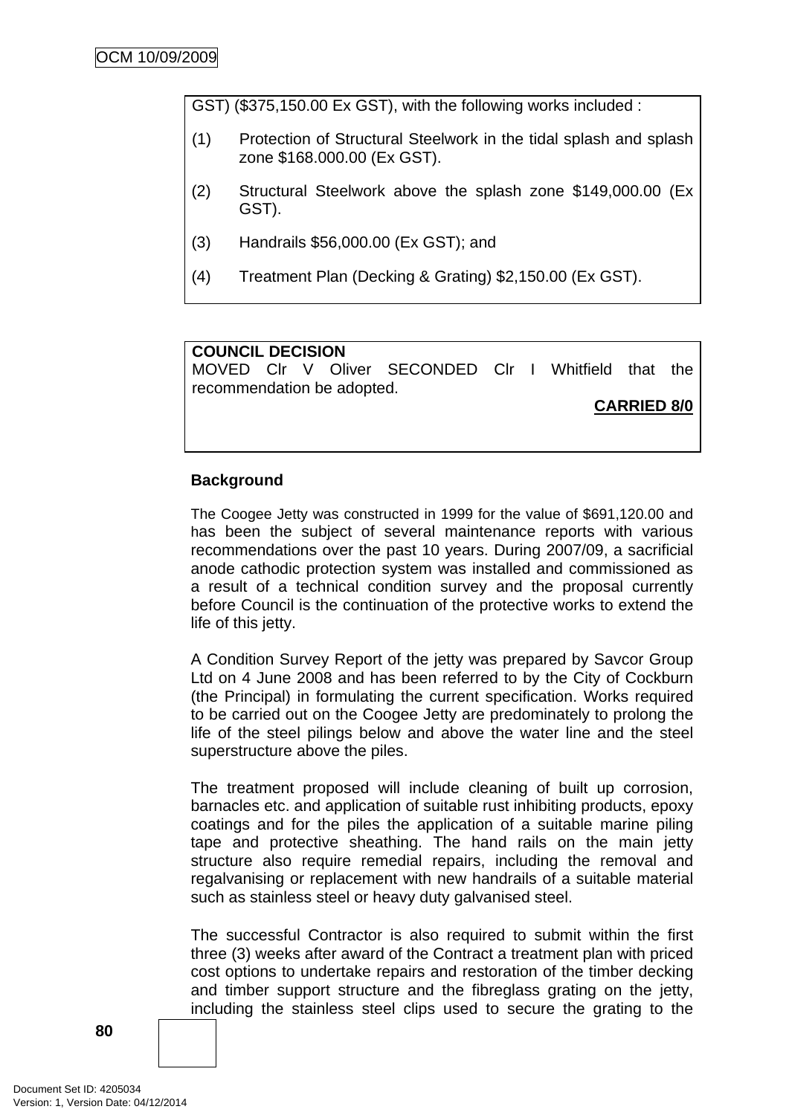GST) (\$375,150.00 Ex GST), with the following works included :

- (1) Protection of Structural Steelwork in the tidal splash and splash zone \$168.000.00 (Ex GST).
- (2) Structural Steelwork above the splash zone \$149,000.00 (Ex GST).
- (3) Handrails \$56,000.00 (Ex GST); and
- (4) Treatment Plan (Decking & Grating) \$2,150.00 (Ex GST).

### **COUNCIL DECISION**

MOVED Clr V Oliver SECONDED Clr I Whitfield that the recommendation be adopted.

**CARRIED 8/0**

### **Background**

The Coogee Jetty was constructed in 1999 for the value of \$691,120.00 and has been the subject of several maintenance reports with various recommendations over the past 10 years. During 2007/09, a sacrificial anode cathodic protection system was installed and commissioned as a result of a technical condition survey and the proposal currently before Council is the continuation of the protective works to extend the life of this jetty.

A Condition Survey Report of the jetty was prepared by Savcor Group Ltd on 4 June 2008 and has been referred to by the City of Cockburn (the Principal) in formulating the current specification. Works required to be carried out on the Coogee Jetty are predominately to prolong the life of the steel pilings below and above the water line and the steel superstructure above the piles.

The treatment proposed will include cleaning of built up corrosion, barnacles etc. and application of suitable rust inhibiting products, epoxy coatings and for the piles the application of a suitable marine piling tape and protective sheathing. The hand rails on the main jetty structure also require remedial repairs, including the removal and regalvanising or replacement with new handrails of a suitable material such as stainless steel or heavy duty galvanised steel.

The successful Contractor is also required to submit within the first three (3) weeks after award of the Contract a treatment plan with priced cost options to undertake repairs and restoration of the timber decking and timber support structure and the fibreglass grating on the jetty, including the stainless steel clips used to secure the grating to the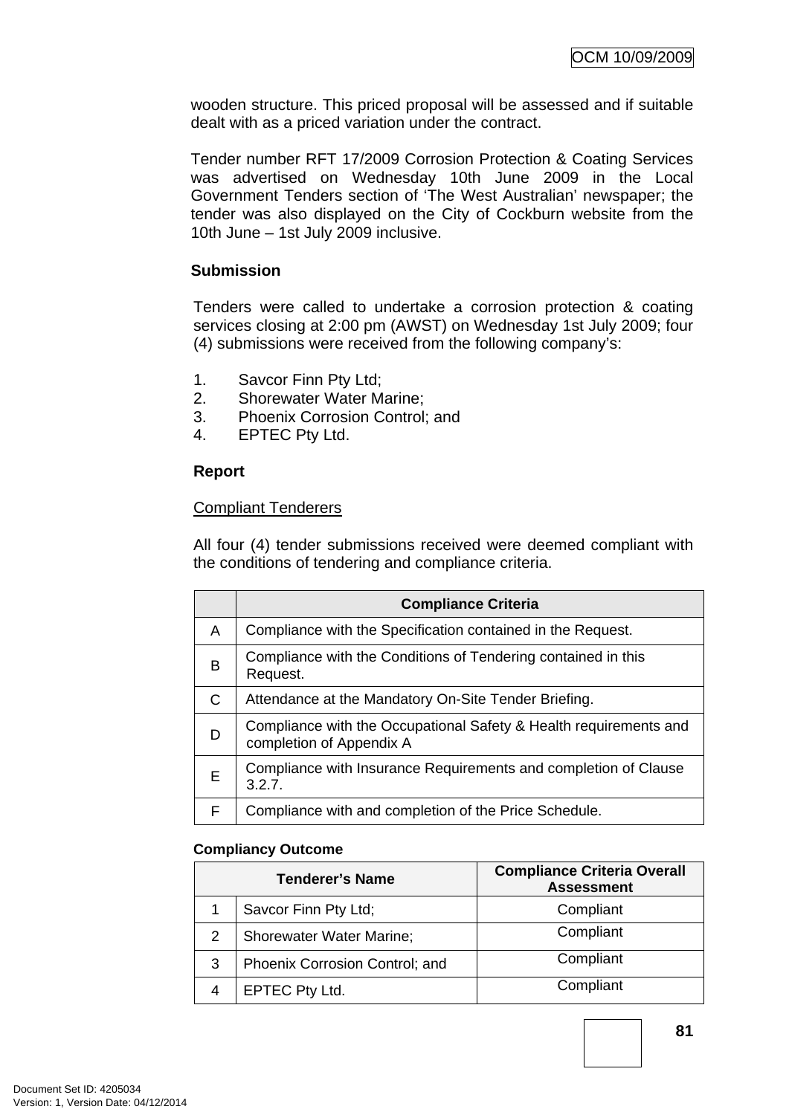wooden structure. This priced proposal will be assessed and if suitable dealt with as a priced variation under the contract.

Tender number RFT 17/2009 Corrosion Protection & Coating Services was advertised on Wednesday 10th June 2009 in the Local Government Tenders section of 'The West Australian' newspaper; the tender was also displayed on the City of Cockburn website from the 10th June – 1st July 2009 inclusive.

# **Submission**

Tenders were called to undertake a corrosion protection & coating services closing at 2:00 pm (AWST) on Wednesday 1st July 2009; four (4) submissions were received from the following company's:

- 1. Savcor Finn Pty Ltd;
- 2. Shorewater Water Marine;
- 3. Phoenix Corrosion Control; and
- 4. EPTEC Pty Ltd.

# **Report**

## Compliant Tenderers

All four (4) tender submissions received were deemed compliant with the conditions of tendering and compliance criteria.

|   | <b>Compliance Criteria</b>                                                                    |
|---|-----------------------------------------------------------------------------------------------|
| A | Compliance with the Specification contained in the Request.                                   |
| B | Compliance with the Conditions of Tendering contained in this<br>Request.                     |
| C | Attendance at the Mandatory On-Site Tender Briefing.                                          |
| D | Compliance with the Occupational Safety & Health requirements and<br>completion of Appendix A |
| Е | Compliance with Insurance Requirements and completion of Clause<br>3.2.7.                     |
| F | Compliance with and completion of the Price Schedule.                                         |

## **Compliancy Outcome**

| <b>Tenderer's Name</b> |                                 | <b>Compliance Criteria Overall</b><br><b>Assessment</b> |
|------------------------|---------------------------------|---------------------------------------------------------|
|                        | Savcor Finn Pty Ltd;            | Compliant                                               |
| 2                      | <b>Shorewater Water Marine;</b> | Compliant                                               |
| 3                      | Phoenix Corrosion Control; and  | Compliant                                               |
|                        | EPTEC Pty Ltd.                  | Compliant                                               |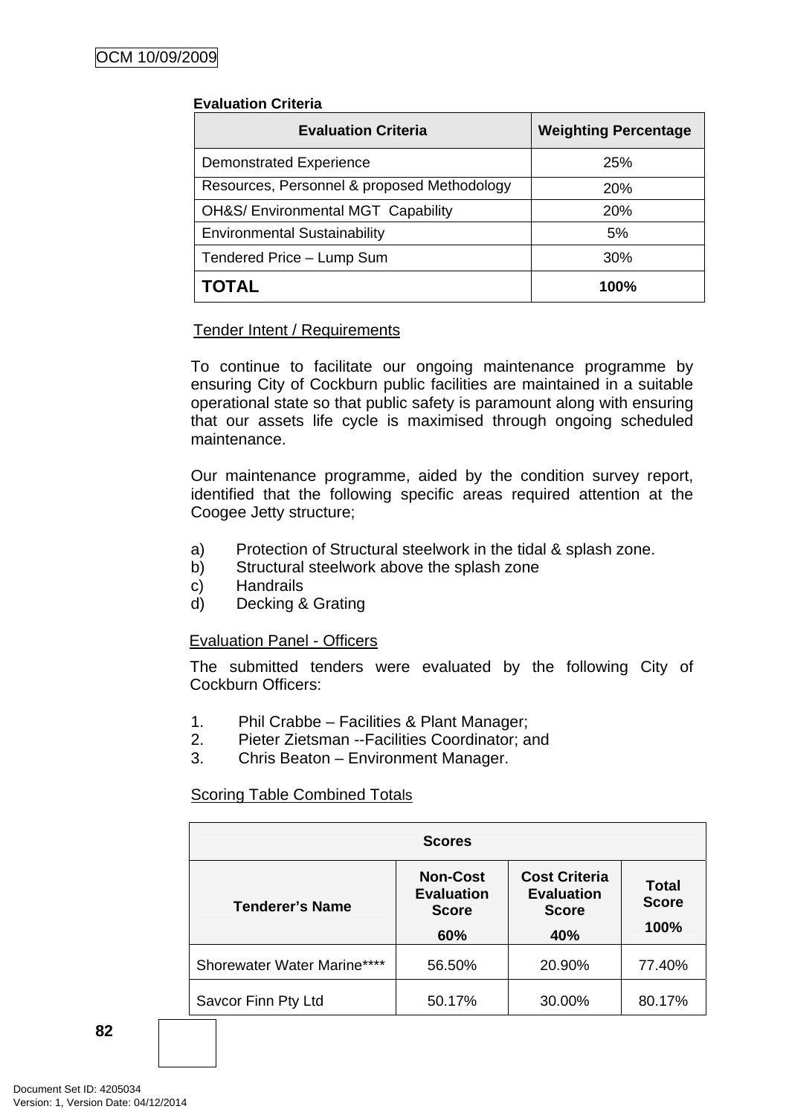| <b>Evaluation Criteria</b>                    | <b>Weighting Percentage</b> |
|-----------------------------------------------|-----------------------------|
| <b>Demonstrated Experience</b>                | <b>25%</b>                  |
| Resources, Personnel & proposed Methodology   | 20%                         |
| <b>OH&amp;S/ Environmental MGT Capability</b> | <b>20%</b>                  |
| <b>Environmental Sustainability</b>           | 5%                          |
| Tendered Price - Lump Sum                     | 30%                         |
| <b>TOTAL</b>                                  | 100%                        |

### Tender Intent / Requirements

To continue to facilitate our ongoing maintenance programme by ensuring City of Cockburn public facilities are maintained in a suitable operational state so that public safety is paramount along with ensuring that our assets life cycle is maximised through ongoing scheduled maintenance.

Our maintenance programme, aided by the condition survey report, identified that the following specific areas required attention at the Coogee Jetty structure;

- a) Protection of Structural steelwork in the tidal & splash zone.
- b) Structural steelwork above the splash zone
- c) Handrails
- d) Decking & Grating

## Evaluation Panel - Officers

The submitted tenders were evaluated by the following City of Cockburn Officers:

- 1. Phil Crabbe Facilities & Plant Manager;
- 2. Pieter Zietsman --Facilities Coordinator; and
- 3. Chris Beaton Environment Manager.

### Scoring Table Combined Totals

|                             | <b>Scores</b>                                               |                                                                  |                               |
|-----------------------------|-------------------------------------------------------------|------------------------------------------------------------------|-------------------------------|
| <b>Tenderer's Name</b>      | <b>Non-Cost</b><br><b>Evaluation</b><br><b>Score</b><br>60% | <b>Cost Criteria</b><br><b>Evaluation</b><br><b>Score</b><br>40% | Total<br><b>Score</b><br>100% |
| Shorewater Water Marine**** | 56.50%                                                      | 20.90%                                                           | 77.40%                        |
| Savcor Finn Pty Ltd         | 50.17%                                                      | 30.00%                                                           | 80.17%                        |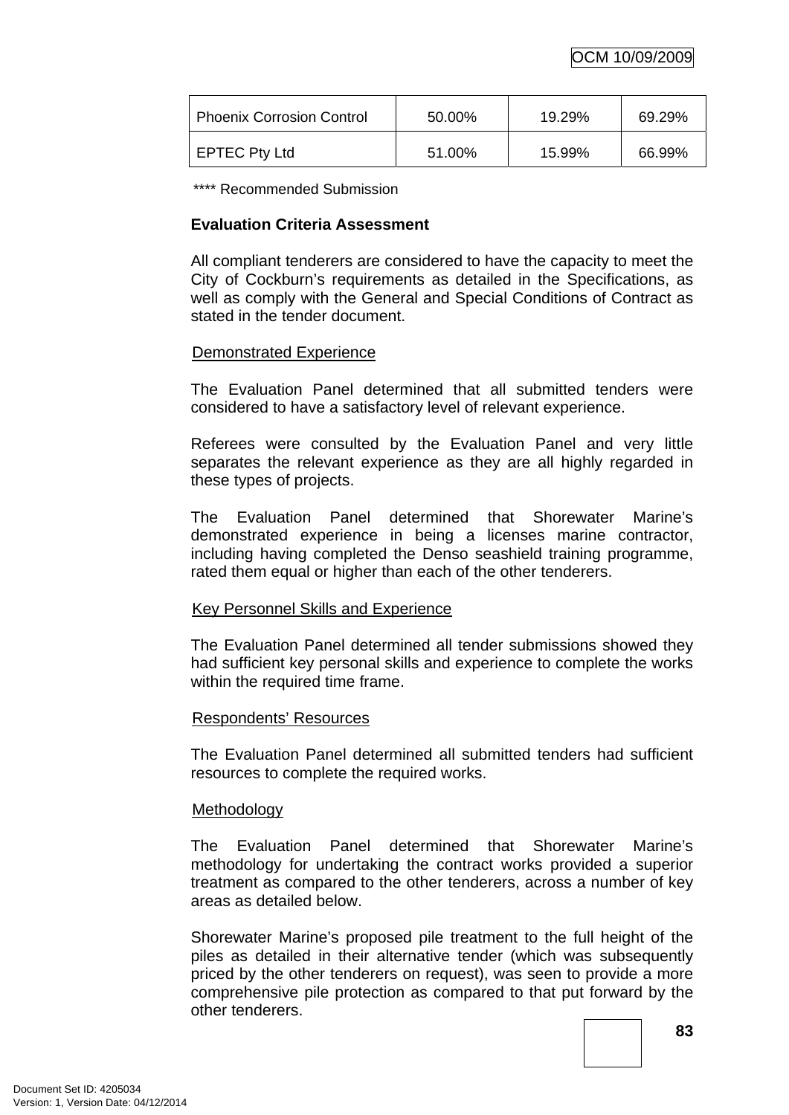| <b>Phoenix Corrosion Control</b> | 50.00% | 19.29% | 69.29% |
|----------------------------------|--------|--------|--------|
| <b>EPTEC Pty Ltd</b>             | 51.00% | 15.99% | 66.99% |

\*\*\*\* Recommended Submission

## **Evaluation Criteria Assessment**

All compliant tenderers are considered to have the capacity to meet the City of Cockburn's requirements as detailed in the Specifications, as well as comply with the General and Special Conditions of Contract as stated in the tender document.

## Demonstrated Experience

The Evaluation Panel determined that all submitted tenders were considered to have a satisfactory level of relevant experience.

Referees were consulted by the Evaluation Panel and very little separates the relevant experience as they are all highly regarded in these types of projects.

The Evaluation Panel determined that Shorewater Marine's demonstrated experience in being a licenses marine contractor, including having completed the Denso seashield training programme, rated them equal or higher than each of the other tenderers.

## Key Personnel Skills and Experience

The Evaluation Panel determined all tender submissions showed they had sufficient key personal skills and experience to complete the works within the required time frame.

### Respondents' Resources

The Evaluation Panel determined all submitted tenders had sufficient resources to complete the required works.

### **Methodology**

The Evaluation Panel determined that Shorewater Marine's methodology for undertaking the contract works provided a superior treatment as compared to the other tenderers, across a number of key areas as detailed below.

Shorewater Marine's proposed pile treatment to the full height of the piles as detailed in their alternative tender (which was subsequently priced by the other tenderers on request), was seen to provide a more comprehensive pile protection as compared to that put forward by the other tenderers.

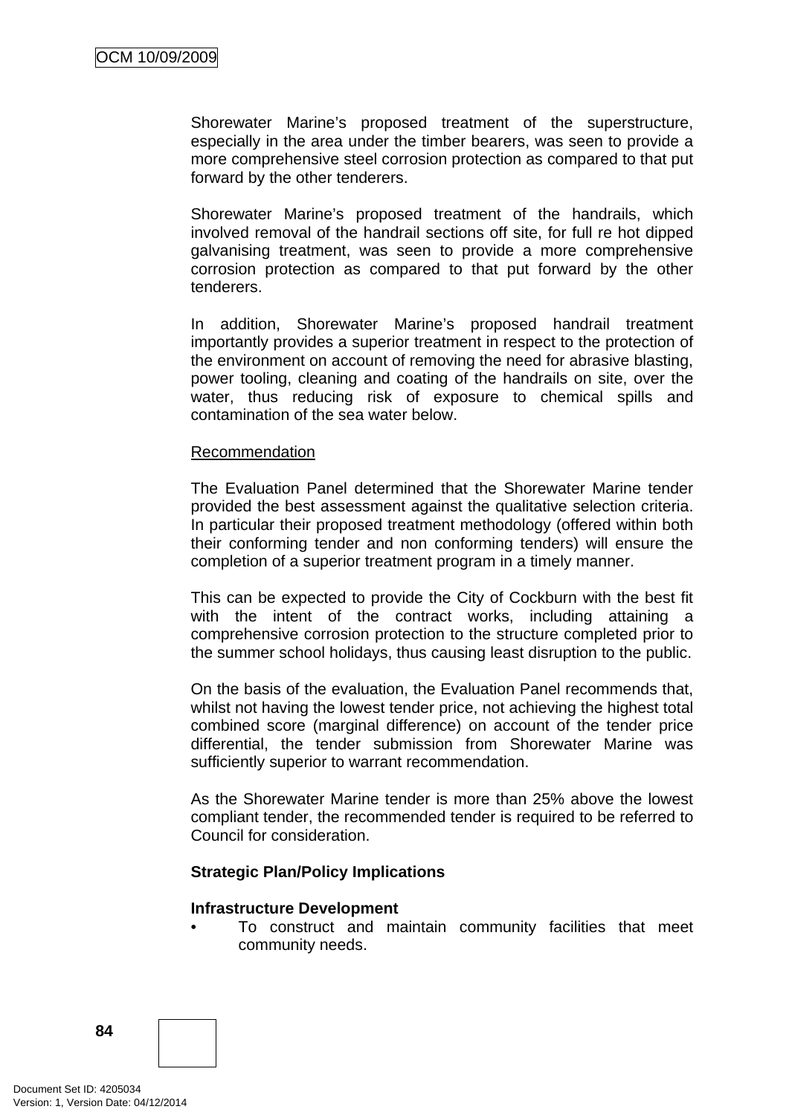Shorewater Marine's proposed treatment of the superstructure, especially in the area under the timber bearers, was seen to provide a more comprehensive steel corrosion protection as compared to that put forward by the other tenderers.

Shorewater Marine's proposed treatment of the handrails, which involved removal of the handrail sections off site, for full re hot dipped galvanising treatment, was seen to provide a more comprehensive corrosion protection as compared to that put forward by the other tenderers.

In addition, Shorewater Marine's proposed handrail treatment importantly provides a superior treatment in respect to the protection of the environment on account of removing the need for abrasive blasting, power tooling, cleaning and coating of the handrails on site, over the water, thus reducing risk of exposure to chemical spills and contamination of the sea water below.

### Recommendation

The Evaluation Panel determined that the Shorewater Marine tender provided the best assessment against the qualitative selection criteria. In particular their proposed treatment methodology (offered within both their conforming tender and non conforming tenders) will ensure the completion of a superior treatment program in a timely manner.

This can be expected to provide the City of Cockburn with the best fit with the intent of the contract works, including attaining a comprehensive corrosion protection to the structure completed prior to the summer school holidays, thus causing least disruption to the public.

On the basis of the evaluation, the Evaluation Panel recommends that, whilst not having the lowest tender price, not achieving the highest total combined score (marginal difference) on account of the tender price differential, the tender submission from Shorewater Marine was sufficiently superior to warrant recommendation.

As the Shorewater Marine tender is more than 25% above the lowest compliant tender, the recommended tender is required to be referred to Council for consideration.

## **Strategic Plan/Policy Implications**

### **Infrastructure Development**

• To construct and maintain community facilities that meet community needs.

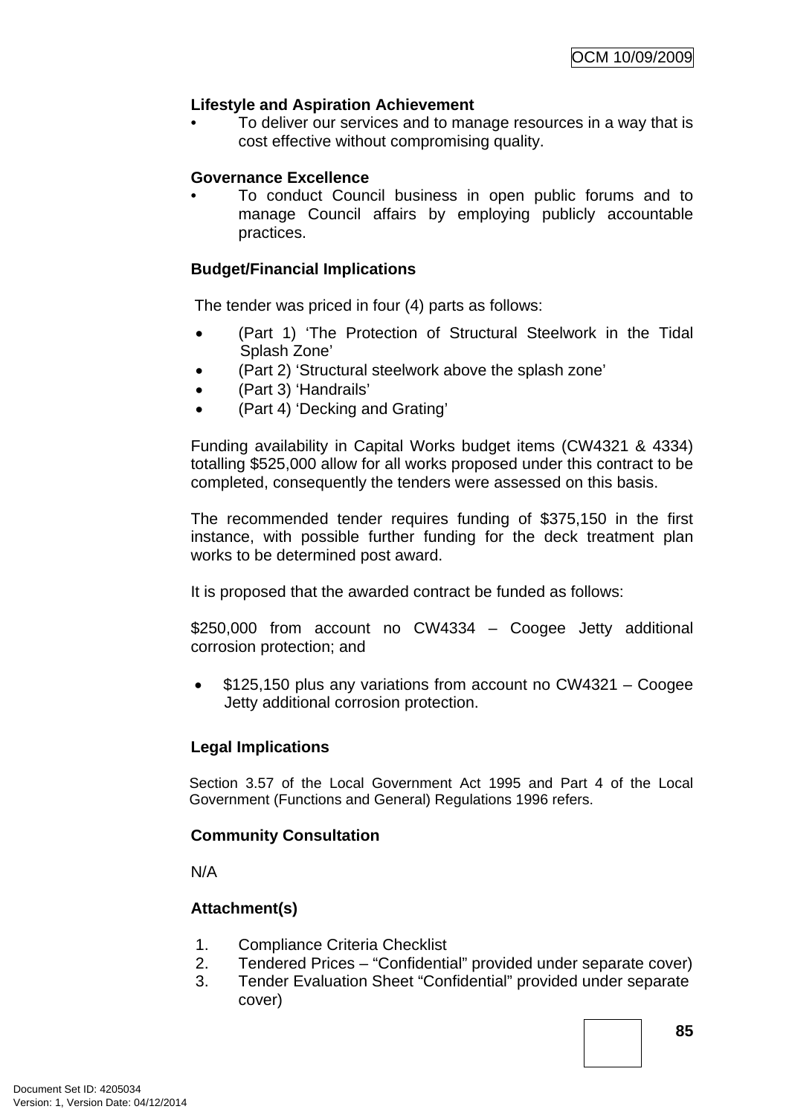# **Lifestyle and Aspiration Achievement**

• To deliver our services and to manage resources in a way that is cost effective without compromising quality.

# **Governance Excellence**

• To conduct Council business in open public forums and to manage Council affairs by employing publicly accountable practices.

# **Budget/Financial Implications**

The tender was priced in four (4) parts as follows:

- (Part 1) 'The Protection of Structural Steelwork in the Tidal Splash Zone'
- (Part 2) 'Structural steelwork above the splash zone'
- (Part 3) 'Handrails'
- (Part 4) 'Decking and Grating'

Funding availability in Capital Works budget items (CW4321 & 4334) totalling \$525,000 allow for all works proposed under this contract to be completed, consequently the tenders were assessed on this basis.

The recommended tender requires funding of \$375,150 in the first instance, with possible further funding for the deck treatment plan works to be determined post award.

It is proposed that the awarded contract be funded as follows:

\$250,000 from account no CW4334 – Coogee Jetty additional corrosion protection; and

• \$125,150 plus any variations from account no CW4321 – Coogee Jetty additional corrosion protection.

## **Legal Implications**

Section 3.57 of the Local Government Act 1995 and Part 4 of the Local Government (Functions and General) Regulations 1996 refers.

## **Community Consultation**

N/A

## **Attachment(s)**

- 1. Compliance Criteria Checklist
- 2. Tendered Prices "Confidential" provided under separate cover)
- 3. Tender Evaluation Sheet "Confidential" provided under separate cover)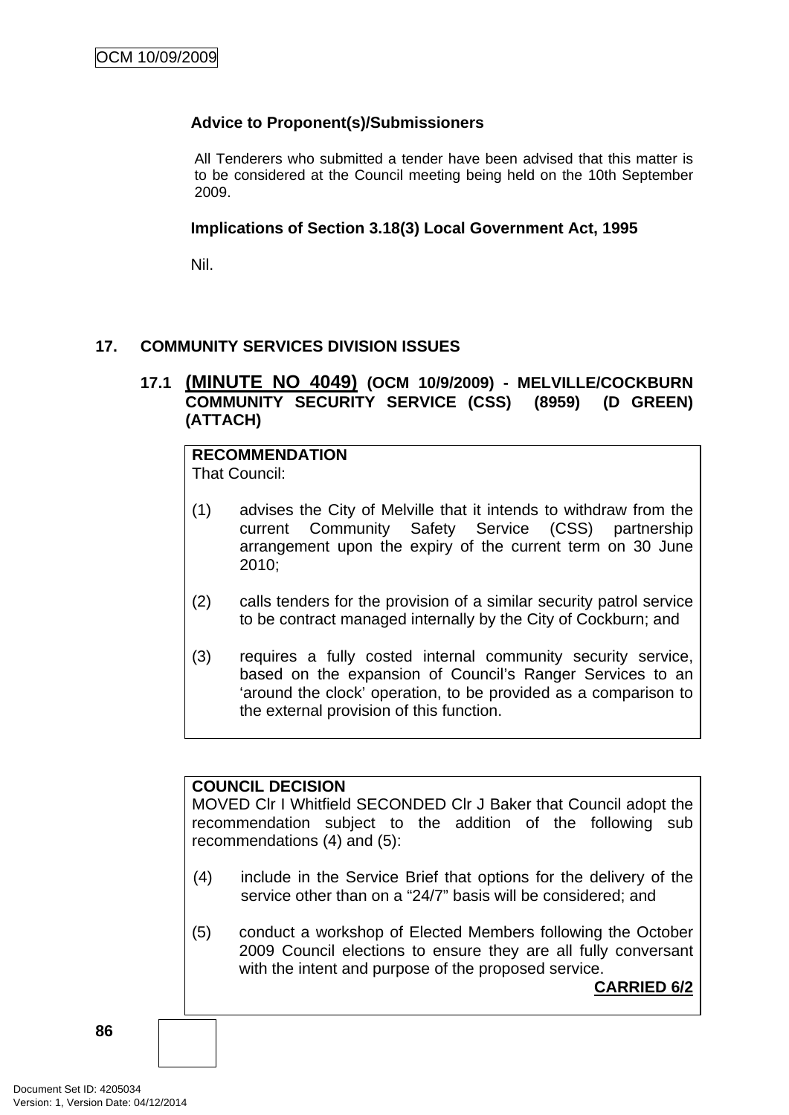# **Advice to Proponent(s)/Submissioners**

All Tenderers who submitted a tender have been advised that this matter is to be considered at the Council meeting being held on the 10th September 2009.

## **Implications of Section 3.18(3) Local Government Act, 1995**

Nil.

# **17. COMMUNITY SERVICES DIVISION ISSUES**

# **17.1 (MINUTE NO 4049) (OCM 10/9/2009) - MELVILLE/COCKBURN COMMUNITY SECURITY SERVICE (CSS) (8959) (D GREEN) (ATTACH)**

# **RECOMMENDATION**

That Council:

- (1) advises the City of Melville that it intends to withdraw from the current Community Safety Service (CSS) partnership arrangement upon the expiry of the current term on 30 June 2010;
- (2) calls tenders for the provision of a similar security patrol service to be contract managed internally by the City of Cockburn; and
- (3) requires a fully costed internal community security service, based on the expansion of Council's Ranger Services to an 'around the clock' operation, to be provided as a comparison to the external provision of this function.

## **COUNCIL DECISION**

MOVED Clr I Whitfield SECONDED Clr J Baker that Council adopt the recommendation subject to the addition of the following sub recommendations (4) and (5):

- (4) include in the Service Brief that options for the delivery of the service other than on a "24/7" basis will be considered; and
- (5) conduct a workshop of Elected Members following the October 2009 Council elections to ensure they are all fully conversant with the intent and purpose of the proposed service.

**CARRIED 6/2**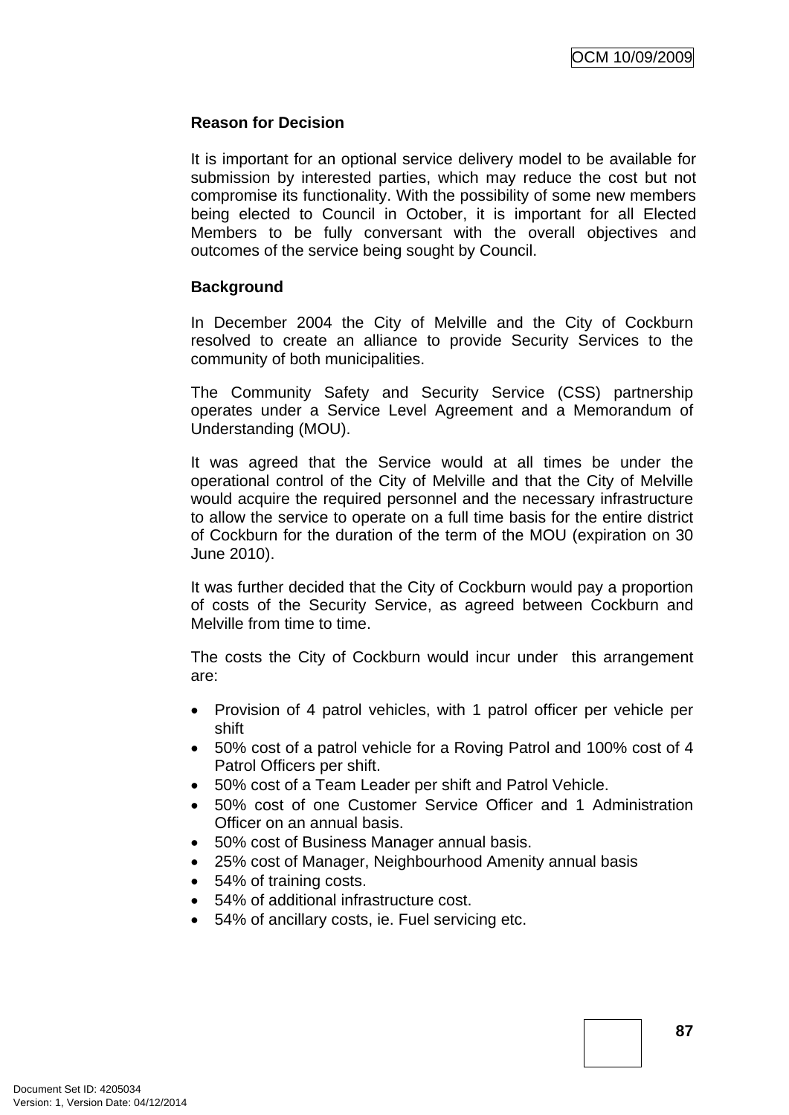## **Reason for Decision**

It is important for an optional service delivery model to be available for submission by interested parties, which may reduce the cost but not compromise its functionality. With the possibility of some new members being elected to Council in October, it is important for all Elected Members to be fully conversant with the overall objectives and outcomes of the service being sought by Council.

## **Background**

In December 2004 the City of Melville and the City of Cockburn resolved to create an alliance to provide Security Services to the community of both municipalities.

The Community Safety and Security Service (CSS) partnership operates under a Service Level Agreement and a Memorandum of Understanding (MOU).

It was agreed that the Service would at all times be under the operational control of the City of Melville and that the City of Melville would acquire the required personnel and the necessary infrastructure to allow the service to operate on a full time basis for the entire district of Cockburn for the duration of the term of the MOU (expiration on 30 June 2010).

It was further decided that the City of Cockburn would pay a proportion of costs of the Security Service, as agreed between Cockburn and Melville from time to time.

The costs the City of Cockburn would incur under this arrangement are:

- Provision of 4 patrol vehicles, with 1 patrol officer per vehicle per shift
- 50% cost of a patrol vehicle for a Roving Patrol and 100% cost of 4 Patrol Officers per shift.
- 50% cost of a Team Leader per shift and Patrol Vehicle.
- 50% cost of one Customer Service Officer and 1 Administration Officer on an annual basis.
- 50% cost of Business Manager annual basis.
- 25% cost of Manager, Neighbourhood Amenity annual basis
- 54% of training costs.
- 54% of additional infrastructure cost.
- 54% of ancillary costs, ie. Fuel servicing etc.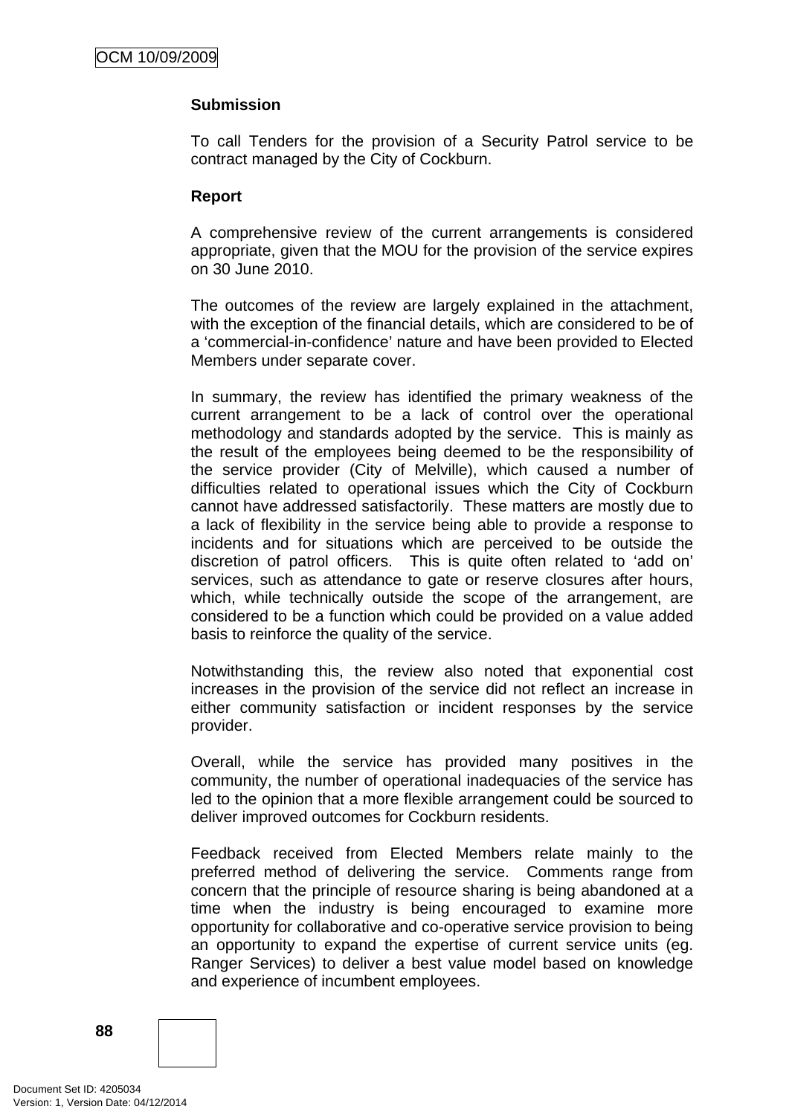# **Submission**

To call Tenders for the provision of a Security Patrol service to be contract managed by the City of Cockburn.

### **Report**

A comprehensive review of the current arrangements is considered appropriate, given that the MOU for the provision of the service expires on 30 June 2010.

The outcomes of the review are largely explained in the attachment, with the exception of the financial details, which are considered to be of a 'commercial-in-confidence' nature and have been provided to Elected Members under separate cover.

In summary, the review has identified the primary weakness of the current arrangement to be a lack of control over the operational methodology and standards adopted by the service. This is mainly as the result of the employees being deemed to be the responsibility of the service provider (City of Melville), which caused a number of difficulties related to operational issues which the City of Cockburn cannot have addressed satisfactorily. These matters are mostly due to a lack of flexibility in the service being able to provide a response to incidents and for situations which are perceived to be outside the discretion of patrol officers. This is quite often related to 'add on' services, such as attendance to gate or reserve closures after hours, which, while technically outside the scope of the arrangement, are considered to be a function which could be provided on a value added basis to reinforce the quality of the service.

Notwithstanding this, the review also noted that exponential cost increases in the provision of the service did not reflect an increase in either community satisfaction or incident responses by the service provider.

Overall, while the service has provided many positives in the community, the number of operational inadequacies of the service has led to the opinion that a more flexible arrangement could be sourced to deliver improved outcomes for Cockburn residents.

Feedback received from Elected Members relate mainly to the preferred method of delivering the service. Comments range from concern that the principle of resource sharing is being abandoned at a time when the industry is being encouraged to examine more opportunity for collaborative and co-operative service provision to being an opportunity to expand the expertise of current service units (eg. Ranger Services) to deliver a best value model based on knowledge and experience of incumbent employees.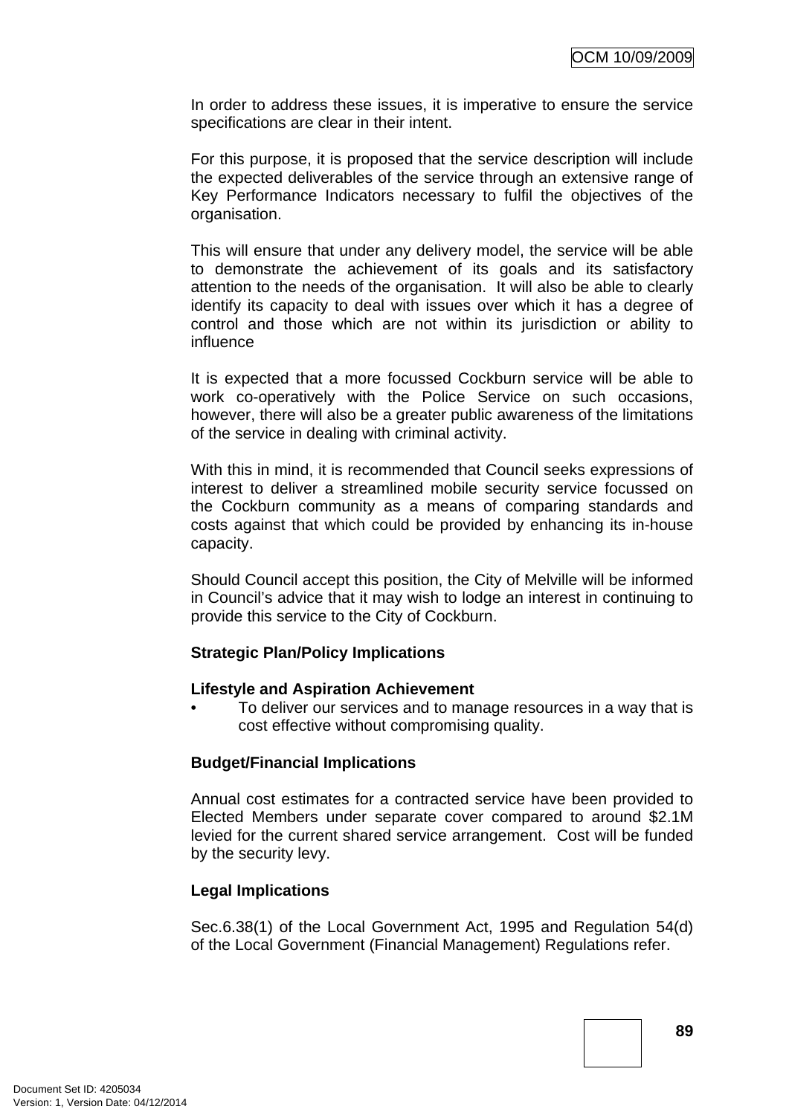In order to address these issues, it is imperative to ensure the service specifications are clear in their intent.

For this purpose, it is proposed that the service description will include the expected deliverables of the service through an extensive range of Key Performance Indicators necessary to fulfil the objectives of the organisation.

This will ensure that under any delivery model, the service will be able to demonstrate the achievement of its goals and its satisfactory attention to the needs of the organisation. It will also be able to clearly identify its capacity to deal with issues over which it has a degree of control and those which are not within its jurisdiction or ability to influence

It is expected that a more focussed Cockburn service will be able to work co-operatively with the Police Service on such occasions, however, there will also be a greater public awareness of the limitations of the service in dealing with criminal activity.

With this in mind, it is recommended that Council seeks expressions of interest to deliver a streamlined mobile security service focussed on the Cockburn community as a means of comparing standards and costs against that which could be provided by enhancing its in-house capacity.

Should Council accept this position, the City of Melville will be informed in Council's advice that it may wish to lodge an interest in continuing to provide this service to the City of Cockburn.

## **Strategic Plan/Policy Implications**

### **Lifestyle and Aspiration Achievement**

• To deliver our services and to manage resources in a way that is cost effective without compromising quality.

## **Budget/Financial Implications**

Annual cost estimates for a contracted service have been provided to Elected Members under separate cover compared to around \$2.1M levied for the current shared service arrangement. Cost will be funded by the security levy.

## **Legal Implications**

Sec.6.38(1) of the Local Government Act, 1995 and Regulation 54(d) of the Local Government (Financial Management) Regulations refer.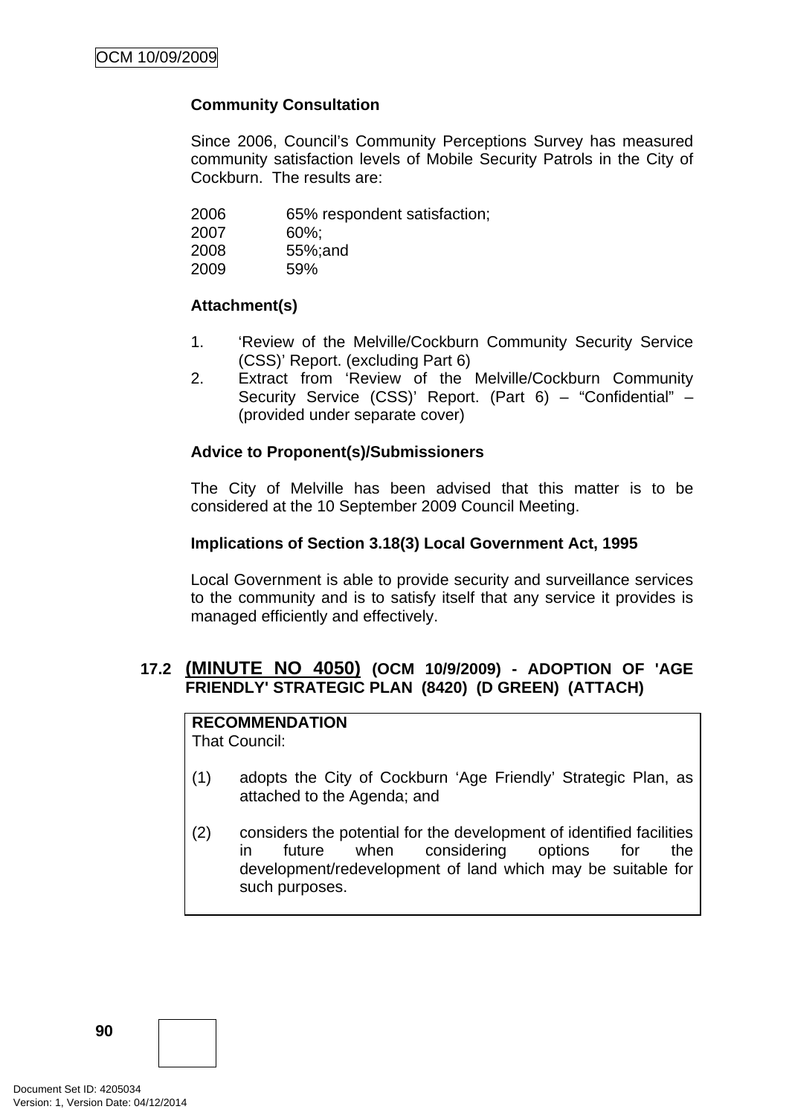# **Community Consultation**

Since 2006, Council's Community Perceptions Survey has measured community satisfaction levels of Mobile Security Patrols in the City of Cockburn. The results are:

| 2006 | 65% respondent satisfaction; |
|------|------------------------------|
| 2007 | $60\%$                       |
| 2008 | 55%; and                     |
| 2009 | 59%                          |
|      |                              |

## **Attachment(s)**

- 1. 'Review of the Melville/Cockburn Community Security Service (CSS)' Report. (excluding Part 6)
- 2. Extract from 'Review of the Melville/Cockburn Community Security Service (CSS)' Report. (Part 6) – "Confidential" – (provided under separate cover)

## **Advice to Proponent(s)/Submissioners**

The City of Melville has been advised that this matter is to be considered at the 10 September 2009 Council Meeting.

### **Implications of Section 3.18(3) Local Government Act, 1995**

Local Government is able to provide security and surveillance services to the community and is to satisfy itself that any service it provides is managed efficiently and effectively.

# **17.2 (MINUTE NO 4050) (OCM 10/9/2009) - ADOPTION OF 'AGE FRIENDLY' STRATEGIC PLAN (8420) (D GREEN) (ATTACH)**

**RECOMMENDATION** That Council:

- (1) adopts the City of Cockburn 'Age Friendly' Strategic Plan, as attached to the Agenda; and
- (2) considers the potential for the development of identified facilities in future when considering options for the development/redevelopment of land which may be suitable for such purposes.

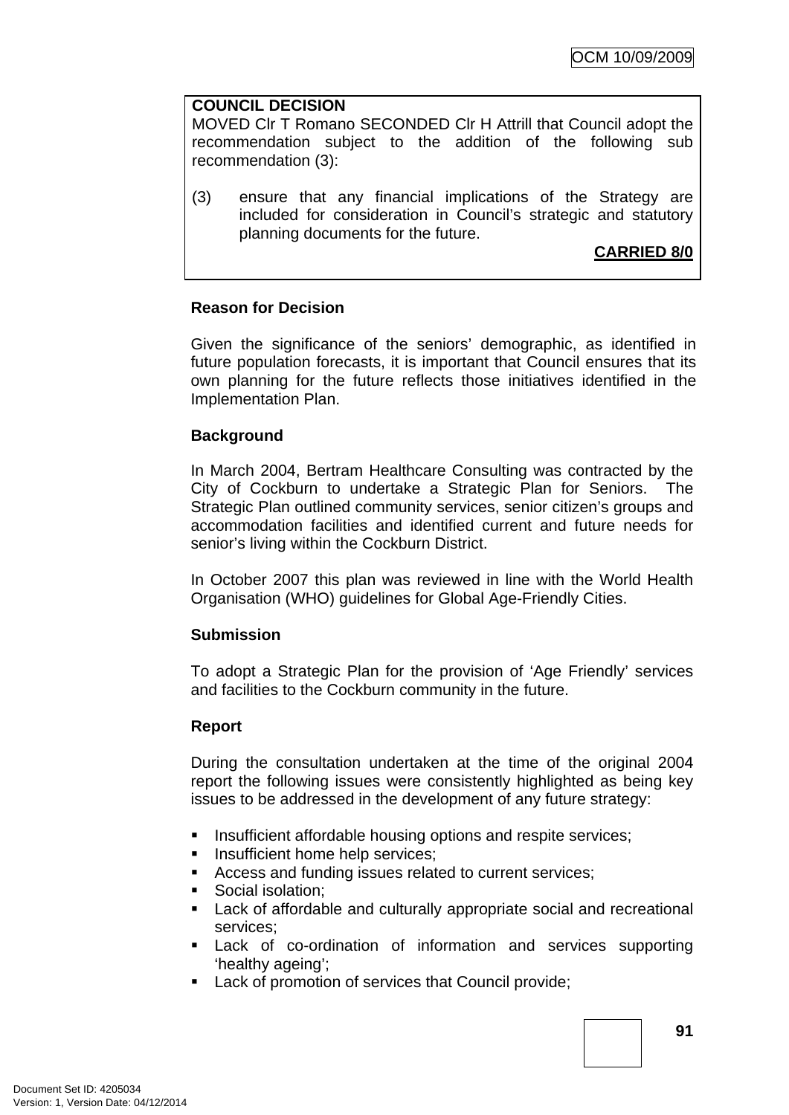## **COUNCIL DECISION**

MOVED Clr T Romano SECONDED Clr H Attrill that Council adopt the recommendation subject to the addition of the following sub recommendation (3):

(3) ensure that any financial implications of the Strategy are included for consideration in Council's strategic and statutory planning documents for the future.

**CARRIED 8/0**

# **Reason for Decision**

Given the significance of the seniors' demographic, as identified in future population forecasts, it is important that Council ensures that its own planning for the future reflects those initiatives identified in the Implementation Plan.

# **Background**

In March 2004, Bertram Healthcare Consulting was contracted by the City of Cockburn to undertake a Strategic Plan for Seniors. The Strategic Plan outlined community services, senior citizen's groups and accommodation facilities and identified current and future needs for senior's living within the Cockburn District.

In October 2007 this plan was reviewed in line with the World Health Organisation (WHO) guidelines for Global Age-Friendly Cities.

## **Submission**

To adopt a Strategic Plan for the provision of 'Age Friendly' services and facilities to the Cockburn community in the future.

## **Report**

During the consultation undertaken at the time of the original 2004 report the following issues were consistently highlighted as being key issues to be addressed in the development of any future strategy:

- **Insufficient affordable housing options and respite services:**
- **Insufficient home help services;**
- Access and funding issues related to current services;
- Social isolation:
- **Lack of affordable and culturally appropriate social and recreational** services;
- Lack of co-ordination of information and services supporting 'healthy ageing';
- **Lack of promotion of services that Council provide;**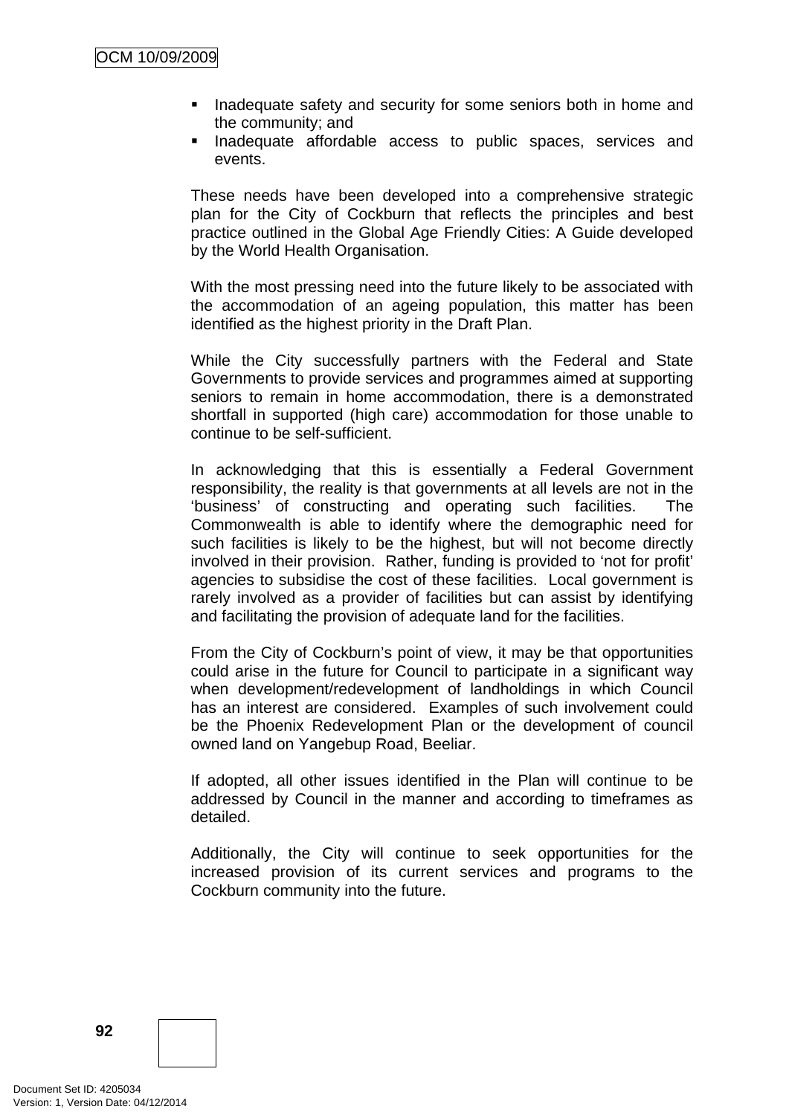- Inadequate safety and security for some seniors both in home and the community; and
- **Inadequate affordable access to public spaces, services and** events.

These needs have been developed into a comprehensive strategic plan for the City of Cockburn that reflects the principles and best practice outlined in the Global Age Friendly Cities: A Guide developed by the World Health Organisation.

With the most pressing need into the future likely to be associated with the accommodation of an ageing population, this matter has been identified as the highest priority in the Draft Plan.

While the City successfully partners with the Federal and State Governments to provide services and programmes aimed at supporting seniors to remain in home accommodation, there is a demonstrated shortfall in supported (high care) accommodation for those unable to continue to be self-sufficient.

In acknowledging that this is essentially a Federal Government responsibility, the reality is that governments at all levels are not in the 'business' of constructing and operating such facilities. The Commonwealth is able to identify where the demographic need for such facilities is likely to be the highest, but will not become directly involved in their provision. Rather, funding is provided to 'not for profit' agencies to subsidise the cost of these facilities. Local government is rarely involved as a provider of facilities but can assist by identifying and facilitating the provision of adequate land for the facilities.

From the City of Cockburn's point of view, it may be that opportunities could arise in the future for Council to participate in a significant way when development/redevelopment of landholdings in which Council has an interest are considered. Examples of such involvement could be the Phoenix Redevelopment Plan or the development of council owned land on Yangebup Road, Beeliar.

If adopted, all other issues identified in the Plan will continue to be addressed by Council in the manner and according to timeframes as detailed.

Additionally, the City will continue to seek opportunities for the increased provision of its current services and programs to the Cockburn community into the future.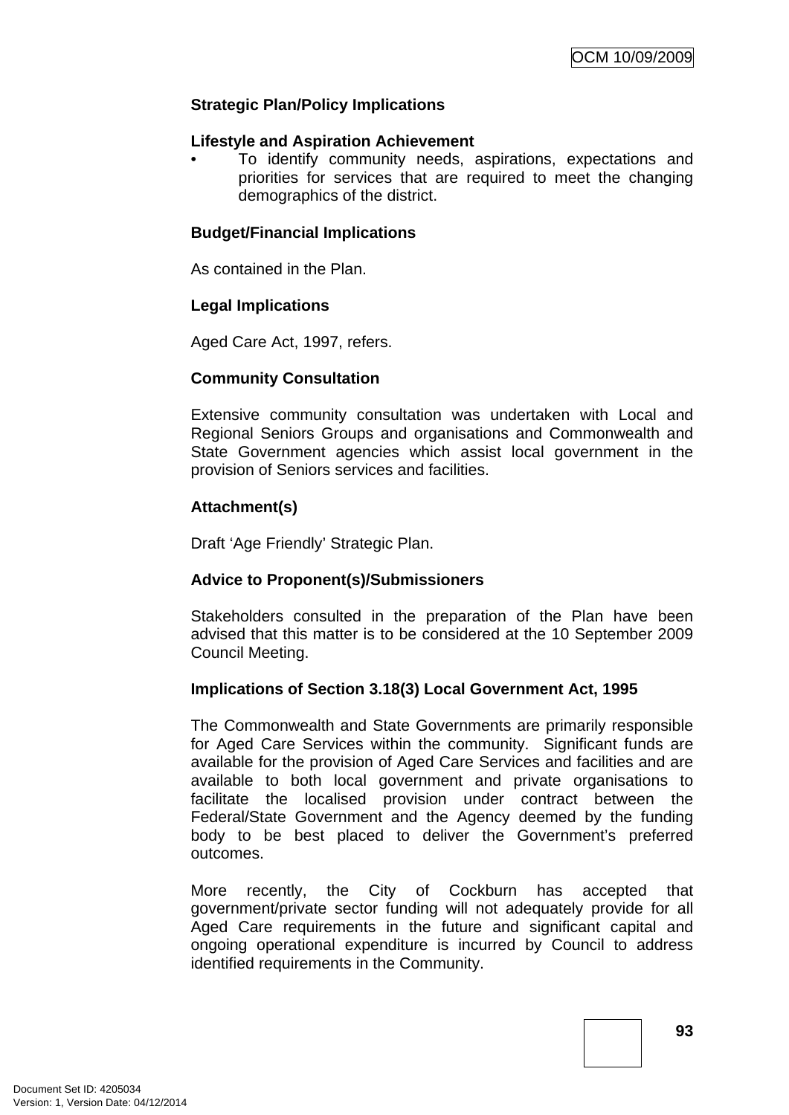# **Strategic Plan/Policy Implications**

### **Lifestyle and Aspiration Achievement**

• To identify community needs, aspirations, expectations and priorities for services that are required to meet the changing demographics of the district.

## **Budget/Financial Implications**

As contained in the Plan.

## **Legal Implications**

Aged Care Act, 1997, refers.

## **Community Consultation**

Extensive community consultation was undertaken with Local and Regional Seniors Groups and organisations and Commonwealth and State Government agencies which assist local government in the provision of Seniors services and facilities.

## **Attachment(s)**

Draft 'Age Friendly' Strategic Plan.

## **Advice to Proponent(s)/Submissioners**

Stakeholders consulted in the preparation of the Plan have been advised that this matter is to be considered at the 10 September 2009 Council Meeting.

## **Implications of Section 3.18(3) Local Government Act, 1995**

The Commonwealth and State Governments are primarily responsible for Aged Care Services within the community. Significant funds are available for the provision of Aged Care Services and facilities and are available to both local government and private organisations to facilitate the localised provision under contract between the Federal/State Government and the Agency deemed by the funding body to be best placed to deliver the Government's preferred outcomes.

More recently, the City of Cockburn has accepted that government/private sector funding will not adequately provide for all Aged Care requirements in the future and significant capital and ongoing operational expenditure is incurred by Council to address identified requirements in the Community.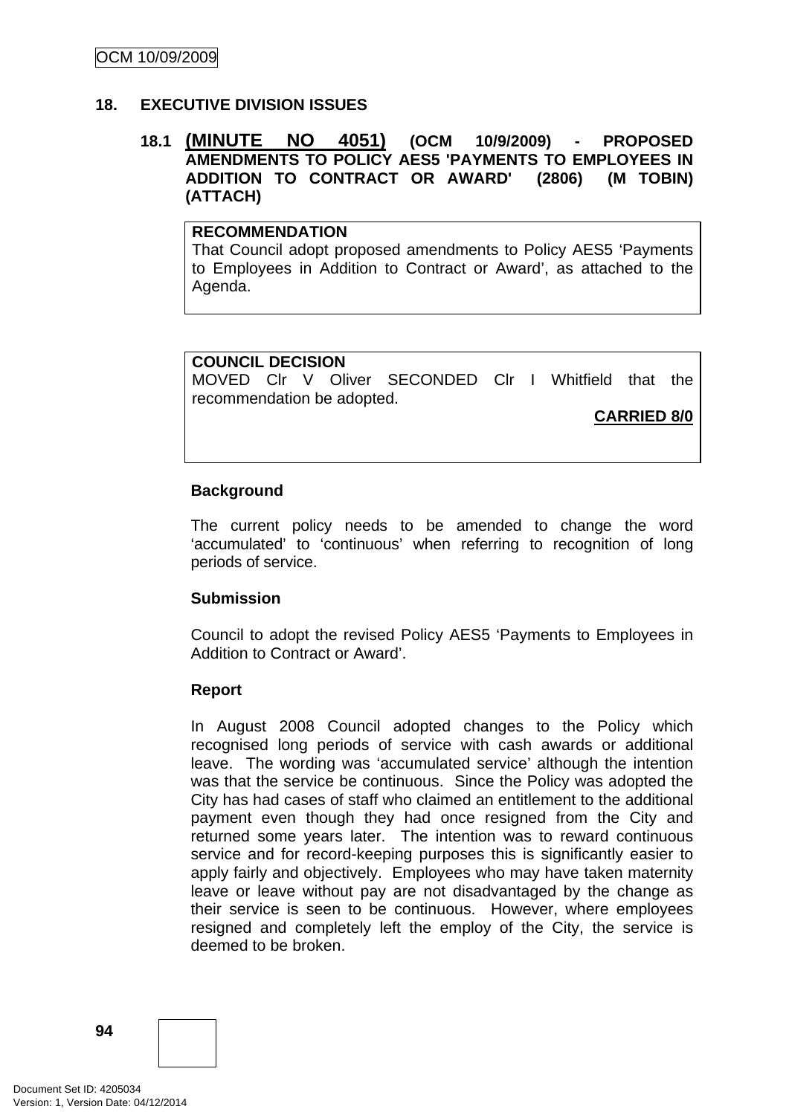# **18. EXECUTIVE DIVISION ISSUES**

# **18.1 (MINUTE NO 4051) (OCM 10/9/2009) - PROPOSED AMENDMENTS TO POLICY AES5 'PAYMENTS TO EMPLOYEES IN ADDITION TO CONTRACT OR AWARD' (2806) (M TOBIN) (ATTACH)**

# **RECOMMENDATION**

That Council adopt proposed amendments to Policy AES5 'Payments to Employees in Addition to Contract or Award', as attached to the Agenda.

### **COUNCIL DECISION**

MOVED Clr V Oliver SECONDED Clr I Whitfield that the recommendation be adopted.

**CARRIED 8/0**

## **Background**

The current policy needs to be amended to change the word 'accumulated' to 'continuous' when referring to recognition of long periods of service.

### **Submission**

Council to adopt the revised Policy AES5 'Payments to Employees in Addition to Contract or Award'.

### **Report**

In August 2008 Council adopted changes to the Policy which recognised long periods of service with cash awards or additional leave. The wording was 'accumulated service' although the intention was that the service be continuous. Since the Policy was adopted the City has had cases of staff who claimed an entitlement to the additional payment even though they had once resigned from the City and returned some years later. The intention was to reward continuous service and for record-keeping purposes this is significantly easier to apply fairly and objectively. Employees who may have taken maternity leave or leave without pay are not disadvantaged by the change as their service is seen to be continuous. However, where employees resigned and completely left the employ of the City, the service is deemed to be broken.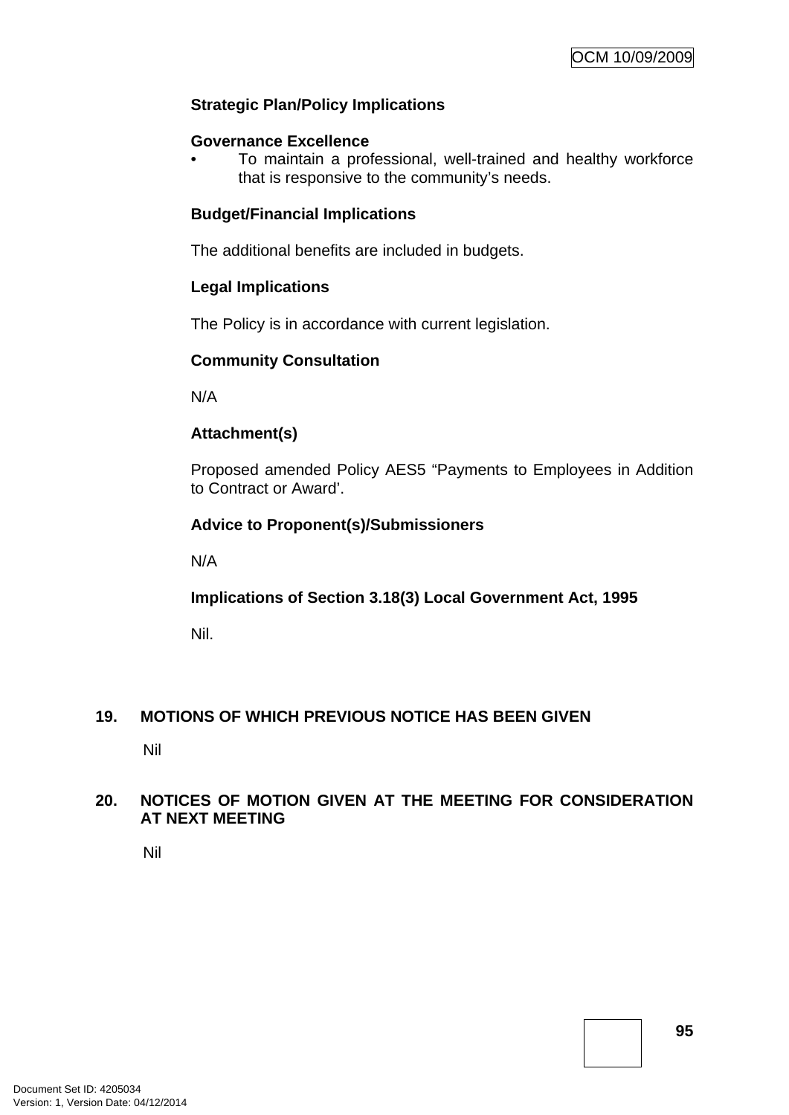# **Strategic Plan/Policy Implications**

### **Governance Excellence**

• To maintain a professional, well-trained and healthy workforce that is responsive to the community's needs.

## **Budget/Financial Implications**

The additional benefits are included in budgets.

## **Legal Implications**

The Policy is in accordance with current legislation.

### **Community Consultation**

N/A

## **Attachment(s)**

Proposed amended Policy AES5 "Payments to Employees in Addition to Contract or Award'.

## **Advice to Proponent(s)/Submissioners**

N/A

## **Implications of Section 3.18(3) Local Government Act, 1995**

Nil.

## **19. MOTIONS OF WHICH PREVIOUS NOTICE HAS BEEN GIVEN**

Nil

## **20. NOTICES OF MOTION GIVEN AT THE MEETING FOR CONSIDERATION AT NEXT MEETING**

Nil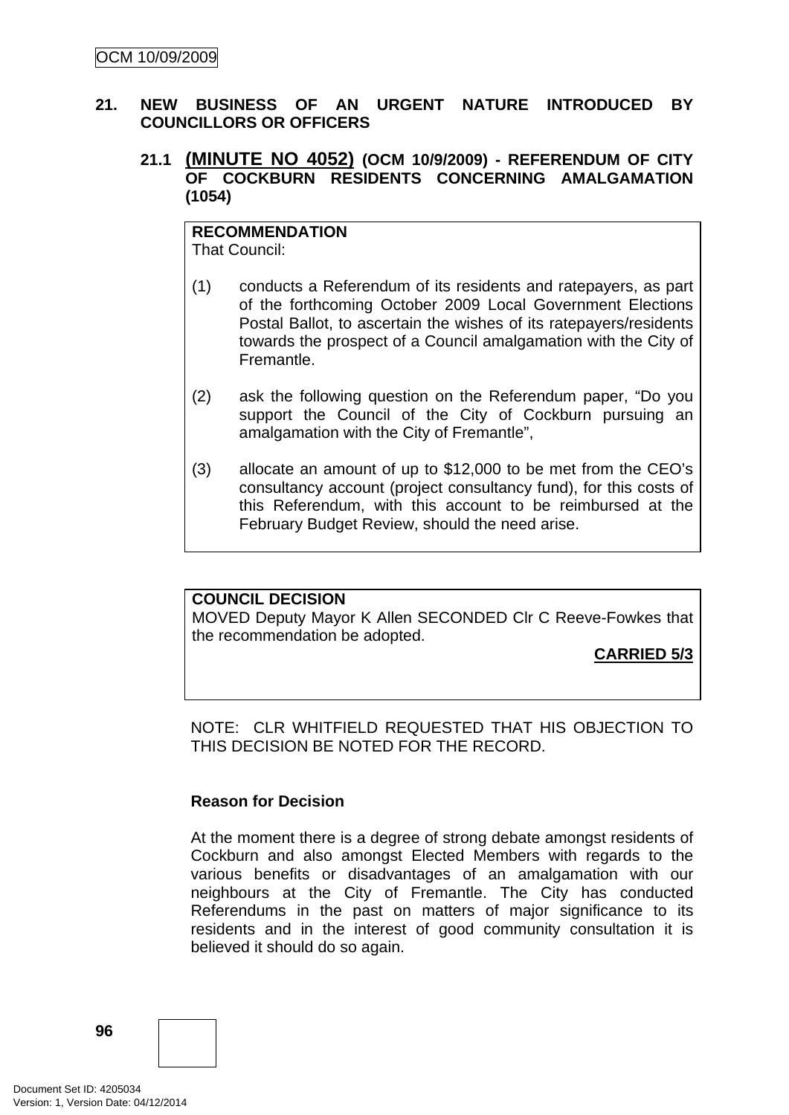# **21. NEW BUSINESS OF AN URGENT NATURE INTRODUCED BY COUNCILLORS OR OFFICERS**

# **21.1 (MINUTE NO 4052) (OCM 10/9/2009) - REFERENDUM OF CITY OF COCKBURN RESIDENTS CONCERNING AMALGAMATION (1054)**

#### **RECOMMENDATION** That Council:

- (1) conducts a Referendum of its residents and ratepayers, as part of the forthcoming October 2009 Local Government Elections Postal Ballot, to ascertain the wishes of its ratepayers/residents towards the prospect of a Council amalgamation with the City of Fremantle.
- (2) ask the following question on the Referendum paper, "Do you support the Council of the City of Cockburn pursuing an amalgamation with the City of Fremantle",
- (3) allocate an amount of up to \$12,000 to be met from the CEO's consultancy account (project consultancy fund), for this costs of this Referendum, with this account to be reimbursed at the February Budget Review, should the need arise.

# **COUNCIL DECISION**

MOVED Deputy Mayor K Allen SECONDED Clr C Reeve-Fowkes that the recommendation be adopted.

**CARRIED 5/3**

NOTE: CLR WHITFIELD REQUESTED THAT HIS OBJECTION TO THIS DECISION BE NOTED FOR THE RECORD.

## **Reason for Decision**

At the moment there is a degree of strong debate amongst residents of Cockburn and also amongst Elected Members with regards to the various benefits or disadvantages of an amalgamation with our neighbours at the City of Fremantle. The City has conducted Referendums in the past on matters of major significance to its residents and in the interest of good community consultation it is believed it should do so again.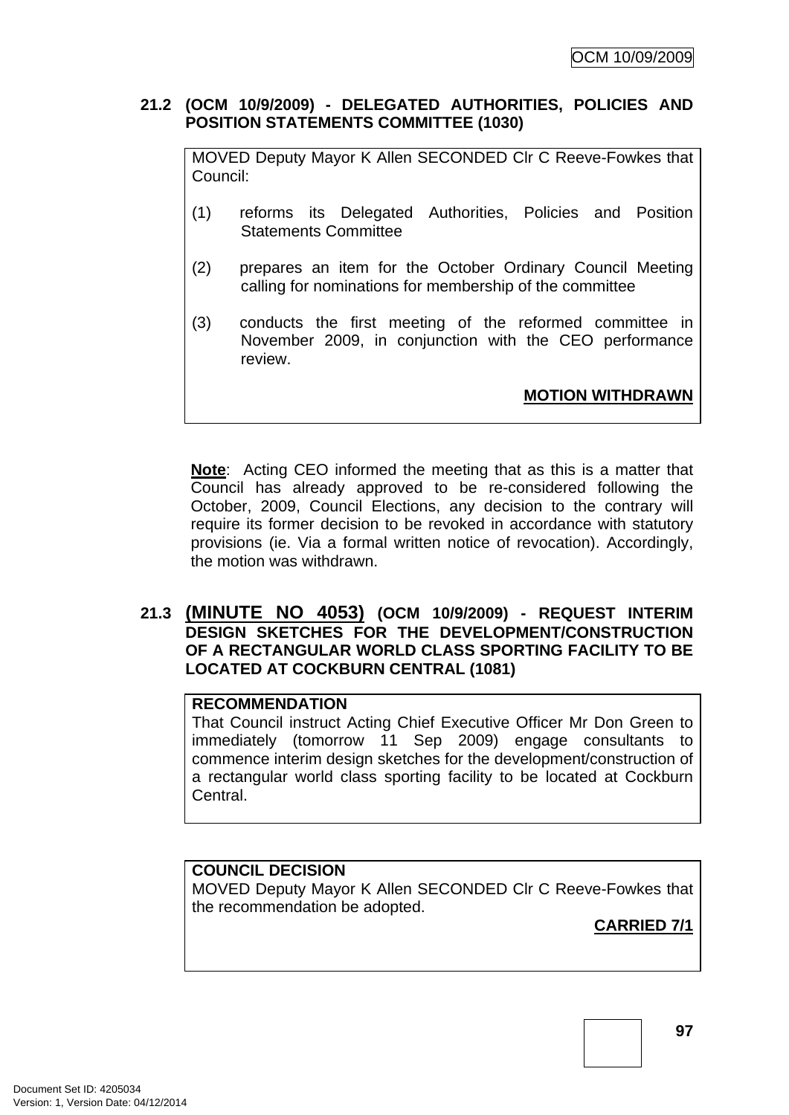## **21.2 (OCM 10/9/2009) - DELEGATED AUTHORITIES, POLICIES AND POSITION STATEMENTS COMMITTEE (1030)**

MOVED Deputy Mayor K Allen SECONDED Clr C Reeve-Fowkes that Council:

- (1) reforms its Delegated Authorities, Policies and Position Statements Committee
- (2) prepares an item for the October Ordinary Council Meeting calling for nominations for membership of the committee
- (3) conducts the first meeting of the reformed committee in November 2009, in conjunction with the CEO performance review.

**MOTION WITHDRAWN**

**Note**: Acting CEO informed the meeting that as this is a matter that Council has already approved to be re-considered following the October, 2009, Council Elections, any decision to the contrary will require its former decision to be revoked in accordance with statutory provisions (ie. Via a formal written notice of revocation). Accordingly, the motion was withdrawn.

# **21.3 (MINUTE NO 4053) (OCM 10/9/2009) - REQUEST INTERIM DESIGN SKETCHES FOR THE DEVELOPMENT/CONSTRUCTION OF A RECTANGULAR WORLD CLASS SPORTING FACILITY TO BE LOCATED AT COCKBURN CENTRAL (1081)**

# **RECOMMENDATION**

That Council instruct Acting Chief Executive Officer Mr Don Green to immediately (tomorrow 11 Sep 2009) engage consultants to commence interim design sketches for the development/construction of a rectangular world class sporting facility to be located at Cockburn Central.

# **COUNCIL DECISION**

MOVED Deputy Mayor K Allen SECONDED Clr C Reeve-Fowkes that the recommendation be adopted.

**CARRIED 7/1**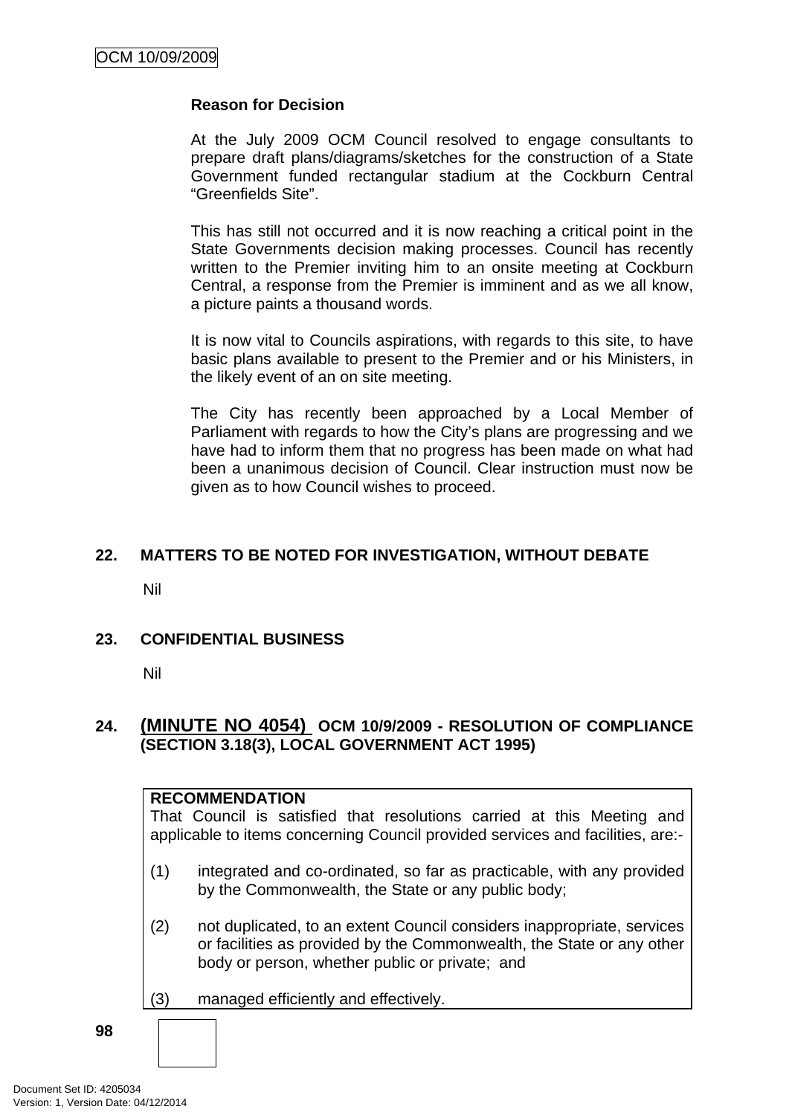## **Reason for Decision**

At the July 2009 OCM Council resolved to engage consultants to prepare draft plans/diagrams/sketches for the construction of a State Government funded rectangular stadium at the Cockburn Central "Greenfields Site".

This has still not occurred and it is now reaching a critical point in the State Governments decision making processes. Council has recently written to the Premier inviting him to an onsite meeting at Cockburn Central, a response from the Premier is imminent and as we all know, a picture paints a thousand words.

It is now vital to Councils aspirations, with regards to this site, to have basic plans available to present to the Premier and or his Ministers, in the likely event of an on site meeting.

The City has recently been approached by a Local Member of Parliament with regards to how the City's plans are progressing and we have had to inform them that no progress has been made on what had been a unanimous decision of Council. Clear instruction must now be given as to how Council wishes to proceed.

# **22. MATTERS TO BE NOTED FOR INVESTIGATION, WITHOUT DEBATE**

Nil

## **23. CONFIDENTIAL BUSINESS**

Nil

# **24. (MINUTE NO 4054) OCM 10/9/2009 - RESOLUTION OF COMPLIANCE (SECTION 3.18(3), LOCAL GOVERNMENT ACT 1995)**

### **RECOMMENDATION**

That Council is satisfied that resolutions carried at this Meeting and applicable to items concerning Council provided services and facilities, are:-

- (1) integrated and co-ordinated, so far as practicable, with any provided by the Commonwealth, the State or any public body;
- (2) not duplicated, to an extent Council considers inappropriate, services or facilities as provided by the Commonwealth, the State or any other body or person, whether public or private; and
- (3) managed efficiently and effectively.